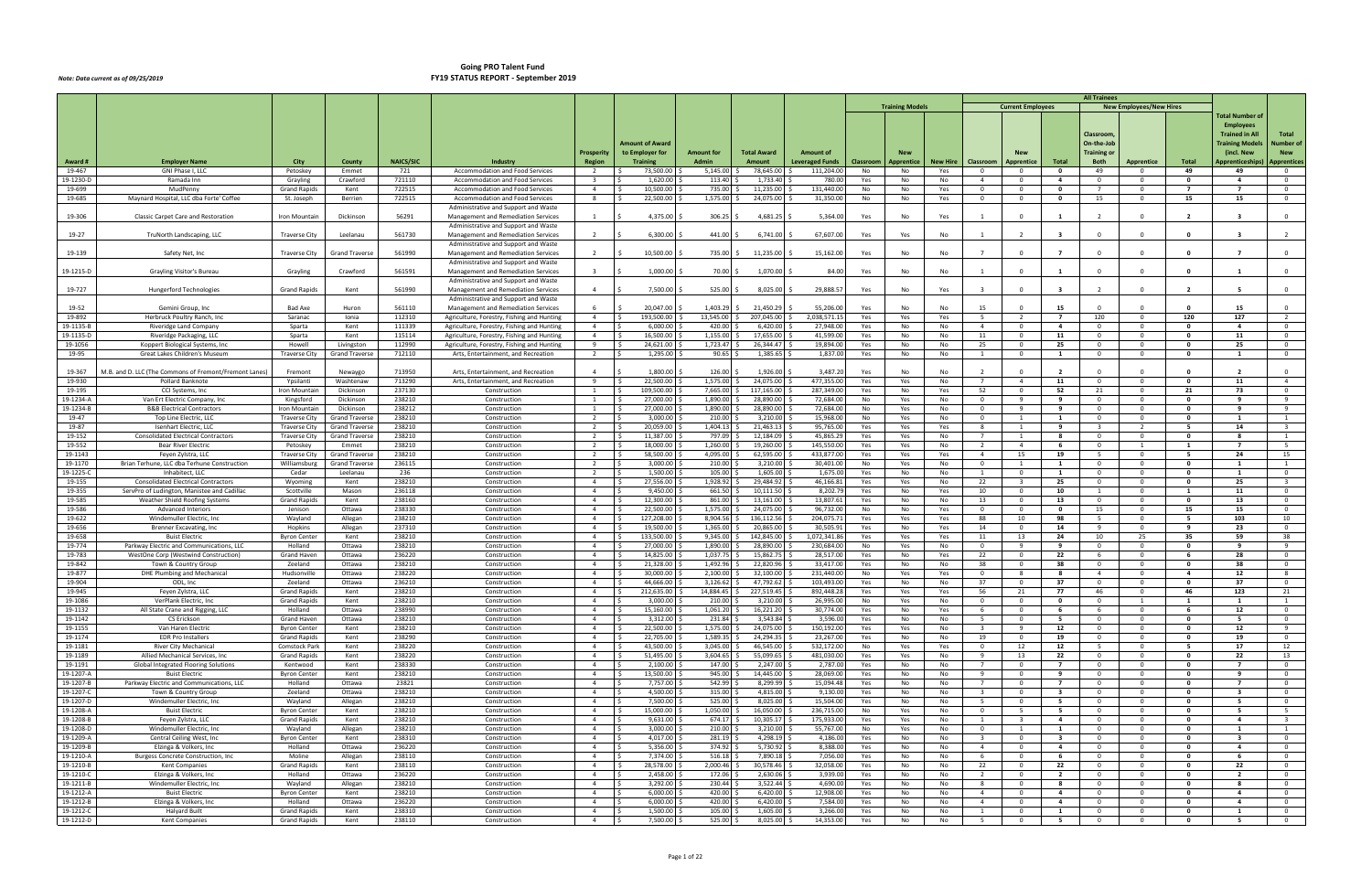|                        |                                                                          |                                     |                                   |                  |                                                                                          |                                  |                                    |                       |                         |                          |            |                        |                 |                                  |                                     |                                  | <b>All Trainees</b>              |                                |                     |                                  |                                         |
|------------------------|--------------------------------------------------------------------------|-------------------------------------|-----------------------------------|------------------|------------------------------------------------------------------------------------------|----------------------------------|------------------------------------|-----------------------|-------------------------|--------------------------|------------|------------------------|-----------------|----------------------------------|-------------------------------------|----------------------------------|----------------------------------|--------------------------------|---------------------|----------------------------------|-----------------------------------------|
|                        |                                                                          |                                     |                                   |                  |                                                                                          |                                  |                                    |                       |                         |                          |            | <b>Training Models</b> |                 |                                  | <b>Current Employees</b>            |                                  |                                  | <b>New Employees/New Hires</b> |                     | Total Number of                  |                                         |
|                        |                                                                          |                                     |                                   |                  |                                                                                          |                                  |                                    |                       |                         |                          |            |                        |                 |                                  |                                     |                                  |                                  |                                |                     | <b>Employees</b>                 |                                         |
|                        |                                                                          |                                     |                                   |                  |                                                                                          |                                  |                                    |                       |                         |                          |            |                        |                 |                                  |                                     |                                  | Classroom,                       |                                |                     | <b>Trained in All</b>            | Total                                   |
|                        |                                                                          |                                     |                                   |                  |                                                                                          |                                  | Amount of Award                    |                       |                         |                          |            |                        |                 |                                  |                                     |                                  | On-the-Job                       |                                |                     | <b>Training Models</b>           | <b>Number of</b>                        |
|                        |                                                                          |                                     |                                   |                  |                                                                                          | <b>Prosperity</b>                | to Employer for                    | <b>Amount for</b>     | <b>Total Award</b>      | <b>Amount of</b>         |            |                        |                 |                                  |                                     |                                  | <b>Training or</b>               |                                |                     | (incl. New                       | <b>New</b>                              |
| Award #                | <b>Employer Name</b>                                                     | City                                | County                            | <b>NAICS/SIC</b> | Industry                                                                                 | <b>Region</b>                    | <b>Training</b>                    | <b>Admin</b>          | <b>Amount</b>           | <b>Leveraged Funds</b>   | Classroom  | <b>Apprentice</b>      | <b>New Hire</b> | Classroom                        | Apprentice                          | Total                            | <b>Both</b>                      | Apprentice                     | Total               | Apprenticeships                  | <b>Apprentices</b>                      |
| 19-467<br>19-1230-D    | GNI Phase I, LL<br>Ramada Inn                                            | Petoskey<br>Grayling                | Emmet<br>Crawford                 | 721<br>721110    | Accommodation and Food Services<br>Accommodation and Food Services                       | $\overline{2}$<br>$\overline{3}$ | l \$<br>73,500.00<br>1,620.00      | 5,145.00<br>113.40    | 78,645.00<br>1,733.40   | 111,204.00<br>780.00     | No<br>Yes  | No<br>No               | Yes<br>No       | $\overline{0}$<br>$\overline{4}$ | $\overline{\mathbf{0}}$<br>$\Omega$ | $\mathbf{o}$<br>$\overline{4}$   | 49<br>$\overline{0}$             | $\overline{0}$<br>$\Omega$     | 49<br>0             | 49<br>$\overline{a}$             | $\overline{0}$<br>$\overline{0}$        |
| 19-699                 | MudPenn                                                                  | <b>Grand Rapids</b>                 | Kent                              | 722515           | Accommodation and Food Services                                                          | $\overline{4}$                   | 10,500.00                          | 735.00                | 11,235.00               | 131,440.00               | No         | No                     | Yes             | $\overline{0}$                   | $\mathbf 0$                         | $\mathbf{0}$                     | $\overline{7}$                   | $\mathbf 0$                    | $\overline{7}$      | $\overline{7}$                   | $\mathbf 0$                             |
| 19-685                 | Maynard Hospital, LLC dba Forte' Coffee                                  | St. Joseph                          | Berrien                           | 722515           | Accommodation and Food Services                                                          | 8                                | 22,500.00<br>l S                   | 1,575.00              | 24,075.00               | 31,350.00                | No         | No                     | Yes             | $\overline{0}$                   | $\overline{\mathbf{0}}$             | $\mathbf{0}$                     | 15                               | $\mathbf{0}$                   | 15                  | 15                               | $\mathbf 0$                             |
|                        |                                                                          |                                     |                                   |                  | Administrative and Support and Waste                                                     |                                  |                                    |                       |                         |                          |            |                        |                 |                                  |                                     |                                  |                                  |                                |                     |                                  |                                         |
| 19-306                 | Classic Carpet Care and Restoration                                      | Iron Mountain                       | Dickinson                         | 56291            | Management and Remediation Services                                                      |                                  | 4,375.00                           | 306.25                | 4,681.25                | 5,364.00                 | Yes        | No                     | Yes             |                                  | $\Omega$                            |                                  | $\overline{2}$                   | $\Omega$                       |                     |                                  | $\overline{0}$                          |
|                        |                                                                          |                                     |                                   |                  | Administrative and Support and Waste                                                     |                                  |                                    |                       |                         |                          |            |                        |                 |                                  |                                     |                                  |                                  |                                |                     |                                  |                                         |
| 19-27                  | TruNorth Landscaping, LLC                                                | <b>Traverse City</b>                | Leelanau                          | 561730           | Management and Remediation Services                                                      | $\overline{2}$                   | 6,300.00                           | 441.00                | 6,741.00                | 67,607.00                | Yes        | Yes                    | No              |                                  |                                     |                                  | $\Omega$                         | $\Omega$                       | 0                   |                                  | 2                                       |
| 19-139                 | Safety Net, Inc                                                          | <b>Traverse City</b>                | <b>Grand Traverse</b>             | 561990           | Administrative and Support and Waste<br>Management and Remediation Services              | $\overline{2}$                   | 10,500.00                          | 735.00                | 11,235.00               | 15,162.00                | Yes        | No                     | No              | $\overline{7}$                   | $\Omega$                            |                                  | $\Omega$                         | $\Omega$                       | - 0                 | $\overline{7}$                   |                                         |
|                        |                                                                          |                                     |                                   |                  | Administrative and Support and Waste                                                     |                                  |                                    |                       |                         |                          |            |                        |                 |                                  |                                     |                                  |                                  |                                |                     |                                  |                                         |
| 19-1215-D              | Grayling Visitor's Bureau                                                | Grayling                            | Crawford                          | 561591           | Management and Remediation Services                                                      | $\overline{\mathbf{3}}$          | 1,000.00                           | 70.00                 | 1,070.00                | 84.00                    | Yes        | No                     | No              |                                  | $\mathbf 0$                         | 1                                | $\overline{0}$                   | $\Omega$                       | $\Omega$            | -1                               | $\mathbf 0$                             |
|                        |                                                                          |                                     |                                   |                  | Administrative and Support and Waste                                                     |                                  |                                    |                       |                         |                          |            |                        |                 |                                  |                                     |                                  |                                  |                                |                     |                                  |                                         |
| 19-727                 | Hungerford Technologies                                                  | <b>Grand Rapids</b>                 | Kent                              | 561990           | Management and Remediation Services                                                      | $\overline{4}$                   | 7,500.00                           | 525.00                | 8,025.00                | 29,888.57                | Yes        | No                     | Yes             |                                  | $\Omega$                            |                                  |                                  | $\Omega$                       |                     |                                  | $\Omega$                                |
|                        |                                                                          |                                     |                                   |                  | Administrative and Support and Waste                                                     |                                  |                                    |                       |                         |                          |            |                        |                 |                                  |                                     |                                  |                                  |                                |                     |                                  |                                         |
| 19-52                  | Gemini Group, Inc                                                        | Bad Axe                             | Huron                             | 561110           | Management and Remediation Services                                                      | 6<br>$\overline{4}$              | 20,047.00<br>l \$                  | 1,403.29<br>13,545.00 | 21,450.29<br>207,045.00 | 55,206.00<br>2,038,571.1 | Yes        | No                     | No              | 15                               | $\overline{2}$                      | 15                               | $\Omega$<br>120                  | $\mathbf 0$                    |                     | 15                               | $\Omega$                                |
| 19-892<br>19-1135-E    | Herbruck Poultry Ranch, Inc<br>Riveridge Land Company                    | Saranac<br>Sparta                   | Ionia<br>Kent                     | 112310<br>111339 | Agriculture, Forestry, Fishing and Hunting<br>Agriculture, Forestry, Fishing and Hunting | $\overline{4}$                   | 193,500.00<br>6,000.00             | 420.00                | 6,420.00                | 27,948.00                | Yes<br>Yes | Yes<br>No              | Yes<br>No       | $5^{\circ}$<br>$\overline{4}$    | $\overline{\mathbf{0}}$             | $\overline{7}$<br>$\overline{4}$ | $\overline{0}$                   | $\mathbf 0$                    | 120<br>$\mathbf{0}$ | 127<br>$\overline{a}$            | $\overline{0}$                          |
| 19-1135-D              | Riveridge Packaging, LLC                                                 | Sparta                              | Kent                              | 115114           | Agriculture, Forestry, Fishing and Hunting                                               | $\overline{4}$                   | 16,500.00<br>ΙŚ                    | 1,155.00              | 17,655.00               | 41,599.00                | Yes        | No                     | No              | 11                               | $\overline{\mathbf{0}}$             | 11                               | $\overline{0}$                   | $^{\circ}$                     | $\mathbf 0$         | 11                               | $\overline{0}$                          |
| 19-1056                | Koppert Biological Systems, Inc                                          | Howell                              | Livingston                        | 112990           | Agriculture, Forestry, Fishing and Hunting                                               | 9                                | 24,621.00<br>l S                   | 1,723.47              | 26,344.47               | 19,894.00                | Yes        | No                     | No              | 25                               | $\Omega$                            | 25                               | $\overline{0}$                   | $\Omega$                       | 0                   | 25                               | $\Omega$                                |
| 19-95                  | Great Lakes Children's Museum                                            | <b>Traverse City</b>                | <b>Grand Traverse</b>             | 712110           | Arts, Entertainment, and Recreation                                                      | $\overline{2}$                   | 1,295.00                           | 90.65                 | 1,385.65                | 1,837.00                 | Yes        | No                     | No              | <sup>1</sup>                     | $\overline{0}$                      | 1                                | $\overline{0}$                   | $\mathbf 0$                    | 0                   | 1                                | $\overline{0}$                          |
|                        |                                                                          |                                     |                                   |                  |                                                                                          |                                  |                                    |                       |                         |                          |            |                        |                 |                                  |                                     |                                  |                                  |                                |                     |                                  |                                         |
| 19-367                 | M.B. and D. LLC (The Commons of Fremont/Fremont Lanes)                   | Fremont                             | Newaygo                           | 713950           | Arts, Entertainment, and Recreation                                                      | $\overline{4}$                   | 1,800.00                           | 126.00                | 1,926.00                | 3,487.2                  | Yes        | No                     | No              |                                  |                                     |                                  | $\Omega$                         |                                |                     |                                  | $\overline{0}$                          |
| 19-930                 | <b>Pollard Banknote</b>                                                  | Ypsilanti                           | Washtenaw                         | 713290           | Arts, Entertainment, and Recreation                                                      | 9                                | 22,500.00<br>ΙŚ                    | 1,575.00              | 24,075.00               | 477,355.00               | Yes        | Yes                    | No              |                                  | $\overline{4}$                      | 11                               | $\overline{0}$                   | $\Omega$                       | $\mathbf{0}$        | 11                               | $\overline{4}$                          |
| 19-195<br>19-1234-A    | CCI Systems, Inc<br>Van Ert Electric Company, Inc.                       | Iron Mountain<br>Kingsford          | Dickinson<br>Dickinson            | 237130<br>238210 | Construction<br>Construction                                                             | 1<br>$\mathbf{1}$                | 109,500.00<br>27,000.00<br>ΙŚ      | 7,665.00<br>1,890.00  | 117,165.00<br>28,890.00 | 287,349.00<br>72,684.00  | Yes<br>No  | No<br>Yes              | Yes<br>No       | 52<br>$\overline{0}$             | $\overline{\mathbf{0}}$<br>- 9      | 52<br>9                          | 21<br>$\overline{0}$             | $^{\circ}$<br>$\mathbf{0}$     | 21<br>0             | 73<br>9                          | $\overline{0}$<br>9                     |
| 19-1234-B              | <b>B&amp;B Electrical Contractors</b>                                    | Iron Mountain                       | Dickinson                         | 238212           | Construction                                                                             | 1                                | 27,000.00<br>ΙŚ                    | 1,890.00              | 28,890.00               | 72,684.00                | No         | Yes                    | No              | $\overline{0}$                   | $\mathbf{q}$                        | 9                                | $\overline{0}$                   | $\Omega$                       | $\mathbf{0}$        | -9                               | $\overline{9}$                          |
| 19-47                  | Top Line Electric, LLC                                                   | <b>Traverse City</b>                | <b>Grand Traverse</b>             | 238210           | Construction                                                                             | $\overline{2}$                   | 3,000.00                           | 210.00                | 3,210.00                | 15,968.00                | No         | Yes                    | No              | $\overline{0}$                   |                                     | 1                                | $\overline{0}$                   | $\mathbf 0$                    | 0                   | -1                               | 1                                       |
| 19-87                  | Isenhart Electric, LLC                                                   | <b>Traverse City</b>                | <b>Grand Traverse</b>             | 238210           | Construction                                                                             | $\overline{2}$                   | 20,059.00<br>ΙŚ                    | 1,404.13              | 21,463.13               | 95,765.00                | Yes        | Yes                    | Yes             | 8                                | $\overline{1}$                      | 9                                | $\overline{\mathbf{3}}$          | $\overline{2}$                 | - 5                 | 14                               | $\overline{\mathbf{3}}$                 |
| 19-152                 | <b>Consolidated Electrical Contractors</b>                               | <b>Traverse City</b>                | <b>Grand Traverse</b>             | 238210           | Construction                                                                             | $\overline{2}$                   | 11,387.00<br>l S                   | 797.09                | 12,184.09               | 45,865.2                 | Yes        | Yes                    | No              | $\overline{7}$                   | -1                                  | -8                               | $\overline{0}$                   | $^{\circ}$                     | 0                   | - 8                              | $\mathbf{1}$                            |
| 19-552                 | <b>Bear River Electric</b>                                               | Petoskey                            | Emmet                             | 238210           | Construction                                                                             | 2                                | l \$<br>18,000.00                  | 1,260.00              | 19,260.00               | 145,550.00               | Yes        | Yes                    | No              | $\overline{2}$                   | $\overline{4}$                      | 6                                | $\overline{0}$                   | -1                             |                     | $\overline{7}$                   | - 5                                     |
| 19-1143                | Feyen Zylstra, LLC                                                       | <b>Traverse City</b>                | <b>Grand Traverse</b>             | 238210           | Construction                                                                             | $\overline{2}$                   | 58,500.00                          | 4,095.00              | 62,595.00               | 433,877.00               | Yes        | Yes                    | Yes             | $\overline{4}$                   | 15                                  | 19                               | $5^{\circ}$                      | $\mathbf{0}$                   | - 5                 | 24                               | 15                                      |
| 19-1170<br>19-1225-C   | Brian Terhune, LLC dba Terhune Construction<br>Inhabitect, LLC           | Williamsburg<br>Cedar               | <b>Grand Traverse</b><br>Leelanau | 236115<br>236    | Construction<br>Construction                                                             | $\overline{2}$<br>2              | 3,000.00<br>IS.<br>l s<br>1,500.00 | 210.00<br>105.00      | 3,210.00<br>1,605.00    | 30,401.0<br>1,675.00     | No<br>Yes  | Yes<br>No              | No<br>No        | $\overline{0}$<br>1              | - 1<br>$\Omega$                     | 1<br><b>1</b>                    | $\overline{0}$<br>$\overline{0}$ | $\mathbf{0}$<br>$\mathbf{0}$   | 0<br>$\mathbf{0}$   | 1<br>-1                          | 1<br>$\overline{0}$                     |
| 19-155                 | <b>Consolidated Electrical Contractors</b>                               | Wyoming                             | Kent                              | 238210           | Construction                                                                             | $\overline{4}$                   | 27,556.00<br>ΙŚ                    | 1,928.92              | 29,484.92               | 46,166.81                | Yes        | Yes                    | No              | 22                               | $\mathbf{3}$                        | 25                               | $\overline{\mathbf{0}}$          | $^{\circ}$                     | $\mathbf{0}$        | 25                               | $\overline{\mathbf{3}}$                 |
| 19-355                 | ServPro of Ludington, Manistee and Cadillac                              | Scottville                          | Mason                             | 236118           | Construction                                                                             | $\overline{4}$                   | 9,450.00                           | 661.50                | 10,111.50               | 8,202.79                 | Yes        | No                     | Yes             | 10                               | $\overline{\mathbf{0}}$             | 10                               | 1                                | $\Omega$                       | $\mathbf{1}$        | 11                               | $\overline{0}$                          |
| 19-585                 | Weather Shield Roofing Systems                                           | <b>Grand Rapids</b>                 | Kent                              | 238160           | Construction                                                                             | $\overline{4}$                   | 12,300.00                          | 861.00                | 13,161.00               | 13,807.61                | Yes        | No                     | No              | 13                               | $\mathbf 0$                         | 13                               | $\overline{0}$                   | $^{\circ}$                     | 0                   | 13                               | $\overline{0}$                          |
| 19-586                 | <b>Advanced Interiors</b>                                                | Jenison                             | Ottawa                            | 238330           | Construction                                                                             | $\overline{4}$                   | 22,500.00<br>l S                   | 1,575.00              | 24,075.00               | 96,732.00                | No         | No                     | Yes             | $\overline{0}$                   | $\Omega$                            | $\mathbf{o}$                     | 15                               | $\mathbf{0}$                   | 15                  | 15                               | $\overline{0}$                          |
| 19-622                 | Windemuller Electric, Inc                                                | Wayland                             | Allegan                           | 238210           | Construction                                                                             | $\overline{4}$                   | 127,208.00                         | 8,904.56              | 136,112.56              | 204,075.7                | Yes        | Yes                    | Yes             | 88                               | 10                                  | 98                               | $5^{\circ}$                      | $^{\circ}$                     | - 5                 | 103                              | 10                                      |
| 19-656<br>19-658       | Brenner Excavating, Inc.<br><b>Buist Electric</b>                        | Hopkins<br><b>Byron Center</b>      | Allegan<br>Kent                   | 237310<br>238210 | Construction<br>Construction                                                             | $\overline{4}$<br>$\overline{4}$ | 19,500.00<br>133,500.00            | 1,365.00<br>9,345.00  | 20,865.00<br>142,845.00 | 30,505.9<br>1,072,341.8  | Yes<br>Yes | No<br>Yes              | Yes<br>Yes      | 14<br>11                         | $\mathbf{0}$<br>13                  | 14<br>24                         | 9<br>10                          | $\mathbf{0}$<br>25             | 9<br>35             | 23<br>59                         | $\overline{0}$<br>38                    |
| 19-774                 | Parkway Electric and Communications, LLC                                 | Holland                             | Ottawa                            | 238210           | Construction                                                                             | $\overline{4}$                   | 27,000.00<br>- Ś                   | 1,890.00              | 28,890.00               | 230,684.0                | No         | Yes                    | No              | $\overline{0}$                   | -9                                  | 9                                | $\overline{0}$                   | $\mathbf 0$                    | $\mathbf{0}$        | 9                                | -9                                      |
| 19-783                 | WestOne Corp (Westwind Construction                                      | Grand Haven                         | Ottawa                            | 236220           | Construction                                                                             | $\overline{4}$                   | 14,825.00<br>ΙŚ                    | 1,037.75              | 15,862.75               | 28,517.0                 | Yes        | No                     | Yes             | 22                               | $\overline{\mathbf{0}}$             | 22                               | 6                                | $\mathbf{0}$                   | - 6                 | 28                               | $\overline{0}$                          |
| 19-842                 | Town & Country Group                                                     | Zeeland                             | Ottawa                            | 238210           | Construction                                                                             | $\overline{4}$                   | 21,328.00<br>l S                   | 1,492.96              | 22,820.96               | 33,417.00                | Yes        | No                     | No              | 38                               | $\overline{\mathbf{0}}$             | 38                               | $\overline{0}$                   | $^{\circ}$                     | $\mathbf{0}$        | 38                               | $\overline{0}$                          |
| 19-877                 | <b>DHE Plumbing and Mechanical</b>                                       | Hudsonville                         | Ottawa                            | 238220           | Construction                                                                             | $\overline{4}$                   | 30,000.00                          | 2,100.00              | 32,100.00               | 231,440.00               | No         | Yes                    | Yes             | $\overline{0}$                   |                                     | -8                               | $\overline{4}$                   | $\Omega$                       | $\overline{\bf{4}}$ | 12                               | - 8                                     |
| 19-904                 | ODL, Inc                                                                 | Zeeland                             | Ottawa                            | 236210           | Construction                                                                             | $\overline{4}$                   | 44,666.00                          | 3,126.6<br>14.884.45  | 47,792.62               | 103,493.0                | Yes        | No                     | No              | 37                               | $\mathbf{0}$                        | 37                               | $\overline{0}$                   | $\mathbf 0$<br>$\Omega$        | $\Omega$            | 37                               | $\mathbf{0}$                            |
| 19-945<br>19-1086      | Feyen Zylstra, LLC<br>VerPlank Electric, Inc.                            | <b>Grand Rapids</b><br>Grand Rapids | Kent<br>Kent                      | 238210<br>238210 | Construction<br>Construction                                                             | $\overline{4}$<br>4              | 212,635.00<br>ΙŚ<br>3,000.00       | 210.00                | 227,519.45<br>3,210.00  | 892,448.28<br>26,995.00  | Yes<br>No  | Yes<br>Yes             | Yes<br>No       | 56<br>$\overline{\mathbf{0}}$    | 21<br>$\mathbf 0$                   | 77<br>$\mathbf{0}$               | 46<br>$\overline{0}$             | -1                             | 46<br>-1            | 123<br>- 1                       | 21<br>1                                 |
| 19-1132                | All State Crane and Rigging, LLC                                         | Holland                             | Ottawa                            | 238990           | Construction                                                                             | $\overline{4}$                   | 15,160.00<br>l S                   | 1,061.20              | 16,221.20               | 30,774.00                | Yes        | No                     | Yes             | 6                                | $\Omega$                            | - 6                              | 6                                | $\mathbf 0$                    | -6                  | 12                               | $\overline{0}$                          |
| 19-1142                | CS Erickson                                                              | Grand Haven                         | Ottawa                            | 238210           | Construction                                                                             | $\overline{4}$                   | $\mathsf{S}$<br>3,312.00           | 231.84                | 3,543.84                | 3,596.00                 | Yes        | No                     | No              | $5^{\circ}$                      | $\overline{\mathbf{0}}$             | 5                                | $\overline{0}$                   | $\mathbf{0}$                   | $\mathbf{0}$        | - 5                              | $\overline{0}$                          |
| 19-1155                | Van Haren Electric                                                       | <b>Byron Center</b>                 | Kent                              | 238210           | Construction                                                                             | $\overline{4}$                   | 22,500.00<br>I \$                  | 1,575.00 \$           | 24,075.00               | 150,192.00               | Yes        | Yes                    | No              | $\overline{\mathbf{3}}$          | 9                                   | 12                               | $\overline{0}$                   | $\overline{0}$                 | $\mathbf{0}$        | 12                               | 9                                       |
| 19-1174                | <b>EDR Pro Installers</b>                                                | <b>Grand Rapids</b>                 | Kent                              | 238290           | Construction                                                                             | $\overline{4}$                   | 22,705.00<br>ΙŚ                    | 1,589.35              | 24,294.35               | 23,267.00                | Yes        | No                     | No              | 19                               | $\Omega$                            | 19                               | $\overline{0}$                   | $\Omega$                       | $\mathbf{0}$        | 19                               | $\overline{0}$                          |
| 19-1181                | <b>River City Mechanical</b>                                             | <b>Comstock Park</b>                | Kent                              | 238220           | Construction                                                                             | $\overline{4}$<br>$\overline{4}$ | 43,500.00<br>l \$<br>ΙŚ            | 3,045.00              | 46,545.00               | 532,172.00               | No         | Yes                    | Yes             | $\overline{0}$                   | 12                                  | 12                               | $5^{\circ}$                      | $^{\circ}$                     | - 5<br>$\mathbf{0}$ | 17                               | 12                                      |
| 19-1189<br>19-1191     | Allied Mechanical Services, Inc.<br>Global Integrated Flooring Solutions | <b>Grand Rapids</b><br>Kentwood     | Kent<br>Kent                      | 238220<br>238330 | Construction<br>Construction                                                             | $\overline{4}$                   | 51,495.00<br>2,100.00<br>IS.       | 3,604.65<br>147.00    | 55,099.65<br>2,247.00   | 481,030.00<br>2,787.0    | Yes<br>Yes | Yes<br>No              | No<br>No        | 9<br>$\overline{7}$              | 13<br>$\overline{\phantom{0}}$      | 22<br>$\overline{7}$             | $\overline{0}$<br>$\overline{0}$ | $\circ$<br>$\mathbf{0}$        | 0                   | 22<br>- 7                        | 13<br>$\overline{0}$                    |
| 19-1207-A              | <b>Buist Electric</b>                                                    | <b>Byron Center</b>                 | Kent                              | 238210           | Construction                                                                             | $\overline{4}$                   | l s<br>13,500.00                   | 945.00                | 14,445.00               | 28,069.00                | Yes        | No                     | No              | 9                                | $\Omega$                            | 9                                | $\overline{0}$                   | $\Omega$                       | $\mathbf{0}$        | 9                                | $\overline{0}$                          |
| 19-1207-B              | Parkway Electric and Communications, LLC                                 | Holland                             | Ottawa                            | 23821            | Construction                                                                             | $\overline{4}$                   | 7,757.00                           | 542.99                | 8,299.99                | 15,094.48                | Yes        | No                     | No              | $\overline{7}$                   | $\Omega$                            | $\overline{7}$                   | $\overline{0}$                   | $\mathbf{0}$                   | $\mathbf 0$         | $\overline{7}$                   | $\overline{0}$                          |
| 19-1207-C              | Town & Country Group                                                     | Zeeland                             | Ottawa                            | 238210           | Construction                                                                             | $\overline{4}$                   | 4,500.00<br>IS.                    | 315.00                | 4,815.00                | 9,130.00                 | Yes        | No                     | No              | $\overline{\mathbf{3}}$          | $\overline{\mathbf{0}}$             | $\overline{\mathbf{3}}$          | $\overline{0}$                   | $\mathbf{0}$                   | $\mathbf 0$         | $\overline{\mathbf{3}}$          | $\overline{0}$                          |
| 19-1207-D              | Windemuller Electric, Inc                                                | Wayland                             | Allegan                           | 238210           | Construction                                                                             | $\overline{4}$                   | I \$<br>7,500.00                   | 525.00                | 8,025.00                | 15,504.00                | Yes        | No                     | No              | $5^{\circ}$                      | $\Omega$                            | 5                                | $\overline{0}$                   | $\mathbf{0}$                   | $\mathbf{0}$        | 5                                | $\overline{0}$                          |
| 19-1208-A              | <b>Buist Electric</b>                                                    | <b>Byron Center</b>                 | Kent                              | 238210           | Construction                                                                             | $\overline{4}$                   | l s<br>15,000.00                   | 1,050.00              | 16,050.00               | 236,715.00               | No         | Yes                    | No              | $\overline{0}$                   | - 5                                 | 5                                | $\overline{0}$                   | $\mathbf{0}$                   | 0                   | 5                                | 5                                       |
| 19-1208-B<br>19-1208-D | Feyen Zylstra, LLC<br>Windemuller Electric, Inc.                         | <b>Grand Rapids</b><br>Wayland      | Kent<br>Allegan                   | 238210<br>238210 | Construction<br>Construction                                                             | $\overline{4}$<br>$\overline{4}$ | 9,631.00<br>IS.<br>3,000.00<br>I\$ | 674.17<br>210.00      | 10,305.17<br>3,210.00   | 175,933.00<br>55,767.00  | Yes<br>No  | Yes<br>Yes             | No<br>No        | $\mathbf{1}$<br>$\overline{0}$   | $\overline{\mathbf{3}}$<br>1        | $\overline{4}$<br>1              | $\overline{0}$<br>$\overline{0}$ | $\mathbf{0}$<br>$\mathbf{0}$   | $\mathbf{0}$<br>0   | $\overline{4}$<br>1              | $\overline{\mathbf{3}}$<br>$\mathbf{1}$ |
| 19-1209-A              | Central Ceiling West, Inc.                                               | <b>Byron Center</b>                 | Kent                              | 238310           | Construction                                                                             | $\overline{4}$                   | 4,017.00<br>I S                    | 281.19                | 4,298.19                | 4,186.00                 | Yes        | No                     | No              | $\overline{\mathbf{3}}$          | $\overline{0}$                      | $\overline{\mathbf{3}}$          | $\overline{0}$                   | $\circ$                        | 0                   | $\overline{\mathbf{3}}$          | $\overline{0}$                          |
| 19-1209-B              | Elzinga & Volkers, Inc.                                                  | Holland                             | Ottawa                            | 236220           | Construction                                                                             | $\overline{4}$                   | 5,356.00                           | 374.92                | 5,730.92                | 8,388.0                  | Yes        | No                     | No              | $\overline{4}$                   | $\overline{\mathbf{0}}$             | $\overline{a}$                   | $\overline{0}$                   | $^{\circ}$                     | 0                   | $\overline{a}$                   | $\mathbf 0$                             |
| 19-1210-A              | Burgess Concrete Construction, Inc.                                      | Moline                              | Allegan                           | 238110           | Construction                                                                             | $\overline{4}$                   | 7,374.00<br>IS.                    | 516.18                | 7,890.18                | 7,056.00                 | Yes        | No                     | No              | 6                                | $\overline{\mathbf{0}}$             | 6                                | $\overline{0}$                   | $\overline{0}$                 | $\mathbf 0$         | 6                                | $\overline{0}$                          |
| 19-1210-B              | Kent Companies                                                           | <b>Grand Rapids</b>                 | Kent                              | 238110           | Construction                                                                             | $\overline{4}$                   | l s<br>28,578.00                   | 2,000.46              | 30,578.46               | 32,058.00                | Yes        | No                     | No              | 22                               | $\mathbf{0}$                        | 22                               | $\overline{0}$                   | $\mathbf{0}$                   | $\mathbf{0}$        | 22                               | $\overline{0}$                          |
| 19-1210-C              | Elzinga & Volkers, Inc.                                                  | Holland                             | Ottawa                            | 236220           | Construction                                                                             | $\overline{4}$                   | 2,458.00<br>I S                    | 172.06 \$             | 2,630.06                | 3,939.00                 | Yes        | No                     | No              | $\overline{2}$                   | $\overline{\mathbf{0}}$             | $\overline{2}$                   | $\overline{0}$                   | $\mathbf{0}$                   | 0                   | $\overline{2}$                   | $\overline{0}$                          |
| 19-1211-B              | Windemuller Electric, Inc                                                | Wayland                             | Allegan                           | 238210           | Construction                                                                             | $\overline{4}$                   | $\mathsf{S}$<br>3,292.00           | 230.44                | 3,522.44                | 4,690.00                 | Yes        | No                     | No              | 8                                | $\overline{\mathbf{0}}$             | 8                                | $\overline{0}$                   | $\mathbf{0}$                   | $\mathbf{0}$<br>0   | 8                                | $\overline{0}$                          |
| 19-1212-A<br>19-1212-B | <b>Buist Electric</b><br>Elzinga & Volkers, Inc.                         | <b>Byron Center</b><br>Holland      | Kent<br>Ottawa                    | 238210<br>236220 | Construction<br>Construction                                                             | $\overline{4}$<br>$\overline{4}$ | 6,000.00<br>IS.<br>6,000.00        | 420.00<br>420.00      | 6,420.00<br>6,420.00    | 12,908.00<br>7,584.00    | Yes<br>Yes | No<br>No               | No<br>No        | $\overline{4}$<br>$\overline{4}$ | $\overline{\mathbf{0}}$<br>$\Omega$ | $\overline{4}$<br>$\overline{4}$ | $\overline{0}$<br>$\overline{0}$ | $\mathbf{0}$<br>$\Omega$       | 0                   | $\overline{4}$<br>$\overline{a}$ | $\overline{0}$<br>$\overline{0}$        |
| 19-1212-C              | <b>Halyard Built</b>                                                     | <b>Grand Rapids</b>                 | Kent                              | 238310           | Construction                                                                             | $\overline{4}$                   | 1,500.00                           | 105.00                | 1,605.00                | 3,266.00                 | Yes        | No                     | No              | 1                                | $\overline{\mathbf{0}}$             | 1                                | $\overline{0}$                   | $^{\circ}$                     | 0                   | 1                                | $\overline{0}$                          |
| 19-1212-D              | <b>Kent Companies</b>                                                    | <b>Grand Rapids</b>                 | Kent                              | 238110           | Construction                                                                             | $\overline{4}$                   | 7,500.00 \$<br>I\$                 | $525.00$ \$           | 8,025.00                | 14,353.00                | Yes        | No                     | No              | 5 <sub>5</sub>                   | $\overline{\mathbf{0}}$             | 5                                | $\overline{0}$                   | $\mathbf{0}$                   | $\mathbf 0$         | $\overline{\phantom{0}}$         | $\overline{0}$                          |
|                        |                                                                          |                                     |                                   |                  |                                                                                          |                                  |                                    |                       |                         |                          |            |                        |                 |                                  |                                     |                                  |                                  |                                |                     |                                  |                                         |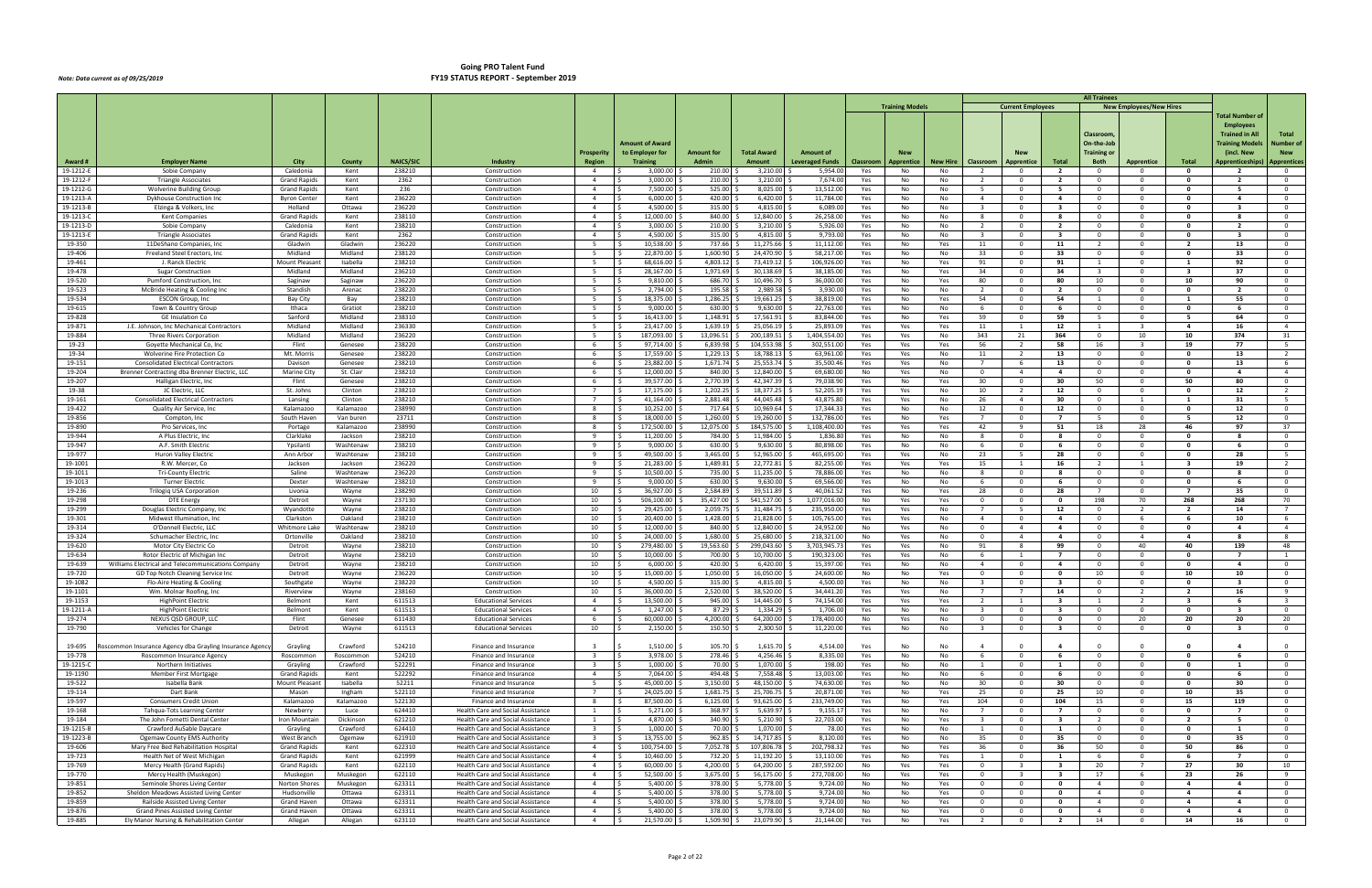|                        |                                                                          |                                  |                        |                            |                                                                               |                                                    |                         |                          |                         |                                   |                  |                        |                       |                                                    |                                                    |                                  | <b>All Trainees</b>                     |                                |                                |                                   |                                  |
|------------------------|--------------------------------------------------------------------------|----------------------------------|------------------------|----------------------------|-------------------------------------------------------------------------------|----------------------------------------------------|-------------------------|--------------------------|-------------------------|-----------------------------------|------------------|------------------------|-----------------------|----------------------------------------------------|----------------------------------------------------|----------------------------------|-----------------------------------------|--------------------------------|--------------------------------|-----------------------------------|----------------------------------|
|                        |                                                                          |                                  |                        |                            |                                                                               |                                                    |                         |                          |                         |                                   |                  | <b>Training Models</b> |                       |                                                    | <b>Current Employees</b>                           |                                  |                                         | <b>New Employees/New Hires</b> |                                | <b>Total Number o</b>             |                                  |
|                        |                                                                          |                                  |                        |                            |                                                                               |                                                    |                         |                          |                         |                                   |                  |                        |                       |                                                    |                                                    |                                  |                                         |                                |                                | <b>Employees</b>                  |                                  |
|                        |                                                                          |                                  |                        |                            |                                                                               |                                                    |                         |                          |                         |                                   |                  |                        |                       |                                                    |                                                    |                                  | Classroom                               |                                |                                | Trained in All                    | Total                            |
|                        |                                                                          |                                  |                        |                            |                                                                               |                                                    | <b>Amount of Award</b>  |                          |                         |                                   |                  |                        |                       |                                                    |                                                    |                                  | On-the-Job                              |                                |                                | <b>Fraining Model</b>             | Number of                        |
|                        |                                                                          |                                  |                        |                            |                                                                               | <b>Prosperity</b>                                  | to Employer for         | Amount for               | <b>Total Award</b>      | <b>Amount of</b>                  |                  |                        |                       |                                                    |                                                    |                                  | Training or                             |                                |                                | (incl. New                        | <b>New</b>                       |
| Award #<br>19-1212-E   | <b>Employer Name</b><br>Sobie Company                                    | City<br>Caledonia                | County<br>Kent         | <b>NAICS/SIC</b><br>238210 | Industry<br>Construction                                                      | Region<br>$\overline{4}$                           | Training<br>3,000.00    | <b>Admin</b><br>210.00   | Amount<br>3,210.00      | <b>Leveraged Funds</b><br>5,954.0 | Classroom<br>Yes | Apprentice<br>No       | <b>New Hire</b><br>No | Classroom<br>$\overline{2}$                        | Apprentice<br>$\Omega$                             | Total<br>$\overline{2}$          | <b>Both</b><br>$\overline{0}$           | <b>Apprentice</b><br>$\Omega$  | Total<br>$\mathbf{0}$          | Apprenticeships<br>$\overline{2}$ | Apprentices<br>$\overline{0}$    |
| 19-1212-F              | <b>Triangle Associates</b>                                               | <b>Grand Rapids</b>              | Kent                   | 2362                       | Construction                                                                  | $\overline{4}$                                     | 3,000.00                | 210.00                   | 3,210.00                | 7,674.00                          | Yes              | No                     | No                    | $\overline{2}$                                     | $\overline{\mathbf{0}}$                            | $\overline{2}$                   | $\overline{0}$                          | $\Omega$                       | $\mathbf{0}$                   | $\overline{2}$                    | $\overline{0}$                   |
| 19-1212-0              | <b>Wolverine Building Group</b>                                          | <b>Grand Rapids</b>              | Kent                   | 236                        | Construction                                                                  | $\overline{4}$                                     | 7,500.00                | 525.00                   | 8,025.00                | 13,512.00                         | Yes              | No                     | No                    |                                                    | $\Omega$                                           | - 5                              | $\overline{0}$                          | $\Omega$                       | $\mathbf{0}$                   | -5                                | $\Omega$                         |
| $19 - 1213 - 1$        | Dykhouse Construction Inc                                                | <b>Byron Center</b>              | Kent                   | 236220                     | Construction                                                                  | $\overline{4}$                                     | 6,000.00                | 420.00                   | 6,420.00                | 11,784.0                          | Yes              | No                     | No                    | $\overline{4}$                                     | $\overline{\mathbf{0}}$                            | 4                                | $\overline{0}$                          | $\mathbf 0$                    | 0                              | -4                                | $\overline{0}$                   |
| 19-1213-E              | Elzinga & Volkers, Inc.                                                  | Holland                          | Ottawa                 | 236220<br>238110           | Construction                                                                  | $\overline{4}$                                     | 4,500.00<br>12,000.00   | 315.00<br>840.00         | 4,815.00<br>12,840.00   | 6,089.0<br>26,258.00              | Yes              | No                     | No                    | $\overline{\mathbf{3}}$                            | $\Omega$                                           | $\mathbf{3}$                     | $\overline{0}$                          | $\overline{0}$                 | $\mathbf{0}$<br>0              | $\overline{\mathbf{3}}$           | $\overline{0}$<br>$\overline{0}$ |
| 19-1213-<br>19-1213-D  | <b>Kent Companies</b><br>Sobie Company                                   | <b>Grand Rapids</b><br>Caledonia | Kent<br>Kent           | 238210                     | Construction<br>Construction                                                  | $\overline{4}$<br>$\overline{4}$                   | 3,000.00                | 210.00                   | 3,210.00                | 5,926.00                          | Yes<br>Yes       | No<br>No               | No<br>No              | 8<br>$\overline{2}$                                | $\mathbf 0$<br>$\overline{\mathbf{0}}$             | -8<br>$\overline{2}$             | $\overline{0}$<br>$\overline{0}$        | $^{\circ}$<br>$^{\circ}$       | 0                              | - 2                               | $\overline{0}$                   |
| 19-1213-1              | <b>Triangle Associates</b>                                               | <b>Grand Rapids</b>              | Kent                   | 2362                       | Construction                                                                  | $\overline{4}$                                     | 4,500.00                | 315.00                   | 4,815.00                | 9,793.0                           | Yes              | No                     | No                    | $\overline{3}$                                     | $\overline{\mathbf{0}}$                            | $\overline{\mathbf{3}}$          | $\overline{0}$                          | $\Omega$                       | $\mathbf{0}$                   | $\mathbf{3}$                      | $\Omega$                         |
| 19-350                 | 11DeShano Companies, Inc                                                 | Gladwin                          | Gladwin                | 236220                     | Construction                                                                  | 5                                                  | 10,538.00               | 737.66                   | 11,275.66               | 11,112.0                          | Yes              | No                     | Yes                   | 11                                                 | $\overline{\mathbf{0}}$                            | 11                               | $\overline{2}$                          | $\mathbf 0$                    | $\overline{2}$                 | 13                                | $\overline{0}$                   |
| 19-406                 | Freeland Steel Erectors, Inc                                             | Midland                          | Midland                | 238120                     | Construction                                                                  | -5                                                 | 22,870.00               | 1.600.90                 | 24,470.90               | 58,217.00                         | Yes              | No                     | No                    | 33                                                 | $\Omega$                                           | 33                               | $\overline{0}$                          | $\Omega$                       | $\mathbf{0}$                   | 33                                | $\overline{0}$                   |
| 19-461<br>19-478       | J. Ranck Electric<br><b>Sugar Construction</b>                           | Mount Pleasan<br>Midland         | Isabella<br>Midland    | 238210<br>236210           | Construction<br>Construction                                                  | - 5<br>5                                           | 68,616.00<br>28,167.00  | 4,803.12<br>1,971.69     | 73,419.12<br>30,138.69  | 106,926.0<br>38,185.0             | Yes<br>Yes       | No<br>No               | Yes<br>Yes            | 91<br>34                                           | $\mathbf{0}$<br>$\Omega$                           | 91<br>34                         | <sup>1</sup><br>$\overline{\mathbf{3}}$ | $^{\circ}$<br>$\Omega$         | - 3                            | 92<br>37                          | $\overline{0}$<br>$\Omega$       |
| 19-520                 | Pumford Construction, Inc.                                               | Saginaw                          | Saginaw                | 236220                     | Construction                                                                  | 5                                                  | 9,810.00                | 686.70                   | 10,496.70               | 36,000.0                          | Yes              | No                     | Yes                   | 80                                                 | $\mathbf{0}$                                       | 80                               | 10                                      | $^{\circ}$                     | 10                             | 90                                | $\overline{0}$                   |
| 19-523                 | McBride Heating & Cooling Inc.                                           | Standish                         | Arenac                 | 238220                     | Construction                                                                  | 5                                                  | 2,794.00                | 195.58                   | 2,989.58                | 3,930.00                          | Yes              | No                     | No                    | $\overline{2}$                                     | $\Omega$                                           | $\overline{2}$                   | $\overline{0}$                          | $\Omega$                       | $\mathbf{0}$                   | $\overline{\phantom{a}}$          | $\Omega$                         |
| 19-534                 | <b>ESCON Group, Inc</b>                                                  | <b>Bay City</b>                  | Bay                    | 238210                     | Construction                                                                  | $5^{\circ}$                                        | 18,375.00               | 1,286.25                 | 19,661.25               | 38,819.0                          | Yes              | No                     | Yes                   | 54                                                 | $\overline{\mathbf{0}}$                            | 54                               | 1                                       | $^{\circ}$                     | $\blacksquare$                 | 55                                | $\overline{0}$                   |
| 19-615                 | Town & Country Group<br><b>GE Insulation Co</b>                          | Ithaca<br>Sanford                | Gratiot<br>Midland     | 238210<br>238310           | Construction                                                                  | 5<br>-5                                            | 9,000.00                | 630.00<br>1,148.91       | 9,630.00                | 22,763.0<br>83,844.00             | Yes              | No                     | No                    | - 6<br>59                                          | $\overline{\mathbf{0}}$<br>- 0                     | - 6                              | $\overline{\mathbf{0}}$<br>- 5          | $^{\circ}$<br>$\Omega$         | 0<br>- 5                       | - 6<br>64                         | $\overline{0}$<br>$\Omega$       |
| 19-828<br>19-871       | J.E. Johnson, Inc Mechanical Contractors                                 | Midland                          | Midland                | 236330                     | Construction<br>Construction                                                  | -5                                                 | 16,413.00<br>23,417.00  | 1,639.19                 | 17,561.91<br>25,056.19  | 25,893.0                          | Yes<br>Yes       | No<br>Yes              | Yes<br>Yes            | 11                                                 | $\mathbf{1}$                                       | 59<br>12                         | $\mathbf{1}$                            | -3                             | 4                              | 16                                | $\overline{4}$                   |
| 19-884                 | <b>Three Rivers Corporation</b>                                          | Midland                          | Midland                | 236220                     | Construction                                                                  | $-5$                                               | 187,093.00              | 13.096.51                | 200,189.51              | 1,404,554.0                       | Yes              | Yes                    | No                    | 343                                                | 21                                                 | 364                              | $\overline{0}$                          | 10                             | 10                             | 374                               | 31                               |
| 19-23                  | Goyette Mechanical Co, Inc.                                              | Flint                            | Genesee                | 238220                     | Construction                                                                  | - 6                                                | 97,714.00               | 6,839.98                 | 104,553.98              | 302,551.0                         | Yes              | Yes                    | Yes                   | 56                                                 | 2                                                  | 58                               | 16                                      | -3                             | 19                             | 77                                | 5                                |
| 19-34                  | Wolverine Fire Protection Co                                             | Mt. Morris                       | Genesee                | 238220                     | Construction                                                                  | -6                                                 | 17,559.00               | 1,229.13                 | 18,788.13               | 63,961.0                          | Yes              | Yes                    | No                    | 11                                                 |                                                    | 13                               | $\overline{0}$                          | $\Omega$                       | $\mathbf{0}$                   | 13                                | $\overline{2}$                   |
| 19-151                 | <b>Consolidated Electrical Contractors</b>                               | Davison                          | Genesee                | 238210<br>238210           | Construction                                                                  | - 6                                                | 23,882.00<br>12.000.00  | 1,671.74<br>840.00       | 25,553.74               | 35,500.4                          | Yes              | Yes                    | No                    | $\overline{7}$                                     | -6                                                 | 13                               | $\overline{\mathbf{0}}$                 | $^{\circ}$                     | 0<br>$\mathbf{0}$              | 13<br>$\overline{a}$              | 6<br>$\overline{4}$              |
| 19-204<br>19-207       | Brenner Contracting dba Brenner Electric, LLC<br>Halligan Electric, Inc. | Marine City<br>Flint             | St. Clair<br>Genesee   | 238210                     | Construction<br>Construction                                                  | 6<br>6                                             | 39,577.00               | 2,770.39 \$              | 12,840.00<br>42,347.39  | 69,680.0<br>79,038.9              | No<br>Yes        | Yes<br>No              | No<br>Yes             | $\overline{0}$<br>30                               | $\overline{4}$<br>$\Omega$                         | $\overline{4}$<br>30             | $\overline{0}$<br>50                    | $\overline{0}$<br>$\Omega$     | 50                             | 80                                | $\Omega$                         |
| 19-38                  | JC Electric, LLC                                                         | St. Johns                        | Clinton                | 238210                     | Construction                                                                  | $\overline{7}$                                     | 17,175.00               | 1,202.25                 | 18,377.25               | 52,205.19                         | Yes              | Yes                    | No                    | 10                                                 |                                                    | 12                               | $\overline{\mathbf{0}}$                 | $^{\circ}$                     | 0                              | 12                                | $\overline{2}$                   |
| 19-161                 | <b>Consolidated Electrical Contractors</b>                               | Lansing                          | Clinton                | 238210                     | Construction                                                                  | $7^{\circ}$                                        | 41,164.00               | 2,881.48                 | 44,045.48               | 43,875.80                         | Yes              | Yes                    | No                    | 26                                                 | $\overline{4}$                                     | 30                               | $\overline{\mathbf{0}}$                 | 1                              | $\mathbf{1}$                   | 31                                | $5^{\circ}$                      |
| 19-422                 | Quality Air Service, Inc                                                 | Kalamazoo                        | Kalamazoo              | 238990                     | Construction                                                                  | 8                                                  | 10,252.00               | 717.64                   | 10,969.64               | 17,344.3                          | Yes              | No                     | No                    | 12                                                 | $\Omega$                                           | 12                               | $\overline{\mathbf{0}}$                 | $\Omega$                       | $\mathbf{0}$                   | 12                                | $\overline{0}$                   |
| 19-856<br>19-890       | Compton, Inc<br>Pro Services, Inc                                        | South Haven<br>Portage           | Van buren<br>Kalamazoo | 23711<br>238990            | Construction<br>Construction                                                  | 8<br>8                                             | 18,000.00<br>172,500.00 | 1,260.00<br>12,075.00    | 19,260.00<br>184,575.00 | 132,786.00<br>1,108,400.0         | Yes<br>Yes       | No<br>Yes              | Yes<br>Yes            | 42                                                 | $\Omega$<br>-9                                     | $\overline{7}$<br>51             | - 5<br>18                               | $\Omega$<br>28                 | - 5<br>46                      | 12<br>97                          | $\Omega$<br>37                   |
| 19-944                 | A Plus Electric, Inc                                                     | Clarklake                        | Jackson                | 238210                     | Construction                                                                  | 9                                                  | 11,200.00               | 784.00                   | 11,984.00               | 1,836.8                           | Yes              | No                     | No                    | 8                                                  | $\Omega$                                           | -8                               | $\overline{0}$                          | $\Omega$                       | $\mathbf{0}$                   | -8                                | $\Omega$                         |
| 19-947                 | A.F. Smith Electric                                                      | Ypsilanti                        | Washtenaw              | 238210                     | Construction                                                                  | 9                                                  | 9,000.00                | 630.00                   | 9,630.00                | 80,898.0                          | Yes              | No                     | No                    | - 6                                                | $\Omega$                                           | - 6                              | $\overline{\mathbf{0}}$                 | $^{\circ}$                     | $\Omega$                       |                                   | $\overline{0}$                   |
| 19-977                 | Huron Valley Electric                                                    | Ann Arbor                        | Washtenaw              | 238210                     | Construction                                                                  | 9                                                  | 49,500.00               | 3,465.00                 | 52,965.00 \$            | 465,695.0                         | Yes              | Yes                    | No                    | 23                                                 | -5                                                 | 28                               | $\overline{\mathbf{0}}$                 | $\mathbf 0$                    | 0                              | 28                                | 5                                |
| 19-1001                | R.W. Mercer, Co                                                          | Jackson                          | Jackson                | 236220                     | Construction                                                                  | 9                                                  | 21,283.00               | 1,489.81                 | 22,772.81               | 82,255.0                          | Yes              | Yes                    | Yes                   | 15                                                 |                                                    | 16                               | $\overline{2}$                          | 1                              | - 3                            | 19                                | $\overline{2}$                   |
| 19-1011<br>19-1013     | <b>Tri-County Electric</b><br><b>Turner Electric</b>                     | Saline<br>Dexter                 | Washtenaw<br>Washtenaw | 236220<br>238210           | Construction<br>Construction                                                  | 9<br>9                                             | 10,500.00<br>9,000.00   | 735.00<br>630.00         | 11,235.00<br>9,630.00   | 78,886.0<br>69,566.00             | Yes<br>Yes       | No<br>No               | No<br>No              | 8<br>6                                             | $\mathbf{0}$<br>$\Omega$                           | -8<br>- 6                        | $\overline{0}$<br>$\overline{0}$        | $\mathbf{0}$<br>$\Omega$       | 0<br>$\Omega$                  | - 8<br>- 6                        | $\overline{0}$<br>$\overline{0}$ |
| 19-236                 | Trilogiq USA Corporation                                                 | Livonia                          | Wayne                  | 238290                     | Construction                                                                  | 10                                                 | 36,927.00               | 2,584.89                 | 39,511.89               | 40,061.5                          | Yes              | No                     | Yes                   | 28                                                 | $\mathbf{0}$                                       | 28                               | $7^{\circ}$                             | $^{\circ}$                     |                                | 35                                | $\overline{0}$                   |
| 19-298                 | <b>DTE Energy</b>                                                        | Detroit                          | Wayne                  | 237130                     | Construction                                                                  | 10                                                 | 506,100.00              | 35,427.00 \$             | 541,527.00              | 1,077,016.0                       | No               | Yes                    | Yes                   | $\overline{0}$                                     | $\Omega$                                           | $\mathbf{0}$                     | 198                                     | 70                             | 268                            | 268                               | 70                               |
| 19-299                 | Douglas Electric Company, Inc.                                           | Wyandotte                        | Wayne                  | 238210                     | Construction                                                                  | 10                                                 | 29,425.00               | 2,059.75                 | 31,484.75               | 235,950.0                         | Yes              | Yes                    | No                    | $\overline{7}$                                     | -5                                                 | 12                               | $\overline{0}$                          | - 2                            | - 2                            | 14                                | $\overline{7}$                   |
| 19-301<br>19-314       | Midwest Illumination, Inc.<br>O'Donnell Electric, LLC                    | Clarkston<br>Whitmore Lake       | Oakland<br>Washtenaw   | 238210<br>238210           | Construction<br>Construction                                                  | 10<br>10                                           | 20.400.00<br>12,000.00  | 1,428.00<br>840.00       | 21,828.00<br>12,840.00  | 105,765.00<br>24,952.0            | Yes<br>No        | Yes                    | No<br>No              | $\overline{4}$<br>$\overline{0}$                   | $\Omega$<br>$\overline{a}$                         | $\overline{a}$<br>$\overline{4}$ | $\overline{0}$<br>$\overline{0}$        | -6<br>$\Omega$                 | -6<br>$\mathbf{0}$             | 10<br>$\mathbf{a}$                | -6<br>$\overline{4}$             |
| 19-324                 | Schumacher Electric, Inc.                                                | Ortonville                       | Oakland                | 238210                     | Construction                                                                  | 10                                                 | 24,000.00               | 1,680.00                 | 25,680.00               | 218,321.0                         | No               | Yes<br>Yes             | No                    | $\overline{0}$                                     | $\overline{4}$                                     | 4                                | $\overline{\mathbf{0}}$                 | $\overline{4}$                 | -4                             | - 8                               | 8                                |
| 19-620                 | Motor City Electric Co                                                   | Detroit                          | Wayne                  | 238210                     | Construction                                                                  | 10                                                 | 279,480.00              | 19,563.60 \$             | 299,043.60              | 3,703,945.7                       | Yes              | Yes                    | No                    | 91                                                 | -8                                                 | 99                               | $\overline{0}$                          | 40                             | 40                             | 139                               | 48                               |
| 19-634                 | Rotor Electric of Michigan Inc                                           | Detroit                          | Wayne                  | 238210                     | Construction                                                                  | 10                                                 | 10,000.00               | 700.00                   | 10,700.00               | 190,323.0                         | Yes              | Yes                    | No                    | - 6                                                | -1                                                 | $\overline{7}$                   | $\overline{0}$                          | $^{\circ}$                     | - 0                            | $\overline{7}$                    |                                  |
| 19-639                 | Williams Electrical and Telecommunications Company                       | Detroit                          | Wayne                  | 238210                     | Construction                                                                  | 10                                                 | 6,000.00                | 420.00                   | 6,420.00                | 15,397.0                          | Yes              | No                     | No                    | $\overline{4}$                                     | $\Omega$                                           | $\overline{a}$                   | $\overline{0}$                          | $\Omega$                       | - 0                            | $\mathbf{A}$                      | $\overline{0}$                   |
| 19-720<br>19-1082      | GD Top Notch Cleaning Service In<br>Flo-Aire Heating & Cooling           | Detroit<br>Southgate             | Wayne<br>Wayne         | 236220<br>238220           | Construction<br>Construction                                                  | 10<br>10                                           | 15,000.00<br>4.500.00   | 1,050.00<br>315.00       | 16,050.00<br>4,815.00   | 24,600.00<br>4,500.0              | No<br>Yes        | No<br>No               | Yes<br>No             | $\overline{\mathbf{0}}$<br>$\overline{\mathbf{3}}$ | $\mathbf 0$<br>$\Omega$                            | $\mathbf{0}$<br>-3               | 10<br>$\Omega$                          | $^{\circ}$<br>$\Omega$         | 10<br>$\Omega$                 | 10                                | $\overline{0}$<br>$\overline{0}$ |
| 19-1101                | Wm. Molnar Roofing, Inc.                                                 | Riverview                        | Wayne                  | 238160                     | Construction                                                                  | 10                                                 | 36,000.00               | 2,520.00                 | 38,520.00               | 34,441.20                         | Yes              | Yes                    | No                    |                                                    |                                                    | 14                               | $\mathbf{0}$                            |                                |                                | 16                                | $\alpha$                         |
| 19-1153                | HighPoint Electric                                                       | Belmont                          | Kent                   | 611513                     | <b>Educational Services</b>                                                   | $\overline{4}$                                     | 13,500.00               | 945.00 \$                | 14,445.00               | 74,154.00                         | Yes              | Yes                    | Yes                   | $\overline{2}$                                     | $\mathbf{1}$                                       | $\overline{\mathbf{3}}$          | $\overline{1}$                          | $\overline{2}$                 | $\overline{\mathbf{3}}$        | - 6                               | $\overline{\mathbf{3}}$          |
| 19-1211-A              | <b>HighPoint Electric</b>                                                | Belmont                          | Kent                   | 611513                     | <b>Educational Services</b>                                                   | $\overline{4}$                                     | 1,247.00                | $87.29$ \$               | 1,334.29                | 1,706.00                          | Yes              | No                     | No                    | $\overline{\mathbf{3}}$                            | $\overline{0}$                                     | $\overline{\mathbf{3}}$          | $\overline{0}$                          | $\mathbf{0}$                   | $\mathbf 0$                    | $\overline{\mathbf{3}}$           | $\overline{0}$                   |
| 19-274                 | NEXUS QSD GROUP, LLC                                                     | Flint                            | Genesee                | 611430                     | <b>Educational Services</b>                                                   | 6                                                  | 60,000.00 \$<br>- S     | 4,200.00 \$              | 64,200.00 \$            | 178,400.00                        | No               | Yes                    | No                    | $\overline{0}$                                     | $\mathbf{0}$                                       | $\bullet$                        | $\overline{0}$                          | 20                             | 20<br>$\mathbf 0$              | 20                                | 20                               |
| 19-790                 | Vehicles for Change                                                      | Detroit                          | Wayne                  | 611513                     | <b>Educational Services</b>                                                   | 10                                                 | 2,150.00                | 150.50                   | $2,300.50$ \$           | 11,220.00                         | Yes              | No                     | No                    | $\overline{\mathbf{3}}$                            | $\overline{0}$                                     | $\overline{\mathbf{3}}$          | $\overline{0}$                          | $\mathbf{0}$                   |                                | $\overline{\mathbf{3}}$           | $\overline{0}$                   |
| 19-695                 | oscommon Insurance Agency dba Grayling Insurance Agency                  | Grayling                         | Crawford               | 524210                     | Finance and Insurance                                                         | $\overline{\mathbf{3}}$                            | 1,510.00                | 105.70                   | 1,615.70                | 4,514.00                          | Yes              | No                     | No                    | $\overline{4}$                                     | $\Omega$                                           | $\overline{a}$                   | $\overline{0}$                          | $\Omega$                       | $\Omega$                       | $\overline{a}$                    | $\overline{0}$                   |
| 19-778                 | Roscommon Insurance Agency                                               | Roscommon                        | Roscommon              | 524210                     | Finance and Insurance                                                         | $\overline{\mathbf{3}}$                            | 3,978.00                | 278.46                   | 4,256.46                | 8,335.00                          | Yes              | No                     | No                    | 6                                                  | $\overline{\mathbf{0}}$                            | - 6                              | $\overline{0}$                          | $^{\circ}$                     | $\mathbf 0$                    | - 6                               | $\overline{0}$                   |
| 19-1215-C              | Northern Initiatives                                                     | Grayling                         | Crawford               | 522291                     | Finance and Insurance                                                         | $\overline{\mathbf{3}}$                            | 1,000.00                | 70.00 \$                 | 1,070.00 \$             | 198.00                            | Yes              | No                     | No                    | $\mathbf{1}$                                       | $\overline{0}$                                     | 1                                | $\overline{0}$                          | $\mathbf{0}$                   | $\mathbf{o}$                   | $\mathbf{1}$                      | $\overline{0}$                   |
| 19-1190<br>19-522      | Member First Mortgage<br>Isabella Bank                                   | Grand Rapids<br>Mount Pleasant   | Kent<br>Isabella       | 522292<br>52211            | Finance and Insurance<br>Finance and Insurance                                | $\overline{4}$<br>5 <sup>5</sup>                   | 7,064.00<br>45,000.00   | 494.48 \$<br>3,150.00    | 7,558.48<br>48,150.00   | 13,003.00<br>74,630.00            | Yes<br>Yes       | No<br>No               | No<br>No              | - 6<br>30                                          | $\mathbf 0$<br>$\overline{\mathbf{0}}$             | 6<br>30                          | $\overline{0}$<br>$\overline{0}$        | $^{\circ}$<br>$^{\circ}$       | $\mathbf{0}$<br>$\mathbf{0}$   | - 6<br>30                         | $\overline{0}$<br>$\overline{0}$ |
| 19-114                 | Dart Bank                                                                | Mason                            | Ingham                 | 522110                     | Finance and Insurance                                                         | $7^{\circ}$                                        | 24,025.00               | 1,681.75                 | 25,706.75               | 20,871.0                          | Yes              | No                     | Yes                   | 25                                                 | $\overline{\mathbf{0}}$                            | 25                               | 10                                      | $\mathbf 0$                    | 10                             | 35                                | $\overline{0}$                   |
| 19-597                 | <b>Consumers Credit Union</b>                                            | Kalamazoo                        | Kalamazoo              | 522130                     | Finance and Insurance                                                         | 8                                                  | 87,500.00<br>- S        | $6,125.00$ \$            | $93,625.00$ \$          | 233,749.00                        | Yes              | No                     | Yes                   | 104                                                | $\overline{\mathbf{0}}$                            | 104                              | 15                                      | $\overline{0}$                 | 15                             | 119                               | $\overline{0}$                   |
| 19-168                 | Tahqua-Tots Learning Center                                              | Newberry                         | Luce                   | 624410                     | Health Care and Social Assistance                                             | $\mathbf{1}$                                       | 5,271.00                | 368.97                   | 5,639.97                | 9,155.1                           | Yes              | No                     | No                    | $\overline{7}$                                     | $\Omega$                                           | $\overline{7}$                   | $\overline{0}$                          | $\Omega$                       | $\mathbf{0}$                   | $\overline{7}$                    | $\overline{0}$                   |
| 19-184                 | The John Fornetti Dental Center                                          | Iron Mountain                    | Dickinson              | 621210                     | Health Care and Social Assistance                                             | 1                                                  | 4,870.00                | 340.90                   | 5,210.90                | 22,703.00                         | Yes              | No                     | Yes                   | $\overline{\mathbf{3}}$                            | $\overline{\mathbf{0}}$                            | $\mathbf{3}$                     | $\overline{2}$                          | $^{\circ}$                     | $\overline{2}$<br>$\mathbf{0}$ | - 5                               | $\overline{0}$                   |
| 19-1215-E<br>19-1223-B | Crawford AuSable Daycare<br><b>Ogemaw County EMS Authority</b>           | Grayling<br>West Branch          | Crawford<br>Ogemaw     | 624410<br>621910           | <b>Health Care and Social Assistance</b><br>Health Care and Social Assistance | $\overline{\mathbf{3}}$<br>$\overline{\mathbf{3}}$ | 1,000.00<br>13,755.00   | 70.00<br>$962.85$ \$     | 1,070.00<br>14,717.85   | 78.00<br>8,120.00                 | Yes<br>Yes       | No<br>No               | No<br>No              | $\mathbf{1}$<br>35                                 | $\overline{0}$<br>$\overline{\phantom{0}}$         | 1<br>35                          | $\overline{0}$<br>$\overline{0}$        | $\overline{0}$<br>$\mathbf{0}$ | $\mathbf 0$                    | $\mathbf{1}$<br>35                | $\overline{0}$<br>$\overline{0}$ |
| 19-606                 | Mary Free Bed Rehabilitation Hospital                                    | <b>Grand Rapids</b>              | Kent                   | 622310                     | Health Care and Social Assistance                                             | $\overline{4}$                                     | 100,754.00<br>S.        | 7,052.78 \$              | 107,806.78 \$           | 202,798.32                        | Yes              | No                     | Yes                   | 36                                                 | $\Omega$                                           | 36                               | 50                                      | $\mathbf{0}$                   | 50                             | 86                                | $\overline{0}$                   |
| 19-723                 | Health Net of West Michigan                                              | Grand Rapids                     | Kent                   | 621999                     | Health Care and Social Assistance                                             | $\overline{4}$                                     | 10,460.00               | 732.20                   | 11,192.20               | 13,110.00                         | Yes              | No                     | Yes                   | 1                                                  | $\overline{\mathbf{0}}$                            | 1                                | 6                                       | $\mathbf 0$                    | - 6                            | $\overline{7}$                    | $\overline{0}$                   |
| 19-769                 | Mercy Health (Grand Rapids)                                              | Grand Rapids                     | Kent                   | 622110                     | Health Care and Social Assistance                                             | $\overline{4}$                                     | 60,000.00               | 4,200.00                 | 64,200.00               | 287,592.00                        | No               | Yes                    | Yes                   | $\overline{0}$                                     | - 3                                                | $\overline{\mathbf{3}}$          | 20                                      | $\overline{7}$                 | 27                             | 30                                | 10                               |
| 19-770                 | Mercy Health (Muskegon)<br>Seminole Shores Living Center                 | Muskegon                         | Muskegon<br>Muskegon   | 622110<br>623311           | Health Care and Social Assistance                                             | $\overline{4}$<br>$\overline{4}$                   | 52,500.00<br>5,400.00   | 3,675.00 \$<br>378.00 \$ | 56,175.00<br>5,778.00   | 272,708.00<br>9,724.00            | No               | Yes                    | Yes                   | $\overline{0}$                                     |                                                    | $\overline{\mathbf{3}}$          | 17<br>$\overline{4}$                    | 6<br>$\mathbf 0$               | 23<br>$\overline{a}$           | 26<br>$\overline{a}$              | - 9<br>$\overline{0}$            |
| 19-851<br>19-852       | Sheldon Meadows Assisted Living Center                                   | Norton Shores<br>Hudsonville     | Ottawa                 | 623311                     | Health Care and Social Assistance<br>Health Care and Social Assistance        | $\overline{4}$                                     | 5,400.00                | 378.00                   | 5,778.00                | 9,724.00                          | No<br>No         | No<br>No               | Yes<br>Yes            | $\overline{0}$<br>$\overline{0}$                   | $\overline{\mathbf{0}}$<br>$\overline{\mathbf{0}}$ | $\mathbf{0}$<br>$\mathbf{0}$     | $\overline{4}$                          | $\mathbf 0$                    | $\overline{a}$                 | $\overline{a}$                    | $\overline{0}$                   |
| 19-859                 | Railside Assisted Living Center                                          | Grand Haven                      | Ottawa                 | 623311                     | Health Care and Social Assistance                                             | $\overline{4}$                                     | 5,400.00                | 378.00 \$                | 5,778.00                | 9,724.00                          | No               | No                     | Yes                   | $\overline{\mathbf{0}}$                            | $\mathbf{0}$                                       | $\mathbf{0}$                     | $\overline{4}$                          | $\mathbf 0$                    | $\overline{a}$                 | $\overline{a}$                    | $\overline{0}$                   |
| 19-876                 | Grand Pines Assisted Living Center                                       | Grand Haven                      | Ottawa                 | 623311                     | Health Care and Social Assistance                                             | $\overline{4}$                                     | 5,400.00                | 378.00                   | 5,778.00                | 9,724.00                          | No               | No                     | Yes                   | $\overline{0}$                                     | $\Omega$                                           | $\mathbf{0}$                     | $\overline{4}$                          | $^{\circ}$                     | $\overline{a}$                 | $\overline{a}$                    | $\overline{0}$                   |
| 19-885                 | Ely Manor Nursing & Rehabilitation Center                                | Allegan                          | Allegan                | 623110                     | Health Care and Social Assistance                                             | $\overline{4}$                                     | 21,570.00<br>- Ś        | 1,509.90 \$              | 23,079.90 \$            | 21,144.00                         | Yes              | No                     | Yes                   | $\overline{2}$                                     | $\overline{0}$                                     | $\overline{2}$                   | 14                                      | $\mathbf{0}$                   | 14                             | 16                                | $\overline{0}$                   |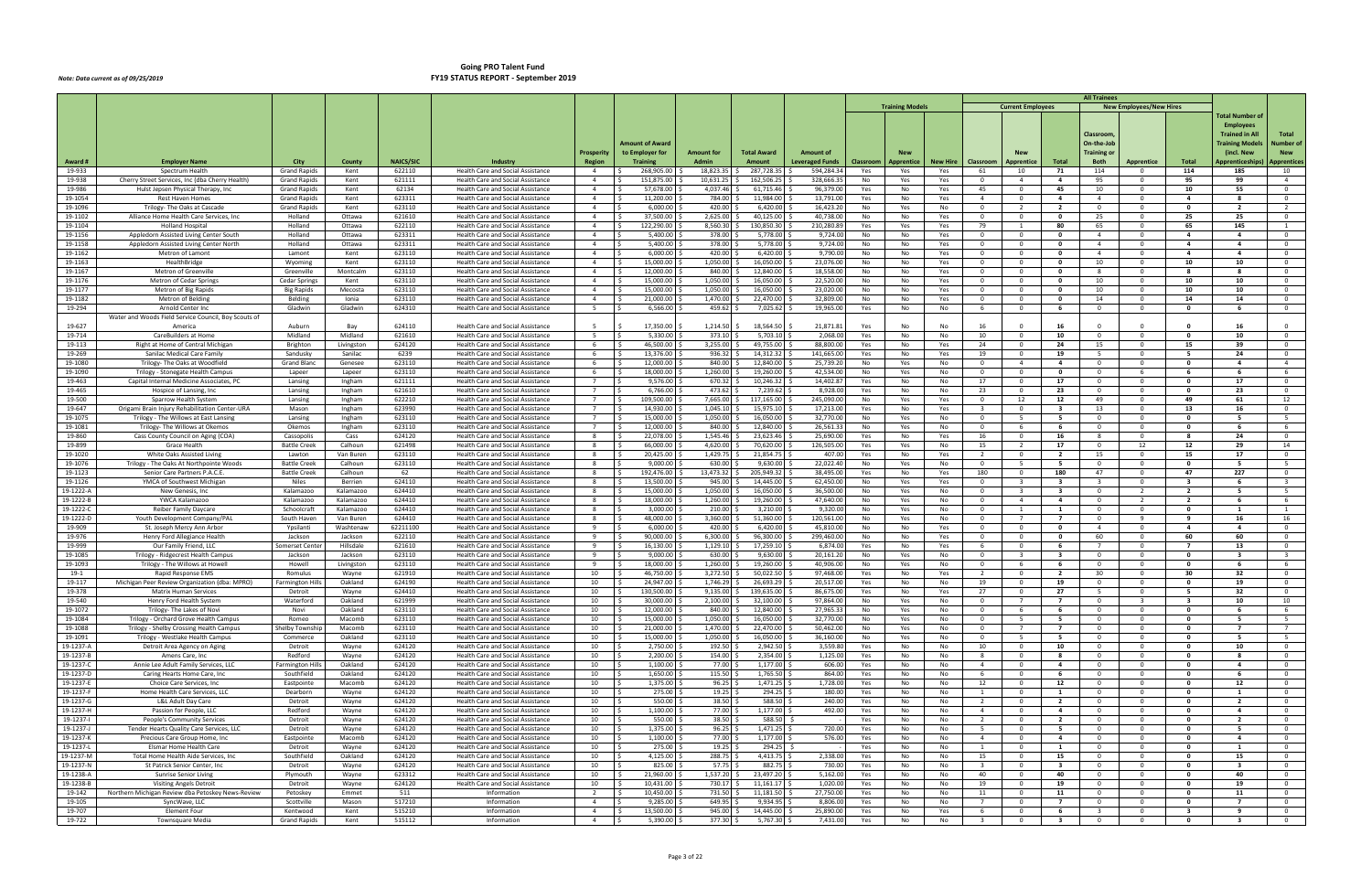|                        |                                                                                         |                                            |                        |                    |                                                                                      |                                   |                                   |                              |                          |                        |            |                        |                 |                                           |                                                    |                                | <b>All Trainees</b>                       |                                         |                                           |                                               |                                  |
|------------------------|-----------------------------------------------------------------------------------------|--------------------------------------------|------------------------|--------------------|--------------------------------------------------------------------------------------|-----------------------------------|-----------------------------------|------------------------------|--------------------------|------------------------|------------|------------------------|-----------------|-------------------------------------------|----------------------------------------------------|--------------------------------|-------------------------------------------|-----------------------------------------|-------------------------------------------|-----------------------------------------------|----------------------------------|
|                        |                                                                                         |                                            |                        |                    |                                                                                      |                                   |                                   |                              |                          |                        |            | <b>Training Models</b> |                 |                                           | <b>Current Employees</b>                           |                                |                                           | <b>New Employees/New Hires</b>          |                                           | Total Number o                                |                                  |
|                        |                                                                                         |                                            |                        |                    |                                                                                      |                                   |                                   |                              |                          |                        |            |                        |                 |                                           |                                                    |                                |                                           |                                         |                                           | <b>Employees</b>                              |                                  |
|                        |                                                                                         |                                            |                        |                    |                                                                                      |                                   | <b>Amount of Award</b>            |                              |                          |                        |            |                        |                 |                                           |                                                    |                                | Classroom<br>On-the-Job                   |                                         |                                           | <b>Trained in All</b><br><b>Training Mode</b> | Total<br>Number of               |
|                        |                                                                                         |                                            |                        |                    |                                                                                      | <b>Prosperity</b>                 | to Employer for                   | <b>Amount for</b>            | <b>Total Award</b>       | Amount of              |            |                        |                 |                                           |                                                    |                                | Training or                               |                                         |                                           | (incl. New                                    | <b>New</b>                       |
| Award #                | <b>Employer Name</b>                                                                    | City                                       | County                 | <b>NAICS/SIC</b>   | Industry                                                                             | Region                            | <b>Training</b>                   | <b>Admin</b>                 | Amount                   | <b>Leveraged Funds</b> | Classroom  | Apprentice             | <b>New Hire</b> | Classroom                                 | Apprentice                                         | <b>Total</b>                   | <b>Both</b>                               | <b>Apprentice</b>                       | Total                                     | Apprenticeship:                               | <b>Apprentices</b>               |
| 19-933<br>19-938       | Spectrum Health<br>Cherry Street Services, Inc (dba Cherry Health)                      | <b>Grand Rapids</b><br><b>Grand Rapids</b> | Kent<br>Kent           | 622110<br>621111   | Health Care and Social Assistance<br>Health Care and Social Assistance               | $\overline{a}$<br>$\overline{4}$  | 268,905.00<br>151,875.00<br>-S    | 18,823.35<br>$10,631.25$ \$  | 287,728.35<br>162,506.25 | 594,284.3<br>328,666.3 | Yes<br>No  | Yes<br>Yes             | Yes<br>Yes      | 61<br>$\overline{0}$                      | 10<br>$\overline{4}$                               | 71<br>4                        | 114<br>95                                 | $\mathbf 0$<br>$\Omega$                 | 114<br>95                                 | 185<br>99                                     | 10<br>$\overline{4}$             |
| 19-986                 | Hulst Jepsen Physical Therapy, Inc                                                      | <b>Grand Rapids</b>                        | Kent                   | 62134              | Health Care and Social Assistance                                                    | $\overline{4}$                    | 57,678.00                         | 4,037.46 \$                  | 61,715.46                | 96,379.0               | Yes        | No                     | Yes             | 45                                        | $\Omega$                                           | 45                             | 10                                        | $\Omega$                                | 10                                        | 55                                            | $\Omega$                         |
| 19-1054                | Rest Haven Homes                                                                        | <b>Grand Rapids</b>                        | Kent                   | 623311             | Health Care and Social Assistance                                                    | $\overline{4}$                    | 11,200.00                         | 784.00                       | 11,984.00                | 13,791.0               | Yes        | No                     | Yes             | $\overline{4}$                            | $\mathbf{0}$                                       | 4                              | $\overline{4}$                            | $\mathbf 0$                             | 4                                         |                                               | $\overline{0}$                   |
| 19-1096<br>19-1102     | Trilogy- The Oaks at Cascade<br>Alliance Home Health Care Services, Inc                 | <b>Grand Rapids</b><br>Holland             | Kent<br>Ottawa         | 623110<br>621610   | <b>Health Care and Social Assistance</b><br>Health Care and Social Assistance        | $\overline{4}$<br>$\overline{4}$  | 6,000.00<br>37,500.00             | 420.00<br>2,625.00 \$        | 6,420.00<br>40,125.00    | 16,423.2<br>40,738.0   | No<br>No   | Yes<br>No              | No<br>Yes       | $\overline{0}$<br>$\overline{0}$          | $\overline{2}$<br>$\mathbf 0$                      | $\overline{2}$<br>$\mathbf{0}$ | $\overline{0}$<br>25                      | $\Omega$<br>$^{\circ}$                  | $\mathbf{0}$<br>25                        | $\overline{2}$<br>25                          | $\overline{2}$<br>$\mathbf{0}$   |
| 19-1104                | <b>Holland Hospital</b>                                                                 | Holland                                    | Ottawa                 | 622110             | <b>Health Care and Social Assistance</b>                                             | $\overline{4}$                    | 122,290.00                        | 8,560.30                     | 130,850.30               | 210,280.8              | Yes        | Yes                    | Yes             | 79                                        |                                                    | 80                             | 65                                        | $^{\circ}$                              | 65                                        | 145                                           |                                  |
| 19-1156                | Appledorn Assisted Living Center South                                                  | Holland                                    | Ottawa                 | 623311             | Health Care and Social Assistance                                                    | $\overline{4}$                    | 5,400.00                          | 378.00                       | 5,778.00                 | 9,724.0                | No         | No                     | Yes             | $\overline{0}$                            | $\mathbf{0}$                                       | $\mathbf{0}$                   | $\overline{4}$                            | $\Omega$                                | $\overline{\mathbf{4}}$                   | $\overline{a}$                                | $\overline{0}$                   |
| 19-1158<br>19-1162     | Appledorn Assisted Living Center North                                                  | Holland                                    | Ottawa                 | 623311<br>623110   | <b>Health Care and Social Assistance</b>                                             | $\overline{4}$<br>$\overline{4}$  | 5,400.00<br>6,000.00              | 378.00<br>420.00             | 5,778.00<br>6,420.00     | 9,724.0<br>9,790.0     | No         | No                     | Yes             | $\overline{0}$<br>$\overline{0}$          | $\mathbf{0}$<br>$\Omega$                           | $\mathbf{0}$<br>$\Omega$       | $\overline{4}$<br>$\overline{4}$          | $\Omega$<br>$\Omega$                    | $\overline{\mathbf{4}}$<br>$\mathbf{A}$   | $\overline{a}$<br>$\overline{a}$              | $\mathbf 0$<br>$\Omega$          |
| 19-1163                | Metron of Lamont<br>HealthBridge                                                        | Lamont<br>Wyoming                          | Kent<br>Kent           | 623110             | Health Care and Social Assistance<br>Health Care and Social Assistance               | $\overline{4}$                    | 15,000.00                         | 1,050.00                     | 16,050.00                | 23,076.0               | No<br>No   | No<br>No               | Yes<br>Yes      | $\overline{0}$                            | $\mathbf 0$                                        | $\mathbf{0}$                   | 10                                        | $^{\circ}$                              | 10                                        | 10                                            | $\mathbf{0}$                     |
| 19-1167                | Metron of Greenville                                                                    | Greenville                                 | Montcalm               | 623110             | <b>Health Care and Social Assistance</b>                                             | $\overline{4}$                    | 12,000.00                         | 840.00                       | 12,840.00                | 18,558.0               | No         | No                     | Yes             | $\overline{0}$                            | $\Omega$                                           | $\mathbf{0}$                   | 8                                         | $\Omega$                                | -8                                        | -8                                            | $\Omega$                         |
| 19-1176                | Metron of Cedar Springs                                                                 | Cedar Springs                              | Kent                   | 623110             | <b>Health Care and Social Assistance</b>                                             | $\overline{4}$                    | 15,000.00                         | 1,050.00                     | 16,050.00                | 22,520.0               | No         | No                     | Yes             | $\overline{0}$                            | $\mathbf{0}$                                       | $\mathbf{0}$                   | 10                                        | $^{\circ}$                              | 10                                        | 10                                            | $\mathbf{0}$                     |
| 19-1177<br>19-1182     | Metron of Big Rapids<br>Metron of Belding                                               | <b>Big Rapids</b><br>Belding               | Mecosta<br>Ionia       | 623110<br>623110   | Health Care and Social Assistance<br>Health Care and Social Assistance               | $\overline{4}$<br>$\overline{4}$  | 15,000.00<br>21,000.00            | $1,050.00$ \$<br>1,470.00    | 16,050.00<br>22,470.00   | 23,020.0<br>32,809.00  | No<br>No   | No<br>No               | Yes<br>Yes      | $\overline{0}$<br>$\Omega$                | $\Omega$<br>$\mathbf{0}$                           | $\mathbf{o}$<br>$\mathbf{0}$   | 10<br>14                                  | $\Omega$<br>$^{\circ}$                  | 10<br>14                                  | 10<br>14                                      | $\Omega$<br>$\Omega$             |
| 19-294                 | Arnold Center Inc                                                                       | Gladwin                                    | Gladwin                | 624310             | <b>Health Care and Social Assistance</b>                                             | 5                                 | 6,566.00                          | 459.62                       | 7,025.62                 | 19,965.0               | Yes        | No                     | No              | 6                                         | $\mathbf{0}$                                       | - 6                            | $\overline{\mathbf{0}}$                   | $\mathbf 0$                             | $\mathbf{0}$                              | - 6                                           | $\mathbf{0}$                     |
|                        | Water and Woods Field Service Council, Boy Scouts of                                    |                                            |                        |                    |                                                                                      |                                   |                                   |                              |                          |                        |            |                        |                 |                                           |                                                    |                                |                                           |                                         |                                           |                                               |                                  |
| 19-627<br>19-714       | America<br>CareBuilders at Home                                                         | Auburn<br>Midland                          | Bay<br>Midland         | 624110<br>621610   | <b>Health Care and Social Assistance</b><br><b>Health Care and Social Assistance</b> | -5<br>5                           | 17,350.00<br>5.330.00             | 1,214.50<br>373.10           | 18,564.50<br>5,703.10    | 21,871.8<br>2,068.0    | Yes<br>Yes | No<br>No               | No<br>No        | 16<br>10                                  | - 0<br>$\Omega$                                    | 16<br>10                       | $\Omega$<br>$\overline{0}$                | $\Omega$<br>$\Omega$                    | $\mathbf{0}$                              | 16<br>10                                      | $\Omega$<br>$\Omega$             |
| 19-113                 | Right at Home of Central Michigan                                                       | <b>Brighton</b>                            | Livingston             | 624120             | Health Care and Social Assistance                                                    | 6                                 | 46,500.00                         | $3,255.00$ \$                | 49,755.00                | 88,800.0               | Yes        | No                     | Yes             | 24                                        | $\mathbf 0$                                        | 24                             | 15                                        | $^{\circ}$                              | 15                                        | 39                                            | $\mathbf{O}$                     |
| 19-269                 | Sanilac Medical Care Family                                                             | Sandusky                                   | Sanilac                | 6239               | <b>Health Care and Social Assistance</b>                                             | -6                                | 13,376.00                         | 936.32                       | 14,312.32                | 141,665.0              | Yes        | No                     | Yes             | 19                                        | $\Omega$                                           | 19                             | 5                                         | $\Omega$                                | -5                                        | 24                                            | $\Omega$                         |
| 19-1080                | Trilogy- The Oaks at Woodfield                                                          | <b>Grand Bland</b>                         | Genesee                | 623110             | <b>Health Care and Social Assistance</b>                                             | - 6                               | 12,000.00                         | 840.00                       | 12,840.00                | 25,739.20              | No         | Yes                    | No              | $\overline{0}$                            | $\overline{4}$                                     | 4                              | $\overline{\mathbf{0}}$                   | $\mathbf 0$                             | 0                                         | -4                                            | $\overline{4}$                   |
| 19-1090<br>19-463      | Trilogy - Stonegate Health Campus<br>Capital Internal Medicine Associates, PC           | Lapeer<br>Lansing                          | Lapeer<br>Ingham       | 623110<br>621111   | Health Care and Social Assistance<br>Health Care and Social Assistance               | 6<br>$7^{\circ}$                  | 18,000.00<br>9,576.00             | 1,260.00 \$<br>$670.32$ \$   | 19,260.00<br>10,246.32   | 42,534.0<br>14,402.8   | No<br>Yes  | Yes<br>No              | No<br>No        | $\overline{0}$<br>17                      | $\Omega$<br>$\mathbf{0}$                           | $\mathbf{o}$<br>17             | $\overline{0}$<br>$\overline{\mathbf{0}}$ | 6<br>$\Omega$                           | - 6<br>$\mathbf{0}$                       | - 6<br>17                                     | 6<br>$\mathbf{0}$                |
| 19-465                 | Hospice of Lansing, Inc.                                                                | Lansing                                    | Ingham                 | 621610             | <b>Health Care and Social Assistance</b>                                             | $\overline{7}$                    | 6,766.00                          | 473.62                       | 7,239.62                 | 8,928.0                | Yes        | No                     | No              | 23                                        | $\mathbf{0}$                                       | 23                             | $\overline{\mathbf{0}}$                   | $\Omega$                                | 0                                         | 23                                            | $\Omega$                         |
| 19-500                 | Sparrow Health System                                                                   | Lansing                                    | Ingham                 | 622210             | Health Care and Social Assistance                                                    | $7^{\circ}$                       | 109,500.00                        | 7,665.00                     | 117,165.00               | 245,090.0              | No         | Yes                    | Yes             | $\overline{0}$                            | 12                                                 | 12                             | 49                                        | $^{\circ}$                              | 49                                        | 61                                            | 12                               |
| 19-647<br>19-1075      | Origami Brain Injury Rehabilitation Center-URA<br>Trilogy - The Willows at East Lansing | Mason<br>Lansing                           | Ingham<br>Ingham       | 623990<br>623110   | <b>Health Care and Social Assistance</b><br>Health Care and Social Assistance        | $\overline{7}$<br>$7\overline{ }$ | 14,930.00<br>15,000.00<br>$\zeta$ | 1.045.10<br>$1,050.00$ \$    | 15,975.10<br>16,050.00   | 17,213.0<br>32,770.00  | Yes<br>No  | No<br>Yes              | Yes<br>No       | $\overline{\mathbf{3}}$<br>$\overline{0}$ | $\Omega$<br>.5                                     | -3<br>-5                       | 13<br>$\overline{0}$                      | $\Omega$<br>$\Omega$                    | 13<br>$\Omega$                            | 16                                            | $\mathbf{0}$<br>- 5              |
| 19-1081                | Trilogy- The Willows at Okemos                                                          | Okemos                                     | Ingham                 | 623110             | Health Care and Social Assistance                                                    | $7^{\circ}$                       | 12,000.00                         | 840.00                       | 12,840.00                | 26,561.3               | No         | Yes                    | No              | $\overline{0}$                            | - 6                                                | - 6                            | $\overline{0}$                            | $^{\circ}$                              | 0                                         |                                               | 6                                |
| 19-860                 | Cass County Council on Aging (COA)                                                      | Cassopolis                                 | Cass                   | 624120             | <b>Health Care and Social Assistance</b>                                             | 8                                 | 22,078.00                         | 1,545.46                     | 23,623.46                | 25,690.0               | Yes        | No                     | Yes             | 16                                        | $\Omega$                                           | 16                             | 8                                         | $\Omega$                                | -8                                        | 24                                            | $\Omega$                         |
| 19-899<br>19-1020      | Grace Health<br>White Oaks Assisted Living                                              | <b>Battle Creek</b><br>Lawton              | Calhoun<br>Van Buren   | 621498<br>623110   | Health Care and Social Assistance<br>Health Care and Social Assistance               | 8<br>8                            | 66,000.00<br>20,425.00<br>IS.     | 4,620.00<br>$1,429.75$ \$    | 70,620.00<br>21,854.75   | 126,505.0<br>407.0     | Yes<br>Yes | Yes<br>No              | No<br>Yes       | 15<br>2                                   | $\overline{2}$<br>$\mathbf{0}$                     | 17<br>$\overline{2}$           | $\overline{0}$<br>15                      | 12<br>$^{\circ}$                        | 12<br>15                                  | 29<br>17                                      | 14<br>$\mathbf 0$                |
| 19-1076                | Trilogy - The Oaks At Northpointe Wood:                                                 | <b>Battle Creek</b>                        | Calhoun                | 623110             | Health Care and Social Assistance                                                    | 8                                 | 9,000.00                          | 630.00                       | 9,630.00                 | 22,022.40              | No         | Yes                    | No              | $\overline{0}$                            | - 5                                                | - 5                            | $\overline{0}$                            | $\Omega$                                | $\mathbf{0}$                              | -5                                            | 5 <sup>5</sup>                   |
| 19-1123                | Senior Care Partners P.A.C.E                                                            | <b>Battle Creek</b>                        | Calhoun                | 62                 | <b>Health Care and Social Assistance</b>                                             | - 8                               | 192,476.00                        | $13,473.32$ \$               | 205,949.32               | 38,495.0               | Yes        | No                     | Yes             | 180                                       | $\mathbf{0}$                                       | 180                            | 47                                        | $\mathbf 0$                             | 47                                        | 227                                           | $\mathbf 0$                      |
| 19-1126                | YMCA of Southwest Michigan                                                              | Niles                                      | Berrien                | 624110             | Health Care and Social Assistance                                                    | $\mathbf{R}$                      | 13,500.00                         | 945.00                       | 14,445.00                | 62,450.00              | No         | Yes                    | Yes             | $\overline{0}$                            | ્ર                                                 | $\mathbf{R}$                   | $\mathbf{R}$                              | $\mathbf{0}$                            | $\overline{\mathbf{3}}$                   | -6                                            | $\mathbf{R}$                     |
| 19-1222-A<br>19-1222-E | New Genesis, Inc<br>YWCA Kalamazoo                                                      | Kalamazoo<br>Kalamazoo                     | Kalamazoo<br>Kalamazoo | 624410<br>624410   | Health Care and Social Assistance<br>Health Care and Social Assistance               | 8<br>8                            | 15,000.00<br>18,000.00            | 1,050.00<br>1,260.00 \$      | 16,050.00<br>19,260.00   | 36,500.0<br>47,640.0   | No<br>No   | Yes<br>Yes             | No<br>No        | $\overline{0}$<br>$\overline{0}$          | $\overline{4}$                                     | -3<br>$\overline{4}$           | $\overline{\mathbf{0}}$<br>$\overline{0}$ | $\overline{2}$<br>$\overline{2}$        | $\overline{\mathbf{2}}$<br>$\overline{2}$ | - 6                                           | - 5<br>6                         |
| 19-1222-0              | <b>Reiber Family Daycare</b>                                                            | Schoolcraft                                | Kalamazoo              | 624410             | Health Care and Social Assistance                                                    | - 8                               | 3,000.00                          | $210.00$ \$                  | 3,210.00                 | 9,320.0                | No         | Yes                    | No              | $\overline{0}$                            | -1                                                 | 1                              | $\overline{0}$                            | $^{\circ}$                              | 0                                         | - 1                                           | -1                               |
| 19-1222-D              | Youth Development Company/PAL                                                           | South Haven                                | Van Buren              | 624410             | Health Care and Social Assistance                                                    | $\mathbf{R}$                      | 48,000.00                         | 3,360.00                     | 51,360.00                | 120,561.0              | No         | Yes                    | No              | $\overline{0}$                            |                                                    | $\overline{7}$                 | $\overline{0}$                            | $\mathbf{q}$                            | q                                         | 16                                            | 16                               |
| 19-909<br>19-976       | St. Joseph Mercy Ann Arbor<br>Henry Ford Allegiance Health                              | Ypsilanti<br>Jackson                       | Washtenaw<br>Jackson   | 62211100<br>622110 | Health Care and Social Assistance<br>Health Care and Social Assistance               | 9<br>9                            | 6,000.00<br>90,000.00<br>IS.      | 420.00<br>$6,300.00$ \$      | 6,420.00<br>96,300.00    | 45,810.0<br>299,460.0  | No<br>No   | No<br>No               | Yes<br>Yes      | $\overline{0}$<br>$\overline{0}$          | $\Omega$<br>$\overline{\mathbf{0}}$                | $\mathbf{0}$<br>$\mathbf{0}$   | $\overline{4}$<br>60                      | $\Omega$<br>$\mathbf 0$                 | $\mathbf{A}$<br>60                        | $\mathbf{a}$<br>60                            | $\Omega$<br>$\overline{0}$       |
| 19-999                 | Our Family Friend, LLC                                                                  | Somerset Center                            | Hillsdale              | 621610             | Health Care and Social Assistance                                                    | 9                                 | 16,130.00<br>IS.                  | $1,129.10$ \$                | 17,259.10                | 6,874.0                | Yes        | No                     | Yes             | - 6                                       | $\Omega$                                           | - 6                            | $\overline{7}$                            | $\Omega$                                | $\mathbf{z}$                              | 13                                            | $\mathbf 0$                      |
| 19-1085                | Trilogy - Ridgecrest Health Campus                                                      | Jackson                                    | Jackson                | 623110             | <b>Health Care and Social Assistance</b>                                             | 9                                 | 9,000.00                          | 630.00                       | 9,630.00                 | 20,161.20              | No         | Yes                    | No              | $\overline{0}$                            |                                                    | 3                              | $\overline{0}$                            | $^{\circ}$                              | - 0                                       | -3                                            | $\overline{\mathbf{3}}$          |
| 19-1093<br>19-1        | Trilogy - The Willows at Howell<br>Rapid Response EMS                                   | Howell<br>Romulus                          | Livingston<br>Wayne    | 623110<br>621910   | Health Care and Social Assistance<br><b>Health Care and Social Assistance</b>        | 9<br>10                           | 18,000.00<br>46,750.00            | 1,260.00<br>3,272.50         | 19,260.00<br>50,022.50   | 40,906.0<br>97,468.0   | No<br>Yes  | Yes<br>No              | No<br>Yes       | $\overline{0}$<br>2                       | -6<br>$\mathbf 0$                                  | - 6<br>$\overline{2}$          | $\overline{0}$<br>30                      | $\Omega$<br>$^{\circ}$                  | - 0<br>30                                 | -6<br>32                                      | 6<br>$\mathbf 0$                 |
| 19-117                 | Michigan Peer Review Organization (dba: MPRO)                                           | Farmington Hills                           | Oakland                | 624190             | Health Care and Social Assistance                                                    | 10                                | 24.947.00                         | 1,746.29 \$                  | 26,693.29                | 20,517.0               | Yes        | No                     | No              | 19                                        | $\Omega$                                           | 19                             | $\Omega$                                  | $\Omega$                                | $\Omega$                                  | 19                                            | $\overline{0}$                   |
| 19-378                 | Matrix Human Services                                                                   | Detroit                                    | Wayne                  | 624410             | <b>Health Care and Social Assistance</b>                                             | 10                                | 130,500.00<br>IS.                 | 9,135.00                     | 139,635.00               | 86,675.0               | Yes        | No                     | Yes             | 27                                        | - 0                                                | 27                             |                                           | $\Omega$                                |                                           | 32                                            | $\Omega$                         |
| 19-540                 | Henry Ford Health System<br>Trilogy- The Lakes of Novi                                  | Waterford                                  | Oakland<br>Oakland     | 621999             | Health Care and Social Assistance                                                    | 10                                | 30,000.00<br>I\$                  | $2,100.00$ \$                | 32,100.00<br>12,840.00   | 97,864.00              | No         | Yes                    | No              | $\overline{0}$<br>$\overline{0}$          | $\overline{7}$<br>-6                               | $\overline{7}$<br>- 6          | $\overline{0}$<br>$\overline{0}$          | $\overline{\mathbf{3}}$<br>$\mathbf{0}$ | $\overline{\mathbf{3}}$<br>$\mathbf{0}$   | 10<br>- 6                                     | 10                               |
| 19-1072<br>19-1084     | Trilogy - Orchard Grove Health Campus                                                   | Novi<br>Romeo                              | Macomb                 | 623110<br>623110   | Health Care and Social Assistance<br>Health Care and Social Assistance               | 10<br>10                          | 12,000.00<br>15,000.00<br>I\$     | $840.00$ \$<br>$1,050.00$ \$ | $16,050.00$ \$           | 27,965.3<br>32,770.00  | No<br>No   | Yes<br>Yes             | No<br>No        | $\overline{0}$                            | 5                                                  | 5                              | $\overline{0}$                            | $\mathbf 0$                             | $\mathbf 0$                               | 5                                             | 6<br>5                           |
| 19-1088                | Trilogy - Shelby Crossing Health Campus                                                 | Shelby Township                            | Macomb                 | 623110             | Health Care and Social Assistance                                                    | 10                                | I\$<br>21,000.00                  | $1,470.00$ \$                | 22,470.00                | 50,462.0               | No         | Yes                    | No              | $\overline{0}$                            | $\overline{7}$                                     | $\overline{7}$                 | $\overline{0}$                            | $\mathbf{0}$                            | $\mathbf 0$                               | $\overline{7}$                                | $7^{\circ}$                      |
| 19-1091                | Trilogy - Westlake Health Campus                                                        | Commerce                                   | Oakland                | 623110             | Health Care and Social Assistance                                                    | 10                                | 15,000.00<br>IS.                  | $1,050.00$ \$                | 16,050.00                | 36,160.0               | No         | Yes                    | No              | $\overline{0}$                            | 5                                                  | 5                              | $\overline{0}$                            | $\mathbf 0$                             | $\mathbf 0$                               | - 5                                           | 5                                |
| 19-1237-A<br>19-1237-E | Detroit Area Agency on Aging<br>Amens Care, Inc.                                        | Detroit<br>Redford                         | Wayne<br>Wayne         | 624120<br>624120   | Health Care and Social Assistance<br>Health Care and Social Assistance               | 10<br>10                          | 2,750.00<br>2,200.00              | 192.50 \$<br>154.00 \$       | 2,942.50<br>2,354.00     | 3,559.80<br>1,125.0    | Yes<br>Yes | No<br>No               | No<br>No        | 10<br>8                                   | $\mathbf{0}$<br>$\overline{\mathbf{0}}$            | 10<br>8                        | $\overline{0}$<br>$\overline{0}$          | $\mathbf{0}$<br>$^{\circ}$              | $\mathbf{0}$<br>$\mathbf 0$               | 10<br>8                                       | $\overline{0}$<br>$\overline{0}$ |
| 19-1237-C              | Annie Lee Adult Family Services, LLC                                                    | <b>Farmington Hills</b>                    | Oakland                | 624120             | Health Care and Social Assistance                                                    | 10                                | 1,100.00<br>ΙŚ                    | 77.00 \$                     | 1,177.00                 | 606.0                  | Yes        | No                     | No              | $\overline{4}$                            | $\overline{\mathbf{0}}$                            | $\overline{4}$                 | $\overline{0}$                            | $\mathbf{0}$                            | $\mathbf{0}$                              | $\overline{4}$                                | $\overline{0}$                   |
| 19-1237-D              | Caring Hearts Home Care, Inc                                                            | Southfield                                 | Oakland                | 624120             | Health Care and Social Assistance                                                    | 10                                | 1,650.00                          | $115.50$ \$                  | 1,765.50                 | 864.00                 | Yes        | No                     | No              | 6                                         | $\mathbf 0$                                        | 6                              | $\overline{0}$                            | $\mathbf{0}$                            | $\mathbf 0$                               | - 6                                           | $\overline{0}$                   |
| 19-1237-E<br>19-1237-F | Choice Care Services, Inc.<br>Home Health Care Services, LLC                            | Eastpointe<br>Dearborn                     | Macomb<br>Wayne        | 624120<br>624120   | Health Care and Social Assistance<br>Health Care and Social Assistance               | 10<br>10                          | 1,375.00<br>275.00                | 96.25<br>19.25               | 1,471.25<br>294.25       | 1,728.00<br>180.0      | Yes<br>Yes | No<br>No               | No<br>No        | 12<br>1                                   | $\overline{\mathbf{0}}$<br>$\overline{\mathbf{0}}$ | 12<br>$\mathbf{1}$             | $\overline{0}$<br>$\overline{0}$          | $^{\circ}$<br>$^{\circ}$                | $\mathbf{0}$<br>0                         | 12<br>$\mathbf{1}$                            | $\overline{0}$<br>$\overline{0}$ |
| 19-1237-G              | L&L Adult Day Care                                                                      | Detroit                                    | Wayne                  | 624120             | Health Care and Social Assistance                                                    | 10                                | 550.00<br>I\$                     | $38.50$ \$                   | 588.50                   | 240.00                 | Yes        | No                     | No              | $\overline{2}$                            | $\overline{\mathbf{0}}$                            | $\overline{2}$                 | $\overline{0}$                            | $\overline{0}$                          | $\mathbf 0$                               | $\overline{\mathbf{2}}$                       | $\overline{0}$                   |
| 19-1237-H              | Passion for People, LLC                                                                 | Redford                                    | Wayne                  | 624120             | Health Care and Social Assistance                                                    | 10                                | 1,100.00<br>I S.                  | 77.00 \$                     | 1,177.00                 | 492.00                 | Yes        | No                     | No              | $\overline{4}$                            | $\Omega$                                           | $\overline{a}$                 | $\overline{0}$                            | $\Omega$                                | $\mathbf{0}$                              | $\overline{a}$                                | $\overline{0}$                   |
| 19-1237-               | People's Community Services                                                             | Detroit<br>Detroit                         | Wayne                  | 624120<br>624120   | Health Care and Social Assistance                                                    | 10                                | 550.00                            | 38.50                        | 588.50                   | 720.00                 | Yes        | No                     | No              | $\overline{2}$<br>5                       | $\mathbf{0}$<br>$\overline{0}$                     | $\overline{2}$                 | $\overline{\mathbf{0}}$                   | $^{\circ}$                              | 0<br>$\mathbf{0}$                         | $\overline{2}$<br>5                           | $\overline{0}$<br>$\overline{0}$ |
| 19-1237-J<br>19-1237-k | Tender Hearts Quality Care Services, LLC<br>Precious Care Group Home, Inc.              | Eastpointe                                 | Wayne<br>Macomb        | 624120             | Health Care and Social Assistance<br>Health Care and Social Assistance               | 10<br>10                          | 1,375.00<br>1,100.00<br>ΙS        | $96.25$ \$<br>77.00 \$       | 1,471.25<br>1,177.00     | 576.00                 | Yes<br>Yes | No<br>No               | No<br>No        | $\overline{4}$                            | $\overline{\phantom{0}}$                           | 5<br>4                         | $\overline{0}$<br>$\overline{0}$          | $\overline{0}$<br>$\mathbf{0}$          | $\mathbf 0$                               | $\overline{a}$                                | $\overline{0}$                   |
| 19-1237-L              | Elsmar Home Health Care                                                                 | Detroit                                    | Wayne                  | 624120             | Health Care and Social Assistance                                                    | 10                                | 275.00<br>I S.                    | $19.25$ \$                   | 294.25 \$                |                        | Yes        | No                     | No              | 1                                         | $\Omega$                                           | 1                              | $\overline{0}$                            | $\mathbf{0}$                            | $\mathbf{0}$                              | $\mathbf{1}$                                  | $\mathbf{0}$                     |
| 19-1237-M              | Total Home Health Aide Services, Inc                                                    | Southfield                                 | Oakland                | 624120             | Health Care and Social Assistance                                                    | 10                                | 4,125.00                          | 288.75                       | 4,413.75                 | 2,338.00               | Yes        | No                     | No              | 15                                        | $\overline{\mathbf{0}}$                            | 15                             | $\overline{\mathbf{0}}$                   | $\mathbf 0$                             | $\mathbf 0$                               | 15                                            | $\overline{0}$                   |
| 19-1237-N<br>19-1238-A | St Patrick Senior Center, Inc<br>Sunrise Senior Living                                  | Detroit<br>Plymouth                        | Wayne<br>Wayne         | 624120<br>623312   | Health Care and Social Assistance<br>Health Care and Social Assistance               | 10<br>10                          | 825.00<br>21,960.00               | 57.75 \$<br>1,537.20 \$      | 882.75<br>23,497.20      | 730.0<br>5,162.0       | Yes<br>Yes | No<br>No               | No<br>No        | $\overline{\mathbf{3}}$<br>40             | $\overline{\mathbf{0}}$<br>$\Omega$                | $\overline{\mathbf{3}}$<br>40  | $\overline{0}$<br>$\overline{0}$          | $\mathbf{0}$<br>$\mathbf{0}$            | $\mathbf 0$<br>$\mathbf 0$                | $\overline{\mathbf{3}}$<br>40                 | $\overline{0}$<br>$\mathbf 0$    |
| 19-1238-B              | <b>Visiting Angels Detroit</b>                                                          | Detroit                                    | Wayne                  | 624120             | Health Care and Social Assistance                                                    | 10                                | 10,431.00<br>IS.                  | 730.17 \$                    | 11,161.17                | 1,020.0                | Yes        | No                     | No              | 19                                        | $\overline{\mathbf{0}}$                            | 19                             | $\overline{0}$                            | $\mathbf{0}$                            | $\mathbf 0$                               | 19                                            | $\overline{0}$                   |
| 19-142                 | Northern Michigan Review dba Petoskey News-Review                                       | Petoskey                                   | Emmet                  | 511                | Information                                                                          | $\overline{2}$                    | I\$<br>10,450.00                  | 731.50 \$                    | 11,181.50                | 27,750.0               | Yes        | No                     | No              | 11                                        | $\overline{\mathbf{0}}$                            | 11                             | $\overline{0}$                            | $\mathbf 0$                             | $\mathbf 0$                               | 11                                            | $\overline{0}$                   |
| 19-105<br>19-707       | SyncWave, LLC<br><b>Element Four</b>                                                    | Scottville<br>Kentwood                     | Mason<br>Kent          | 517210<br>515210   | Information<br>Information                                                           | $\overline{4}$<br>$\overline{4}$  | 9,285.00<br>ΙS<br>13,500.00       | $649.95$ \$<br>945.00%       | 9,934.95<br>14,445.00    | 8,806.0<br>25,890.00   | Yes<br>Yes | No<br>No               | No<br>Yes       | $\overline{7}$<br>- 6                     | $\mathbf 0$<br>$\Omega$                            | $\overline{7}$<br>- 6          | $\overline{0}$<br>$\overline{\mathbf{3}}$ | $\mathbf 0$<br>$\Omega$                 | $\mathbf 0$<br>$\overline{\mathbf{3}}$    | $\overline{7}$<br>-9                          | $\overline{0}$<br>$\overline{0}$ |
| 19-722                 | <b>Townsquare Media</b>                                                                 | Grand Rapids                               | Kent                   | 515112             | Information                                                                          | $\overline{4}$                    | 5,390.00<br>ΙŚ                    | 377.30 \$                    | 5,767.30                 | 7,431.00               | Yes        | No                     | No              | $\overline{\mathbf{3}}$                   | $\overline{0}$                                     | $\mathbf{3}$                   | $\overline{0}$                            | $\mathbf 0$                             | $\mathbf 0$                               | $\mathbf{3}$                                  | $\overline{0}$                   |
|                        |                                                                                         |                                            |                        |                    |                                                                                      |                                   |                                   |                              |                          |                        |            |                        |                 |                                           |                                                    |                                |                                           |                                         |                                           |                                               |                                  |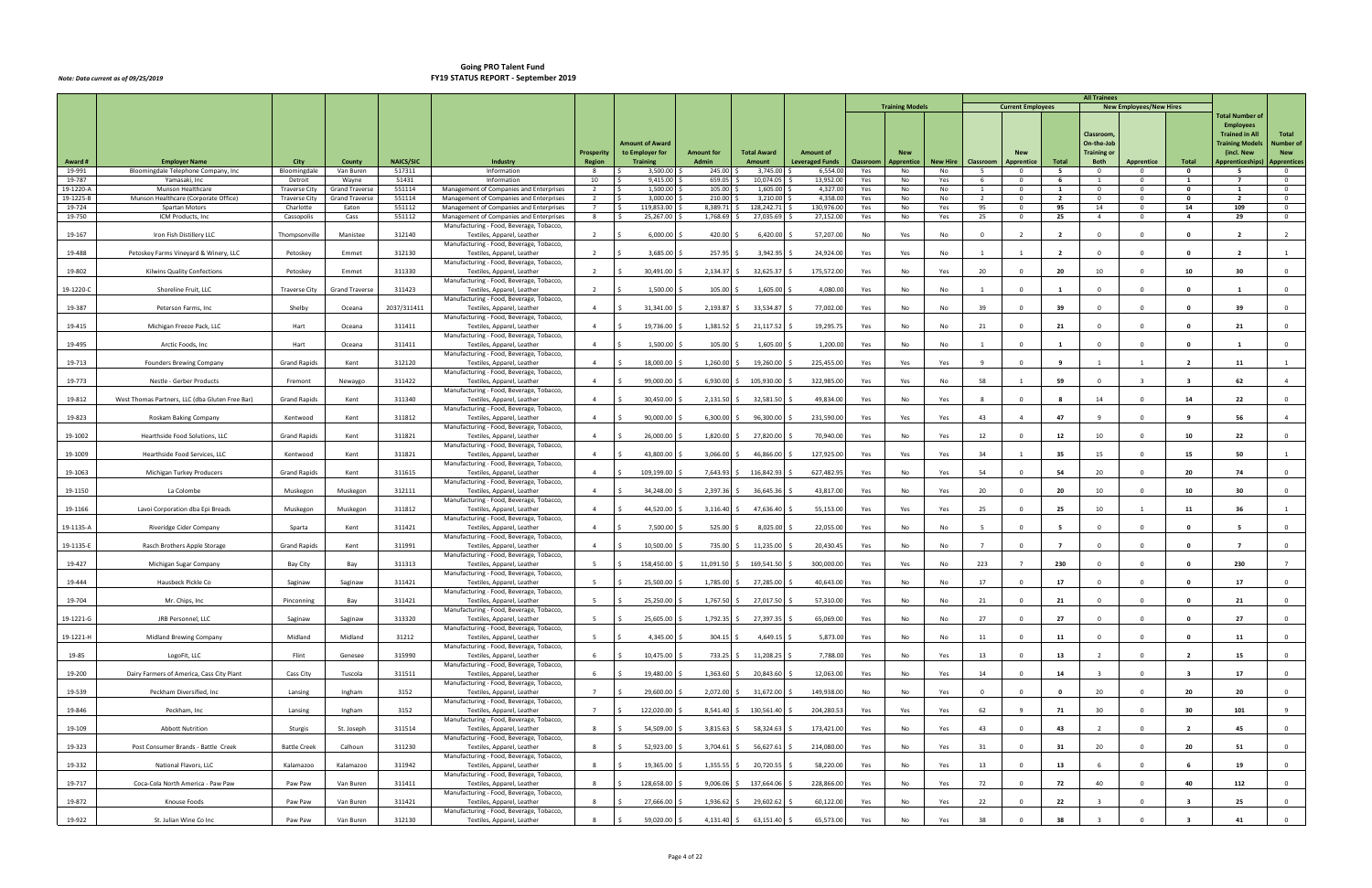|                     |                                                 |                                 |                                |                  |                                                                                    |                                    |                                        |                                   |                                     |                                            |            |                        |                 |                |                            |                | <b>All Trainees</b>               |                                |                         |                                           |                                  |
|---------------------|-------------------------------------------------|---------------------------------|--------------------------------|------------------|------------------------------------------------------------------------------------|------------------------------------|----------------------------------------|-----------------------------------|-------------------------------------|--------------------------------------------|------------|------------------------|-----------------|----------------|----------------------------|----------------|-----------------------------------|--------------------------------|-------------------------|-------------------------------------------|----------------------------------|
|                     |                                                 |                                 |                                |                  |                                                                                    |                                    |                                        |                                   |                                     |                                            |            | <b>Training Models</b> |                 |                | <b>Current Employees</b>   |                |                                   | <b>New Employees/New Hires</b> |                         | <b>Total Number of</b>                    |                                  |
|                     |                                                 |                                 |                                |                  |                                                                                    |                                    |                                        |                                   |                                     |                                            |            |                        |                 |                |                            |                | Classroom                         |                                |                         | <b>Employees</b><br><b>Trained in All</b> | Total                            |
|                     |                                                 |                                 |                                |                  |                                                                                    |                                    | <b>Amount of Award</b>                 |                                   |                                     |                                            |            |                        |                 |                |                            |                | On-the-Job                        |                                |                         | <b>Training Models</b>                    | <b>Number of</b>                 |
| Award #             | <b>Employer Name</b>                            | City                            | County                         | <b>NAICS/SIC</b> | <b>Industry</b>                                                                    | <b>Prosperity</b><br><b>Region</b> | to Employer for<br><b>Training</b>     | <b>Amount for</b><br><b>Admin</b> | <b>Total Award</b><br><b>Amount</b> | <b>Amount of</b><br><b>Leveraged Funds</b> | Classroom  | <b>Apprentice</b>      | <b>New Hire</b> | Classroom      | <b>Apprentice</b>          | Total          | <b>Training or</b><br><b>Both</b> | <b>Apprentice</b>              | Total                   | (incl. New<br><b>Apprenticeships</b>      | <b>New</b><br><b>Apprentices</b> |
| 19-991              | Bloomingdale Telephone Company, Inc             | Bloomingdale                    | Van Buren                      | 517311           | Information                                                                        | 8                                  | 3,500.00<br>l S                        | 245.00                            | 3,745.00                            | 6,554.0                                    | Yes        | No                     | No              | $5^{\circ}$    | $\overline{\mathbf{0}}$    | 5              | $\overline{0}$                    | $\mathbf{0}$                   | $\mathbf 0$             | 5                                         | $\overline{0}$                   |
| 19-787<br>19-1220-A | Yamasaki, Inc<br>Munson Healthcare              | Detroit<br><b>Traverse City</b> | Wayne<br><b>Grand Traverse</b> | 51431<br>551114  | Information<br>Management of Companies and Enterprises                             | 10<br>$\overline{2}$               | I \$<br>9,415.00<br>1,500.00<br>l ś    | 659.05<br>105.00                  | 10,074.05<br>1,605.00               | 13,952.00<br>4,327.0                       | Yes<br>Yes | No<br>No               | Yes<br>No       | 6<br>1         | $\Omega$<br>$\overline{0}$ | 6<br>1         | $\mathbf{1}$<br>$\mathbf{0}$      | $\Omega$<br>$^{\circ}$         | 1<br>$\mathbf 0$        | $\overline{7}$<br>1                       | $\overline{0}$<br>$\overline{0}$ |
| 19-1225-E           | Munson Healthcare (Corporate Office)            | <b>Traverse City</b>            | <b>Grand Traverse</b>          | 551114           | Management of Companies and Enterprises                                            | $\overline{2}$                     | 3,000.00<br>ΙŚ                         | 210.00                            | 3,210.00                            | 4,358.0                                    | Yes        | No                     | No              | $\overline{2}$ | $^{\circ}$                 | $\overline{2}$ | $\overline{\mathbf{0}}$           | $\Omega$                       | $\mathbf{o}$            | $\overline{2}$                            | $\overline{0}$                   |
| 19-724<br>19-750    | Spartan Motors<br>ICM Products, Inc.            | Charlotte<br>Cassopolis         | Eaton<br>Cass                  | 551112<br>551112 | Management of Companies and Enterprises<br>Management of Companies and Enterprises | 7<br>8                             | 119,853.00<br>I\$<br>I \$<br>25,267.00 | 8,389.71<br>1,768.69              | 128,242.71<br>27,035.69             | 130,976.00<br>27,152.00                    | Yes<br>Yes | No<br>No               | Yes<br>Yes      | 95<br>25       | $\mathbf 0$<br>$\Omega$    | 95<br>25       | 14<br>$\overline{4}$              | $^{\circ}$<br>$\overline{0}$   | 14<br>$\overline{4}$    | 109<br>29                                 | $\overline{0}$<br>$\overline{0}$ |
|                     |                                                 |                                 |                                |                  | Manufacturing - Food, Beverage, Tobacco,                                           |                                    |                                        |                                   |                                     |                                            |            |                        |                 |                |                            |                |                                   |                                |                         |                                           |                                  |
| 19-167              | Iron Fish Distillery LLC                        | Thompsonville                   | Manistee                       | 312140           | Textiles, Apparel, Leather<br>Manufacturing - Food, Beverage, Tobacco,             | $\overline{2}$                     | 6,000.00                               | 420.00                            | 6,420.00                            | 57,207.00                                  | No         | Yes                    | No              | $\Omega$       |                            | $\overline{2}$ | $\Omega$                          | $\Omega$                       | - 0                     | $\overline{\phantom{a}}$                  | $\overline{2}$                   |
| 19-488              | Petoskey Farms Vineyard & Winery, LLC           | Petoskey                        | Emmet                          | 312130           | Textiles, Apparel, Leather                                                         | $\overline{2}$                     | 3,685.00                               | 257.95                            | 3,942.95                            | 24,924.00                                  | Yes        | Yes                    | No              |                |                            | $\overline{2}$ | $\Omega$                          | $\Omega$                       | $\mathbf{0}$            | $\overline{2}$                            |                                  |
| 19-802              | Kilwins Quality Confections                     | Petoskey                        | Emmet                          | 311330           | Manufacturing - Food, Beverage, Tobacco,<br>Textiles, Apparel, Leather             | $\overline{2}$                     | 30,491.00                              | 2,134.37                          | 32,625.37                           | 175,572.00                                 | Yes        | No                     | Yes             | 20             | 0                          | 20             | 10                                | $\Omega$                       | 10                      | 30                                        | $\overline{0}$                   |
| 19-1220-0           | Shoreline Fruit, LLC                            | <b>Traverse City</b>            | <b>Grand Traverse</b>          | 311423           | Manufacturing - Food, Beverage, Tobacco,<br>Textiles, Apparel, Leather             | $\overline{2}$                     | 1,500.00                               | 105.00                            | 1,605.00                            | 4,080.00                                   | Yes        | No                     | No              | $\overline{1}$ | $\Omega$                   | $\mathbf{1}$   | $\Omega$                          | $\Omega$                       | $\mathbf{0}$            | $\mathbf{1}$                              | $\overline{0}$                   |
|                     |                                                 |                                 |                                |                  | Manufacturing - Food, Beverage, Tobacco,                                           |                                    |                                        |                                   |                                     |                                            |            |                        |                 |                |                            |                |                                   |                                |                         |                                           |                                  |
| 19-387              | Peterson Farms, Inc                             | Shelby                          | Oceana                         | 2037/311411      | Textiles, Apparel, Leather<br>Manufacturing - Food, Beverage, Tobacco,             | $\overline{4}$                     | 31,341.00                              | 2,193.87                          | 33,534.87                           | 77,002.00                                  | Yes        | No                     | No              | 39             | $\Omega$                   | 39             |                                   | $\Omega$                       | - 0                     | 39                                        | $\mathbf 0$                      |
| 19-415              | Michigan Freeze Pack, LLC                       | Hart                            | Oceana                         | 311411           | Textiles, Apparel, Leather                                                         | $\overline{4}$                     | 19,736.00                              | 1,381.52                          | 21,117.52                           | 19,295.75                                  | Yes        | No                     | No              | 21             | $\Omega$                   | 21             | $\Omega$                          | $\Omega$                       | $\mathbf 0$             | 21                                        | $\overline{0}$                   |
| 19-495              | Arctic Foods, Inc                               | Hart                            | Oceana                         | 311411           | Manufacturing - Food, Beverage, Tobacco,<br>Textiles, Apparel, Leather             | $\overline{4}$                     | 1,500.00                               | $105.00$ \$                       | 1,605.00                            | 1,200.00                                   | Yes        | No                     | No              |                | $\Omega$                   | -1             | $\Omega$                          | $\Omega$                       | $\Omega$                |                                           | $\mathbf{0}$                     |
|                     |                                                 |                                 |                                |                  | Manufacturing - Food, Beverage, Tobacco,                                           |                                    |                                        |                                   |                                     |                                            |            |                        |                 |                |                            |                |                                   |                                |                         |                                           |                                  |
| 19-713              | Founders Brewing Company                        | <b>Grand Rapids</b>             | Kent                           | 312120           | Textiles, Apparel, Leather<br>Manufacturing - Food, Beverage, Tobacco,             | $\overline{4}$                     | 18,000.00                              | 1,260.00                          | 19,260.00                           | 225,455.00                                 | Yes        | Yes                    | Yes             |                | $\Omega$                   | $\mathbf{q}$   |                                   |                                | $\overline{2}$          | 11                                        |                                  |
| 19-773              | Nestle - Gerber Products                        | Fremont                         | Newaygo                        | 311422           | Textiles, Apparel, Leather                                                         | $\overline{4}$                     | 99,000.00<br>- S                       | $6,930.00$ \$                     | 105,930.00                          | 322,985.00                                 | Yes        | Yes                    | No              | 58             |                            | 59             | $\Omega$                          | $\overline{3}$                 | - 3                     | 62                                        | $\overline{4}$                   |
| 19-812              | West Thomas Partners, LLC (dba Gluten Free Bar) | <b>Grand Rapids</b>             | Kent                           | 311340           | Manufacturing - Food, Beverage, Tobacco,<br>Textiles, Apparel, Leather             | $\overline{4}$                     | 30,450.00                              | 2,131.50                          | 32,581.50                           | 49,834.00                                  | Yes        | No                     | Yes             | - 8            | $\Omega$                   | - 8            | 14                                | $\Omega$                       | 14                      | 22                                        | $\overline{0}$                   |
| 19-823              |                                                 |                                 | Kent                           | 311812           | Manufacturing - Food, Beverage, Tobacco,                                           | $\overline{4}$                     | 90,000.00                              | $6,300.00$ \$                     | 96,300.00                           | 231,590.00                                 | Yes        | Yes                    | Yes             | 43             | $\overline{a}$             | 47             | 9                                 | $\Omega$                       | - 9                     | 56                                        | $\overline{4}$                   |
|                     | Roskam Baking Company                           | Kentwood                        |                                |                  | Textiles, Apparel, Leather<br>Manufacturing - Food, Beverage, Tobacco,             |                                    |                                        |                                   |                                     |                                            |            |                        |                 |                |                            |                |                                   |                                |                         |                                           |                                  |
| 19-1002             | Hearthside Food Solutions, LLC                  | <b>Grand Rapids</b>             | Kent                           | 311821           | Textiles, Apparel, Leather<br>Manufacturing - Food, Beverage, Tobacco,             | $\overline{4}$                     | 26,000.00                              | 1,820.00                          | 27,820.00                           | 70,940.00                                  | Yes        | No                     | Yes             | 12             | $\Omega$                   | 12             | 10                                | $\Omega$                       | 10                      | 22                                        | $\overline{0}$                   |
| 19-1009             | Hearthside Food Services, LLC                   | Kentwood                        | Kent                           | 311821           | Textiles, Apparel, Leather                                                         | $\overline{4}$                     | 43,800.00                              | 3,066.00                          | 46,866.00                           | 127,925.00                                 | Yes        | Yes                    | Yes             | 34             |                            | 35             | 15                                | $\Omega$                       | 15                      | 50                                        |                                  |
| 19-1063             | Michigan Turkey Producers                       | <b>Grand Rapids</b>             | Kent                           | 311615           | Manufacturing - Food, Beverage, Tobacco,<br>Textiles, Apparel, Leather             | $\overline{4}$                     | 109,199.00                             | 7,643.93 \$                       | 116,842.93                          | 627,482.95                                 | Yes        | No                     | Yes             | 54             | $\Omega$                   | 54             | 20                                | $\Omega$                       | 20                      | 74                                        | $\mathbf{0}$                     |
|                     |                                                 |                                 |                                |                  | Manufacturing - Food, Beverage, Tobacco,                                           |                                    |                                        |                                   |                                     |                                            |            |                        |                 |                |                            |                |                                   |                                |                         |                                           |                                  |
| 19-1150             | La Colombe                                      | Muskegon                        | Muskegon                       | 312111           | Textiles, Apparel, Leather<br>Manufacturing - Food, Beverage, Tobacco,             | $\overline{4}$                     | 34,248.00                              | 2,397.36                          | 36,645.36                           | 43,817.00                                  | Yes        | No                     | Yes             | 20             | $\Omega$                   | 20             | 10                                | $\Omega$                       | 10                      | 30                                        | $\Omega$                         |
| 19-1166             | Lavoi Corporation dba Epi Breads                | Muskegon                        | Muskegon                       | 311812           | Textiles, Apparel, Leather                                                         | $\overline{4}$                     | 44,520.00                              | 3,116.40                          | 47,636.40                           | 55,153.00                                  | Yes        | Yes                    | Yes             | 25             | $\Omega$                   | 25             | 10                                |                                | 11                      | 36                                        |                                  |
| 19-1135-A           | Riveridge Cider Company                         | Sparta                          | Kent                           | 311421           | Manufacturing - Food, Beverage, Tobacco,<br>Textiles, Apparel, Leather             | $\overline{4}$                     | 7,500.00                               | 525.00                            | 8,025.00                            | 22,055.00                                  | Yes        | No                     | No              | -5             | $\Omega$                   | - 5            | $\Omega$                          | $\Omega$                       | - 0                     | - 5                                       | $\overline{0}$                   |
| 19-1135-E           | Rasch Brothers Apple Storage                    | <b>Grand Rapids</b>             | Kent                           | 311991           | Manufacturing - Food, Beverage, Tobacco,<br>Textiles, Apparel, Leather             | $\overline{4}$                     | 10,500.00                              | 735.00 \$                         | 11,235.00                           | 20,430.45                                  | Yes        | No                     | No              | $\overline{7}$ | $\Omega$                   | $\overline{7}$ | $\overline{0}$                    | $\Omega$                       | $\mathbf{0}$            | $\overline{7}$                            | $\overline{0}$                   |
|                     |                                                 |                                 |                                |                  | Manufacturing - Food, Beverage, Tobacco,                                           |                                    |                                        |                                   |                                     |                                            |            |                        |                 |                |                            |                |                                   |                                |                         |                                           |                                  |
| 19-427              | Michigan Sugar Company                          | Bay City                        | Bay                            | 311313           | Textiles, Apparel, Leather<br>Manufacturing - Food, Beverage, Tobacco,             | -5                                 | 158,450.00                             | 11,091.50                         | 169,541.5                           | 300,000.00                                 | Yes        | Yes                    | No              | 223            |                            | 230            |                                   | $\Omega$                       |                         | 230                                       | $\overline{7}$                   |
| 19-444              | Hausbeck Pickle Co                              | Saginaw                         | Saginaw                        | 311421           | Textiles, Apparel, Leather                                                         | 5 <sup>5</sup>                     | 25,500.00<br>l \$                      | 1,785.00 \$                       | 27,285.00                           | 40,643.00                                  | Yes        | No                     | No              | 17             | $^{\circ}$                 | 17             | $\mathbf{0}$                      | $\overline{0}$                 | $\mathbf{0}$            | 17                                        | $\overline{0}$                   |
| 19-704              | Mr. Chips, Inc                                  | Pinconning                      | Bay                            | 311421           | Manufacturing - Food, Beverage, Tobacco,<br>Textiles, Apparel, Leather             | 5                                  | I\$<br>25,250.00 \$                    | 1,767.50 \$                       | 27,017.50                           | 57,310.00                                  | Yes        | No                     | No              | 21             | $\Omega$                   | 21             | $\mathbf 0$                       | $\overline{0}$                 | $\mathbf 0$             | 21                                        | $\overline{0}$                   |
| 19-1221-G           | JRB Personnel, LLC                              | Saginaw                         | Saginaw                        | 313320           | Manufacturing - Food, Beverage, Tobacco,<br>Textiles, Apparel, Leather             | 5                                  | 25,605.00<br>∣ <                       | $1,792.35$ \$                     | 27,397.35                           | 65,069.00                                  | Yes        |                        | No              | 27             | $\Omega$                   | 27             | $\Omega$                          | $\Omega$                       | $\mathbf{0}$            | 27                                        | $\overline{0}$                   |
|                     |                                                 |                                 |                                |                  | Manufacturing - Food, Beverage, Tobacco,                                           |                                    |                                        |                                   |                                     |                                            |            | No                     |                 |                |                            |                |                                   |                                |                         |                                           |                                  |
| 19-1221-H           | Midland Brewing Company                         | Midland                         | Midland                        | 31212            | Textiles, Apparel, Leather<br>Manufacturing - Food, Beverage, Tobacco,             | $5^{\circ}$                        | 4,345.00                               | $304.15$ \$                       | 4,649.15                            | 5,873.00                                   | Yes        | No                     | No              | 11             | $\Omega$                   | 11             | $\Omega$                          | $\Omega$                       | $\Omega$                | 11                                        | $\overline{0}$                   |
| 19-85               | LogoFit, LLC                                    | Flint                           | Genesee                        | 315990           | Textiles, Apparel, Leather                                                         | 6                                  | 10,475.00<br>I S                       | 733.25 \$                         | 11,208.25                           | 7,788.00                                   | Yes        | No                     | Yes             | 13             | $\Omega$                   | 13             | $\overline{2}$                    | $\Omega$                       | $\overline{2}$          | 15                                        | $\overline{0}$                   |
| 19-200              | Dairy Farmers of America, Cass City Plant       | Cass City                       | Tuscola                        | 311511           | Manufacturing - Food, Beverage, Tobacco,<br>Textiles, Apparel, Leather             | 6                                  | 19,480.00<br>- Ś                       | $1,363.60$ \$                     | 20,843.60                           | 12,063.00                                  | Yes        | No                     | Yes             | 14             | $\Omega$                   | 14             | $\overline{\mathbf{3}}$           | $\Omega$                       | $\overline{\mathbf{3}}$ | 17                                        | $\overline{0}$                   |
|                     |                                                 |                                 |                                |                  | Manufacturing - Food, Beverage, Tobacco,                                           |                                    |                                        |                                   |                                     |                                            |            |                        |                 | $\Omega$       |                            | $\mathbf{0}$   |                                   | $\Omega$                       |                         |                                           |                                  |
| 19-539              | Peckham Diversified, Inc                        | Lansing                         | Ingham                         | 3152             | Textiles, Apparel, Leather<br>Manufacturing - Food, Beverage, Tobacco,             | $7^{\circ}$                        | 29,600.00                              | 2,072.00 \$                       | 31,672.00                           | 149,938.00                                 | No         | No                     | Yes             |                | $\Omega$                   |                | 20                                |                                | 20                      | 20                                        | $\overline{0}$                   |
| 19-846              | Peckham, Inc                                    | Lansing                         | Ingham                         | 3152             | Textiles, Apparel, Leather<br>Manufacturing - Food, Beverage, Tobacco,             | $7^{\circ}$                        | 122,020.00 \$<br>Ιś                    |                                   | 8,541.40 \$ 130,561.40              | 204,280.53                                 | Yes        | Yes                    | Yes             | 62             | -9                         | 71             | 30                                | $\Omega$                       | 30                      | 101                                       | 9                                |
| 19-109              | <b>Abbott Nutrition</b>                         | Sturgis                         | St. Joseph                     | 311514           | Textiles, Apparel, Leather                                                         | 8                                  | 54,509.00 \$<br>l \$                   | $3,815.63$ \$                     | 58,324.63                           | 173,421.00                                 | Yes        | No                     | Yes             | 43             | $\overline{0}$             | 43             | $\overline{2}$                    | $\overline{0}$                 | $\overline{2}$          | 45                                        | $\overline{0}$                   |
| 19-323              | Post Consumer Brands - Battle Creek             | <b>Battle Creek</b>             | Calhoun                        | 311230           | Manufacturing - Food, Beverage, Tobacco,<br>Textiles, Apparel, Leather             | 8                                  | 52,923.00                              | $3,704.61$ \$                     | 56,627.61                           | 214,080.00                                 | Yes        | No                     | Yes             | 31             | $\Omega$                   | 31             | 20                                | $\Omega$                       | 20                      | 51                                        | $\overline{0}$                   |
|                     |                                                 |                                 |                                |                  | Manufacturing - Food, Beverage, Tobacco,                                           |                                    |                                        |                                   |                                     |                                            |            |                        |                 |                |                            |                |                                   |                                |                         |                                           |                                  |
| 19-332              | National Flavors, LLC                           | Kalamazoo                       | Kalamazoo                      | 311942           | Textiles, Apparel, Leather<br>Manufacturing - Food, Beverage, Tobacco,             | 8                                  | 19,365.00                              | $1,355.55$ \$                     | 20,720.55                           | 58,220.00                                  | Yes        | No                     | Yes             | 13             | $\Omega$                   | 13             |                                   | $\Omega$                       |                         | 19                                        | $\overline{0}$                   |
| 19-717              | Coca-Cola North America - Paw Paw               | Paw Paw                         | Van Buren                      | 311411           | Textiles, Apparel, Leather                                                         | 8                                  | 128,658.00<br>∣ <                      | $9,006.06$ \$                     | 137,664.06                          | 228,866.00                                 | Yes        | No                     | Yes             | 72             | $\Omega$                   | 72             | 40                                | $\Omega$                       | 40                      | 112                                       | $\overline{0}$                   |
| 19-872              | Knouse Foods                                    | Paw Paw                         | Van Buren                      | 311421           | Manufacturing - Food, Beverage, Tobacco,<br>Textiles, Apparel, Leather             | 8                                  | 27,666.00                              | $1,936.62$ \$                     | 29,602.62                           | 60,122.00                                  | Yes        | No                     | Yes             | 22             | $\Omega$                   | 22             |                                   | $\Omega$                       |                         | 25                                        | $\overline{0}$                   |
| 19-922              | St. Julian Wine Co Inc                          | Paw Paw                         | Van Buren                      | 312130           | Manufacturing - Food, Beverage, Tobacco,<br>Textiles, Apparel, Leather             | 8                                  | 59,020.00 \$<br>l \$                   | $4,131.40$ \$                     | 63,151.40                           | 65,573.00                                  | Yes        | No                     | Yes             | 38             | $\Omega$                   | 38             |                                   | $\Omega$                       |                         | 41                                        | $\overline{0}$                   |
|                     |                                                 |                                 |                                |                  |                                                                                    |                                    |                                        |                                   |                                     |                                            |            |                        |                 |                |                            |                |                                   |                                |                         |                                           |                                  |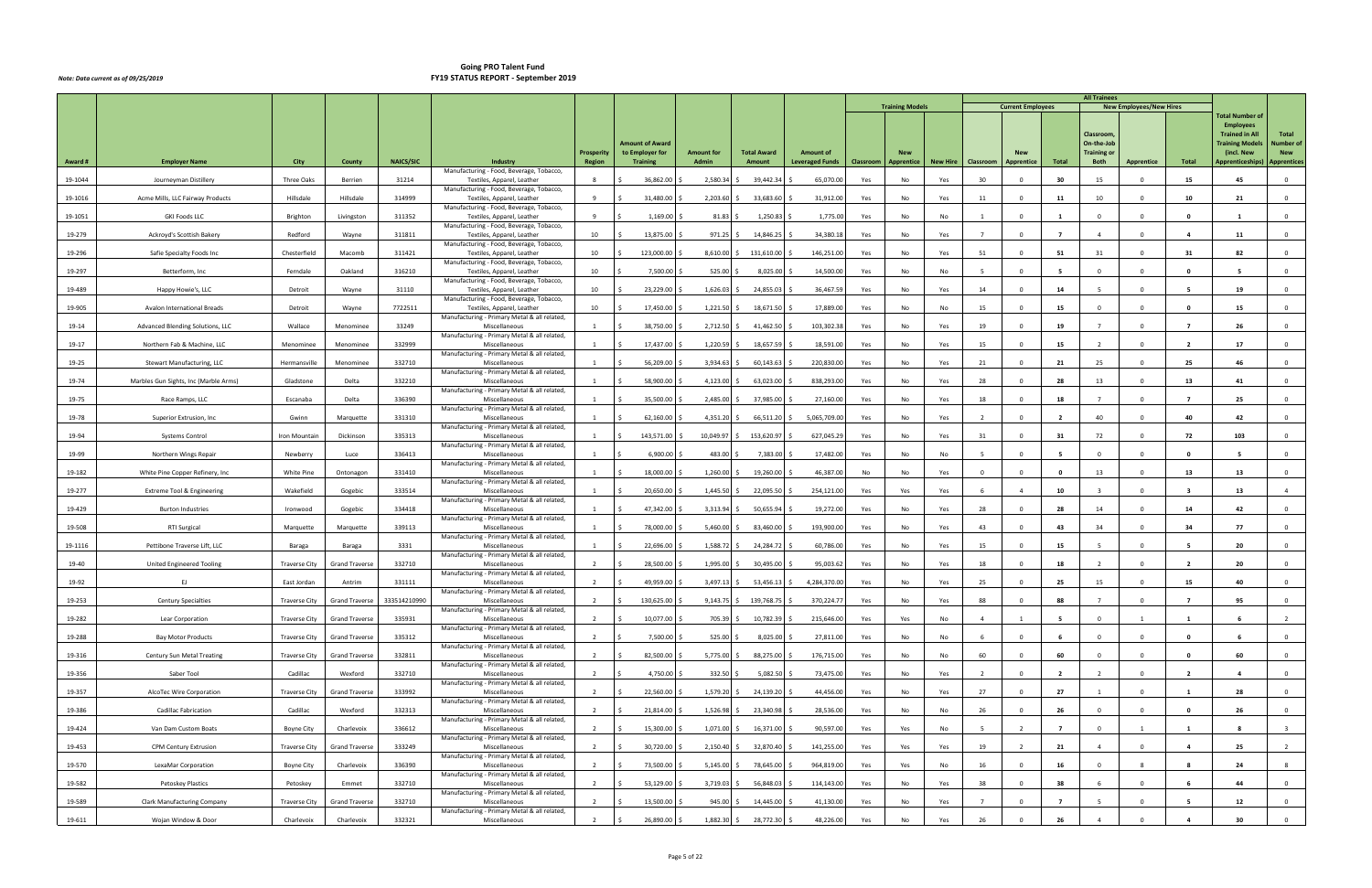|         |                                       |                      |                       |                  |                                                                        |                   |                                           |                   |                    |                        |           | <b>Training Models</b> |                 |                | <b>Current Employees</b> |                | <b>All Trainees</b>              | <b>New Employees/New Hires</b> |                         |                                           |                         |
|---------|---------------------------------------|----------------------|-----------------------|------------------|------------------------------------------------------------------------|-------------------|-------------------------------------------|-------------------|--------------------|------------------------|-----------|------------------------|-----------------|----------------|--------------------------|----------------|----------------------------------|--------------------------------|-------------------------|-------------------------------------------|-------------------------|
|         |                                       |                      |                       |                  |                                                                        |                   |                                           |                   |                    |                        |           |                        |                 |                |                          |                |                                  |                                |                         | <b>Total Number of</b>                    |                         |
|         |                                       |                      |                       |                  |                                                                        |                   |                                           |                   |                    |                        |           |                        |                 |                |                          |                | Classroom                        |                                |                         | <b>Employees</b><br><b>Trained in All</b> | Total                   |
|         |                                       |                      |                       |                  |                                                                        | <b>Prosperity</b> | <b>Amount of Award</b><br>to Employer for | <b>Amount for</b> | <b>Total Award</b> | <b>Amount of</b>       |           | <b>New</b>             |                 |                |                          |                | On-the-Job<br><b>Training or</b> |                                |                         | <b>Training Models</b><br>(incl. New      | Number of<br><b>New</b> |
| Award#  | <b>Employer Name</b>                  | City                 | County                | <b>NAICS/SIC</b> | Industry                                                               | <b>Region</b>     | <b>Training</b>                           | Admin             | Amount             | <b>Leveraged Funds</b> | Classroom | Apprentice             | <b>New Hire</b> | Classroom      | Apprentice               | Total          | <b>Both</b>                      | Apprentice                     | Total                   | Apprenticeships)                          | <b>Apprentices</b>      |
| 19-1044 | Journeyman Distillery                 | Three Oaks           | Berrien               | 31214            | Manufacturing - Food, Beverage, Tobacco,<br>Textiles, Apparel, Leather |                   | 36,862.00                                 | 2,580.34          | 39,442.34          | 65,070.00              | Yes       | No                     | Yes             | 30             |                          | 30             | 15                               | $\Omega$                       | 15                      | 45                                        | $\Omega$                |
| 19-1016 | Acme Mills, LLC Fairway Products      | Hillsdale            | Hillsdale             | 314999           | Manufacturing - Food, Beverage, Tobacco,<br>Textiles, Apparel, Leather | 9                 | 31,480.00                                 | 2,203.60          | 33,683.60          | 31,912.00              | Yes       | No                     | Yes             | 11             | $\Omega$                 | 11             | 10                               | $\Omega$                       | 10                      | 21                                        | $\overline{0}$          |
| 19-1051 | <b>GKI Foods LLC</b>                  | Brighton             | Livingston            | 311352           | Manufacturing - Food, Beverage, Tobacco,<br>Textiles, Apparel, Leather | 9                 | 1,169.00                                  | 81.83             | 1,250.83           | 1,775.00               | Yes       | No                     | No              |                | $\Omega$                 |                | $\Omega$                         | $\Omega$                       | $\Omega$                |                                           | $\overline{0}$          |
|         |                                       |                      |                       |                  | Manufacturing - Food, Beverage, Tobacco,                               |                   |                                           |                   |                    |                        |           |                        |                 |                |                          |                |                                  |                                |                         |                                           |                         |
| 19-279  | Ackroyd's Scottish Bakery             | Redford              | Wayne                 | 311811           | Textiles, Apparel, Leather<br>Manufacturing - Food, Beverage, Tobacco, | 10                | 13,875.00                                 | 971.25            | 14,846.25          | 34,380.18              | Yes       | No                     | Yes             |                | $\Omega$                 | $\overline{7}$ | $\overline{4}$                   | $\Omega$                       | $\overline{a}$          | 11                                        | $\Omega$                |
| 19-296  | Safie Specialty Foods Inc             | Chesterfield         | Macomb                | 311421           | Textiles, Apparel, Leather<br>Manufacturing - Food, Beverage, Tobacco, | 10                | 123,000.00                                | 8,610.00          | 131,610.00         | 146,251.00             | Yes       | No                     | Yes             | 51             | $\Omega$                 | 51             | 31                               | $\Omega$                       | 31                      | 82                                        | $\overline{0}$          |
| 19-297  | Betterform, Inc                       | Ferndale             | Oakland               | 316210           | Textiles, Apparel, Leather<br>Manufacturing - Food, Beverage, Tobacco, | 10                | 7,500.00                                  | 525.00            | 8,025.00           | 14,500.00              | Yes       | No                     | No              | - 5            | $\Omega$                 | - 5            | $\Omega$                         | $\mathbf{0}$                   | $\mathbf{o}$            |                                           | $\overline{0}$          |
| 19-489  | Happy Howie's, LLC                    | Detroit              | Wayne                 | 31110            | Textiles, Apparel, Leather                                             | 10                | 23,229.00                                 | 1,626.03          | 24,855.03          | 36,467.59              | Yes       | No                     | Yes             | 14             | $\Omega$                 | 14             | 5                                | $\Omega$                       | -5                      | 19                                        | $\Omega$                |
| 19-905  | Avalon International Breads           | Detroit              | Wayne                 | 7722511          | Manufacturing - Food, Beverage, Tobacco,<br>Textiles, Apparel, Leather | 10                | 17,450.00                                 | 1,221.50          | 18,671.50          | 17,889.00              | Yes       | No                     | No              | 15             | $\Omega$                 | 15             | $\Omega$                         | $\Omega$                       | - 0                     | 15                                        | $\Omega$                |
| 19-14   | Advanced Blending Solutions, LLC      | Wallace              | Menominee             | 33249            | Manufacturing - Primary Metal & all related,<br>Miscellaneous          |                   | 38,750.00                                 | 2,712.50          | 41,462.50          | 103,302.38             | Yes       | No                     | Yes             | 19             | $\Omega$                 | 19             |                                  | $\Omega$                       | $\overline{7}$          | 26                                        | $\overline{0}$          |
| 19-17   | Northern Fab & Machine, LLC           | Menominee            | Menominee             | 332999           | Manufacturing - Primary Metal & all related,<br>Miscellaneous          | 1                 | 17,437.00                                 | 1,220.59          | 18,657.59          | 18,591.00              | Yes       | No                     | Yes             | 15             | $\Omega$                 | 15             | $\overline{2}$                   | $\Omega$                       | $\overline{2}$          | 17                                        | $\Omega$                |
|         | Stewart Manufacturing, LLC            |                      |                       |                  | Manufacturing - Primary Metal & all related,<br>Miscellaneous          |                   |                                           |                   |                    |                        |           |                        |                 |                | $\Omega$                 | 21             | 25                               | $\Omega$                       | 25                      | 46                                        | $\overline{0}$          |
| 19-25   |                                       | Hermansville         | Menominee             | 332710           | Manufacturing - Primary Metal & all related,                           |                   | 56,209.00                                 | 3,934.63          | 60,143.63          | 220,830.0              | Yes       | No                     | Yes             | 21             |                          |                |                                  |                                |                         |                                           |                         |
| 19-74   | Marbles Gun Sights, Inc (Marble Arms) | Gladstone            | Delta                 | 332210           | Miscellaneous<br>Manufacturing - Primary Metal & all related,          |                   | 58,900.00                                 | 4,123.00          | 63,023.00          | 838,293.00             | Yes       | No                     | Yes             | 28             | $\Omega$                 | 28             | 13                               | $\Omega$                       | 13                      | 41                                        | $\overline{0}$          |
| 19-75   | Race Ramps, LLC                       | Escanaba             | Delta                 | 336390           | Miscellaneous<br>Manufacturing - Primary Metal & all related,          | 1                 | 35,500.00                                 | 2,485.00          | 37,985.00          | 27,160.00              | Yes       | No                     | Yes             | 18             | $\Omega$                 | 18             | $\overline{7}$                   | $\Omega$                       | $\overline{7}$          | 25                                        | $\overline{0}$          |
| 19-78   | Superior Extrusion, Inc               | Gwinn                | Marquette             | 331310           | Miscellaneous<br>Manufacturing - Primary Metal & all related,          | 1                 | 62,160.00                                 | 4,351.20          | 66,511.20          | 5,065,709.00           | Yes       | No                     | Yes             | $\overline{2}$ | $\overline{0}$           | $\overline{2}$ | 40                               | $\mathbf{0}$                   | 40                      | 42                                        | $\overline{0}$          |
| 19-94   | <b>Systems Control</b>                | Iron Mountain        | Dickinson             | 335313           | Miscellaneous                                                          |                   | 143,571.00                                | 10,049.97         | 153,620.97         | 627,045.29             | Yes       | No                     | Yes             | 31             | $\Omega$                 | 31             | 72                               | $\Omega$                       | 72                      | 103                                       | $\overline{0}$          |
| 19-99   | Northern Wings Repair                 | Newberry             | Luce                  | 336413           | Manufacturing - Primary Metal & all related,<br>Miscellaneous          | $\mathbf{1}$      | 6,900.00                                  | 483.00            | 7,383.00           | 17,482.00              | Yes       | No                     | No              |                | $\Omega$                 | - 5            | $\Omega$                         | $\Omega$                       | $\mathbf{0}$            | -5                                        | $\overline{0}$          |
| 19-182  | White Pine Copper Refinery, Inc       | White Pine           | Ontonagon             | 331410           | Manufacturing - Primary Metal & all related,<br>Miscellaneous          | 1                 | 18,000.00                                 | 1,260.00          | 19,260.00          | 46,387.00              | No        | No                     | Yes             | $\Omega$       | $\Omega$                 | $\mathbf 0$    | 13                               | $\Omega$                       | 13                      | 13                                        | $\overline{0}$          |
| 19-277  | Extreme Tool & Engineering            | Wakefield            | Gogebic               | 333514           | Manufacturing - Primary Metal & all related,<br>Miscellaneous          | 1                 | 20,650.00                                 | 1,445.50          | 22,095.50          | 254,121.00             | Yes       | Yes                    | Yes             |                | $\overline{a}$           | 10             |                                  | $\Omega$                       | - 3                     | 13                                        | $\overline{4}$          |
| 19-429  | <b>Burton Industries</b>              | Ironwood             | Gogebic               | 334418           | Manufacturing - Primary Metal & all related,<br>Miscellaneous          |                   | 47,342.00                                 | 3,313.94          | 50,655.94          | 19,272.00              | Yes       | No                     | Yes             | 28             | $\Omega$                 | 28             | 14                               | $\Omega$                       | 14                      | 42                                        | $\overline{0}$          |
|         |                                       |                      |                       |                  | Manufacturing - Primary Metal & all related,                           |                   |                                           |                   |                    |                        |           |                        |                 |                |                          |                |                                  |                                |                         |                                           |                         |
| 19-508  | RTI Surgical                          | Marquette            | Marquette             | 339113           | Miscellaneous<br>Manufacturing - Primary Metal & all related,          | 1                 | 78,000.00                                 | 5,460.00          | 83,460.00          | 193,900.00             | Yes       | No                     | Yes             | 43             | $\Omega$                 | 43             | 34                               | $\Omega$                       | 34                      | 77                                        | $\overline{0}$          |
| 19-1116 | Pettibone Traverse Lift, LLC          | Baraga               | Baraga                | 3331             | Miscellaneous<br>Manufacturing - Primary Metal & all related,          | 1                 | 22,696.00                                 | 1,588.72 \$       | 24,284.72          | 60,786.00              | Yes       | No                     | Yes             | 15             | $\Omega$                 | 15             | - 5                              | $\Omega$                       | - 5                     | 20                                        | $\overline{0}$          |
| 19-40   | United Engineered Tooling             | <b>Traverse City</b> | <b>Grand Traverse</b> | 332710           | Miscellaneous<br>Manufacturing - Primary Metal & all related,          | $\overline{2}$    | 28,500.00                                 | 1,995.00          | 30,495.00          | 95,003.62              | Yes       | No                     | Yes             | 18             | $\Omega$                 | 18             | $\overline{z}$                   | $\Omega$                       | - 2                     | 20                                        | $\Omega$                |
| 19-92   | EJ.                                   | East Jordan          | Antrim                | 331111           | Miscellaneous                                                          | $\overline{2}$    | 49,959.00<br>S.                           | $3,497.13$ \$     | 53,456.13 \$       | 4,284,370.00           | Yes       | No                     | Yes             | 25             | $\Omega$                 | 25             | 15                               | $\mathbf{0}$                   | 15                      | 40                                        | $\overline{0}$          |
| 19-253  | <b>Century Specialties</b>            | <b>Traverse City</b> | <b>Grand Traverse</b> | 333514210990     | Manufacturing - Primary Metal & all related,<br>Miscellaneous          | $\overline{2}$    | 130,625.00                                | $9,143.75$ \$     | 139,768.75 \$      | 370,224.77             | Yes       | No                     | Yes             | 88             | $\Omega$                 | 88             |                                  | $\mathbf{0}$                   | $\overline{7}$          | 95                                        | $\overline{0}$          |
| 19-282  | Lear Corporation                      | <b>Traverse City</b> | <b>Grand Traverse</b> | 335931           | Manufacturing - Primary Metal & all related,<br>Miscellaneous          | 2                 | 10,077.00                                 | 705.39 \$         | 10,782.39          | 215,646.00             | Yes       | Yes                    | No              | $\overline{4}$ |                          | 5              | $\Omega$                         | $\overline{1}$                 | $\mathbf{1}$            |                                           | $\overline{2}$          |
| 19-288  | <b>Bay Motor Products</b>             | <b>Traverse City</b> | <b>Grand Traverse</b> | 335312           | Manufacturing - Primary Metal & all related,<br>Miscellaneous          |                   | 7,500.00                                  | 525.00            | 8,025.00           | 27,811.00              | Yes       | No                     | No              |                | $\Omega$                 |                | $\Omega$                         | $\Omega$                       | $\mathbf{0}$            |                                           | $\mathbf 0$             |
| 19-316  | Century Sun Metal Treating            | <b>Traverse City</b> | <b>Grand Traverse</b> | 332811           | Manufacturing - Primary Metal & all related,<br>Miscellaneous          | 2                 | 82,500.00                                 | 5,775.00 \$       | 88,275.00          | 176,715.00             | Yes       | No                     | No              | 60             | $\Omega$                 | 60             | $\Omega$                         | $\Omega$                       | $\mathbf{0}$            | 60                                        | $\overline{0}$          |
|         |                                       |                      |                       |                  | Manufacturing - Primary Metal & all related,                           |                   |                                           |                   |                    |                        |           |                        |                 |                | $\Omega$                 |                |                                  | $\Omega$                       |                         | $\overline{a}$                            |                         |
| 19-356  | Saber Tool                            | Cadillac             | Wexford               | 332710           | Miscellaneous<br>Manufacturing - Primary Metal & all related,          | 2                 | 4,750.00                                  | 332.50            | 5,082.50           | 73,475.00              | Yes       | No                     | Yes             | $\overline{2}$ |                          | $\overline{2}$ | $\overline{2}$                   |                                | $\overline{2}$          |                                           | $\mathbf 0$             |
| 19-357  | AlcoTec Wire Corporation              | <b>Traverse City</b> | <b>Grand Traverse</b> | 333992           | Miscellaneous<br>Manufacturing - Primary Metal & all related,          | $\overline{2}$    | 22,560.00                                 | 1,579.20          | 24,139.20          | 44,456.00              | Yes       | No                     | Yes             | 27             | $\Omega$                 | 27             |                                  | $\Omega$                       | $\mathbf{1}$            | 28                                        | $\overline{0}$          |
| 19-386  | Cadillac Fabrication                  | Cadillac             | Wexford               | 332313           | Miscellaneous<br>Manufacturing - Primary Metal & all related,          | $\overline{2}$    | 21,814.00<br>ς.                           | $1,526.98$ \$     | 23,340.98          | 28,536.00              | Yes       | No                     | No              | 26             | $\overline{0}$           | 26             | $\overline{\mathbf{0}}$          | $\overline{0}$                 | $\mathbf 0$             | 26                                        | $\overline{0}$          |
| 19-424  | Van Dam Custom Boats                  | <b>Boyne City</b>    | Charlevoix            | 336612           | Miscellaneous<br>Manufacturing - Primary Metal & all related,          | $\overline{2}$    | 15,300.00                                 | 1,071.00 \$       | 16,371.00          | 90,597.00              | Yes       | Yes                    | No              | - 5            | $\overline{2}$           | $\overline{7}$ | $\overline{0}$                   | 1                              | 1                       | -8                                        | $\overline{\mathbf{3}}$ |
| 19-453  | <b>CPM Century Extrusion</b>          | <b>Traverse City</b> | <b>Grand Traverse</b> | 333249           | Miscellaneous                                                          | $\overline{2}$    | 30,720.00                                 | 2,150.40          | 32,870.40          | 141,255.00             | Yes       | Yes                    | Yes             | 19             |                          | 21             | $\overline{4}$                   | $\mathbf{0}$                   | $\overline{a}$          | 25                                        | $\overline{2}$          |
| 19-570  | LexaMar Corporation                   | <b>Boyne City</b>    | Charlevoix            | 336390           | Manufacturing - Primary Metal & all related,<br>Miscellaneous          | $\overline{2}$    | 73,500.00                                 | $5,145.00$ \$     | 78,645.00          | 964,819.00             | Yes       | Yes                    | No              | 16             | $\Omega$                 | 16             | $\Omega$                         |                                | - 8                     | 24                                        | 8                       |
| 19-582  | Petoskey Plastics                     | Petoskey             | Emmet                 | 332710           | Manufacturing - Primary Metal & all related,<br>Miscellaneous          | $\overline{2}$    | 53,129.00<br>Ŝ.                           | $3,719.03$ \$     | 56,848.03          | 114,143.00             | Yes       | No                     | Yes             | 38             | $\overline{0}$           | 38             | 6                                | $\mathbf{0}$                   | - 6                     | 44                                        | $\overline{0}$          |
| 19-589  | <b>Clark Manufacturing Company</b>    | <b>Traverse City</b> | <b>Grand Traverse</b> | 332710           | Manufacturing - Primary Metal & all related,<br>Miscellaneous          | $\overline{2}$    | 13,500.00                                 | 945.00            | 14,445.00          | 41,130.00              | Yes       | No                     | Yes             |                | $\Omega$                 | $\overline{7}$ | -5                               | $\Omega$                       | - 5                     | 12                                        | $\mathbf 0$             |
|         |                                       |                      |                       |                  | Manufacturing - Primary Metal & all related,                           |                   |                                           |                   |                    |                        |           |                        |                 |                | $\Omega$                 |                |                                  | $\Omega$                       | $\overline{\mathbf{4}}$ |                                           |                         |
| 19-611  | Wojan Window & Door                   | Charlevoix           | Charlevoix            | 332321           | Miscellaneous                                                          | $\overline{2}$    | 26,890.00<br>-\$                          | 1,882.30 \$       | 28,772.30          | 48,226.00              | Yes       | No                     | Yes             | 26             |                          | 26             |                                  |                                |                         | 30                                        | $\overline{0}$          |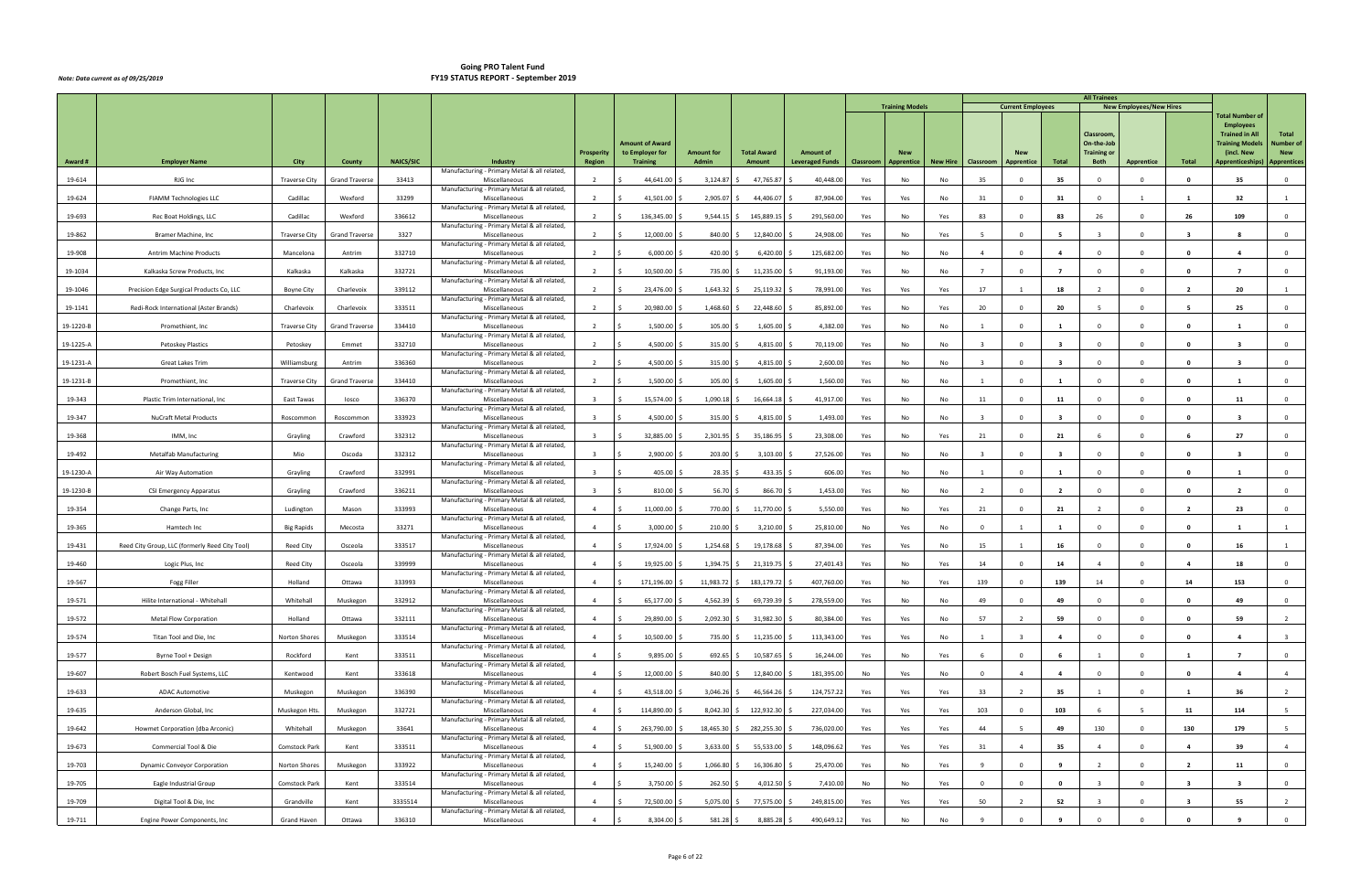|           |                                                |                      |                       |                  |                                                               |                                    |                                    |                            |                              |                                            |           |                          |                 |                         |                          |                          | <b>All Trainees</b>               |                                |                         |                                           |                                  |
|-----------|------------------------------------------------|----------------------|-----------------------|------------------|---------------------------------------------------------------|------------------------------------|------------------------------------|----------------------------|------------------------------|--------------------------------------------|-----------|--------------------------|-----------------|-------------------------|--------------------------|--------------------------|-----------------------------------|--------------------------------|-------------------------|-------------------------------------------|----------------------------------|
|           |                                                |                      |                       |                  |                                                               |                                    |                                    |                            |                              |                                            |           | <b>Training Models</b>   |                 |                         | <b>Current Employees</b> |                          |                                   | <b>New Employees/New Hires</b> |                         | <b>Total Number of</b>                    |                                  |
|           |                                                |                      |                       |                  |                                                               |                                    |                                    |                            |                              |                                            |           |                          |                 |                         |                          |                          | Classroom,                        |                                |                         | <b>Employees</b><br><b>Trained in All</b> | <b>Total</b>                     |
|           |                                                |                      |                       |                  |                                                               |                                    | Amount of Award                    |                            |                              |                                            |           |                          |                 |                         |                          |                          | On-the-Job                        |                                |                         | <b>Training Models</b>                    | <b>Number of</b>                 |
| Award#    | <b>Employer Name</b>                           | City                 | County                | <b>NAICS/SIC</b> | Industry                                                      | <b>Prosperity</b><br><b>Region</b> | to Employer for<br><b>Training</b> | <b>Amount for</b><br>Admin | <b>Total Award</b><br>Amount | <b>Amount of</b><br><b>Leveraged Funds</b> | Classroom | <b>New</b><br>Apprentice | <b>New Hire</b> | Classroom               | Apprentice               | Total                    | <b>Training or</b><br><b>Both</b> | <b>Apprentice</b>              | Total                   | (incl. New<br>Apprenticeships)            | <b>New</b><br><b>Apprentices</b> |
| 19-614    | RJG Inc                                        | <b>Traverse City</b> | <b>Grand Traverse</b> | 33413            | Manufacturing - Primary Metal & all related,<br>Miscellaneous |                                    | 44,641.00                          | 3,124.87                   | 47,765.87                    | 40,448.00                                  | Yes       | No                       | No              | 35                      | $\Omega$                 | 35                       |                                   | $\Omega$                       |                         | 35                                        | $\mathbf 0$                      |
|           |                                                | Cadillac             | Wexford               | 33299            | Manufacturing - Primary Metal & all related,<br>Miscellaneous | $\overline{2}$                     |                                    |                            |                              |                                            |           |                          |                 | 31                      | $\Omega$                 |                          | $\Omega$                          | 1                              | $\overline{\mathbf{1}}$ | 32                                        | 1                                |
| 19-624    | FIAMM Technologies LLC                         |                      |                       |                  | Manufacturing - Primary Metal & all related,                  |                                    | 41,501.00                          | 2,905.07                   | 44,406.07                    | 87,904.00                                  | Yes       | Yes                      | No              |                         |                          | 31                       |                                   |                                |                         |                                           |                                  |
| 19-693    | Rec Boat Holdings, LLC                         | Cadillac             | Wexford               | 336612           | Miscellaneous<br>Manufacturing - Primary Metal & all related, | $\overline{2}$                     | 136,345.00                         | 9,544.15                   | 145,889.15                   | 291,560.00                                 | Yes       | No                       | Yes             | 83                      | $\Omega$                 | 83                       | 26                                | $\Omega$                       | 26                      | 109                                       | $\Omega$                         |
| 19-862    | Bramer Machine, Inc.                           | <b>Traverse City</b> | Grand Traverse        | 3327             | Miscellaneous<br>Manufacturing - Primary Metal & all related, | $\overline{2}$                     | 12,000.00                          | 840.00                     | 12,840.00                    | 24,908.00                                  | Yes       | No                       | Yes             | - 5                     | $\Omega$                 |                          |                                   | $\Omega$                       |                         |                                           | $\mathbf 0$                      |
| 19-908    | <b>Antrim Machine Products</b>                 | Mancelona            | Antrim                | 332710           | Miscellaneous<br>Manufacturing - Primary Metal & all related, | $\overline{2}$                     | 6,000.00                           | 420.00                     | 6,420.00                     | 125,682.00                                 | Yes       | No                       | No              | $\overline{a}$          | $\Omega$                 | $\mathbf{A}$             | $\Omega$                          | $\Omega$                       | - 0                     |                                           | $\mathbf 0$                      |
| 19-1034   | Kalkaska Screw Products, Inc                   | Kalkaska             | Kalkaska              | 332721           | Miscellaneous                                                 | $\overline{2}$                     | 10,500.00                          | 735.00                     | 11,235.00                    | 91,193.00                                  | Yes       | No                       | No              |                         | $\Omega$                 | $\overline{7}$           | $\Omega$                          | $\Omega$                       | - 0                     | - 7                                       | $\overline{0}$                   |
| 19-1046   | Precision Edge Surgical Products Co, LLC       | <b>Boyne City</b>    | Charlevoix            | 339112           | Manufacturing - Primary Metal & all related,<br>Miscellaneous | $\overline{2}$                     | 23,476.00                          | 1,643.32                   | 25,119.32                    | 78,991.00                                  | Yes       | Yes                      | Yes             | 17                      |                          | 18                       |                                   | $\Omega$                       |                         | 20                                        |                                  |
| 19-1141   | Redi-Rock International (Aster Brands)         | Charlevoix           | Charlevoix            | 333511           | Manufacturing - Primary Metal & all related,<br>Miscellaneous |                                    | 20,980.00                          | 1,468.60                   | 22,448.60                    | 85,892.00                                  | Yes       | No                       | Yes             | 20                      | $\Omega$                 | 20                       |                                   | $\Omega$                       |                         | 25                                        | $\mathbf 0$                      |
| 19-1220-B | Promethient, Inc                               | <b>Traverse City</b> | <b>Grand Traverse</b> | 334410           | Manufacturing - Primary Metal & all related,<br>Miscellaneous | $\overline{2}$                     | 1,500.00                           | 105.00                     | 1,605.00                     | 4,382.00                                   | Yes       | No                       | No              |                         | $\Omega$                 |                          | $\Omega$                          | $\Omega$                       | $\mathbf{0}$            | $\mathbf{1}$                              | $\overline{0}$                   |
| 19-1225-A | Petoskey Plastics                              | Petoskey             | Emmet                 | 332710           | Manufacturing - Primary Metal & all related,<br>Miscellaneous | $\overline{2}$                     | 4,500.00                           | 315.00                     | 4,815.00                     | 70,119.00                                  | Yes       | No                       | No              | $\mathbf{R}$            | $\Omega$                 | $\mathbf{3}$             | $\Omega$                          | $\Omega$                       | $\Omega$                | $\overline{\mathbf{3}}$                   | $\mathbf{0}$                     |
|           |                                                |                      |                       |                  | Manufacturing - Primary Metal & all related,                  |                                    |                                    |                            |                              |                                            |           |                          |                 |                         |                          |                          |                                   |                                |                         |                                           |                                  |
| 19-1231-A | Great Lakes Trim                               | Williamsburg         | Antrim                | 336360           | Miscellaneous<br>Manufacturing - Primary Metal & all related, | $\overline{2}$                     | 4,500.00                           | 315.00                     | 4,815.00                     | 2,600.00                                   | Yes       | No                       | No              | $\mathbf{R}$            | $\Omega$                 |                          | $\Omega$                          | $\Omega$                       | - 0                     | -3                                        | $\mathbf 0$                      |
| 19-1231-B | Promethient, Inc.                              | <b>Traverse City</b> | <b>Grand Traverse</b> | 334410           | Miscellaneous<br>Manufacturing - Primary Metal & all related, | $\overline{2}$                     | 1,500.00                           | 105.00                     | 1,605.00                     | 1,560.00                                   | Yes       | No                       | No              |                         | $\Omega$                 |                          | $\Omega$                          | $\Omega$                       | - 0                     |                                           | $\mathbf 0$                      |
| 19-343    | Plastic Trim International, Inc                | East Tawas           | losco                 | 336370           | Miscellaneous<br>Manufacturing - Primary Metal & all related, | $\overline{3}$                     | 15,574.00                          | 1,090.18                   | 16,664.18                    | 41,917.00                                  | Yes       | No                       | No              | 11                      | $\Omega$                 | 11                       | $\Omega$                          | $\Omega$                       | - 0                     | 11                                        | $\mathbf{0}$                     |
| 19-347    | <b>NuCraft Metal Products</b>                  | Roscommon            | Roscommon             | 333923           | Miscellaneous                                                 | $\overline{3}$                     | 4,500.00                           | 315.00                     | 4,815.00                     | 1,493.00                                   | Yes       | No                       | No              | $\overline{\mathbf{3}}$ | $^{\circ}$               | $\mathbf{3}$             | $\mathbf{0}$                      | $\Omega$                       | 0                       | $\overline{\mathbf{3}}$                   | $\overline{0}$                   |
| 19-368    | IMM, Inc                                       | Grayling             | Crawford              | 332312           | Manufacturing - Primary Metal & all related,<br>Miscellaneous |                                    | 32,885.00                          | 2,301.95                   | 35,186.95                    | 23,308.00                                  | Yes       | No                       | Yes             | 21                      | $\Omega$                 | 21                       |                                   | $\Omega$                       |                         | 27                                        | $\mathbf 0$                      |
| 19-492    | <b>Metalfab Manufacturing</b>                  | Mio                  | Oscoda                | 332312           | Manufacturing - Primary Metal & all related,<br>Miscellaneous |                                    | 2,900.00                           | 203.00                     | 3,103.00                     | 27,526.00                                  | Yes       | No                       | No              |                         | $\Omega$                 | $\mathbf{3}$             | $\Omega$                          | $\Omega$                       | 0                       | $\overline{\mathbf{3}}$                   | $\overline{0}$                   |
| 19-1230-A | Air Way Automation                             | Grayling             | Crawford              | 332991           | Manufacturing - Primary Metal & all related,<br>Miscellaneous | $\overline{3}$                     | 405.00                             | 28.35                      | 433.35                       | 606.00                                     | Yes       | No                       | No              |                         | $\Omega$                 | $\mathbf{1}$             | $\Omega$                          | $\Omega$                       | - 0                     |                                           | $\mathbf 0$                      |
| 19-1230-B | CSI Emergency Apparatus                        | Grayling             | Crawford              | 336211           | Manufacturing - Primary Metal & all related,<br>Miscellaneous | $\mathbf{R}$                       | 810.00                             | 56.70                      | 866.70                       | 1,453.00                                   | Yes       | No                       | No              | $\overline{2}$          | $\Omega$                 | $\overline{\phantom{a}}$ | $\Omega$                          | $\Omega$                       | 0                       | $\overline{\phantom{a}}$                  | $\Omega$                         |
| 19-354    | Change Parts, Inc                              | Ludington            | Mason                 | 333993           | Manufacturing - Primary Metal & all related,<br>Miscellaneous | $\mathbf{A}$                       | 11,000.00                          | 770.00                     | 11,770.00                    | 5,550.00                                   | Yes       | No                       | Yes             | 21                      | $\Omega$                 | 21                       |                                   | $\Omega$                       | $\overline{\mathbf{2}}$ | 23                                        | $\mathbf{0}$                     |
|           |                                                |                      |                       |                  | Manufacturing - Primary Metal & all related,                  |                                    |                                    |                            |                              |                                            |           |                          |                 |                         |                          |                          |                                   |                                |                         |                                           |                                  |
| 19-365    | Hamtech Inc                                    | <b>Big Rapids</b>    | Mecosta               | 33271            | Miscellaneous<br>Manufacturing - Primary Metal & all related, | $\overline{4}$                     | 3,000.00                           | 210.00                     | 3,210.00                     | 25,810.00                                  | No        | Yes                      | No              | $\Omega$                | -1                       | 1                        | $\Omega$                          | $\Omega$                       | 0                       |                                           | 1                                |
| 19-431    | Reed City Group, LLC (formerly Reed City Tool) | <b>Reed City</b>     | Osceola               | 333517           | Miscellaneous<br>Manufacturing - Primary Metal & all related, | $\overline{4}$                     | 17,924.00                          | 1,254.68                   | 19,178.68                    | 87,394.00                                  | Yes       | Yes                      | No              | 15                      |                          | 16                       | $^{\circ}$                        | $\Omega$                       | 0                       | 16                                        |                                  |
| 19-460    | Logic Plus, Inc                                | Reed City            | Osceola               | 339999           | Miscellaneous<br>Manufacturing - Primary Metal & all related, | $\overline{a}$                     | 19,925.00                          | 1,394.75                   | 21,319.75                    | 27,401.43                                  | Yes       | No                       | Yes             | 14                      | $\Omega$                 | 14                       |                                   | $\Omega$                       |                         | 18                                        | $\mathbf 0$                      |
| 19-567    | Fogg Filler                                    | Holland              | Ottawa                | 333993           | Miscellaneous                                                 | $\overline{4}$                     | 171,196.00<br>S.                   | 11,983.72 \$               | 183,179.72 \$                | 407,760.00                                 | Yes       | No                       | Yes             | 139                     | $^{\circ}$               | 139                      | 14                                | $\Omega$                       | 14                      | 153                                       | $\mathbf 0$                      |
| 19-571    | Hilite International - Whitehall               | Whitehall            | Muskegon              | 332912           | Manufacturing - Primary Metal & all related,<br>Miscellaneous | $\overline{4}$                     | 65,177.00<br>Ŝ.                    | $4,562.39$ \$              | 69,739.39 \$                 | 278,559.00                                 | Yes       | No                       | No              | 49                      | $\Omega$                 | 49                       | $\Omega$                          | $\overline{0}$                 | $\mathbf{0}$            | 49                                        | $\overline{0}$                   |
| 19-572    | <b>Metal Flow Corporation</b>                  | Holland              | Ottawa                | 332111           | Manufacturing - Primary Metal & all related,<br>Miscellaneous | $\overline{4}$                     | 29,890.00                          | $2,092.30$ \$              | 31,982.30                    | 80,384.00                                  | Yes       | Yes                      | No              | 57                      |                          | 59                       | $\Omega$                          | $\Omega$                       | $\Omega$                | 59                                        | $\overline{2}$                   |
| 19-574    | Titan Tool and Die, Inc                        | Norton Shores        | Muskegon              | 333514           | Manufacturing - Primary Metal & all related,<br>Miscellaneous | $\overline{a}$                     | 10,500.00                          | 735.00 \$                  | 11,235.00                    | 113,343.00                                 | Yes       | Yes                      | No              |                         |                          | $\overline{a}$           |                                   | $\Omega$                       |                         | $\mathbf{a}$                              | $\overline{\mathbf{3}}$          |
| 19-577    | Byrne Tool + Design                            | Rockford             | Kent                  | 333511           | Manufacturing - Primary Metal & all related,<br>Miscellaneous | $\overline{4}$                     | 9,895.00                           | 692.65 \$                  | 10,587.65                    | 16,244.00                                  | Yes       | No                       | Yes             | 6                       | $\Omega$                 | 6                        | $\overline{1}$                    | $\Omega$                       | $\mathbf{1}$            | $\overline{7}$                            | $\overline{0}$                   |
| 19-607    | Robert Bosch Fuel Systems, LLC                 | Kentwood             | Kent                  | 333618           | Manufacturing - Primary Metal & all related,<br>Miscellaneous | $\overline{4}$                     | 12,000.00                          | 840.00 \$                  | 12,840.00                    | 181,395.00                                 | No        | Yes                      |                 | $\overline{0}$          |                          | $\overline{4}$           | $\overline{0}$                    | $\Omega$                       | $\Omega$                | $\overline{a}$                            | $\overline{4}$                   |
|           |                                                |                      |                       |                  | Manufacturing - Primary Metal & all related,                  |                                    |                                    |                            |                              |                                            |           |                          | No              |                         |                          |                          |                                   |                                |                         |                                           |                                  |
| 19-633    | <b>ADAC Automotive</b>                         | Muskegon             | Muskegon              | 336390           | Miscellaneous<br>Manufacturing - Primary Metal & all related, | $\overline{a}$                     | 43,518.00<br>Ŝ.                    | 3,046.26                   | 46,564.26                    | 124,757.22                                 | Yes       | Yes                      | Yes             | 33                      |                          | 35                       |                                   | $\Omega$                       |                         | 36                                        | $\overline{2}$                   |
| 19-635    | Anderson Global, Inc                           | Muskegon Hts         | Muskegon              | 332721           | Miscellaneous<br>Manufacturing - Primary Metal & all related, | $\overline{4}$                     | 114,890.00<br>ς.                   | $8,042.30$ \$              | 122,932.30                   | 227,034.00                                 | Yes       | Yes                      | Yes             | 103                     | $\mathbf{0}$             | 103                      | - 6                               | -5                             | 11                      | 114                                       | 5                                |
| 19-642    | Howmet Corporation (dba Arconic)               | Whitehall            | Muskegon              | 33641            | Miscellaneous<br>Manufacturing - Primary Metal & all related, | $\overline{4}$                     | 263,790.00                         | 18,465.30                  | 282,255.30                   | 736,020.00                                 | Yes       | Yes                      | Yes             | 44                      |                          | 49                       | 130                               | $\mathbf{0}$                   | 130                     | 179                                       | 5 <sup>5</sup>                   |
| 19-673    | Commercial Tool & Die                          | Comstock Park        | Kent                  | 333511           | Miscellaneous<br>Manufacturing - Primary Metal & all related, | $\overline{4}$                     | 51,900.00                          | 3,633.00                   | 55,533.00                    | 148,096.62                                 | Yes       | Yes                      | Yes             | 31                      |                          | 35                       | $\overline{4}$                    | $\Omega$                       | $\overline{a}$          | 39                                        | $\overline{4}$                   |
| 19-703    | <b>Dynamic Conveyor Corporation</b>            | Norton Shores        | Muskegon              | 333922           | Miscellaneous                                                 | $\overline{a}$                     | 15,240.00                          | 1,066.80                   | 16,306.80                    | 25,470.00                                  | Yes       | No                       | Yes             |                         | $\Omega$                 | $\mathbf{q}$             |                                   | $\Omega$                       | $\overline{\mathbf{2}}$ | 11                                        | $\overline{0}$                   |
| 19-705    | Eagle Industrial Group                         | Comstock Park        | Kent                  | 333514           | Manufacturing - Primary Metal & all related,<br>Miscellaneous | $\overline{4}$                     | 3,750.00<br>-Ś                     | 262.50 \$                  | 4,012.50                     | 7,410.00                                   | No        | No                       | Yes             | $\overline{0}$          | $\Omega$                 | $\mathbf 0$              | $\overline{\mathbf{3}}$           | $\mathbf{0}$                   | $\overline{\mathbf{3}}$ | $\overline{\mathbf{3}}$                   | $\overline{0}$                   |
| 19-709    | Digital Tool & Die, Inc                        | Grandville           | Kent                  | 3335514          | Manufacturing - Primary Metal & all related,<br>Miscellaneous | $\overline{4}$                     | 72,500.00                          | 5,075.00                   | 77,575.00                    | 249,815.00                                 | Yes       | Yes                      | Yes             | 50                      |                          | 52                       | $\overline{3}$                    | $\Omega$                       | -3                      | 55                                        | $\overline{2}$                   |
| 19-711    | Engine Power Components, Inc                   | Grand Haven          | Ottawa                | 336310           | Manufacturing - Primary Metal & all related,<br>Miscellaneous | $\overline{4}$                     | 8,304.00<br>- S                    | $581.28$ \$                | 8,885.28 \$                  | 490,649.12                                 | Yes       | No                       | No              |                         | $\Omega$                 |                          |                                   | $\Omega$                       |                         | -9                                        | $\overline{0}$                   |
|           |                                                |                      |                       |                  |                                                               |                                    |                                    |                            |                              |                                            |           |                          |                 |                         |                          |                          |                                   |                                |                         |                                           |                                  |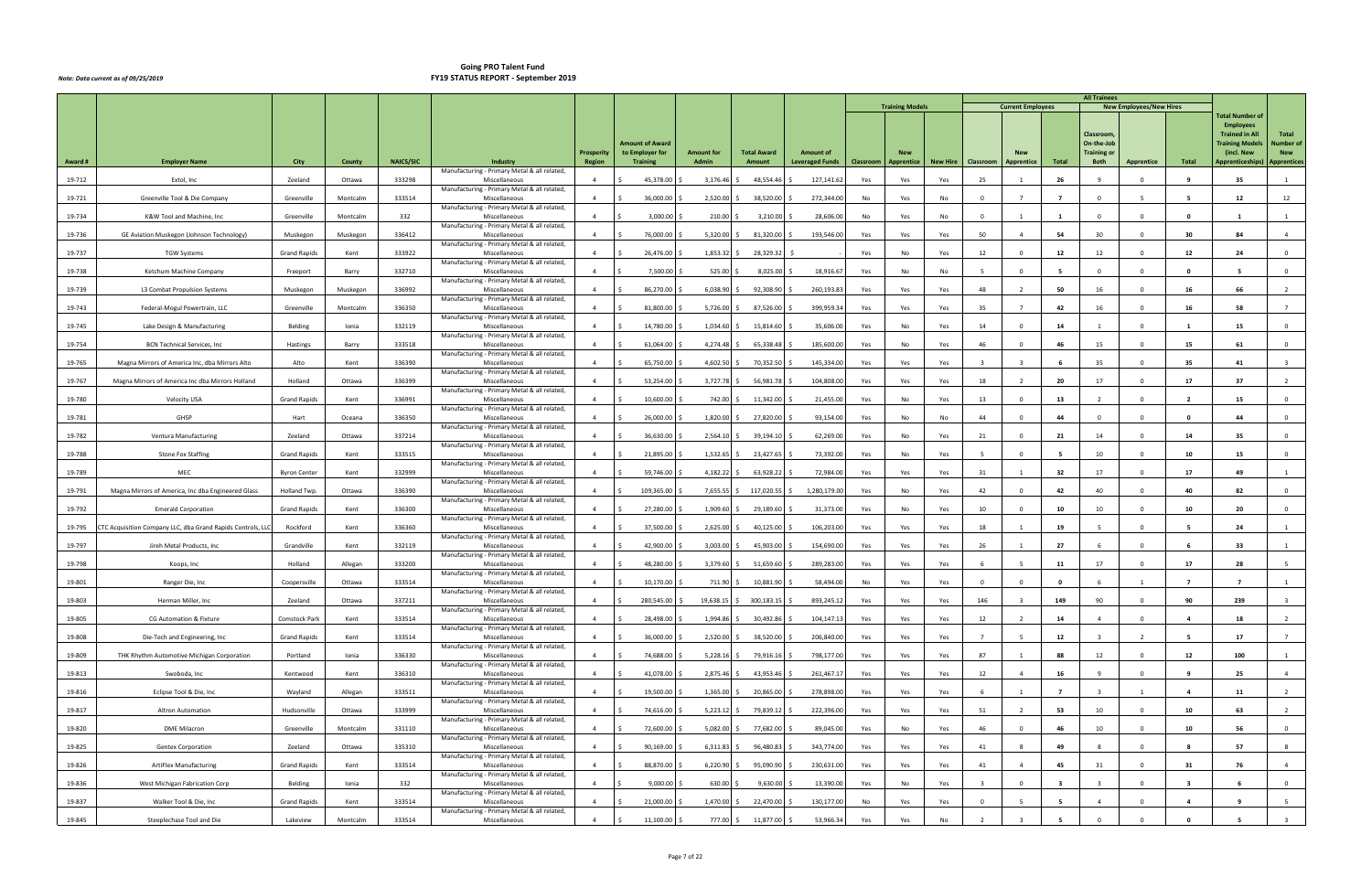|         |                                                            |                     |          |                  |                                                               |                                    |                                    |                            |                              |                                            |           |                          |          |                         |                          |                         | <b>All Trainees</b>               |                                |                         |                                           |                                  |
|---------|------------------------------------------------------------|---------------------|----------|------------------|---------------------------------------------------------------|------------------------------------|------------------------------------|----------------------------|------------------------------|--------------------------------------------|-----------|--------------------------|----------|-------------------------|--------------------------|-------------------------|-----------------------------------|--------------------------------|-------------------------|-------------------------------------------|----------------------------------|
|         |                                                            |                     |          |                  |                                                               |                                    |                                    |                            |                              |                                            |           | <b>Training Models</b>   |          |                         | <b>Current Employees</b> |                         |                                   | <b>New Employees/New Hires</b> |                         | <b>Total Number of</b>                    |                                  |
|         |                                                            |                     |          |                  |                                                               |                                    |                                    |                            |                              |                                            |           |                          |          |                         |                          |                         | Classroom,                        |                                |                         | <b>Employees</b><br><b>Trained in All</b> | Total                            |
|         |                                                            |                     |          |                  |                                                               |                                    | Amount of Award                    |                            |                              |                                            |           |                          |          |                         |                          |                         | On-the-Job                        |                                |                         | <b>Training Models</b>                    | Number of                        |
| Award # | <b>Employer Name</b>                                       | City                | County   | <b>NAICS/SIC</b> | Industry                                                      | <b>Prosperity</b><br><b>Region</b> | to Employer for<br><b>Training</b> | <b>Amount for</b><br>Admin | <b>Total Award</b><br>Amount | <b>Amount of</b><br><b>Leveraged Funds</b> | Classroom | <b>New</b><br>Apprentice | New Hire | Classroom               | <b>Apprentice</b>        | Total                   | <b>Training or</b><br><b>Both</b> | Apprentice                     | Total                   | (incl. New<br>Apprenticeships)            | <b>New</b><br><b>Apprentices</b> |
| 19-712  | Extol, Inc                                                 | Zeeland             | Ottawa   | 333298           | Manufacturing - Primary Metal & all related,<br>Miscellaneous |                                    | 45,378.00                          | 3,176.46                   | 48,554.46                    | 127,141.62                                 | Yes       | Yes                      | Yes      | 25                      |                          | 26                      |                                   |                                |                         | 35                                        |                                  |
|         |                                                            | Greenville          | Montcalm |                  | Manufacturing - Primary Metal & all related,<br>Miscellaneous | $\overline{4}$                     |                                    |                            |                              |                                            | No        |                          |          | $\Omega$                |                          | $\overline{7}$          | $\Omega$                          | -5                             | - 5                     | 12                                        |                                  |
| 19-721  | Greenville Tool & Die Company                              |                     |          | 333514           | Manufacturing - Primary Metal & all related,                  |                                    | 36,000.00                          | 2,520.00                   | 38,520.00                    | 272,344.00                                 |           | Yes                      | No       |                         |                          |                         |                                   |                                |                         |                                           | 12                               |
| 19-734  | K&W Tool and Machine, Inc                                  | Greenville          | Montcalm | 332              | Miscellaneous<br>Manufacturing - Primary Metal & all related, | $\overline{4}$                     | 3,000.00                           | 210.00                     | 3,210.00                     | 28,606.00                                  | No        | Yes                      | No       | $\Omega$                |                          |                         | $\Omega$                          | $\Omega$                       | - 0                     |                                           |                                  |
| 19-736  | GE Aviation Muskegon (Johnson Technology)                  | Muskegon            | Muskegon | 336412           | Miscellaneous<br>Manufacturing - Primary Metal & all related, | $\overline{a}$                     | 76,000.00                          | 5,320.00                   | 81,320.00                    | 193,546.00                                 | Yes       | Yes                      | Yes      | 50                      |                          | 54                      | 30                                | $\Omega$                       | 30                      | 84                                        | $\overline{4}$                   |
| 19-737  | <b>TGW Systems</b>                                         | <b>Grand Rapids</b> | Kent     | 333922           | Miscellaneous                                                 |                                    | 26,476.00                          | 1,853.32                   | 28,329.32                    |                                            | Yes       | No                       | Yes      | 12                      | $\Omega$                 | 12                      | 12                                | $\Omega$                       | 12                      | 24                                        | $\mathbf{0}$                     |
| 19-738  | Ketchum Machine Company                                    | Freeport            | Barry    | 332710           | Manufacturing - Primary Metal & all related,<br>Miscellaneous | $\overline{4}$                     | 7,500.00                           | 525.00                     | 8,025.00                     | 18,916.67                                  | Yes       | No                       | No       | -5                      | $\Omega$                 | - 5                     | $\Omega$                          | $\Omega$                       | - 0                     | -5                                        | $\overline{0}$                   |
| 19-739  | L3 Combat Propulsion Systems                               | Muskegon            | Muskegon | 336992           | Manufacturing - Primary Metal & all related,<br>Miscellaneous | $\overline{a}$                     | 86,270.00                          | 6,038.90                   | 92,308.90                    | 260,193.83                                 | Yes       | Yes                      | Yes      | 48                      |                          | 50                      | 16                                | $\Omega$                       | 16                      | 66                                        |                                  |
| 19-743  | Federal-Mogul Powertrain, LLC                              | Greenville          | Montcalm | 336350           | Manufacturing - Primary Metal & all related,<br>Miscellaneous |                                    | 81,800.00                          | 5,726.00                   | 87,526.00                    | 399,959.3                                  | Yes       | Yes                      | Yes      | 35                      |                          | 42                      | 16                                | $\Omega$                       | 16                      | 58                                        |                                  |
| 19-745  | Lake Design & Manufacturing                                | Belding             | Ionia    | 332119           | Manufacturing - Primary Metal & all related,<br>Miscellaneous | $\overline{a}$                     | 14,780.00                          | 1,034.60                   | 15,814.60                    | 35,606.00                                  | Yes       | No                       | Yes      | 14                      | $\Omega$                 | 14                      |                                   | $\Omega$                       | -1                      | 15                                        | $\overline{0}$                   |
|         |                                                            |                     |          |                  | Manufacturing - Primary Metal & all related,                  |                                    |                                    |                            |                              |                                            |           |                          |          |                         |                          |                         |                                   |                                |                         |                                           |                                  |
| 19-754  | <b>BCN Technical Services, Inc.</b>                        | Hastings            | Barry    | 333518           | Miscellaneous<br>Manufacturing - Primary Metal & all related, | $\overline{a}$                     | 61,064.00                          | 4,274.48                   | 65,338.48                    | 185,600.00                                 | Yes       | No                       | Yes      | 46                      | $\Omega$                 | 46                      | 15                                | $\Omega$                       | 15                      | 61                                        | $\mathbf{0}$                     |
| 19-765  | Magna Mirrors of America Inc, dba Mirrors Alto             | Alto                | Kent     | 336390           | Miscellaneous<br>Manufacturing - Primary Metal & all related, | $\mathbf{A}$                       | 65,750.00                          | 4,602.50                   | 70,352.50                    | 145,334.00                                 | Yes       | Yes                      | Yes      | $\overline{\mathbf{3}}$ |                          |                         | 35                                | $\Omega$                       | 35                      | 41                                        |                                  |
| 19-767  | Magna Mirrors of America Inc dba Mirrors Holland           | Holland             | Ottawa   | 336399           | Miscellaneous<br>Manufacturing - Primary Metal & all related, | $\overline{a}$                     | 53,254.00                          | 3,727.78                   | 56,981.78                    | 104,808.0                                  | Yes       | Yes                      | Yes      | 18                      |                          | 20                      | 17                                | $\Omega$                       | 17                      | 37                                        | $\overline{2}$                   |
| 19-780  | Velocity USA                                               | <b>Grand Rapids</b> | Kent     | 336991           | Miscellaneous                                                 | $\overline{4}$                     | 10,600.00                          | 742.00                     | 11,342.00                    | 21,455.00                                  | Yes       | No                       | Yes      | 13                      | $\Omega$                 | 13                      | $\overline{2}$                    | $\Omega$                       | $\overline{2}$          | 15                                        | $\mathbf{0}$                     |
| 19-781  | GHSP                                                       | Hart                | Oceana   | 336350           | Manufacturing - Primary Metal & all related,<br>Miscellaneous | $\overline{4}$                     | 26,000.00                          | 1,820.00                   | 27,820.00                    | 93,154.00                                  | Yes       | No                       | No       | 44                      | $\mathbf{0}$             | 44                      | $^{\circ}$                        | $\Omega$                       | 0                       | 44                                        | $\overline{0}$                   |
| 19-782  | Ventura Manufacturing                                      | Zeeland             | Ottawa   | 337214           | Manufacturing - Primary Metal & all related,<br>Miscellaneous | $\overline{a}$                     | 36,630.00                          | 2,564.10                   | 39,194.10                    | 62,269.00                                  | Yes       | No                       | Yes      | 21                      | $\Omega$                 | 21                      | 14                                | $\Omega$                       | 14                      | 35                                        | $\mathbf 0$                      |
| 19-788  | <b>Stone Fox Staffing</b>                                  | <b>Grand Rapids</b> | Kent     | 333515           | Manufacturing - Primary Metal & all related,<br>Miscellaneous | $\overline{a}$                     | 21,895.00                          | 1,532.65                   | 23,427.65                    | 73,392.00                                  | Yes       | No                       | Yes      |                         | $\Omega$                 |                         | 10                                | $\Omega$                       | 10                      | 15                                        | $\mathbf 0$                      |
| 19-789  | MEC                                                        | <b>Byron Center</b> | Kent     | 332999           | Manufacturing - Primary Metal & all related,<br>Miscellaneous | $\overline{4}$                     | 59,746.00                          | 4,182.22                   | 63,928.22                    | 72,984.00                                  | Yes       | Yes                      | Yes      | 31                      |                          | 32                      | 17                                | $\Omega$                       | 17                      | 49                                        |                                  |
| 19-791  | Magna Mirrors of America, Inc dba Engineered Glass         | Holland Twp.        | Ottawa   | 336390           | Manufacturing - Primary Metal & all related,<br>Miscellaneous | $\overline{a}$                     | 109,365.00                         | 7,655.55                   | 117,020.55                   | 1,280,179.00                               | Yes       | No                       | Yes      | 42                      | $\Omega$                 | 42                      | 40                                | $\Omega$                       | 40                      | 82                                        | $\mathbf 0$                      |
|         |                                                            |                     |          |                  | Manufacturing - Primary Metal & all related,                  |                                    |                                    |                            |                              |                                            |           | No                       |          | 10                      | $\Omega$                 |                         | 10                                | $\Omega$                       | 10                      | 20                                        |                                  |
| 19-792  | <b>Emerald Corporation</b>                                 | <b>Grand Rapids</b> | Kent     | 336300           | Miscellaneous<br>Manufacturing - Primary Metal & all related, |                                    | 27,280.00                          | 1,909.60                   | 29,189.60                    | 31,373.00                                  | Yes       |                          | Yes      |                         |                          | 10                      |                                   |                                |                         |                                           | $\mathbf{0}$                     |
| 19-795  | TC Acquisition Company LLC, dba Grand Rapids Controls, LLC | Rockford            | Kent     | 336360           | Miscellaneous<br>Manufacturing - Primary Metal & all related, | $\overline{4}$                     | 37,500.00                          | 2,625.00                   | 40,125.00                    | 106,203.00                                 | Yes       | Yes                      | Yes      | 18                      |                          | 19                      | -5                                | $\Omega$                       | - 5                     | 24                                        | 1                                |
| 19-797  | Jireh Metal Products, Inc                                  | Grandville          | Kent     | 332119           | Miscellaneous<br>Manufacturing - Primary Metal & all related, | $\overline{4}$                     | 42,900.00                          | 3,003.00                   | 45,903.00                    | 154,690.00                                 | Yes       | Yes                      | Yes      | 26                      |                          | 27                      | - 6                               | $\Omega$                       |                         | 33                                        |                                  |
| 19-798  | Koops, Inc                                                 | Holland             | Allegan  | 333200           | Miscellaneous<br>Manufacturing - Primary Metal & all related, |                                    | 48,280.00                          | 3,379.60                   | 51,659.60                    | 289,283.00                                 | Yes       | Yes                      | Yes      |                         |                          | 11                      | 17                                | $\Omega$                       | 17                      | 28                                        |                                  |
| 19-801  | Ranger Die, Inc                                            | Coopersville        | Ottawa   | 333514           | Miscellaneous                                                 | $\overline{4}$                     | 10,170.00<br>-S                    | 711.90                     | 10,881.90                    | 58,494.00                                  | No        | Yes                      | Yes      | $\Omega$                | $\Omega$                 | $\mathbf{0}$            | 6                                 |                                | $\overline{7}$          | $\overline{7}$                            |                                  |
| 19-803  | Herman Miller, Inc                                         | Zeeland             | Ottawa   | 337211           | Manufacturing - Primary Metal & all related,<br>Miscellaneous | $\overline{4}$                     | 280,545.00 \$                      | 19,638.15 \$               | 300,183.15 \$                | 893,245.12                                 | Yes       | Yes                      | Yes      | 146                     |                          | 149                     | 90                                | $\overline{0}$                 | 90                      | 239                                       | $\overline{\mathbf{3}}$          |
| 19-805  | CG Automation & Fixture                                    | Comstock Park       | Kent     | 333514           | Manufacturing - Primary Metal & all related,<br>Miscellaneous | $\overline{4}$                     | 28,498.00                          | 1,994.86 \$                | 30,492.86                    | 104,147.13                                 | Yes       | Yes                      | Yes      | 12                      |                          | 14                      | $\overline{a}$                    | $\Omega$                       | $\overline{a}$          | 18                                        | $\overline{2}$                   |
| 19-808  | Die-Tech and Engineering, Inc                              | <b>Grand Rapids</b> | Kent     | 333514           | Manufacturing - Primary Metal & all related,<br>Miscellaneous | $\overline{4}$                     | 36,000.00                          | 2,520.00                   | 38,520.00                    | 206,840.00                                 | Yes       | Yes                      | Yes      |                         |                          | 12                      |                                   |                                |                         | 17                                        | 7                                |
| 19-809  | THK Rhythm Automotive Michigan Corporation                 | Portland            | Ionia    | 336330           | Manufacturing - Primary Metal & all related,<br>Miscellaneous | $\overline{4}$                     | 74,688.00                          | $5,228.16$ \$              | 79,916.16                    | 798,177.00                                 | Yes       | Yes                      | Yes      | 87                      |                          | 88                      | 12                                | $\Omega$                       | 12                      | 100                                       | 1                                |
|         |                                                            |                     |          |                  | Manufacturing - Primary Metal & all related,                  |                                    |                                    |                            |                              |                                            |           |                          |          |                         |                          |                         |                                   |                                |                         |                                           |                                  |
| 19-813  | Swoboda, Inc                                               | Kentwood            | Kent     | 336310           | Miscellaneous<br>Manufacturing - Primary Metal & all related, | $\overline{4}$                     | 41,078.00                          | 2,875.46                   | 43,953.46                    | 261,467.17                                 | Yes       | Yes                      | Yes      | 12                      | $\Delta$                 | 16                      | -9                                | $\Omega$                       |                         | 25                                        | $\overline{4}$                   |
| 19-816  | Eclipse Tool & Die, Inc                                    | Wayland             | Allegan  | 333511           | Miscellaneous<br>Manufacturing - Primary Metal & all related, | $\overline{a}$                     | 19,500.00                          | 1,365.00                   | 20,865.00                    | 278,898.00                                 | Yes       | Yes                      | Yes      | - 6                     |                          | $\overline{7}$          |                                   |                                | -4                      | 11                                        | $\overline{2}$                   |
| 19-817  | Altron Automation                                          | Hudsonville         | Ottawa   | 333999           | Miscellaneous<br>Manufacturing - Primary Metal & all related, | $\overline{4}$                     | 74,616.00<br>S.                    | $5,223.12$ \$              | 79,839.12 \$                 | 222,396.00                                 | Yes       | Yes                      | Yes      | 51                      |                          | 53                      | 10                                | $\Omega$                       | 10                      | 63                                        | $\overline{2}$                   |
| 19-820  | <b>DME Milacron</b>                                        | Greenville          | Montcalm | 331110           | Miscellaneous<br>Manufacturing - Primary Metal & all related, | $\overline{4}$                     | 72,600.00                          | $5,082.00$ \$              | 77,682.00                    | 89,045.00                                  | Yes       | No                       | Yes      | 46                      | $\mathbf 0$              | 46                      | 10                                | $\mathbf{0}$                   | 10                      | 56                                        | $\overline{0}$                   |
| 19-825  | <b>Gentex Corporation</b>                                  | Zeeland             | Ottawa   | 335310           | Miscellaneous<br>Manufacturing - Primary Metal & all related, | $\overline{4}$                     | 90,169.00                          | 6,311.83                   | 96,480.83                    | 343,774.00                                 | Yes       | Yes                      | Yes      | 41                      |                          | 49                      |                                   | $\Omega$                       | -8                      | 57                                        | 8                                |
| 19-826  | <b>ArtiFlex Manufacturing</b>                              | <b>Grand Rapids</b> | Kent     | 333514           | Miscellaneous                                                 | $\overline{a}$                     | 88,870.00                          | 6,220.90                   | 95,090.90                    | 230,631.00                                 | Yes       | Yes                      | Yes      | 41                      |                          | 45                      | 31                                | $\Omega$                       | 31                      | 76                                        | $\overline{4}$                   |
| 19-836  | West Michigan Fabrication Corp                             | Belding             | Ionia    | 332              | Manufacturing - Primary Metal & all related,<br>Miscellaneous | $\overline{4}$                     | 9,000.00<br>-Ś                     | 630.00 \$                  | 9,630.00                     | 13,390.00                                  | Yes       | No                       | Yes      | $\overline{\mathbf{3}}$ | $\Omega$                 | $\overline{\mathbf{3}}$ | $\overline{\mathbf{3}}$           | $\mathbf{0}$                   | $\overline{\mathbf{3}}$ | 6                                         | $\overline{0}$                   |
| 19-837  | Walker Tool & Die, Inc                                     | <b>Grand Rapids</b> | Kent     | 333514           | Manufacturing - Primary Metal & all related,<br>Miscellaneous | $\overline{4}$                     | 21,000.00                          | 1,470.00 \$                | 22,470.00                    | 130,177.00                                 | No        | Yes                      | Yes      | $\Omega$                |                          | 5                       | $\overline{4}$                    | $\Omega$                       | $\overline{a}$          | -9                                        | 5                                |
| 19-845  | Steeplechase Tool and Die                                  | Lakeview            | Montcalm | 333514           | Manufacturing - Primary Metal & all related,<br>Miscellaneous | $\overline{4}$                     | 11,100.00<br>-\$                   | 777.00 \$                  | 11,877.00 \$                 | 53,966.34                                  | Yes       | Yes                      | No       |                         |                          |                         |                                   | $\Omega$                       | - 0                     | - 5                                       | $\overline{\mathbf{3}}$          |
|         |                                                            |                     |          |                  |                                                               |                                    |                                    |                            |                              |                                            |           |                          |          |                         |                          |                         |                                   |                                |                         |                                           |                                  |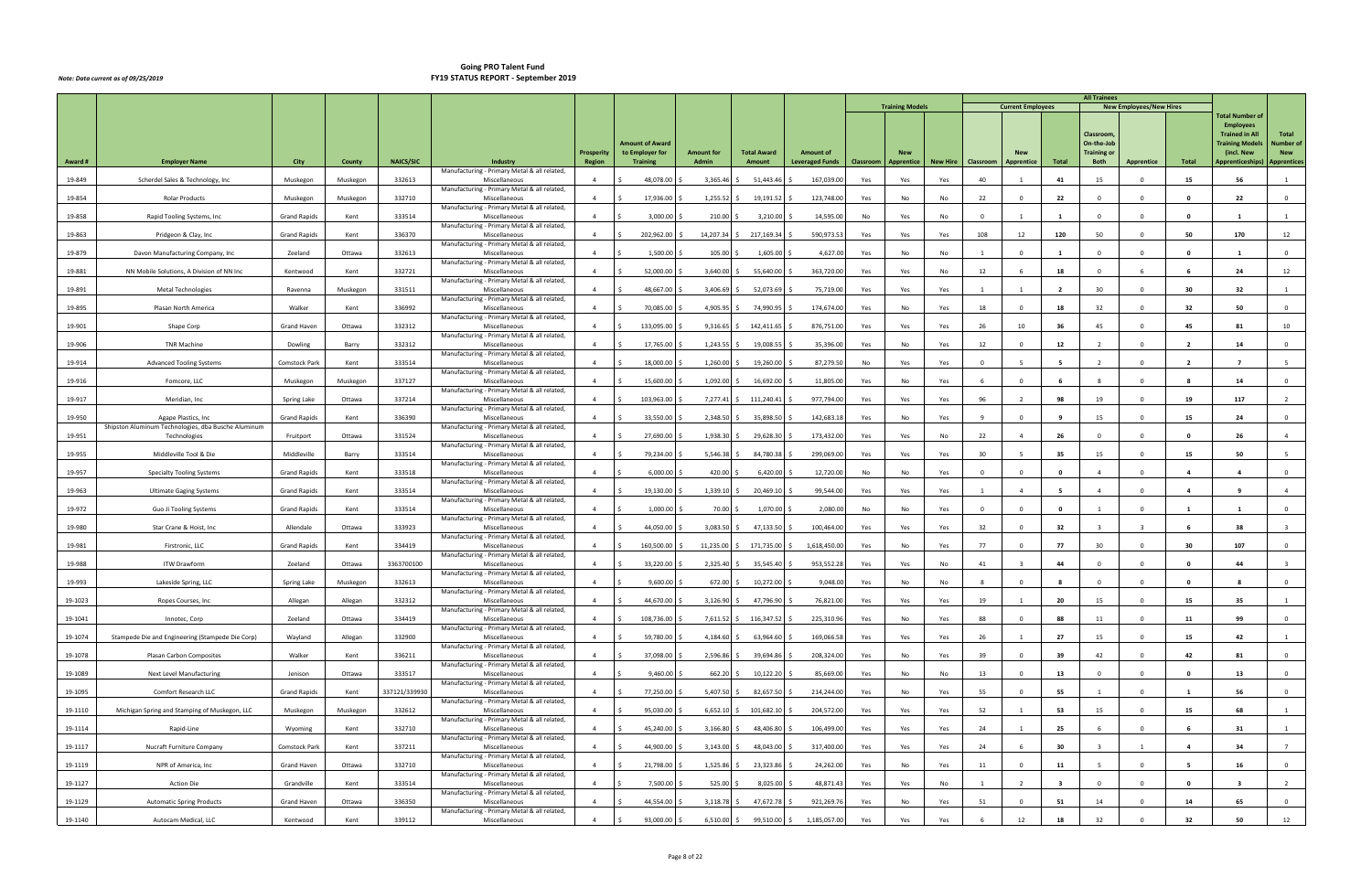|         |                                                     |                     |          |                  |                                                                 |                   |                                           |                   |                    |                        |           | <b>Training Models</b> |                 |                | <b>Current Employees</b> |                          | <b>All Trainees</b>              | <b>New Employees/New Hires</b> |                         |                                           |                         |
|---------|-----------------------------------------------------|---------------------|----------|------------------|-----------------------------------------------------------------|-------------------|-------------------------------------------|-------------------|--------------------|------------------------|-----------|------------------------|-----------------|----------------|--------------------------|--------------------------|----------------------------------|--------------------------------|-------------------------|-------------------------------------------|-------------------------|
|         |                                                     |                     |          |                  |                                                                 |                   |                                           |                   |                    |                        |           |                        |                 |                |                          |                          |                                  |                                |                         | <b>Total Number of</b>                    |                         |
|         |                                                     |                     |          |                  |                                                                 |                   |                                           |                   |                    |                        |           |                        |                 |                |                          |                          | Classroom                        |                                |                         | <b>Employees</b><br><b>Trained in All</b> | Total                   |
|         |                                                     |                     |          |                  |                                                                 | <b>Prosperity</b> | <b>Amount of Award</b><br>to Employer for | <b>Amount for</b> | <b>Total Award</b> | <b>Amount of</b>       |           | <b>New</b>             |                 |                |                          |                          | On-the-Job<br><b>Training or</b> |                                |                         | <b>Training Models</b><br>(incl. New      | Number of<br><b>New</b> |
| Award # | <b>Employer Name</b>                                | City                | County   | <b>NAICS/SIC</b> | <b>Industry</b><br>Manufacturing - Primary Metal & all related, | <b>Region</b>     | <b>Training</b>                           | <b>Admin</b>      | Amount             | <b>Leveraged Funds</b> | Classroom | Apprentice             | <b>New Hire</b> | Classroom      | <b>Apprentice</b>        | Total                    | Both                             | <b>Apprentice</b>              | Total                   | Apprenticeships)                          | <b>Apprentices</b>      |
| 19-849  | Scherdel Sales & Technology, Inc.                   | Muskegon            | Muskegon | 332613           | Miscellaneous                                                   | $\overline{4}$    | 48,078.00                                 | 3,365.46          | 51,443.46          | 167,039.00             | Yes       | Yes                    | Yes             | 40             |                          | 41                       | 15                               | $\Omega$                       | 15                      | 56                                        |                         |
| 19-854  | <b>Rolar Products</b>                               | Muskegon            | Muskegon | 332710           | Manufacturing - Primary Metal & all related<br>Miscellaneous    | $\overline{4}$    | 17,936.00                                 | 1,255.52          | 19,191.52          | 123,748.00             | Yes       | No                     | No              | 22             | $\Omega$                 | 22                       | $\Omega$                         | $\Omega$                       | $\mathbf{0}$            | 22                                        | $\Omega$                |
| 19-858  | Rapid Tooling Systems, Inc                          | <b>Grand Rapids</b> | Kent     | 333514           | Manufacturing - Primary Metal & all related,<br>Miscellaneous   | $\overline{4}$    | 3,000.00                                  | 210.00            | 3,210.00           | 14,595.00              | No        | Yes                    | No              | $\Omega$       |                          |                          | $\Omega$                         | $\Omega$                       | $\Omega$                |                                           |                         |
| 19-863  | Pridgeon & Clay, Inc                                | <b>Grand Rapids</b> | Kent     | 336370           | Manufacturing - Primary Metal & all related,<br>Miscellaneous   | $\overline{4}$    | 202,962.00                                | 14,207.34         | 217,169.34         | 590,973.53             | Yes       | Yes                    | Yes             | 108            | 12                       | 120                      | 50                               | $\Omega$                       | 50                      | 170                                       | 12                      |
| 19-879  | Davon Manufacturing Company, Inc                    | Zeeland             | Ottawa   | 332613           | Manufacturing - Primary Metal & all related,<br>Miscellaneous   | $\overline{4}$    | 1,500.00                                  | 105.00            | 1,605.00           | 4,627.00               | Yes       | No                     | No              |                | $\Omega$                 |                          | $\Omega$                         | $\Omega$                       | $\mathbf{0}$            |                                           | $\overline{0}$          |
|         |                                                     |                     |          |                  | Manufacturing - Primary Metal & all related,                    |                   |                                           |                   |                    |                        |           |                        |                 |                |                          |                          |                                  |                                |                         |                                           |                         |
| 19-881  | NN Mobile Solutions, A Division of NN Inc           | Kentwood            | Kent     | 332721           | Miscellaneous<br>Manufacturing - Primary Metal & all related,   | $\overline{4}$    | 52,000.00                                 | 3,640.00          | 55,640.00          | 363,720.00             | Yes       | Yes                    | No              | 12             | -6                       | 18                       | $\overline{0}$                   | 6                              | -6                      | 24                                        | 12                      |
| 19-891  | <b>Metal Technologies</b>                           | Ravenna             | Muskegon | 331511           | Miscellaneous<br>Manufacturing - Primary Metal & all related,   | $\overline{a}$    | 48,667.00                                 | 3,406.69          | 52,073.69          | 75,719.00              | Yes       | Yes                    | Yes             |                |                          | $\overline{\phantom{a}}$ | 30                               | $\Omega$                       | 30                      | 32                                        |                         |
| 19-895  | Plasan North America                                | Walker              | Kent     | 336992           | Miscellaneous<br>Manufacturing - Primary Metal & all related    | $\overline{4}$    | 70,085.00                                 | 4,905.95          | 74,990.9           | 174,674.00             | Yes       | No                     | Yes             | 18             | $\Omega$                 | 18                       | 32                               | $\Omega$                       | 32                      | 50                                        | $\Omega$                |
| 19-901  | Shape Corp                                          | Grand Haven         | Ottawa   | 332312           | Miscellaneous                                                   | $\overline{4}$    | 133,095.00                                | 9,316.65          | 142,411.65         | 876,751.00             | Yes       | Yes                    | Yes             | 26             | 10                       | 36                       | 45                               | $\mathbf{0}$                   | 45                      | 81                                        | 10                      |
| 19-906  | <b>TNR Machine</b>                                  | Dowling             | Barry    | 332312           | Manufacturing - Primary Metal & all related,<br>Miscellaneous   | $\overline{4}$    | 17,765.00                                 | 1,243.55          | 19,008.55          | 35,396.00              | Yes       | No                     | Yes             | 12             | $\Omega$                 | 12                       | $\overline{2}$                   | $\Omega$                       | $\overline{2}$          | 14                                        | $\overline{0}$          |
| 19-914  | <b>Advanced Tooling Systems</b>                     | Comstock Park       | Kent     | 333514           | Manufacturing - Primary Metal & all related,<br>Miscellaneous   | $\overline{a}$    | 18,000.00                                 | 1,260.00          | 19,260.00          | 87,279.50              | No        | Yes                    | Yes             | $\Omega$       | -5                       | - 5                      | $\overline{2}$                   | $\Omega$                       | $\overline{\mathbf{2}}$ |                                           | -5                      |
| 19-916  | Fomcore, LLC                                        | Muskegon            | Muskegon | 337127           | Manufacturing - Primary Metal & all related,<br>Miscellaneous   | $\overline{4}$    | 15,600.00                                 | 1,092.00          | 16,692.00          | 11,805.00              | Yes       | No                     | Yes             | 6              | $\Omega$                 |                          | - 8                              | $\Omega$                       | - 8                     | 14                                        | $\overline{0}$          |
| 19-917  | Meridian, Inc                                       | Spring Lake         | Ottawa   | 337214           | Manufacturing - Primary Metal & all related,<br>Miscellaneous   | $\overline{4}$    | 103,963.00                                | $7,277.41$ \$     | 111,240.41         | 977,794.00             | Yes       | Yes                    | Yes             | 96             | $\overline{2}$           | 98                       | 19                               | $\mathbf{0}$                   | 19                      | 117                                       |                         |
| 19-950  | Agape Plastics, Inc.                                | <b>Grand Rapids</b> | Kent     | 336390           | Manufacturing - Primary Metal & all related,<br>Miscellaneous   | $\overline{4}$    | 33,550.00                                 | 2,348.50          | 35,898.50          | 142,683.1              | Yes       | No                     |                 | 9              | $\overline{0}$           | -9                       | 15                               | $\mathbf{0}$                   | 15                      | 24                                        | $\overline{0}$          |
|         | Shipston Aluminum Technologies, dba Busche Aluminum |                     |          |                  | Manufacturing - Primary Metal & all related,                    |                   |                                           |                   |                    |                        |           |                        | Yes             |                |                          |                          |                                  |                                |                         |                                           |                         |
| 19-951  | Technologies                                        | Fruitport           | Ottawa   | 331524           | Miscellaneous<br>Manufacturing - Primary Metal & all related,   | $\overline{4}$    | 27,690.00                                 | 1,938.30          | 29,628.30          | 173,432.00             | Yes       | Yes                    | No              | 22             | $\overline{4}$           | 26                       | $\Omega$                         | $\Omega$                       | 0                       | 26                                        | $\overline{4}$          |
| 19-955  | Middleville Tool & Die                              | Middleville         | Barry    | 333514           | Miscellaneous<br>Manufacturing - Primary Metal & all related,   | $\overline{4}$    | 79,234.00                                 | 5,546.38          | 84,780.38          | 299,069.00             | Yes       | Yes                    | Yes             | 30             |                          | 35                       | 15                               | $\mathbf{0}$                   | 15                      | 50                                        |                         |
| 19-957  | <b>Specialty Tooling Systems</b>                    | <b>Grand Rapids</b> | Kent     | 333518           | Miscellaneous<br>Manufacturing - Primary Metal & all related,   | $\overline{4}$    | 6,000.00                                  | 420.00            | 6,420.00           | 12,720.00              | No        | No                     | Yes             | $\Omega$       | $\Omega$                 | $\mathbf{0}$             | $\overline{4}$                   | $\Omega$                       | $\overline{a}$          | $\mathbf{A}$                              | $\overline{0}$          |
| 19-963  | <b>Ultimate Gaging Systems</b>                      | <b>Grand Rapids</b> | Kent     | 333514           | Miscellaneous                                                   | $\overline{a}$    | 19,130.00                                 | 1,339.10          | 20,469.10          | 99,544.00              | Yes       | Yes                    | Yes             | $\overline{1}$ | $\overline{a}$           | - 5                      | $\overline{4}$                   | $\Omega$                       | $\overline{a}$          |                                           | $\overline{4}$          |
| 19-972  | Guo Ji Tooling Systems                              | <b>Grand Rapids</b> | Kent     | 333514           | Manufacturing - Primary Metal & all related,<br>Miscellaneous   | $\overline{4}$    | 1,000.00                                  | 70.00             | 1,070.00           | 2,080.00               | No        | No.                    | Yes             | $\Omega$       | - 0                      | $\Omega$                 |                                  | $\Omega$                       | -1                      |                                           | $\Omega$                |
| 19-980  | Star Crane & Hoist, Inc                             | Allendale           | Ottawa   | 333923           | Manufacturing - Primary Metal & all related,<br>Miscellaneous   | $\overline{4}$    | 44,050.00                                 | 3,083.50          | 47,133.50          | 100,464.00             | Yes       | Yes                    | Yes             | 32             | $\Omega$                 | 32                       |                                  | $\mathbf{R}$                   | -6                      | 38                                        |                         |
| 19-981  | Firstronic, LLC                                     | <b>Grand Rapids</b> | Kent     | 334419           | Manufacturing - Primary Metal & all related,<br>Miscellaneous   | $\overline{4}$    | 160,500.00                                | 11,235.00 \$      | 171,735.00         | 1,618,450.00           | Yes       | No                     | Yes             | 77             | $\Omega$                 | 77                       | 30                               | $^{\circ}$                     | 30                      | 107                                       | $\Omega$                |
| 19-988  | <b>ITW Drawform</b>                                 | Zeeland             | Ottawa   | 3363700100       | Manufacturing - Primary Metal & all related,<br>Miscellaneous   | $\overline{a}$    | 33,220.00                                 | 2,325.40          | 35,545.40          | 953,552.28             | Yes       | Yes                    | No              | 41             |                          | 44                       | $\Omega$                         | $\Omega$                       | 0                       | 44                                        |                         |
| 19-993  | Lakeside Spring, LLC                                | Spring Lake         | Muskegon | 332613           | Manufacturing - Primary Metal & all related,<br>Miscellaneous   | $\overline{4}$    | 9,600.00                                  | $672.00$ \$       | 10,272.00          | 9,048.00               | Yes       | No                     | No              | - 8            | $\Omega$                 | -8                       | $\overline{0}$                   | $\mathbf{0}$                   | $\mathbf{o}$            |                                           | $\overline{0}$          |
|         |                                                     |                     |          |                  | Manufacturing - Primary Metal & all related,                    |                   |                                           |                   |                    |                        |           |                        |                 |                |                          |                          |                                  |                                |                         |                                           |                         |
| 19-1023 | Ropes Courses, Inc                                  | Allegan             | Allegan  | 332312           | Miscellaneous<br>Manufacturing - Primary Metal & all related,   | $\overline{4}$    | 44,670.00<br>-S                           | $3,126.90$ \$     | 47,796.90          | 76,821.00              | Yes       | Yes                    | Yes             | 19             |                          | 20                       | 15                               | $\overline{0}$                 | 15                      | 35                                        |                         |
| 19-1041 | Innotec, Corp                                       | Zeeland             | Ottawa   | 334419           | Miscellaneous<br>Manufacturing - Primary Metal & all related,   | $\overline{4}$    | 108,736.00                                | $7,611.52$ \$     | 116,347.52         | 225,310.96             | Yes       | No                     | Yes             | 88             | $\Omega$                 | 88                       | 11                               | $\Omega$                       | 11                      | 99                                        | $\overline{0}$          |
| 19-1074 | Stampede Die and Engineering (Stampede Die Corp)    | Wayland             | Allegan  | 332900           | Miscellaneous<br>Manufacturing - Primary Metal & all related,   | $\overline{4}$    | 59,780.00                                 | $4,184.60$ \$     | 63,964.60          | 169,066.58             | Yes       | Yes                    | Yes             | 26             |                          | 27                       | 15                               | $\Omega$                       | 15                      | 42                                        |                         |
| 19-1078 | Plasan Carbon Composites                            | Walker              | Kent     | 336211           | Miscellaneous<br>Manufacturing - Primary Metal & all related,   | $\overline{4}$    | 37,098.00                                 | 2,596.86 \$       | 39,694.86          | 208,324.00             | Yes       | No                     | Yes             | 39             | $\Omega$                 | 39                       | 42                               | $\Omega$                       | 42                      | 81                                        | $\overline{0}$          |
| 19-1089 | Next Level Manufacturing                            | Jenison             | Ottawa   | 333517           | Miscellaneous                                                   | $\overline{4}$    | 9,460.00                                  | $662.20$ \$       | 10,122.20          | 85,669.00              | Yes       | No                     | No              | 13             | $\Omega$                 | 13                       | $\overline{0}$                   | $\Omega$                       | $\mathbf{0}$            | 13                                        | $\mathbf 0$             |
| 19-1095 | Comfort Research LLC                                | <b>Grand Rapids</b> | Kent     | 337121/339930    | Manufacturing - Primary Metal & all related,<br>Miscellaneous   | $\overline{4}$    | 77,250.00                                 | 5,407.50 \$       | 82,657.50          | 214,244.00             | Yes       | No                     | Yes             | 55             | $\Omega$                 | 55                       |                                  | $\Omega$                       |                         | 56                                        | $\overline{0}$          |
| 19-1110 | Michigan Spring and Stamping of Muskegon, LLC       | Muskegon            | Muskegon | 332612           | Manufacturing - Primary Metal & all related,<br>Miscellaneous   | $\overline{4}$    | 95,030.00                                 | $6,652.10$ \$     | 101,682.10         | 204,572.00             | Yes       | Yes                    | Yes             | 52             |                          | 53                       | 15                               | $\overline{0}$                 | 15                      | 68                                        | 1                       |
| 19-1114 | Rapid-Line                                          | Wyoming             | Kent     | 332710           | Manufacturing - Primary Metal & all related,<br>Miscellaneous   | $\overline{4}$    | 45,240.00                                 | $3,166.80$ \$     | 48,406.80          | 106,499.00             | Yes       | Yes                    | Yes             | 24             | $\mathbf{1}$             | 25                       | 6                                | $^{\circ}$                     | - 6                     | 31                                        | 1                       |
| 19-1117 | Nucraft Furniture Company                           | Comstock Park       | Kent     | 337211           | Manufacturing - Primary Metal & all related,<br>Miscellaneous   | $\overline{4}$    | 44,900.00                                 | 3,143.00          | 48,043.00          | 317,400.00             | Yes       | Yes                    | Yes             | 24             | -6                       | 30                       | $\overline{\mathbf{3}}$          |                                | $\overline{a}$          | 34                                        | $7^{\circ}$             |
| 19-1119 | NPR of America, Inc                                 | Grand Haven         | Ottawa   | 332710           | Manufacturing - Primary Metal & all related,<br>Miscellaneous   | $\overline{4}$    | 21,798.00                                 | 1,525.86          | 23,323.86          | 24,262.00              | Yes       | No                     | Yes             | 11             | $\Omega$                 | 11                       | $-5$                             | $\Omega$                       | - 5                     | 16                                        | $\overline{0}$          |
|         |                                                     |                     |          |                  | Manufacturing - Primary Metal & all related,                    |                   |                                           |                   |                    |                        |           |                        |                 |                |                          |                          |                                  |                                |                         |                                           |                         |
| 19-1127 | <b>Action Die</b>                                   | Grandville          | Kent     | 333514           | Miscellaneous<br>Manufacturing - Primary Metal & all related,   | $\overline{4}$    | 7,500.00                                  | 525.00 \$         | 8,025.00           | 48,871.43              | Yes       | Yes                    | No              |                | $\overline{2}$           | $\overline{\mathbf{3}}$  | $\overline{0}$                   | $\overline{0}$                 | $\mathbf{0}$            | $\overline{\mathbf{3}}$                   | $\overline{2}$          |
| 19-1129 | <b>Automatic Spring Products</b>                    | Grand Haven         | Ottawa   | 336350           | Miscellaneous<br>Manufacturing - Primary Metal & all related,   | $\overline{4}$    | 44,554.00                                 | 3,118.78 \$       | 47,672.78          | 921,269.76             | Yes       | No                     | Yes             | 51             | $\Omega$                 | 51                       | 14                               | $\Omega$                       | 14                      | 65                                        | $\mathbf 0$             |
| 19-1140 | Autocam Medical, LLC                                | Kentwood            | Kent     | 339112           | Miscellaneous                                                   | $\overline{4}$    | 93,000.00<br>- \$                         | $6,510.00$ \$     | 99,510.00          | 1,185,057.00<br>-S     | Yes       | Yes                    | Yes             |                | 12                       | 18                       | 32                               | $\Omega$                       | 32                      | 50                                        | 12                      |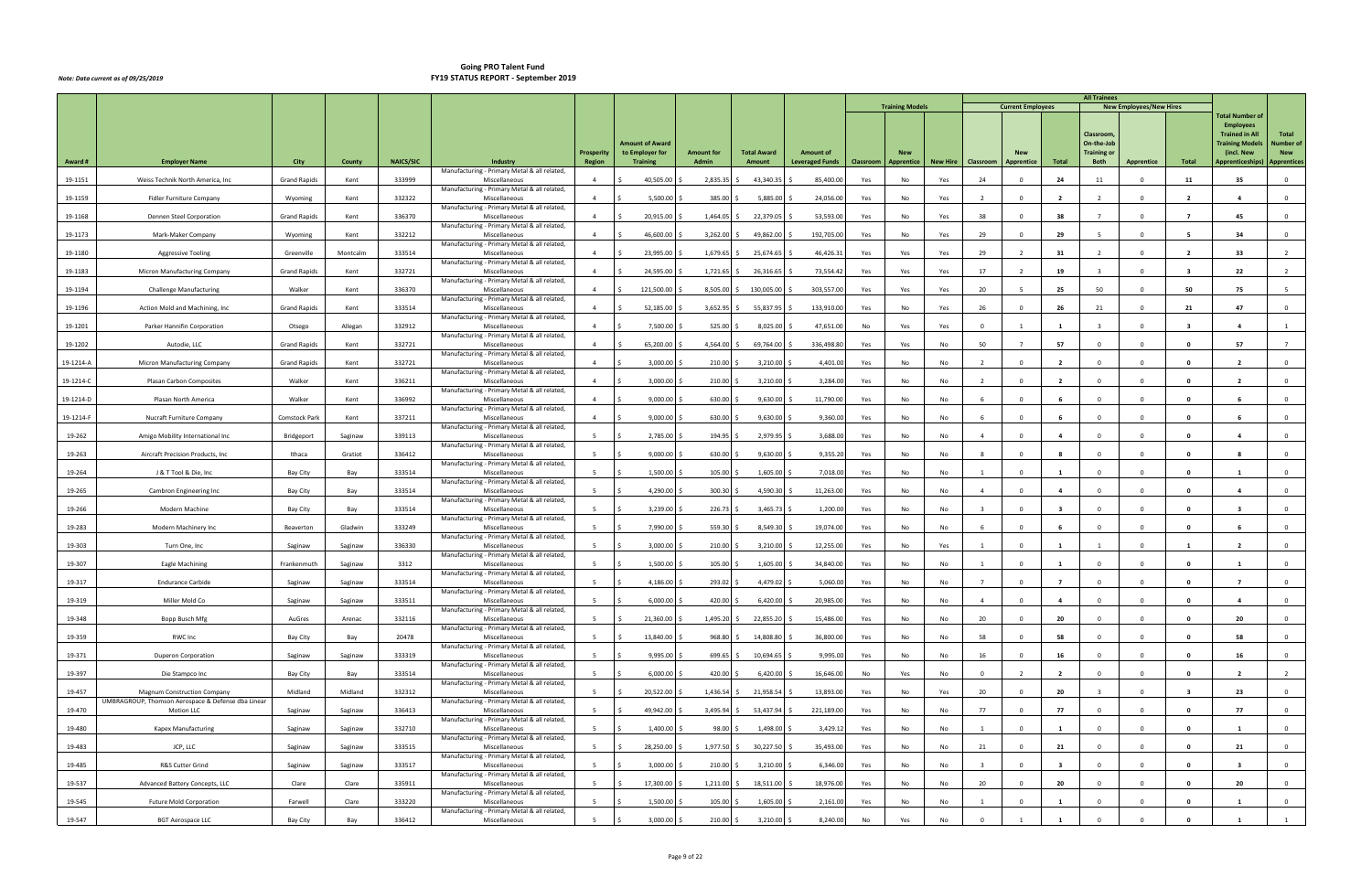|           |                                                                                          |                      |          |                  |                                                               |                                    |                                    |                            |                              |                                            |           |                                 |                 |                         |                          |                          | <b>All Trainees</b>               |                                |                         |                                           |                                  |
|-----------|------------------------------------------------------------------------------------------|----------------------|----------|------------------|---------------------------------------------------------------|------------------------------------|------------------------------------|----------------------------|------------------------------|--------------------------------------------|-----------|---------------------------------|-----------------|-------------------------|--------------------------|--------------------------|-----------------------------------|--------------------------------|-------------------------|-------------------------------------------|----------------------------------|
|           |                                                                                          |                      |          |                  |                                                               |                                    |                                    |                            |                              |                                            |           | <b>Training Models</b>          |                 |                         | <b>Current Employees</b> |                          |                                   | <b>New Employees/New Hires</b> |                         | <b>Total Number of</b>                    |                                  |
|           |                                                                                          |                      |          |                  |                                                               |                                    |                                    |                            |                              |                                            |           |                                 |                 |                         |                          |                          | Classroom,                        |                                |                         | <b>Employees</b><br><b>Trained in All</b> | Total                            |
|           |                                                                                          |                      |          |                  |                                                               |                                    | Amount of Award                    |                            |                              |                                            |           |                                 |                 |                         |                          |                          | On-the-Job                        |                                |                         | <b>Training Models</b>                    | <b>Number of</b>                 |
| Award #   | <b>Employer Name</b>                                                                     | City                 | County   | <b>NAICS/SIC</b> | <b>Industry</b>                                               | <b>Prosperity</b><br><b>Region</b> | to Employer for<br><b>Training</b> | <b>Amount for</b><br>Admin | <b>Total Award</b><br>Amount | <b>Amount of</b><br><b>Leveraged Funds</b> | Classroom | <b>New</b><br><b>Apprentice</b> | <b>New Hire</b> | Classroom               | Apprentice               | Total                    | <b>Training or</b><br><b>Both</b> | <b>Apprentice</b>              | Total                   | (incl. New<br>Apprenticeships)            | <b>New</b><br><b>Apprentices</b> |
| 19-1151   | Weiss Technik North America, Inc.                                                        | <b>Grand Rapids</b>  | Kent     | 333999           | Manufacturing - Primary Metal & all related,<br>Miscellaneous |                                    | 40,505.00                          | 2,835.35                   | 43,340.35                    | 85,400.00                                  | Yes       | No                              | Yes             | 24                      | $\Omega$                 | 24                       | 11                                | $\Omega$                       | 11                      | 35                                        | $\mathbf 0$                      |
|           |                                                                                          |                      |          |                  | Manufacturing - Primary Metal & all related,                  |                                    |                                    |                            |                              |                                            |           |                                 |                 |                         |                          |                          |                                   |                                |                         |                                           |                                  |
| 19-1159   | Fidler Furniture Company                                                                 | Wyoming              | Kent     | 332322           | Miscellaneous<br>Manufacturing - Primary Metal & all related, | $\overline{4}$                     | 5,500.00                           | 385.00                     | 5,885.00                     | 24,056.00                                  | Yes       | No                              | Yes             | $\overline{2}$          | $\Omega$                 | $\overline{2}$           | $\overline{2}$                    | $\Omega$                       | $\overline{2}$          | $\overline{a}$                            | $\mathbf 0$                      |
| 19-1168   | Dennen Steel Corporation                                                                 | <b>Grand Rapids</b>  | Kent     | 336370           | Miscellaneous<br>Manufacturing - Primary Metal & all related, | $\overline{4}$                     | 20,915.00                          | 1,464.05                   | 22,379.05                    | 53,593.00                                  | Yes       | No                              | Yes             | 38                      | $\Omega$                 | 38                       | $\overline{7}$                    | $\Omega$                       |                         | 45                                        | $\Omega$                         |
| 19-1173   | Mark-Maker Company                                                                       | Wyoming              | Kent     | 332212           | Miscellaneous<br>Manufacturing - Primary Metal & all related, | $\overline{a}$                     | 46,600.00                          | 3,262.00                   | 49,862.00                    | 192,705.00                                 | Yes       | No                              | Yes             | 29                      | $\Omega$                 | 29                       | - 5                               | $\Omega$                       |                         | 34                                        | $\mathbf 0$                      |
| 19-1180   | <b>Aggressive Tooling</b>                                                                | Greenville           | Montcalm | 333514           | Miscellaneous                                                 | $\overline{a}$                     | 23,995.00                          | 1,679.65                   | 25,674.65                    | 46,426.31                                  | Yes       | Yes                             | Yes             | 29                      |                          | 31                       | $\overline{2}$                    | $\Omega$                       | $\overline{\mathbf{2}}$ | 33                                        |                                  |
| 19-1183   | Micron Manufacturing Company                                                             | <b>Grand Rapids</b>  | Kent     | 332721           | Manufacturing - Primary Metal & all related,<br>Miscellaneous | $\overline{4}$                     | 24,595.00                          | 1,721.65                   | 26,316.65                    | 73,554.42                                  | Yes       | Yes                             | Yes             | 17                      |                          | 19                       |                                   | $\Omega$                       | -3                      | 22                                        | $\overline{2}$                   |
| 19-1194   | <b>Challenge Manufacturing</b>                                                           | Walker               | Kent     | 336370           | Manufacturing - Primary Metal & all related,<br>Miscellaneous | $\overline{4}$                     | 121,500.00                         | 8,505.00                   | 130,005.00                   | 303,557.00                                 | Yes       | Yes                             | Yes             | 20                      |                          | 25                       | 50                                | $\Omega$                       | 50                      | 75                                        |                                  |
| 19-1196   | Action Mold and Machining, Inc                                                           | <b>Grand Rapids</b>  | Kent     | 333514           | Manufacturing - Primary Metal & all related,<br>Miscellaneous |                                    | 52,185.00                          | 3,652.95                   | 55,837.95                    | 133,910.0                                  | Yes       | No                              | Yes             | 26                      | $\Omega$                 | 26                       | 21                                | $\Omega$                       | 21                      | 47                                        | $\mathbf 0$                      |
| 19-1201   | Parker Hannifin Corporation                                                              | Otsego               | Allegan  | 332912           | Manufacturing - Primary Metal & all related,<br>Miscellaneous | $\overline{4}$                     | 7,500.00                           | 525.00                     | 8,025.00                     | 47,651.00                                  | No        | Yes                             | Yes             | $\Omega$                |                          | $\overline{\mathbf{1}}$  | $\overline{3}$                    | $\Omega$                       | - 3                     | $\mathbf{a}$                              |                                  |
|           |                                                                                          |                      |          |                  | Manufacturing - Primary Metal & all related,                  |                                    |                                    |                            |                              |                                            |           |                                 |                 |                         |                          |                          |                                   |                                |                         |                                           |                                  |
| 19-1202   | Autodie, LLC                                                                             | <b>Grand Rapids</b>  | Kent     | 332721           | Miscellaneous<br>Manufacturing - Primary Metal & all related, | $\overline{a}$                     | 65,200.00                          | 4,564.00                   | 69,764.00                    | 336,498.80                                 | Yes       | Yes                             | No              | 50                      |                          | 57                       | $\Omega$                          | $\Omega$                       | $\Omega$                | 57                                        |                                  |
| 19-1214-A | Micron Manufacturing Company                                                             | <b>Grand Rapids</b>  | Kent     | 332721           | Miscellaneous<br>Manufacturing - Primary Metal & all related, | $\overline{a}$                     | 3,000.00                           | 210.00                     | 3,210.00                     | 4,401.00                                   | Yes       | No                              | No              | $\overline{2}$          | $\Omega$                 | $\overline{\phantom{a}}$ | $\Omega$                          | $\Omega$                       | - 0                     |                                           | $\mathbf 0$                      |
| 19-1214-C | Plasan Carbon Composites                                                                 | Walker               | Kent     | 336211           | Miscellaneous<br>Manufacturing - Primary Metal & all related, | $\overline{a}$                     | 3,000.00                           | 210.00                     | 3,210.00                     | 3,284.00                                   | Yes       | No                              | No              | $\overline{2}$          | $\Omega$                 | $\overline{2}$           | $\Omega$                          | $\Omega$                       | - 0                     | $\overline{2}$                            | $\mathbf 0$                      |
| 19-1214-D | Plasan North America                                                                     | Walker               | Kent     | 336992           | Miscellaneous                                                 | $\overline{4}$                     | 9,000.00                           | 630.00                     | 9,630.00                     | 11,790.00                                  | Yes       | No                              | No              | - 6                     | $\Omega$                 | - 6                      | $\Omega$                          | $\Omega$                       | - 0                     |                                           | $\mathbf 0$                      |
| 19-1214-F | Nucraft Furniture Company                                                                | <b>Comstock Park</b> | Kent     | 337211           | Manufacturing - Primary Metal & all related,<br>Miscellaneous | $\overline{4}$                     | 9,000.00                           | 630.00                     | 9,630.00                     | 9,360.00                                   | Yes       | No                              | No              | 6                       | $\Omega$                 | -6                       | $\mathbf{0}$                      | $\Omega$                       | 0                       |                                           | $\overline{0}$                   |
| 19-262    | Amigo Mobility International Inc                                                         | Bridgeport           | Saginaw  | 339113           | Manufacturing - Primary Metal & all related,<br>Miscellaneous | -5                                 | 2,785.00                           | 194.95                     | 2,979.95                     | 3,688.00                                   | Yes       | No                              | No              | $\overline{4}$          | $\Omega$                 | 4                        |                                   | $\Omega$                       |                         |                                           | $\mathbf 0$                      |
| 19-263    | Aircraft Precision Products, Inc                                                         | Ithaca               | Gratiot  | 336412           | Manufacturing - Primary Metal & all related,<br>Miscellaneous | -5                                 | 9,000.00                           | 630.00                     | 9,630.00                     | 9,355.20                                   | Yes       | No                              | No              |                         | $\Omega$                 |                          | $\Omega$                          | $\Omega$                       | 0                       | -8                                        | $\overline{0}$                   |
| 19-264    | J & T Tool & Die, Inc                                                                    | Bay City             | Bay      | 333514           | Manufacturing - Primary Metal & all related,<br>Miscellaneous | - 5                                | 1,500.00                           | 105.00                     | 1,605.00                     | 7,018.00                                   | Yes       | No                              | No              |                         | $\Omega$                 | $\mathbf{1}$             | $\Omega$                          | $\Omega$                       | - 0                     |                                           | $\mathbf 0$                      |
| 19-265    | Cambron Engineering Inc                                                                  | Bay City             | Bay      | 333514           | Manufacturing - Primary Metal & all related,<br>Miscellaneous | 5                                  | 4,290.00                           | 300.30                     | 4,590.30                     | 11,263.00                                  | Yes       | No                              | No              | $\overline{4}$          | $\Omega$                 | $\overline{4}$           | $\Omega$                          | $\Omega$                       | 0                       | $\mathbf{a}$                              | $\Omega$                         |
| 19-266    | Modern Machine                                                                           | <b>Bay City</b>      | Bay      | 333514           | Manufacturing - Primary Metal & all related,<br>Miscellaneous | -5                                 | 3,239.00                           | 226.73                     | 3,465.73                     | 1,200.00                                   | Yes       | No                              | No              | $\overline{\mathbf{3}}$ | $\Omega$                 |                          | $\Omega$                          | $\Omega$                       | - 0                     | -3                                        | $\mathbf{0}$                     |
|           |                                                                                          |                      |          |                  | Manufacturing - Primary Metal & all related,                  |                                    |                                    |                            |                              |                                            |           |                                 |                 |                         |                          |                          |                                   |                                |                         |                                           |                                  |
| 19-283    | Modern Machinery Inc                                                                     | Beaverton            | Gladwin  | 333249           | Miscellaneous<br>Manufacturing - Primary Metal & all related, | -5                                 | 7,990.00                           | 559.30                     | 8,549.30                     | 19,074.00                                  | Yes       | No                              | No              |                         | $\Omega$                 |                          | $\Omega$                          | $\Omega$                       | 0                       |                                           | $\overline{0}$                   |
| 19-303    | Turn One, Inc                                                                            | Saginaw              | Saginaw  | 336330           | Miscellaneous<br>Manufacturing - Primary Metal & all related, | $5^{\circ}$                        | 3,000.00                           | 210.00                     | 3,210.00                     | 12,255.00                                  | Yes       | No                              | Yes             | -1                      | $\Omega$                 | 1                        | $\overline{1}$                    | $\Omega$                       |                         | $\overline{2}$                            | $\mathbf{0}$                     |
| 19-307    | Eagle Machining                                                                          | Frankenmuth          | Saginaw  | 3312             | Miscellaneous                                                 | -5                                 | 1,500.00                           | 105.00                     | 1,605.00                     | 34,840.00                                  | Yes       | No                              | No              |                         | $\Omega$                 |                          |                                   | $\Omega$                       |                         |                                           | $\mathbf 0$                      |
| 19-317    | <b>Endurance Carbide</b>                                                                 | Saginaw              | Saginaw  | 333514           | Manufacturing - Primary Metal & all related,<br>Miscellaneous | 5 <sup>5</sup>                     | 4,186.00<br>-Ś.                    | 293.02                     | 4,479.02                     | 5,060.00                                   | Yes       | No                              | No              |                         | $\Omega$                 | $\overline{7}$           | $\Omega$                          | $\Omega$                       | 0                       | $\overline{7}$                            | $\mathbf 0$                      |
| 19-319    | Miller Mold Co                                                                           | Saginaw              | Saginaw  | 333511           | Manufacturing - Primary Metal & all related,<br>Miscellaneous | 5                                  | 6,000.00<br>Ŝ.                     | 420.00 \$                  | $6,420.00$ \$                | 20,985.00                                  | Yes       | No                              | No              | $\overline{4}$          | $\Omega$                 | $\overline{4}$           | $\Omega$                          | $\overline{0}$                 | $\mathbf{0}$            | 4                                         | $\overline{0}$                   |
| 19-348    | Bopp Busch Mfg                                                                           | AuGres               | Arenac   | 332116           | Manufacturing - Primary Metal & all related,<br>Miscellaneous | $5^{\circ}$                        | 21,360.00                          | $1,495.20$ \$              | 22,855.20                    | 15,486.00                                  | Yes       | No                              | No              | 20                      | $\Omega$                 | 20                       |                                   | $\Omega$                       | $\Omega$                | 20                                        | $\overline{0}$                   |
|           |                                                                                          |                      |          |                  | Manufacturing - Primary Metal & all related,                  |                                    |                                    |                            |                              |                                            |           |                                 |                 |                         |                          |                          |                                   |                                |                         |                                           |                                  |
| 19-359    | RWC Inc                                                                                  | Bay City             | Bay      | 20478            | Miscellaneous<br>Manufacturing - Primary Metal & all related, |                                    | 13,840.00                          | 968.80                     | 14,808.80                    | 36,800.00                                  | Yes       | No                              | No              | 58                      | $\Omega$                 | 58                       |                                   | $\Omega$                       |                         | 58                                        | $\overline{0}$                   |
| 19-371    | <b>Duperon Corporation</b>                                                               | Saginaw              | Saginaw  | 333319           | Miscellaneous<br>Manufacturing - Primary Metal & all related, | $5^{\circ}$                        | 9,995.00                           | 699.65 \$                  | 10,694.65                    | 9,995.00                                   | Yes       | No                              | No              | 16                      | $\Omega$                 | 16                       | $\Omega$                          | $\Omega$                       | $\mathbf{0}$            | 16                                        | $\overline{0}$                   |
| 19-397    | Die Stampco Inc                                                                          | <b>Bay City</b>      | Bay      | 333514           | Miscellaneous<br>Manufacturing - Primary Metal & all related, | 5                                  | 6,000.00                           | 420.00                     | 6,420.00                     | 16,646.00                                  | No        | Yes                             | No              | $\overline{0}$          |                          | $\overline{2}$           | $\Omega$                          | $\Omega$                       | $\Omega$                | $\overline{2}$                            | $\overline{2}$                   |
| 19-457    | <b>Magnum Construction Company</b><br>UMBRAGROUP, Thomson Aerospace & Defense dba Linear | Midland              | Midland  | 332312           | Miscellaneous<br>Manufacturing - Primary Metal & all related, | - 5                                | 20,522.00                          | 1,436.54                   | 21,958.54                    | 13,893.00                                  | Yes       | No                              | Yes             | 20                      | $\Omega$                 | 20                       |                                   | $\Omega$                       | $\overline{\mathbf{3}}$ | 23                                        | $\overline{0}$                   |
| 19-470    | Motion LLC                                                                               | Saginaw              | Saginaw  | 336413           | Miscellaneous                                                 | - 5                                | 49,942.00<br>S.                    | $3,495.94$ \$              | 53,437.94 \$                 | 221,189.00                                 | Yes       | No                              | No              | 77                      | $^{\circ}$               | 77                       | $\Omega$                          | $\Omega$                       | $\mathbf{0}$            | 77                                        | $\overline{0}$                   |
| 19-480    | Kapex Manufacturing                                                                      | Saginaw              | Saginaw  | 332710           | Manufacturing - Primary Metal & all related,<br>Miscellaneous | 5 <sup>5</sup>                     | 1,400.00                           | 98.00%                     | 1,498.00                     | 3,429.12                                   | Yes       | No                              | No              | $\overline{1}$          | $\mathbf 0$              | $\mathbf{1}$             | $\overline{0}$                    | $\mathbf{0}$                   | 0                       | 1                                         | $\overline{0}$                   |
| 19-483    | JCP, LLC                                                                                 | Saginaw              | Saginaw  | 333515           | Manufacturing - Primary Metal & all related,<br>Miscellaneous | 5                                  | 28,250.00                          | 1,977.50                   | 30,227.50                    | 35,493.00                                  | Yes       | No                              | No              | 21                      | $\Omega$                 | 21                       | $\Omega$                          | $\Omega$                       | 0                       | 21                                        | $\overline{0}$                   |
| 19-485    | R&S Cutter Grind                                                                         | Saginaw              | Saginaw  | 333517           | Manufacturing - Primary Metal & all related,<br>Miscellaneous | 5                                  | 3,000.00                           | 210.00 \$                  | 3,210.00                     | 6,346.00                                   | Yes       | No                              | No              |                         | $\Omega$                 | $\mathbf{3}$             | $\Omega$                          | $\Omega$                       | - 0                     | -3                                        | $\overline{0}$                   |
| 19-537    | Advanced Battery Concepts, LLC                                                           | Clare                | Clare    | 335911           | Manufacturing - Primary Metal & all related,<br>Miscellaneous | $5^{\circ}$                        | 17,300.00<br>Ŝ.                    | 1,211.00 \$                | 18,511.00 \$                 | 18,976.00                                  | Yes       | No                              | No              | 20                      | $\Omega$                 | 20                       | $\mathbf 0$                       | $\mathbf{0}$                   | $\mathbf{0}$            | 20                                        | $\overline{0}$                   |
| 19-545    | Future Mold Corporation                                                                  | Farwell              | Clare    | 333220           | Manufacturing - Primary Metal & all related,<br>Miscellaneous | - 5                                | 1,500.00                           | 105.00 \$                  | 1,605.00                     | 2,161.00                                   | Yes       | No                              | No              | $\overline{1}$          | $\Omega$                 | $\mathbf{1}$             | $\Omega$                          | $\Omega$                       | $\Omega$                | 1                                         | $\overline{0}$                   |
|           |                                                                                          |                      |          |                  | Manufacturing - Primary Metal & all related,                  |                                    |                                    |                            |                              |                                            |           |                                 |                 |                         |                          |                          |                                   |                                |                         |                                           |                                  |
| 19-547    | <b>BGT Aerospace LLC</b>                                                                 | Bay City             | Bay      | 336412           | Miscellaneous                                                 | 5 <sup>5</sup>                     | 3,000.00<br>- S                    | $210.00$ \$                | 3,210.00 \$                  | 8,240.00                                   | No        | Yes                             | No              |                         |                          |                          |                                   | $\Omega$                       | - 0                     | 1                                         | 1                                |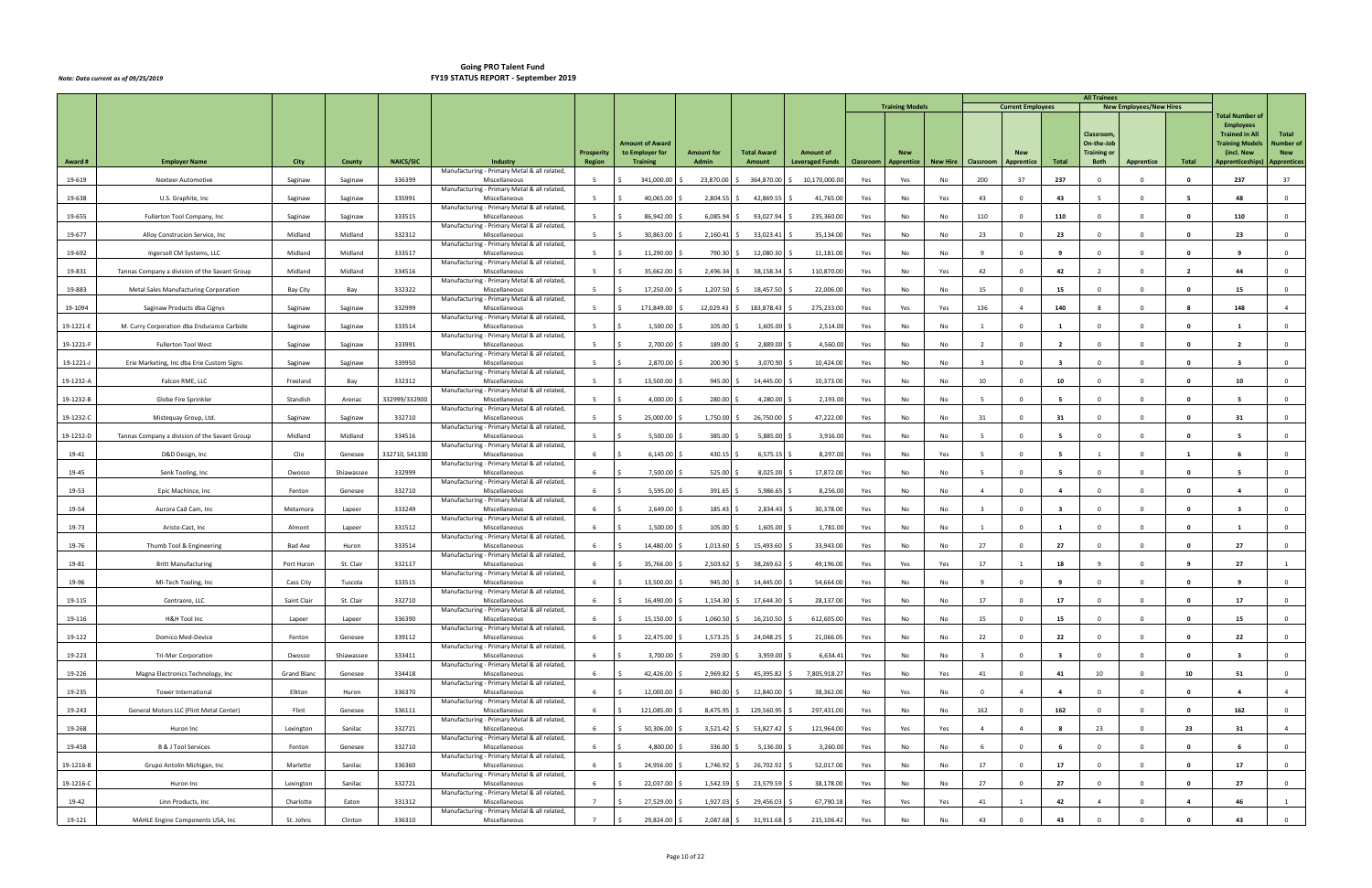|           |                                               |                    |            |                  |                                                               |                   |                        |                                   |                    |                        |           |                        |                 |                         |                          |                         | <b>All Trainees</b>        |                                |                         |                                                 |                           |
|-----------|-----------------------------------------------|--------------------|------------|------------------|---------------------------------------------------------------|-------------------|------------------------|-----------------------------------|--------------------|------------------------|-----------|------------------------|-----------------|-------------------------|--------------------------|-------------------------|----------------------------|--------------------------------|-------------------------|-------------------------------------------------|---------------------------|
|           |                                               |                    |            |                  |                                                               |                   |                        |                                   |                    |                        |           | <b>Training Models</b> |                 |                         | <b>Current Employees</b> |                         |                            | <b>New Employees/New Hires</b> |                         | <b>Total Number of</b>                          |                           |
|           |                                               |                    |            |                  |                                                               |                   |                        |                                   |                    |                        |           |                        |                 |                         |                          |                         |                            |                                |                         | <b>Employees</b>                                |                           |
|           |                                               |                    |            |                  |                                                               |                   | <b>Amount of Award</b> |                                   |                    |                        |           |                        |                 |                         |                          |                         | Classroom,<br>On-the-Job   |                                |                         | <b>Trained in All</b><br><b>Training Models</b> | Total<br><b>Number of</b> |
|           |                                               | City               |            | <b>NAICS/SIC</b> |                                                               | <b>Prosperity</b> | to Employer for        | <b>Amount for</b><br><b>Admin</b> | <b>Total Award</b> | <b>Amount of</b>       |           | <b>New</b>             |                 |                         |                          |                         | <b>Training or</b><br>Both |                                | Total                   | (incl. New<br><b>Apprenticeships)</b>           | <b>New</b>                |
| Award#    | <b>Employer Name</b>                          |                    | County     |                  | Industry<br>Manufacturing - Primary Metal & all related,      | Region            | <b>Training</b>        |                                   | Amount             | <b>Leveraged Funds</b> | Classroom | Apprentice             | <b>New Hire</b> | Classroom               | Apprentice               | Total                   |                            | Apprentice                     |                         |                                                 | <b>Apprentices</b>        |
| 19-619    | Nexteer Automotive                            | Saginaw            | Saginaw    | 336399           | Miscellaneous<br>Manufacturing - Primary Metal & all related, | -5                | 341,000.00             | 23,870.00                         | 364,870.00         | 10,170,000.00          | Yes       | Yes                    | No              | 200                     | 37                       | 237                     |                            | $\Omega$                       |                         | 237                                             | 37                        |
| 19-638    | U.S. Graphite, Inc.                           | Saginaw            | Saginaw    | 335991           | Miscellaneous                                                 | 5                 | 40,065.00              | 2,804.55                          | 42,869.55          | 41,765.00              | Yes       | No                     | Yes             | 43                      | $\Omega$                 | 43                      | - 5                        | $\Omega$                       | -5                      | 48                                              | $\mathbf{0}$              |
| 19-655    | Fullerton Tool Company, Inc                   | Saginaw            | Saginaw    | 333515           | Manufacturing - Primary Metal & all related,<br>Miscellaneous | -5                | 86,942.00              | 6,085.94                          | 93,027.94          | 235,360.00             | Yes       | No                     | No              | 110                     | $\Omega$                 | 110                     | $\Omega$                   | $\Omega$                       | 0                       | 110                                             | $\mathbf 0$               |
| 19-677    | Alloy Construcion Service, Inc.               | Midland            | Midland    | 332312           | Manufacturing - Primary Metal & all related,<br>Miscellaneous | -5                | 30,863.00              | 2,160.41                          | 33,023.41          | 35,134.00              | Yes       | No                     | No              | 23                      | $\Omega$                 | 23                      | $\Omega$                   | $\Omega$                       |                         | 23                                              | $\mathbf{0}$              |
| 19-692    | Ingersoll CM Systems, LLC                     | Midland            | Midland    | 333517           | Manufacturing - Primary Metal & all related,<br>Miscellaneous | - 5               | 11,290.00              | 790.30                            | 12,080.30          | 11,181.00              | Yes       | No                     | No              | - 9                     | $\Omega$                 | $\mathbf{q}$            | $\Omega$                   | $\Omega$                       | 0                       | -9                                              | $\mathbf{0}$              |
| 19-831    | Tannas Company a division of the Savant Group | Midland            | Midland    | 334516           | Manufacturing - Primary Metal & all related,<br>Miscellaneous | 5 <sup>5</sup>    | 35,662.00              | 2,496.34                          | 38,158.34          | 110,870.00             | Yes       | No                     | Yes             | 42                      | $^{\circ}$               | 42                      | $\overline{2}$             | $\Omega$                       | $\overline{2}$          | 44                                              | $\overline{0}$            |
| 19-883    | Metal Sales Manufacturing Corporation         | Bay City           | Bay        | 332322           | Manufacturing - Primary Metal & all related,<br>Miscellaneous | 5                 | 17,250.00              | 1,207.50                          | 18,457.50          | 22,006.00              | Yes       | No                     | No              | 15                      | $\Omega$                 | 15                      | $\Omega$                   | $\Omega$                       |                         | 15                                              | $\mathbf 0$               |
| 19-1094   | Saginaw Products dba Cignys                   | Saginaw            | Saginaw    | 332999           | Manufacturing - Primary Metal & all related,<br>Miscellaneous | -5                | 171,849.00             | 12,029.43                         | 183,878.43         | 275,233.00             | Yes       | Yes                    | Yes             | 136                     |                          | 140                     |                            | $\Omega$                       |                         | 148                                             | $\overline{4}$            |
| 19-1221-6 | M. Curry Corporation dba Endurance Carbide    | Saginaw            | Saginaw    | 333514           | Manufacturing - Primary Metal & all related,<br>Miscellaneous | 5                 | 1,500.00               | 105.00                            | 1,605.00           | 2,514.00               | Yes       | No                     | No              |                         | $\Omega$                 |                         | $\mathbf 0$                | $\overline{0}$                 | $\Omega$                | $\blacksquare$                                  | $\overline{0}$            |
|           |                                               |                    |            |                  | Manufacturing - Primary Metal & all related,                  |                   |                        |                                   |                    |                        |           |                        |                 |                         |                          |                         |                            |                                |                         |                                                 |                           |
| 19-1221-F | Fullerton Tool West                           | Saginaw            | Saginaw    | 333991           | Miscellaneous<br>Manufacturing - Primary Metal & all related, | 5 <sup>5</sup>    | 2,700.00               | 189.00                            | 2,889.00           | 4,560.00               | Yes       | No                     | No              | $\overline{2}$          | $\Omega$                 | $\overline{2}$          | $\Omega$                   | $\Omega$                       | $\Omega$                | $\overline{2}$                                  | $\mathbf 0$               |
| 19-1221-  | Erie Marketing, Inc dba Erie Custom Signs     | Saginaw            | Saginaw    | 339950           | Miscellaneous<br>Manufacturing - Primary Metal & all related, | -5                | 2,870.00               | 200.90                            | 3,070.90           | 10,424.00              | Yes       | No                     | No              | $\overline{3}$          | $\Omega$                 | $\mathbf{3}$            | $\Omega$                   | $\Omega$                       | - 0                     | -3                                              | $\mathbf 0$               |
| 19-1232-A | Falcon RME, LLC                               | Freeland           | Bay        | 332312           | Miscellaneous                                                 | -5                | 13,500.00              | 945.00                            | 14,445.00          | 10,373.00              | Yes       | No                     | No              | 10                      | $\Omega$                 | 10                      | $\Omega$                   | $\Omega$                       | $\mathbf{0}$            | 10                                              | $\mathbf 0$               |
| 19-1232-B | Globe Fire Sprinkler                          | Standish           | Arenac     | 332999/332900    | Manufacturing - Primary Metal & all related,<br>Miscellaneous | 5 <sup>5</sup>    | 4,000.00               | 280.00                            | 4,280.00           | 2,193.00               | Yes       | No                     | No              | $5^{\circ}$             | $\Omega$                 | -5                      | $\Omega$                   | $\Omega$                       | - 0                     | - 5                                             | $\overline{0}$            |
| 19-1232-C | Mistequay Group, Ltd.                         | Saginaw            | Saginaw    | 332710           | Manufacturing - Primary Metal & all related,<br>Miscellaneous | 5 <sup>5</sup>    | 25,000.00              | 1,750.00                          | 26,750.00          | 47,222.00              | Yes       | No                     | No              | 31                      | $\mathbf{0}$             | 31                      | $\mathbf 0$                | $\Omega$                       | $\mathbf{0}$            | 31                                              | $\overline{0}$            |
| 19-1232-D | Tannas Company a division of the Savant Group | Midland            | Midland    | 334516           | Manufacturing - Primary Metal & all related,<br>Miscellaneous | -5                | 5,500.00               | 385.00                            | 5,885.00           | 3,916.00               | Yes       | No                     | No              | - 5                     | $\Omega$                 |                         | $\Omega$                   | $\Omega$                       |                         |                                                 | $\overline{0}$            |
|           |                                               |                    |            |                  | Manufacturing - Primary Metal & all related,                  | -6                |                        |                                   |                    |                        |           |                        |                 | $\overline{5}$          |                          | -5                      |                            | $\overline{0}$                 |                         |                                                 |                           |
| 19-41     | D&D Design, Inc                               | Clio               | Genesee    | 332710, 541330   | Miscellaneous<br>Manufacturing - Primary Metal & all related, |                   | 6,145.00               | 430.15                            | 6,575.15           | 8,297.00               | Yes       | No                     | Yes             |                         | $\Omega$                 |                         |                            |                                | $\overline{\mathbf{1}}$ |                                                 | $\overline{0}$            |
| 19-45     | Senk Tooling, Inc                             | Owosso             | Shiawassee | 332999           | Miscellaneous<br>Manufacturing - Primary Metal & all related, | 6                 | 7,500.00               | 525.00                            | 8,025.00           | 17,872.00              | Yes       | No                     | No              | - 5                     | $\Omega$                 | -5                      | $\Omega$                   | $\Omega$                       | - 0                     | -5                                              | $\mathbf{0}$              |
| 19-53     | Epic Machince, Inc.                           | Fenton             | Genesee    | 332710           | Miscellaneous<br>Manufacturing - Primary Metal & all related, | -6                | 5,595.00               | 391.65                            | 5,986.65           | 8,256.00               | Yes       | No                     | No              | $\overline{4}$          | $\Omega$                 | $\overline{4}$          | $\Omega$                   | $\Omega$                       | $\Omega$                | $\mathbf{A}$                                    | $\mathbf 0$               |
| 19-54     | Aurora Cad Cam, Inc                           | Metamora           | Lapeer     | 333249           | Miscellaneous<br>Manufacturing - Primary Metal & all related, | -6                | 2,649.00               | 185.43                            | 2,834.43           | 30,378.00              | Yes       | No                     | No              | $\overline{3}$          | $\Omega$                 |                         | $\Omega$                   | $\Omega$                       | 0                       | -3                                              | $\mathbf{0}$              |
| 19-73     | Aristo-Cast, Inc                              | Almont             | Lapeer     | 331512           | Miscellaneous                                                 | 6                 | 1,500.00               | 105.00                            | 1,605.00           | 1,781.00               | Yes       | No                     | No              | -1                      | $\mathbf 0$              | 1                       | $\Omega$                   | $\Omega$                       | $\Omega$                | 1                                               | $\overline{0}$            |
| 19-76     | Thumb Tool & Engineering                      | <b>Bad Axe</b>     | Huron      | 333514           | Manufacturing - Primary Metal & all related,<br>Miscellaneous | 6                 | 14,480.00              | 1,013.60                          | 15,493.60          | 33,943.00              | Yes       | No                     | No              | 27                      | $^{\circ}$               | 27                      | $\overline{0}$             | $\Omega$                       | $\Omega$                | 27                                              | $\mathbf 0$               |
| 19-81     | <b>Britt Manufacturing</b>                    | Port Huron         | St. Clair  | 332117           | Manufacturing - Primary Metal & all related,<br>Miscellaneous | -6                | 35,766.00              | 2,503.62                          | 38,269.62          | 49,196.00              | Yes       | Yes                    | Yes             | 17                      |                          | 18                      |                            | $\Omega$                       |                         | 27                                              |                           |
| 19-96     | MI-Tech Tooling, Inc                          | Cass City          | Tuscola    | 333515           | Manufacturing - Primary Metal & all related,<br>Miscellaneous | 6                 | 13,500.00<br>-S        | 945.00                            | 14,445.00          | 54,664.00              | Yes       | No                     | No              | -9                      | $\Omega$                 | $\mathbf{q}$            | $\mathbf 0$                | $\Omega$                       | 0                       | -9                                              | $\overline{0}$            |
| 19-115    | Centraore, LLC                                | Saint Clair        | St. Clair  | 332710           | Manufacturing - Primary Metal & all related,<br>Miscellaneous | - 6               | 16,490.00<br>-S        | $1,154.30$ \$                     | 17,644.30 \$       | 28,137.00              | Yes       | No                     | No              | 17                      | $\Omega$                 | 17                      | $\mathbf 0$                | $\mathbf 0$                    | $\mathbf{0}$            | 17                                              | $\overline{0}$            |
|           |                                               |                    |            |                  | Manufacturing - Primary Metal & all related,                  |                   |                        |                                   |                    |                        |           |                        |                 |                         | $\Omega$                 |                         | $\Omega$                   | $\Omega$                       |                         |                                                 |                           |
| 19-116    | H&H Tool Inc                                  | Lapeer             | Lapeer     | 336390           | Miscellaneous<br>Manufacturing - Primary Metal & all related, | 6                 | 15,150.00              | $1,060.50$ \$                     | 16,210.50          | 612,605.00             | Yes       | No                     | No              | 15                      |                          | 15                      |                            |                                | $\Omega$                | 15                                              | $\overline{0}$            |
| 19-122    | Domico Med-Device                             | Fenton             | Genesee    | 339112           | Miscellaneous<br>Manufacturing - Primary Metal & all related, | -6                | 22,475.00              | 1,573.25                          | 24,048.25          | 21,066.05              | Yes       | No                     | No              | 22                      | $\Omega$                 | 22                      | $\Omega$                   | $\Omega$                       |                         | 22                                              | $\overline{0}$            |
| 19-223    | <b>Tri-Mer Corporation</b>                    | Owosso             | Shiawassee | 333411           | Miscellaneous<br>Manufacturing - Primary Metal & all related, | 6                 | 3,700.00               | 259.00                            | 3,959.00           | 6,634.41               | Yes       | No                     | No              | $\overline{\mathbf{3}}$ | $\Omega$                 | $\overline{\mathbf{3}}$ | $\Omega$                   | $\mathbf{0}$                   | $\mathbf{0}$            | $\overline{\mathbf{3}}$                         | $\overline{0}$            |
| 19-226    | Magna Electronics Technology, Inc             | <b>Grand Blanc</b> | Genesee    | 334418           | Miscellaneous<br>Manufacturing - Primary Metal & all related, | 6                 | 42,426.00              | 2,969.82                          | 45,395.82          | 7,805,918.27           | Yes       | No                     | Yes             | 41                      | $\Omega$                 | 41                      | 10                         | $\mathbf{0}$                   | 10                      | 51                                              | $\overline{0}$            |
| 19-235    | Tower International                           | Elkton             | Huron      | 336370           | Miscellaneous<br>Manufacturing - Primary Metal & all related, | 6                 | 12,000.00              | 840.00                            | 12,840.00          | 38,362.00              | No        | Yes                    | No              | $\Omega$                |                          | $\overline{a}$          | $\Omega$                   | $\Omega$                       | - 0                     | $\overline{a}$                                  | $\overline{4}$            |
| 19-243    | General Motors LLC (Flint Metal Center)       | Flint              | Genesee    | 336111           | Miscellaneous                                                 | 6                 | 121,085.00<br>$\zeta$  | 8,475.95                          | 129,560.95 \$      | 297,431.00             | Yes       | No                     | No              | 162                     | $\mathbf 0$              | 162                     | $\overline{0}$             | $\Omega$                       | $\mathbf{0}$            | 162                                             | $\overline{0}$            |
| 19-268    | Huron Inc                                     | Lexington          | Sanilac    | 332721           | Manufacturing - Primary Metal & all related,<br>Miscellaneous | 6                 | 50,306.00              | $3,521.42$ \$                     | 53,827.42 \$       | 121,964.00             | Yes       | Yes                    | Yes             | $\overline{4}$          | $\overline{4}$           | 8                       | 23                         | $\mathbf{0}$                   | 23                      | 31                                              | $\overline{4}$            |
| 19-458    | B & J Tool Services                           | Fenton             | Genesee    | 332710           | Manufacturing - Primary Metal & all related,<br>Miscellaneous | 6                 | 4,800.00               | 336.00                            | 5,136.00           | 3,260.00               | Yes       | No                     | No              | 6                       | $\Omega$                 | - 6                     | $\mathbf{0}$               | $\Omega$                       | 0                       | - 6                                             | $\overline{0}$            |
| 19-1216-B | Grupo Antolin Michigan, Inc                   | Marlette           | Sanilac    | 336360           | Manufacturing - Primary Metal & all related,<br>Miscellaneous | 6                 | 24,956.00              | 1,746.92                          | 26,702.92          | 52,017.00              | Yes       | No                     | No              | 17                      | $\Omega$                 | 17                      | $\Omega$                   | $\Omega$                       | 0                       | 17                                              | $\overline{0}$            |
| 19-1216-C | Huron Inc                                     | Lexington          | Sanilac    | 332721           | Manufacturing - Primary Metal & all related,<br>Miscellaneous | 6                 | 22,037.00<br>S.        | $1,542.59$ \$                     | 23,579.59          | 38,178.00              | Yes       | No                     | No              | 27                      | $\mathbf 0$              | 27                      | $\mathbf 0$                | $\mathbf 0$                    | $\mathbf{0}$            | 27                                              | $\overline{0}$            |
| 19-42     | Linn Products, Inc                            | Charlotte          | Eaton      | 331312           | Manufacturing - Primary Metal & all related,<br>Miscellaneous | $\overline{7}$    | 27,529.00              | 1,927.03                          | 29,456.03          | 67,790.18              | Yes       | Yes                    | Yes             | 41                      | $\mathbf{1}$             | 42                      | $\overline{4}$             | $\Omega$                       | $\overline{a}$          | 46                                              | 1                         |
| 19-121    | MAHLE Engine Components USA, Inc              | St. Johns          | Clinton    | 336310           | Manufacturing - Primary Metal & all related,<br>Miscellaneous | $7^{\circ}$       | 29,824.00<br>S.        | 2,087.68 \$                       | 31,911.68 \$       | 215,106.42             | Yes       | No                     | No              | 43                      | $\Omega$                 | 43                      |                            | $\Omega$                       |                         | 43                                              | $\overline{0}$            |
|           |                                               |                    |            |                  |                                                               |                   |                        |                                   |                    |                        |           |                        |                 |                         |                          |                         |                            |                                |                         |                                                 |                           |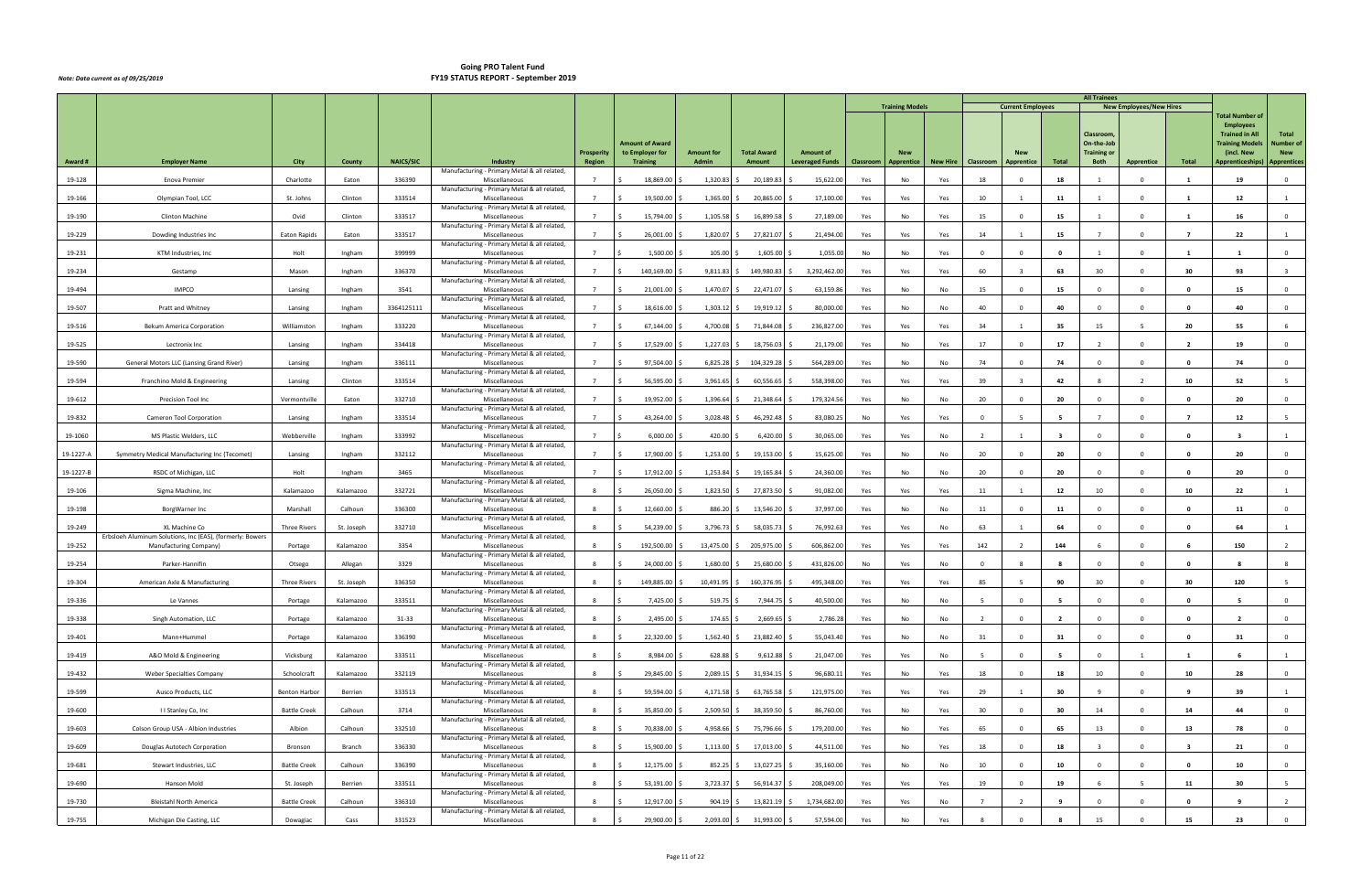|           |                                                           |                      |            |                  |                                                               |                   |                                    |                   |                    |                        |           |                        |          |                |                          |                | <b>All Trainees</b>              |                                |                         |                                           |                                |
|-----------|-----------------------------------------------------------|----------------------|------------|------------------|---------------------------------------------------------------|-------------------|------------------------------------|-------------------|--------------------|------------------------|-----------|------------------------|----------|----------------|--------------------------|----------------|----------------------------------|--------------------------------|-------------------------|-------------------------------------------|--------------------------------|
|           |                                                           |                      |            |                  |                                                               |                   |                                    |                   |                    |                        |           | <b>Training Models</b> |          |                | <b>Current Employees</b> |                |                                  | <b>New Employees/New Hires</b> |                         | <b>Total Number of</b>                    |                                |
|           |                                                           |                      |            |                  |                                                               |                   |                                    |                   |                    |                        |           |                        |          |                |                          |                | Classroom                        |                                |                         | <b>Employees</b><br><b>Trained in All</b> | <b>Total</b>                   |
|           |                                                           |                      |            |                  |                                                               | <b>Prosperity</b> | Amount of Award<br>to Employer for | <b>Amount for</b> | <b>Total Award</b> | <b>Amount of</b>       |           | <b>New</b>             |          |                |                          |                | On-the-Job<br><b>Training or</b> |                                |                         | <b>Training Models</b><br>(incl. New      | <b>Number of</b><br><b>New</b> |
| Award#    | <b>Employer Name</b>                                      | City                 | County     | <b>NAICS/SIC</b> | Industry                                                      | <b>Region</b>     | <b>Training</b>                    | Admin             | Amount             | <b>Leveraged Funds</b> | Classroom | Apprentice             | New Hire | Classroom      | <b>Apprentice</b>        | Total          | <b>Both</b>                      | <b>Apprentice</b>              | Total                   | Apprenticeships)                          | <b>Apprentices</b>             |
| 19-128    | Enova Premier                                             | Charlotte            | Eaton      | 336390           | Manufacturing - Primary Metal & all related,<br>Miscellaneous |                   | 18,869.00                          | 1,320.83          | 20,189.83          | 15,622.00              | Yes       | No                     | Yes      | 18             |                          | 18             |                                  | $\Omega$                       |                         | 19                                        | $\mathbf 0$                    |
| 19-166    | Olympian Tool, LCC                                        | St. Johns            | Clinton    | 333514           | Manufacturing - Primary Metal & all related,<br>Miscellaneous | $\overline{7}$    | 19,500.00                          | 1,365.00          | 20,865.00          | 17,100.00              | Yes       | Yes                    | Yes      | 10             |                          | 11             |                                  | $\overline{0}$                 | $\mathbf{1}$            | 12                                        | 1                              |
| 19-190    | Clinton Machine                                           | Ovid                 | Clinton    | 333517           | Manufacturing - Primary Metal & all related,<br>Miscellaneous | $\overline{7}$    | 15,794.00                          | 1,105.58          | 16,899.58          | 27,189.00              | Yes       | No                     | Yes      | 15             | $\Omega$                 | 15             |                                  | $\Omega$                       |                         | 16                                        | $\Omega$                       |
| 19-229    | Dowding Industries Inc                                    | Eaton Rapids         | Eaton      | 333517           | Manufacturing - Primary Metal & all related,<br>Miscellaneous | $\overline{7}$    | 26,001.00                          | 1,820.07          | 27,821.07          | 21,494.00              | Yes       | Yes                    | Yes      | 14             |                          | 15             |                                  | $\Omega$                       |                         | 22                                        | $\mathbf{1}$                   |
| 19-231    | KTM Industries, Inc                                       | Holt                 | Ingham     | 399999           | Manufacturing - Primary Metal & all related,<br>Miscellaneous |                   | 1,500.00                           | 105.00            | 1,605.00           | 1,055.00               | No        | No                     | Yes      | $\Omega$       | $\Omega$                 | $\mathbf{0}$   |                                  | $\Omega$                       |                         |                                           | $\mathbf 0$                    |
| 19-234    |                                                           | Mason                |            | 336370           | Manufacturing - Primary Metal & all related,                  | $7^{\circ}$       |                                    |                   |                    |                        |           |                        |          | 60             |                          | 63             | 30                               | $\Omega$                       | 30                      | 93                                        |                                |
|           | Gestamp                                                   |                      | Ingham     |                  | Miscellaneous<br>Manufacturing - Primary Metal & all related, |                   | 140,169.00                         | 9,811.83          | 149,980.83         | 3,292,462.00           | Yes       | Yes                    | Yes      |                |                          |                |                                  |                                |                         |                                           |                                |
| 19-494    | <b>IMPCO</b>                                              | Lansing              | Ingham     | 3541             | Miscellaneous<br>Manufacturing - Primary Metal & all related, | $\overline{7}$    | 21,001.00                          | 1,470.07          | 22,471.07          | 63,159.86              | Yes       | No                     | No       | 15             | $\Omega$                 | 15             |                                  | $\Omega$                       |                         | 15                                        | $\mathbf 0$                    |
| 19-507    | Pratt and Whitney                                         | Lansing              | Ingham     | 3364125111       | Miscellaneous<br>Manufacturing - Primary Metal & all related, |                   | 18,616.00                          | 1,303.12          | 19,919.12          | 80,000.00              | Yes       | No                     | No       | 40             |                          | 40             |                                  | $\Omega$                       |                         | 40                                        | $\mathbf 0$                    |
| 19-516    | <b>Bekum America Corporation</b>                          | Williamston          | Ingham     | 333220           | Miscellaneous<br>Manufacturing - Primary Metal & all related, | $\overline{7}$    | 67,144.00                          | 4,700.08          | 71,844.08          | 236,827.00             | Yes       | Yes                    | Yes      | 34             |                          | 35             | 15                               | -5                             | 20                      | 55                                        | 6                              |
| 19-525    | Lectronix Inc                                             | Lansing              | Ingham     | 334418           | Miscellaneous<br>Manufacturing - Primary Metal & all related, | $\overline{7}$    | 17,529.00                          | 1,227.03          | 18,756.03          | 21,179.00              | Yes       | No                     | Yes      | 17             | $\Omega$                 | 17             | $\overline{2}$                   | $\Omega$                       | $\overline{2}$          | 19                                        | $\mathbf{0}$                   |
| 19-590    | General Motors LLC (Lansing Grand River)                  | Lansing              | Ingham     | 336111           | Miscellaneous<br>Manufacturing - Primary Metal & all related, | $\overline{7}$    | 97,504.00                          | 6,825.28          | 104,329.28         | 564,289.0              | Yes       | No                     | No       | 74             | $\Omega$                 | 74             | $\Omega$                         | $\Omega$                       | - 0                     | 74                                        | $\mathbf 0$                    |
| 19-594    | Franchino Mold & Engineering                              | Lansing              | Clinton    | 333514           | Miscellaneous                                                 |                   | 56,595.00                          | 3,961.65          | 60,556.65          | 558,398.00             | Yes       | Yes                    | Yes      | 39             |                          | 42             |                                  |                                | 10                      | 52                                        |                                |
| 19-612    | Precision Tool Inc                                        | Vermontville         | Eaton      | 332710           | Manufacturing - Primary Metal & all related,<br>Miscellaneous | $7^{\circ}$       | 19,952.00                          | 1,396.64          | 21,348.64          | 179,324.56             | Yes       | No                     | No       | 20             | $\Omega$                 | 20             | $\Omega$                         | $\Omega$                       | - 0                     | 20                                        | $\mathbf 0$                    |
| 19-832    | Cameron Tool Corporation                                  | Lansing              | Ingham     | 333514           | Manufacturing - Primary Metal & all related,<br>Miscellaneous | $\overline{7}$    | 43,264.00                          | 3,028.48          | 46,292.48          | 83,080.2               | No        | Yes                    | Yes      | $^{\circ}$     |                          | $\overline{5}$ |                                  | $\Omega$                       | $\overline{7}$          | 12                                        |                                |
| 19-1060   | MS Plastic Welders, LLC                                   | Webberville          | Ingham     | 333992           | Manufacturing - Primary Metal & all related,<br>Miscellaneous | $\overline{7}$    | 6,000.00                           | 420.00            | 6,420.00           | 30,065.00              | Yes       | Yes                    | No       |                |                          |                |                                  | $\Omega$                       |                         |                                           |                                |
| 19-1227-A | Symmetry Medical Manufacturing Inc (Tecomet)              | Lansing              | Ingham     | 332112           | Manufacturing - Primary Metal & all related,<br>Miscellaneous |                   | 17,900.00                          | 1,253.00          | 19,153.00          | 15,625.00              | Yes       | No                     | No       | 20             | $\Omega$                 | 20             | $\Omega$                         | $\Omega$                       | 0                       | 20                                        | $\mathbf 0$                    |
| 19-1227-B | RSDC of Michigan, LLC                                     | Holt                 | Ingham     | 3465             | Manufacturing - Primary Metal & all related,<br>Miscellaneous | $\overline{7}$    | 17,912.00                          | 1,253.84          | 19,165.84          | 24,360.00              | Yes       | No                     | No       | 20             | $\Omega$                 | 20             | $\Omega$                         | $\Omega$                       |                         | 20                                        | $\mathbf 0$                    |
| 19-106    | Sigma Machine, Inc                                        | Kalamazoo            | Kalamazoo  | 332721           | Manufacturing - Primary Metal & all related,<br>Miscellaneous | 8                 | 26,050.00                          | 1,823.50          | 27,873.50          | 91,082.00              | Yes       | Yes                    | Yes      | 11             |                          | 12             | 10                               | $\Omega$                       | 10                      | 22                                        | 1                              |
| 19-198    | BorgWarner Inc                                            | Marshall             | Calhoun    | 336300           | Manufacturing - Primary Metal & all related,<br>Miscellaneous | 8                 | 12,660.00                          | 886.20            | 13,546.20          | 37,997.00              | Yes       | No                     | No       | 11             | $\Omega$                 | 11             | $\Omega$                         | $\Omega$                       | - 0                     | 11                                        | $\mathbf{0}$                   |
| 19-249    | XL Machine Co                                             | Three Rivers         | St. Joseph | 332710           | Manufacturing - Primary Metal & all related,<br>Miscellaneous | - 8               | 54,239.00                          | 3,796.73          | 58,035.73          | 76,992.63              | Yes       | Yes                    | No       | 63             |                          | 64             | $\Omega$                         | $\Omega$                       | $\mathbf{0}$            | 64                                        | 1                              |
|           | Erbsloeh Aluminum Solutions, Inc (EAS), (formerly: Bowers |                      |            | 3354             | Manufacturing - Primary Metal & all related,                  | 8                 | 192,500.00                         |                   | 205,975.00         | 606,862.00             |           |                        |          | 142            |                          | 144            | 6                                | $\Omega$                       |                         | 150                                       |                                |
| 19-252    | Manufacturing Company)                                    | Portage              | Kalamazoo  |                  | Miscellaneous<br>Manufacturing - Primary Metal & all related, |                   |                                    | 13,475.00         |                    |                        | Yes       | Yes                    | Yes      |                |                          |                |                                  |                                |                         |                                           |                                |
| 19-254    | Parker-Hannifin                                           | Otsego               | Allegan    | 3329             | Miscellaneous<br>Manufacturing - Primary Metal & all related, | 8                 | 24,000.00                          | 1,680.00          | 25,680.00          | 431,826.00             | No        | Yes                    | No       | $\Omega$       |                          |                |                                  | $\Omega$                       |                         |                                           | -8                             |
| 19-304    | American Axle & Manufacturing                             | Three Rivers         | St. Joseph | 336350           | Miscellaneous<br>Manufacturing - Primary Metal & all related, | 8                 | 149,885.00<br>S.                   | 10,491.95 \$      | 160,376.95         | 495,348.00             | Yes       | Yes                    | Yes      | 85             |                          | 90             | 30                               | $\Omega$                       | 30                      | 120                                       | - 5                            |
| 19-336    | Le Vannes                                                 | Portage              | Kalamazoo  | 333511           | Miscellaneous<br>Manufacturing - Primary Metal & all related, | 8                 | 7,425.00<br>Ŝ                      | $519.75$ \$       | 7,944.75 \$        | 40,500.00              | Yes       | No                     | No       |                | $\Omega$                 |                | $\Omega$                         | $\overline{0}$                 | $\mathbf{0}$            | - 5                                       | $\overline{0}$                 |
| 19-338    | Singh Automation, LLC                                     | Portage              | Kalamazoo  | 31-33            | Miscellaneous<br>Manufacturing - Primary Metal & all related, | 8                 | 2,495.00                           | 174.65 \$         | 2,669.65           | 2,786.28               | Yes       | No                     | No       | $\overline{2}$ | $\Omega$                 | $\overline{2}$ | $\Omega$                         | $\Omega$                       | $\Omega$                | $\overline{2}$                            | $\overline{0}$                 |
| 19-401    | Mann+Hummel                                               | Portage              | Kalamazoo  | 336390           | Miscellaneous<br>Manufacturing - Primary Metal & all related, |                   | 22,320.00                          | $1,562.40$ \$     | 23,882.40          | 55,043.40              | Yes       | No                     | No       | 31             | $\Omega$                 | 31             |                                  | $\Omega$                       | - 0                     | 31                                        | $\overline{0}$                 |
| 19-419    | A&O Mold & Engineering                                    | Vicksburg            | Kalamazoo  | 333511           | Miscellaneous<br>Manufacturing - Primary Metal & all related, | 8                 | 8,984.00                           | 628.88 \$         | 9,612.88           | 21,047.00              | Yes       | Yes                    | No       | $-5$           | $\Omega$                 | 5              | $\Omega$                         | 1                              | $\mathbf{1}$            | 6                                         | 1                              |
| 19-432    | Weber Specialties Company                                 | Schoolcraft          | Kalamazoo  | 332119           | Miscellaneous                                                 | 8                 | 29,845.00                          | 2,089.15          | 31,934.15          | 96,680.11              | Yes       | No                     | Yes      | 18             | $\Omega$                 | 18             | 10                               | $\Omega$                       | 10                      | 28                                        | $\overline{0}$                 |
| 19-599    | Ausco Products, LLC                                       | <b>Benton Harbor</b> | Berrien    | 333513           | Manufacturing - Primary Metal & all related,<br>Miscellaneous | 8                 | 59,594.00                          | 4,171.58          | 63,765.58          | 121,975.00             | Yes       | Yes                    | Yes      | 29             |                          | 30             |                                  | $\Omega$                       |                         | 39                                        | <sup>1</sup>                   |
| 19-600    | I I Stanley Co, Inc                                       | <b>Battle Creek</b>  | Calhoun    | 3714             | Manufacturing - Primary Metal & all related,<br>Miscellaneous | - 8               | 35,850.00<br>ς.                    | $2,509.50$ \$     | 38,359.50          | 86,760.00              | Yes       | No                     | Yes      | 30             | $^{\circ}$               | 30             | 14                               | $\Omega$                       | 14                      | 44                                        | $\overline{0}$                 |
| 19-603    | Colson Group USA - Albion Industries                      | Albion               | Calhoun    | 332510           | Manufacturing - Primary Metal & all related,<br>Miscellaneous | 8                 | 70,838.00                          | 4,958.66 \$       | 75,796.66          | 179,200.00             | Yes       | No                     | Yes      | 65             | $\mathbf 0$              | 65             | 13                               | $\mathbf{0}$                   | 13                      | 78                                        | $\overline{0}$                 |
| 19-609    | Douglas Autotech Corporation                              | Bronson              | Branch     | 336330           | Manufacturing - Primary Metal & all related,<br>Miscellaneous | 8                 | 15,900.00                          | 1,113.00          | 17,013.00          | 44,511.00              | Yes       | No                     | Yes      | 18             | $\Omega$                 | 18             |                                  | $\Omega$                       | $\overline{\mathbf{3}}$ | 21                                        | $\overline{0}$                 |
| 19-681    | Stewart Industries, LLC                                   | <b>Battle Creek</b>  | Calhoun    | 336390           | Manufacturing - Primary Metal & all related,<br>Miscellaneous | 8                 | 12,175.00                          | 852.25            | 13,027.25          | 35,160.00              | Yes       | No                     | No       | 10             | $\Omega$                 | 10             | $\Omega$                         | $\Omega$                       | - 0                     | 10                                        | $\overline{0}$                 |
| 19-690    | Hanson Mold                                               | St. Joseph           | Berrien    | 333511           | Manufacturing - Primary Metal & all related,<br>Miscellaneous | 8                 | 53,191.00<br>Ŝ.                    | 3,723.37 \$       | 56,914.37          | 208,049.00             | Yes       | Yes                    | Yes      | 19             | $\Omega$                 | 19             | 6                                | 5                              | 11                      | 30                                        | 5 <sup>5</sup>                 |
| 19-730    | <b>Bleistahl North America</b>                            | <b>Battle Creek</b>  | Calhoun    | 336310           | Manufacturing - Primary Metal & all related,<br>Miscellaneous | 8                 | 12,917.00                          | 904.19            | 13,821.19          | 1,734,682.00           | Yes       | Yes                    | No       |                |                          | $\mathbf{q}$   | $\Omega$                         | $\Omega$                       | $\Omega$                | -9                                        | $\overline{2}$                 |
| 19-755    | Michigan Die Casting, LLC                                 | Dowagiac             | Cass       | 331523           | Manufacturing - Primary Metal & all related,<br>Miscellaneous | 8                 | 29,900.00<br>S.                    | 2,093.00 \$       | 31,993.00 \$       | 57,594.00              | Yes       | No                     | Yes      |                | $\Omega$                 |                | 15                               | $\Omega$                       | 15                      | 23                                        | $\overline{0}$                 |
|           |                                                           |                      |            |                  |                                                               |                   |                                    |                   |                    |                        |           |                        |          |                |                          |                |                                  |                                |                         |                                           |                                |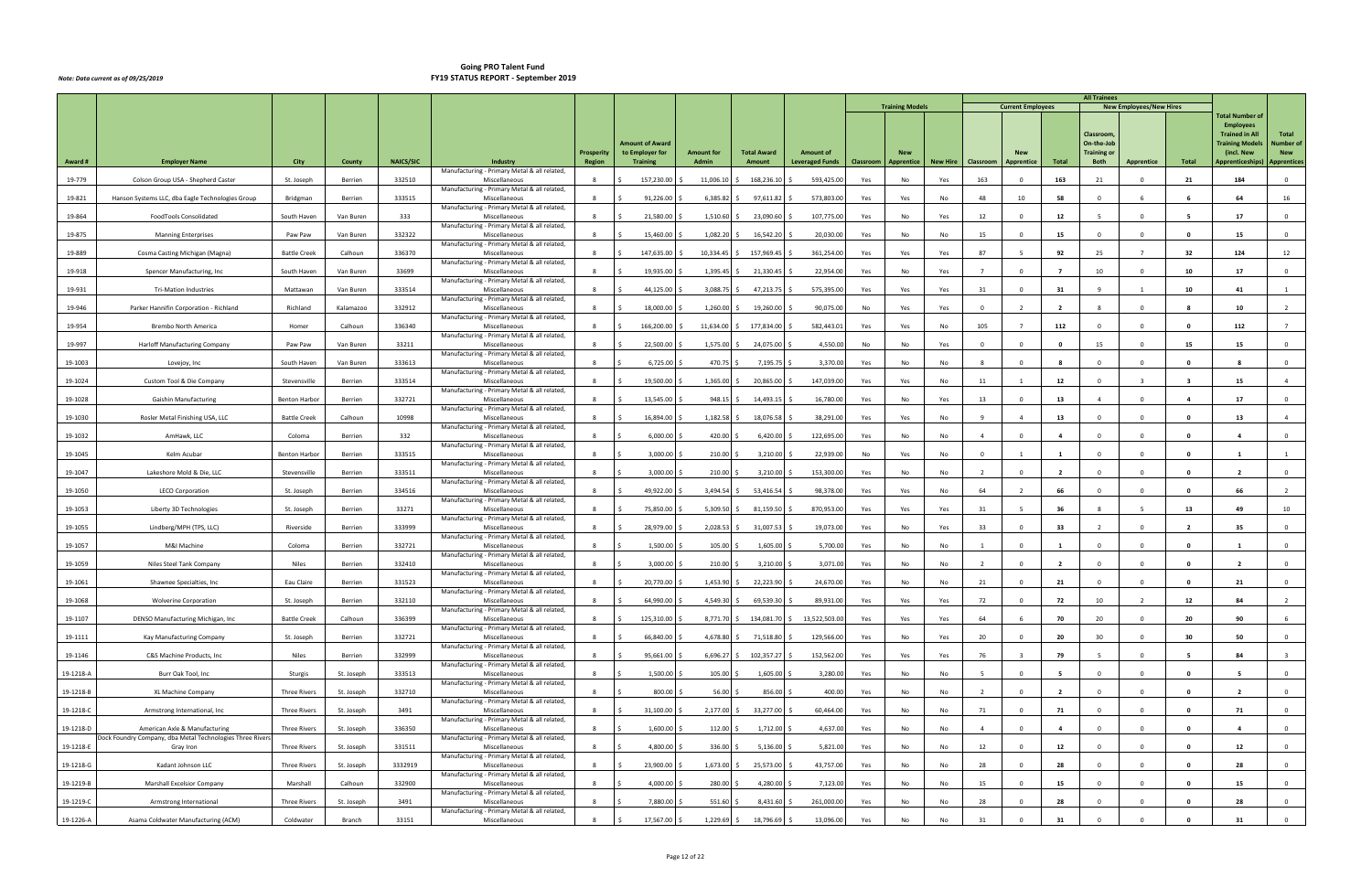|           |                                                                        |                      |            |                  |                                                               |                                    |                                    |                            |                                     |                                            |           |                          |                 |                |                          |                          | <b>All Trainees</b>               |                                |                |                                                 |                                  |
|-----------|------------------------------------------------------------------------|----------------------|------------|------------------|---------------------------------------------------------------|------------------------------------|------------------------------------|----------------------------|-------------------------------------|--------------------------------------------|-----------|--------------------------|-----------------|----------------|--------------------------|--------------------------|-----------------------------------|--------------------------------|----------------|-------------------------------------------------|----------------------------------|
|           |                                                                        |                      |            |                  |                                                               |                                    |                                    |                            |                                     |                                            |           | <b>Training Models</b>   |                 |                | <b>Current Employees</b> |                          |                                   | <b>New Employees/New Hires</b> |                | <b>Total Number of</b>                          |                                  |
|           |                                                                        |                      |            |                  |                                                               |                                    |                                    |                            |                                     |                                            |           |                          |                 |                |                          |                          |                                   |                                |                | <b>Employees</b>                                | Total                            |
|           |                                                                        |                      |            |                  |                                                               |                                    | <b>Amount of Award</b>             |                            |                                     |                                            |           |                          |                 |                |                          |                          | Classroom<br>On-the-Job           |                                |                | <b>Trained in All</b><br><b>Training Models</b> | <b>Number of</b>                 |
| Award #   | <b>Employer Name</b>                                                   | City                 | County     | <b>NAICS/SIC</b> | Industry                                                      | <b>Prosperity</b><br><b>Region</b> | to Employer for<br><b>Training</b> | <b>Amount for</b><br>Admin | <b>Total Award</b><br><b>Amount</b> | <b>Amount of</b><br><b>Leveraged Funds</b> | Classroom | <b>New</b><br>Apprentice | <b>New Hire</b> | Classroom      | Apprentice               | Total                    | <b>Training or</b><br><b>Both</b> | Apprentice                     | Total          | (incl. New<br>Apprenticeships)                  | <b>New</b><br><b>Apprentices</b> |
|           |                                                                        |                      |            |                  | Manufacturing - Primary Metal & all related,                  |                                    |                                    |                            |                                     |                                            |           |                          |                 |                |                          |                          |                                   |                                |                |                                                 |                                  |
| 19-779    | Colson Group USA - Shepherd Caster                                     | St. Joseph           | Berrien    | 332510           | Miscellaneous<br>Manufacturing - Primary Metal & all related, |                                    | 157,230.00                         | 11,006.10                  | 168,236.10                          | 593,425.00                                 | Yes       | No                       | Yes             | 163            | $\Omega$                 | 163                      | 21                                | $\Omega$                       | 21             | 184                                             | $\mathbf{0}$                     |
| 19-821    | Hanson Systems LLC, dba Eagle Technologies Group                       | Bridgman             | Berrien    | 333515           | Miscellaneous                                                 | -8                                 | 91,226.00                          | 6,385.82                   | 97,611.82                           | 573,803.00                                 | Yes       | Yes                      | No              | 48             | 10                       | 58                       | $\Omega$                          | 6                              |                | 64                                              | 16                               |
| 19-864    | FoodTools Consolidated                                                 | South Haven          | Van Buren  | 333              | Manufacturing - Primary Metal & all related,<br>Miscellaneous | 8                                  | 21,580.00                          | 1,510.60                   | 23,090.60                           | 107,775.00                                 | Yes       | No                       | Yes             | 12             | $\Omega$                 | 12                       | -5                                | $\Omega$                       |                | 17                                              | $\overline{0}$                   |
| 19-875    | <b>Manning Enterprises</b>                                             | Paw Paw              | Van Buren  | 332322           | Manufacturing - Primary Metal & all related,<br>Miscellaneous | 8                                  | 15,460.00                          | 1,082.20                   | 16,542.20                           | 20,030.00                                  | Yes       | No                       | No              | 15             | $\Omega$                 | 15                       | $\Omega$                          | $\Omega$                       | $\Omega$       | 15                                              | $\overline{0}$                   |
|           |                                                                        |                      |            |                  | Manufacturing - Primary Metal & all related,                  |                                    |                                    |                            |                                     |                                            |           |                          |                 |                |                          |                          |                                   |                                |                |                                                 |                                  |
| 19-889    | Cosma Casting Michigan (Magna)                                         | <b>Battle Creek</b>  | Calhoun    | 336370           | Miscellaneous<br>Manufacturing - Primary Metal & all related, | 8                                  | 147,635.00                         | 10,334.45                  | \$157,969.45                        | 361,254.00                                 | Yes       | Yes                      | Yes             | 87             |                          | 92                       | 25                                |                                | 32             | 124                                             | 12                               |
| 19-918    | Spencer Manufacturing, Inc.                                            | South Haven          | Van Buren  | 33699            | Miscellaneous<br>Manufacturing - Primary Metal & all related, | 8                                  | 19,935.00                          | $1,395.45$ \$              | 21,330.45                           | 22,954.00                                  | Yes       | No                       | Yes             | $\overline{7}$ | $\overline{0}$           | $\overline{7}$           | 10                                | $\overline{0}$                 | 10             | 17                                              | $\overline{0}$                   |
| 19-931    | <b>Tri-Mation Industries</b>                                           | Mattawan             | Van Buren  | 333514           | Miscellaneous                                                 | 8                                  | 44,125.00                          | 3,088.75                   | 47,213.75                           | 575,395.00                                 | Yes       | Yes                      | Yes             | 31             | $\Omega$                 | 31                       | -9                                | $\mathbf{1}$                   | 10             | 41                                              | 1                                |
| 19-946    | Parker Hannifin Corporation - Richland                                 | Richland             | Kalamazoo  | 332912           | Manufacturing - Primary Metal & all related,<br>Miscellaneous | 8                                  | 18,000.00                          | 1,260.00                   | 19,260.00                           | 90,075.00                                  | No        | Yes                      | Yes             | $\Omega$       |                          | $\overline{\phantom{a}}$ |                                   | $\Omega$                       |                | 10                                              |                                  |
| 19-954    | Brembo North America                                                   | Homer                | Calhoun    | 336340           | Manufacturing - Primary Metal & all related,<br>Miscellaneous | 8                                  | 166,200.00                         | 11,634.00                  | 177,834.00                          | 582,443.01                                 | Yes       | Yes                      | No              | 105            | $\overline{7}$           | 112                      | $\Omega$                          | $\Omega$                       | $\mathbf{0}$   | 112                                             | $7^{\circ}$                      |
|           |                                                                        |                      |            |                  | Manufacturing - Primary Metal & all related,                  |                                    |                                    |                            |                                     |                                            |           |                          |                 |                |                          |                          |                                   |                                |                |                                                 |                                  |
| 19-997    | Harloff Manufacturing Company                                          | Paw Paw              | Van Buren  | 33211            | Miscellaneous<br>Manufacturing - Primary Metal & all related, | 8                                  | 22,500.00                          | $1,575.00$ \$              | 24,075.00                           | 4,550.00                                   | No        | No                       | Yes             | $\overline{0}$ | $\Omega$                 | $\mathbf{o}$             | 15                                | $\Omega$                       | 15             | 15                                              | $\mathbf{0}$                     |
| 19-1003   | Lovejoy, Inc                                                           | South Haven          | Van Buren  | 333613           | Miscellaneous<br>Manufacturing - Primary Metal & all related, | 8                                  | 6,725.00                           | 470.75                     | 7,195.7                             | 3,370.00                                   | Yes       | No                       | No              |                | $\Omega$                 |                          | $\Omega$                          | $\Omega$                       | - 0            |                                                 | $\mathbf 0$                      |
| 19-1024   | Custom Tool & Die Company                                              | Stevensville         | Berrien    | 333514           | Miscellaneous                                                 | 8                                  | 19,500.00<br>-Ś                    | $1,365.00$ \$              | 20,865.00                           | 147,039.00                                 | Yes       | Yes                      | No              | 11             |                          | 12                       | $\overline{0}$                    | $\mathbf{3}$                   | - 3            | 15                                              | $\overline{4}$                   |
| 19-1028   | <b>Gaishin Manufacturing</b>                                           | <b>Benton Harbor</b> | Berrien    | 332721           | Manufacturing - Primary Metal & all related,<br>Miscellaneous | 8                                  | 13,545.00                          | $948.15$ \$                | 14,493.15                           | 16,780.00                                  | Yes       | No                       | Yes             | 13             | $\overline{0}$           | 13                       | $\overline{a}$                    | $\Omega$                       | -4             | 17                                              | $\overline{0}$                   |
| 19-1030   | Rosler Metal Finishing USA, LLC                                        | <b>Battle Creek</b>  | Calhoun    | 10998            | Manufacturing - Primary Metal & all related,<br>Miscellaneous | 8                                  | 16,894.00                          | 1,182.58                   | 18,076.58                           | 38,291.00                                  | Yes       | Yes                      | No              | 9              | $\overline{a}$           | 13                       | $\mathbf 0$                       | $\mathbf 0$                    | $\mathbf{0}$   | 13                                              | $\overline{4}$                   |
|           |                                                                        |                      |            |                  | Manufacturing - Primary Metal & all related,                  |                                    |                                    |                            |                                     |                                            |           |                          |                 |                |                          |                          |                                   |                                |                |                                                 |                                  |
| 19-1032   | AmHawk, LLC                                                            | Coloma               | Berrien    | 332              | Miscellaneous<br>Manufacturing - Primary Metal & all related, | 8                                  | 6,000.00                           | 420.00                     | 6,420.00                            | 122,695.00                                 | Yes       | No                       | No              | $\overline{4}$ | - 0                      |                          | $\Omega$                          | $\Omega$                       | - 0            |                                                 | $\overline{0}$                   |
| 19-1045   | Kelm Acubar                                                            | <b>Benton Harbor</b> | Berrien    | 333515           | Miscellaneous<br>Manufacturing - Primary Metal & all related, | 8                                  | 3,000.00                           | $210.00$ \$                | 3,210.00                            | 22,939.00                                  | No        | Yes                      | No              | $\Omega$       |                          | 1                        | $\Omega$                          | $\Omega$                       | $\mathbf 0$    | $\mathbf{1}$                                    |                                  |
| 19-1047   | Lakeshore Mold & Die, LLC                                              | Stevensville         | Berrien    | 333511           | Miscellaneous                                                 | 8                                  | 3,000.00                           | $210.00$ \$                | 3,210.00                            | 153,300.00                                 | Yes       | No                       | No              | $\overline{2}$ | $\Omega$                 | $\overline{2}$           | $\Omega$                          | $\Omega$                       | $\Omega$       | $\overline{2}$                                  | $\overline{0}$                   |
| 19-1050   | <b>LECO Corporation</b>                                                | St. Joseph           | Berrien    | 334516           | Manufacturing - Primary Metal & all related,<br>Miscellaneous | 8                                  | 49,922.00                          | $3,494.54$ \$              | 53,416.54                           | 98,378.00                                  | Yes       | Yes                      | No              | 64             | $\overline{\phantom{a}}$ | 66                       | $\Omega$                          | $\Omega$                       | $\Omega$       | 66                                              | $\overline{2}$                   |
| 19-1053   | Liberty 3D Technologies                                                | St. Joseph           | Berrien    | 33271            | Manufacturing - Primary Metal & all related,<br>Miscellaneous | 8                                  | 75,850.00                          | 5,309.50                   | 81,159.50                           | 870,953.00                                 | Yes       | Yes                      | Yes             | 31             | -5                       | 36                       | 8                                 |                                | 13             | 49                                              | 10                               |
| 19-1055   |                                                                        | Riverside            | Berrien    | 333999           | Manufacturing - Primary Metal & all related,<br>Miscellaneous | 8                                  | 28,979.00                          | 2,028.53                   | 31,007.53                           | 19,073.00                                  |           | No                       |                 | 33             | $\Omega$                 | 33                       | $\overline{2}$                    | $\Omega$                       | $\overline{2}$ | 35                                              | $\overline{0}$                   |
|           | Lindberg/MPH (TPS, LLC)                                                |                      |            |                  | Manufacturing - Primary Metal & all related,                  |                                    |                                    |                            |                                     |                                            | Yes       |                          | Yes             |                |                          |                          |                                   |                                |                |                                                 |                                  |
| 19-1057   | M&I Machine                                                            | Coloma               | Berrien    | 332721           | Miscellaneous<br>Manufacturing - Primary Metal & all related, | 8                                  | 1,500.00                           | 105.00%                    | 1,605.00                            | 5,700.00                                   | Yes       | No                       | No              | $\overline{1}$ | $\Omega$                 | 1                        | $\overline{0}$                    | $\Omega$                       | $\mathbf 0$    | 1                                               | $\overline{0}$                   |
| 19-1059   | Niles Steel Tank Company                                               | Niles                | Berrien    | 332410           | Miscellaneous<br>Manufacturing - Primary Metal & all related, | 8                                  | 3,000.00                           | 210.00                     | 3,210.00                            | 3,071.00                                   | Yes       | No                       | No              |                | $\Omega$                 | $\overline{\phantom{a}}$ |                                   | $\Omega$                       | - 0            |                                                 | $\mathbf 0$                      |
| 19-1061   | Shawnee Specialties, Inc.                                              | Eau Claire           | Berrien    | 331523           | Miscellaneous                                                 | 8                                  | 20,770.00<br>l \$                  | $1,453.90$ \$              | 22,223.90                           | 24,670.00                                  | Yes       | No                       | No              | 21             | $\overline{0}$           | 21                       | $\overline{0}$                    | $\mathbf 0$                    | $\mathbf{0}$   | 21                                              | $\overline{0}$                   |
| 19-1068   | <b>Wolverine Corporation</b>                                           | St. Joseph           | Berrien    | 332110           | Manufacturing - Primary Metal & all related,<br>Miscellaneous | 8                                  | 64,990.00 \$<br>- Ś                | 4,549.30 \$                | 69,539.30                           | 89,931.00                                  | Yes       | Yes                      | Yes             | 72             | $\Omega$                 | 72                       | 10                                | $\overline{2}$                 | 12             | 84                                              | $\overline{2}$                   |
| 19-1107   | DENSO Manufacturing Michigan, Inc                                      | <b>Battle Creek</b>  | Calhoun    | 336399           | Manufacturing - Primary Metal & all related,<br>Miscellaneous | 8                                  | 125,310.00                         |                            | 8,771.70 \$ 134,081.70              | 13,522,503.00                              | Yes       | Yes                      | Yes             | 64             |                          | 70                       | 20                                | $\Omega$                       | 20             | 90                                              | 6                                |
| 19-1111   | Kay Manufacturing Company                                              | St. Joseph           | Berrien    | 332721           | Manufacturing - Primary Metal & all related,<br>Miscellaneous | 8                                  | 66,840.00                          | 4,678.80 \$                | 71,518.80                           | 129,566.00                                 | Yes       | No                       | Yes             | 20             | $\Omega$                 | 20                       | 30                                | $\Omega$                       | 30             | 50                                              | $\overline{0}$                   |
|           |                                                                        |                      |            |                  | Manufacturing - Primary Metal & all related,                  |                                    |                                    |                            |                                     |                                            |           |                          |                 |                |                          |                          |                                   |                                |                |                                                 |                                  |
| 19-1146   | C&S Machine Products, Inc                                              | <b>Niles</b>         | Berrien    | 332999           | Miscellaneous<br>Manufacturing - Primary Metal & all related, | 8                                  | 95,661.00                          | $6,696.27$ \$              | 102,357.27                          | 152,562.00                                 | Yes       | Yes                      | Yes             | 76             | ્વ                       | 79                       | - 5                               | $\Omega$                       | - 5            | 84                                              | $\overline{\mathbf{3}}$          |
| 19-1218-A | Burr Oak Tool, Inc                                                     | Sturgis              | St. Joseph | 333513           | Miscellaneous<br>Manufacturing - Primary Metal & all related, | 8                                  | $1,500.00$ \$                      | 105.00 \$                  | 1,605.00                            | 3,280.00                                   | Yes       | No                       | No              | - 5            | $\Omega$                 | - 5                      | $\overline{0}$                    | $\Omega$                       | $\mathbf{0}$   | - 5                                             | $\overline{0}$                   |
| 19-1218-B | XL Machine Company                                                     | <b>Three Rivers</b>  | St. Joseph | 332710           | Miscellaneous                                                 | 8                                  | 800.00                             | 56.00                      | 856.00                              | 400.00                                     | Yes       | No                       | No              | $\overline{2}$ | $\Omega$                 | $\overline{2}$           | $\Omega$                          | $\Omega$                       | $\Omega$       | $\overline{2}$                                  | $\overline{0}$                   |
| 19-1218-C | Armstrong International, Inc                                           | Three Rivers         | St. Joseph | 3491             | Manufacturing - Primary Metal & all related,<br>Miscellaneous | 8                                  | 31,100.00 \$<br>-Ś                 | $2,177.00$ \$              | 33,277.00                           | 60,464.00                                  | Yes       | No                       | No              | 71             | $^{\circ}$               | 71                       | $\overline{0}$                    | $\Omega$                       | $\mathbf{0}$   | 71                                              | $\overline{0}$                   |
| 19-1218-D | American Axle & Manufacturing                                          | <b>Three Rivers</b>  | St. Joseph | 336350           | Manufacturing - Primary Metal & all related,<br>Miscellaneous | 8                                  | $1,600.00$ \$                      | $112.00 \pm 5$             | 1,712.00                            | 4,637.00                                   | Yes       | No                       | No              | $\overline{4}$ | $\mathbf{0}$             | $\overline{a}$           | $\overline{\mathbf{0}}$           | $\mathbf 0$                    | $\mathbf{0}$   | $\overline{a}$                                  | $\overline{0}$                   |
| 19-1218-E | Dock Foundry Company, dba Metal Technologies Three Rivers<br>Gray Iron | <b>Three Rivers</b>  | St. Joseph | 331511           | Manufacturing - Primary Metal & all related,<br>Miscellaneous | 8                                  | 4,800.00 \$                        | 336.00 \$                  | 5,136.00                            | 5,821.00                                   | Yes       | No                       | No              | 12             | $\Omega$                 | 12                       | $\Omega$                          | $\Omega$                       | $\mathbf{0}$   | 12                                              | $\overline{0}$                   |
|           |                                                                        |                      |            |                  | Manufacturing - Primary Metal & all related,                  |                                    |                                    |                            |                                     |                                            |           |                          |                 |                |                          |                          |                                   |                                |                |                                                 |                                  |
| 19-1218-G | Kadant Johnson LLC                                                     | <b>Three Rivers</b>  | St. Joseph | 3332919          | Miscellaneous<br>Manufacturing - Primary Metal & all related, |                                    | 23,900.00                          | $1,673.00$ \$              | 25,573.00                           | 43,757.00                                  | Yes       | No                       | No              | 28             | $\Omega$                 | 28                       | $\Omega$                          | $\Omega$                       | $\mathbf 0$    | 28                                              | $\overline{0}$                   |
| 19-1219-B | Marshall Excelsior Company                                             | Marshall             | Calhoun    | 332900           | Miscellaneous<br>Manufacturing - Primary Metal & all related, | 8                                  | 4,000.00                           | 280.00 \$                  | 4,280.00                            | 7,123.00                                   | Yes       | No                       | No              | 15             | $\Omega$                 | 15                       | $\Omega$                          | $\Omega$                       | $\mathbf{0}$   | 15                                              | $\overline{0}$                   |
| 19-1219-C | Armstrong International                                                | Three Rivers         | St. Joseph | 3491             | Miscellaneous<br>Manufacturing - Primary Metal & all related, | 8                                  | 7,880.00                           | 551.60 \$                  | 8,431.60                            | 261,000.00                                 | Yes       | No                       | No              | 28             | $\Omega$                 | 28                       | $\Omega$                          | $\Omega$                       | $\Omega$       | 28                                              | $\overline{0}$                   |
| 19-1226-A | Asama Coldwater Manufacturing (ACM)                                    | Coldwater            | Branch     | 33151            | Miscellaneous                                                 | 8                                  | 17,567.00 \$<br>- Ś                | 1,229.69 \$                | 18,796.69                           | 13,096.00                                  | Yes       | No                       | No              | 31             | $\Omega$                 | 31                       |                                   | $\Omega$                       | $\Omega$       | 31                                              | $\overline{0}$                   |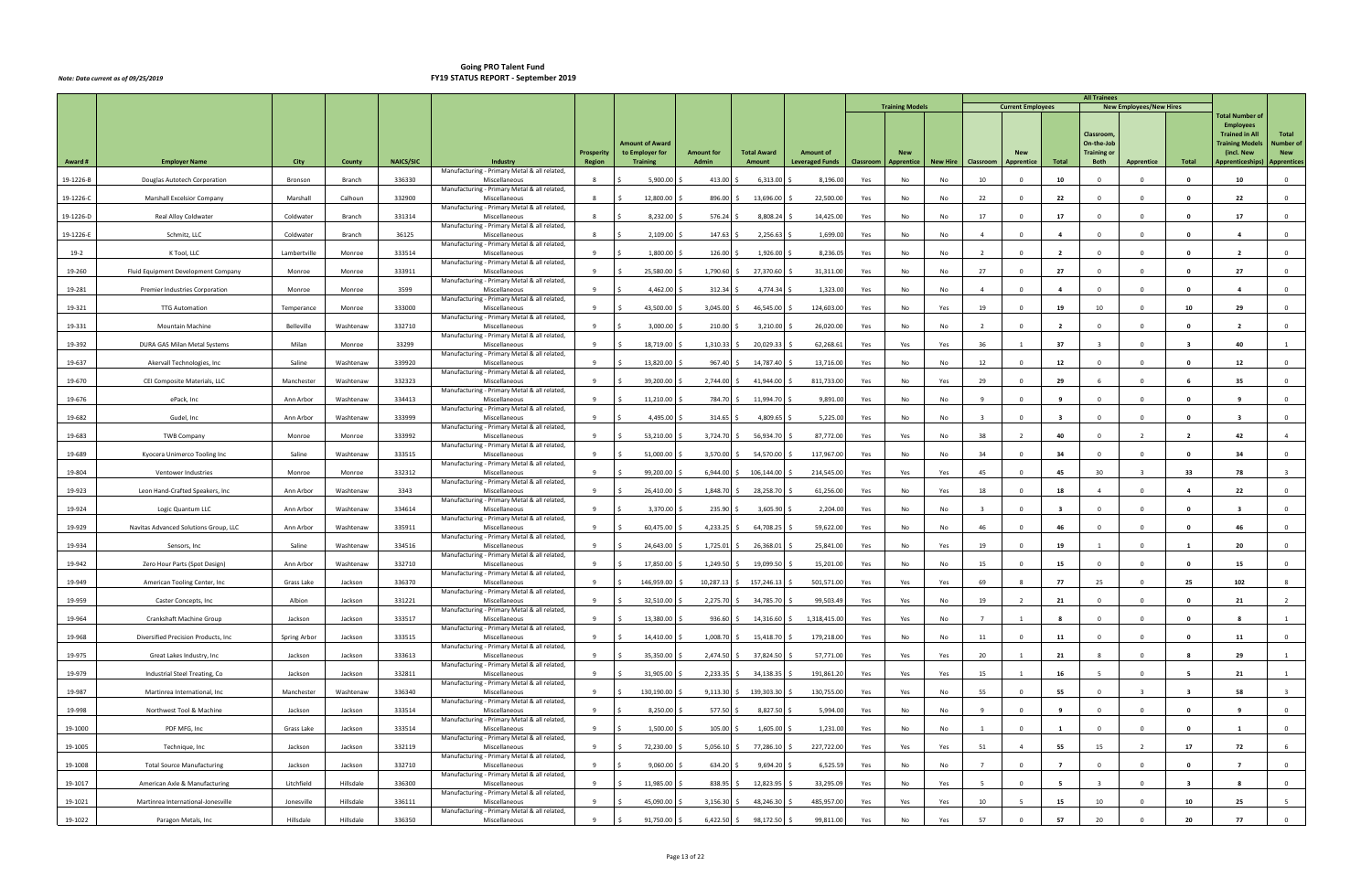|           |                                       |              |           |                  |                                                               |                   |                                           |                   |                    |                        |           | <b>Training Models</b> |          |                         | <b>Current Employees</b> |                         | <b>All Trainees</b>              | <b>New Employees/New Hires</b> |                         |                                           |                                |
|-----------|---------------------------------------|--------------|-----------|------------------|---------------------------------------------------------------|-------------------|-------------------------------------------|-------------------|--------------------|------------------------|-----------|------------------------|----------|-------------------------|--------------------------|-------------------------|----------------------------------|--------------------------------|-------------------------|-------------------------------------------|--------------------------------|
|           |                                       |              |           |                  |                                                               |                   |                                           |                   |                    |                        |           |                        |          |                         |                          |                         |                                  |                                |                         | <b>Total Number of</b>                    |                                |
|           |                                       |              |           |                  |                                                               |                   |                                           |                   |                    |                        |           |                        |          |                         |                          |                         | Classroom                        |                                |                         | <b>Employees</b><br><b>Trained in All</b> | Total                          |
|           |                                       |              |           |                  |                                                               | <b>Prosperity</b> | <b>Amount of Award</b><br>to Employer for | <b>Amount for</b> | <b>Total Award</b> | <b>Amount of</b>       |           | <b>New</b>             |          |                         |                          |                         | On-the-Job<br><b>Training or</b> |                                |                         | <b>Training Models</b><br>(incl. New      | <b>Number of</b><br><b>New</b> |
| Award #   | <b>Employer Name</b>                  | City         | County    | <b>NAICS/SIC</b> | Industry<br>Manufacturing - Primary Metal & all related,      | Region            | <b>Training</b>                           | Admin             | Amount             | <b>Leveraged Funds</b> | Classroom | Apprentice             | New Hire | Classroom               | <b>Apprentice</b>        | Total                   | <b>Both</b>                      | <b>Apprentice</b>              | Total                   | Apprenticeships)                          | <b>Apprentices</b>             |
| 19-1226-B | Douglas Autotech Corporation          | Bronson      | Branch    | 336330           | Miscellaneous                                                 |                   | 5,900.00                                  | 413.00            | 6,313.00           | 8,196.00               | Yes       | No                     | No       | 10                      |                          | 10                      |                                  |                                |                         | 10                                        | $\mathbf 0$                    |
| 19-1226-C | Marshall Excelsior Company            | Marshall     | Calhoun   | 332900           | Manufacturing - Primary Metal & all related<br>Miscellaneous  | 8                 | 12,800.00                                 | 896.00            | 13,696.00          | 22,500.00              | Yes       | No                     | No       | 22                      | - 0                      | 22                      | $\Omega$                         | $\Omega$                       | 0                       | 22                                        | $\mathbf 0$                    |
| 19-1226-D | Real Alloy Coldwater                  | Coldwater    | Branch    | 331314           | Manufacturing - Primary Metal & all related,<br>Miscellaneous | 8                 | 8,232.00                                  | 576.24            | 8,808.24           | 14,425.00              | Yes       | No                     | No       | 17                      | $\Omega$                 | 17                      | $\Omega$                         | $\Omega$                       | - 0                     | 17                                        | $\mathbf 0$                    |
| 19-1226-E | Schmitz, LLC                          | Coldwater    | Branch    | 36125            | Manufacturing - Primary Metal & all related,<br>Miscellaneous | 8                 | 2,109.00                                  | 147.63            | 2,256.63           | 1,699.00               | Yes       | No                     | No       | $\overline{a}$          | $\Omega$                 | -4                      |                                  | $\Omega$                       | - 0                     |                                           | $\mathbf 0$                    |
| $19-2$    | K Tool, LLC                           | Lambertville | Monroe    | 333514           | Manufacturing - Primary Metal & all related,<br>Miscellaneous | 9                 | 1,800.00                                  | 126.00            | 1,926.00           | 8,236.05               | Yes       | No                     | No       | $\overline{2}$          | $\Omega$                 | $\overline{2}$          | $\Omega$                         | $\Omega$                       | - 0                     | $\overline{2}$                            | $\mathbf 0$                    |
| 19-260    | Fluid Equipment Development Company   | Monroe       | Monroe    | 333911           | Manufacturing - Primary Metal & all related,<br>Miscellaneous | 9                 | 25,580.00                                 | 1,790.60          | 27,370.60          | 31,311.00              | Yes       | No                     | No       | 27                      | $^{\circ}$               | 27                      | $\Omega$                         | $\Omega$                       | 0                       | 27                                        | $\overline{0}$                 |
| 19-281    | Premier Industries Corporation        | Monroe       | Monroe    | 3599             | Manufacturing - Primary Metal & all related,<br>Miscellaneous | 9                 | 4,462.00                                  | 312.34            | 4,774.34           | 1,323.00               | Yes       | No                     | No       | $\overline{4}$          | $\Omega$                 | $\mathbf{A}$            |                                  | $\Omega$                       | - 0                     |                                           | $\mathbf 0$                    |
| 19-321    |                                       |              |           | 333000           | Manufacturing - Primary Metal & all related,<br>Miscellaneous |                   | 43,500.00                                 | 3,045.00          | 46,545.00          | 124,603.00             | Yes       | No                     |          | 19                      | $\Omega$                 | 19                      | 10                               | $\Omega$                       | 10                      | 29                                        | $\mathbf 0$                    |
|           | <b>TTG Automation</b>                 | Temperance   | Monroe    |                  | Manufacturing - Primary Metal & all related,                  |                   |                                           |                   |                    |                        |           |                        | Yes      |                         |                          |                         |                                  |                                |                         |                                           |                                |
| 19-331    | Mountain Machine                      | Belleville   | Washtenaw | 332710           | Miscellaneous<br>Manufacturing - Primary Metal & all related, | 9                 | 3,000.00                                  | $210.00$ \$       | 3,210.00           | 26,020.00              | Yes       | No                     | No       | $\overline{2}$          | $\Omega$                 | $\overline{2}$          | $\Omega$                         | $\Omega$                       | 0                       | $\overline{2}$                            | $\overline{0}$                 |
| 19-392    | DURA GAS Milan Metal Systems          | Milan        | Monroe    | 33299            | Miscellaneous<br>Manufacturing - Primary Metal & all related, | 9                 | 18,719.00                                 | 1,310.33          | 20,029.33          | 62,268.61              | Yes       | Yes                    | Yes      | 36                      |                          | 37                      |                                  | $\Omega$                       | $\overline{\mathbf{3}}$ | 40                                        | 1                              |
| 19-637    | Akervall Technologies, Inc            | Saline       | Washtenaw | 339920           | Miscellaneous<br>Manufacturing - Primary Metal & all related, | 9                 | 13,820.00                                 | 967.40            | 14,787.40          | 13,716.00              | Yes       | No                     | No       | 12                      | $\Omega$                 | 12                      | $\Omega$                         | $\Omega$                       | - 0                     | 12                                        | $\mathbf 0$                    |
| 19-670    | CEI Composite Materials, LLC          | Manchester   | Washtenaw | 332323           | Miscellaneous<br>Manufacturing - Primary Metal & all related, |                   | 39,200.00                                 | 2,744.00          | 41,944.00          | 811,733.00             | Yes       | No                     | Yes      | 29                      | $\Omega$                 | 29                      |                                  | $\Omega$                       |                         | 35                                        | $\mathbf 0$                    |
| 19-676    | ePack, Inc                            | Ann Arbor    | Washtenaw | 334413           | Miscellaneous<br>Manufacturing - Primary Metal & all related, | 9                 | 11,210.00                                 | 784.70            | 11,994.70          | 9,891.00               | Yes       | No                     | No       | - 9                     | $\Omega$                 | -9                      | $\Omega$                         | $\Omega$                       | - 0                     | -9                                        | $\mathbf 0$                    |
| 19-682    | Gudel, Inc                            | Ann Arbor    | Washtenaw | 333999           | Miscellaneous                                                 | 9                 | 4,495.00                                  | 314.65            | 4,809.65           | 5,225.00               | Yes       | No                     | No       | $\overline{\mathbf{3}}$ | $^{\circ}$               | $\overline{\mathbf{3}}$ | $\mathbf{0}$                     | $\Omega$                       | $\mathbf{0}$            | $\overline{\mathbf{3}}$                   | $\overline{0}$                 |
| 19-683    | <b>TWB Company</b>                    | Monroe       | Monroe    | 333992           | Manufacturing - Primary Metal & all related,<br>Miscellaneous | 9                 | 53,210.00                                 | 3,724.70 \$       | 56,934.70          | 87,772.00              | Yes       | Yes                    | No       | 38                      |                          | 40                      |                                  |                                |                         | 42                                        | $\overline{4}$                 |
| 19-689    | Kyocera Unimerco Tooling Inc          | Saline       | Washtenaw | 333515           | Manufacturing - Primary Metal & all related,<br>Miscellaneous | q                 | 51,000.00                                 | 3,570.00          | 54,570.00          | 117,967.00             | Yes       | No                     | No       | 34                      | $\Omega$                 | 34                      | $\Omega$                         | $\Omega$                       | 0                       | 34                                        | $\mathbf 0$                    |
| 19-804    | Ventower Industries                   | Monroe       | Monroe    | 332312           | Manufacturing - Primary Metal & all related,<br>Miscellaneous | 9                 | 99,200.00                                 | 6,944.00          | 106,144.00         | 214,545.00             | Yes       | Yes                    | Yes      | 45                      | $\Omega$                 | 45                      | 30                               | $\mathbf{R}$                   | 33                      | 78                                        |                                |
| 19-923    | Leon Hand-Crafted Speakers, Inc       | Ann Arbor    | Washtenaw | 3343             | Manufacturing - Primary Metal & all related,<br>Miscellaneous | q                 | 26,410.00                                 | 1,848.70          | 28,258.70          | 61,256.00              | Yes       | No                     | Yes      | 18                      | $\Omega$                 | 18                      | $\overline{a}$                   | $\Omega$                       | $\overline{a}$          | 22                                        | $\mathbf 0$                    |
| 19-924    | Logic Quantum LLC                     | Ann Arbor    | Washtenaw | 334614           | Manufacturing - Primary Metal & all related,<br>Miscellaneous | 9                 | 3,370.00                                  | 235.90            | 3,605.90           | 2,204.00               | Yes       | No                     | No       | $\mathbf{R}$            | $\Omega$                 |                         | $\Omega$                         | $\Omega$                       | $\mathbf{0}$            |                                           | $\mathbf{0}$                   |
| 19-929    | Navitas Advanced Solutions Group, LLC | Ann Arbor    | Washtenaw | 335911           | Manufacturing - Primary Metal & all related,<br>Miscellaneous | 9                 | 60,475.00                                 | 4,233.25          | 64,708.25          | 59,622.00              | Yes       | No                     | No       | 46                      | $\Omega$                 | 46                      | $\Omega$                         | $\Omega$                       | 0                       | 46                                        | $\mathbf 0$                    |
| 19-934    | Sensors, Inc.                         | Saline       | Washtenaw | 334516           | Manufacturing - Primary Metal & all related,<br>Miscellaneous | 9                 | 24,643.00                                 | $1,725.01$ \$     | 26,368.01          | 25,841.00              | Yes       | No                     | Yes      | 19                      | $\Omega$                 | 19                      |                                  | $\Omega$                       |                         | 20                                        | $\mathbf{0}$                   |
|           |                                       |              |           |                  | Manufacturing - Primary Metal & all related                   | 9                 | 17,850.00                                 | 1,249.50          |                    |                        |           | No                     |          | 15                      | $\Omega$                 | 15                      |                                  | $\Omega$                       |                         | 15                                        | $\mathbf 0$                    |
| 19-942    | Zero Hour Parts (Spot Design)         | Ann Arbor    | Washtenaw | 332710           | Miscellaneous<br>Manufacturing - Primary Metal & all related, |                   |                                           |                   | 19,099.50          | 15,201.00              | Yes       |                        | No       |                         |                          |                         |                                  |                                |                         |                                           |                                |
| 19-949    | American Tooling Center, Inc          | Grass Lake   | Jackson   | 336370           | Miscellaneous<br>Manufacturing - Primary Metal & all related, | 9                 | 146,959.00                                | $10,287.13$ \$    | 157,246.13         | 501,571.00             | Yes       | Yes                    | Yes      | 69                      |                          | 77                      | 25                               | $\Omega$                       | 25                      | 102                                       | 8                              |
| 19-959    | Caster Concepts, Inc                  | Albion       | Jackson   | 331221           | Miscellaneous<br>Manufacturing - Primary Metal & all related, | 9                 | 32,510.00                                 | 2,275.70 \$       | 34,785.70          | 99,503.49              | Yes       | Yes                    | No       | 19                      |                          | 21                      | $\Omega$                         | $\overline{0}$                 | $\mathbf{0}$            | 21                                        | $\overline{2}$                 |
| 19-964    | Crankshaft Machine Group              | Jackson      | Jackson   | 333517           | Miscellaneous<br>Manufacturing - Primary Metal & all related, | 9                 | 13,380.00                                 | 936.60 \$         | 14,316.60          | 1,318,415.00           | Yes       | Yes                    | No       |                         |                          | -8                      | $\Omega$                         | $\Omega$                       | $\Omega$                | $\mathbf{R}$                              | 1                              |
| 19-968    | Diversified Precision Products, Inc.  | Spring Arbor | Jackson   | 333515           | Miscellaneous<br>Manufacturing - Primary Metal & all related, | $\mathbf{q}$      | 14,410.00                                 | $1,008.70$ \$     | 15,418.70          | 179,218.00             | Yes       | No                     | No       | 11                      | $\Omega$                 | 11                      |                                  | $\Omega$                       | - 0                     | 11                                        | $\overline{0}$                 |
| 19-975    | Great Lakes Industry, Inc             | Jackson      | Jackson   | 333613           | Miscellaneous<br>Manufacturing - Primary Metal & all related, | 9                 | 35,350.00                                 | 2,474.50 \$       | 37,824.50          | 57,771.00              | Yes       | Yes                    | Yes      | 20                      |                          | 21                      | 8                                | $\Omega$                       | -8                      | 29                                        | 1                              |
| 19-979    | Industrial Steel Treating, Co         | Jackson      | Jackson   | 332811           | Miscellaneous<br>Manufacturing - Primary Metal & all related, | 9                 | 31,905.00                                 | 2,233.35 \$       | 34,138.35          | 191,861.20             | Yes       | Yes                    | Yes      | 15                      |                          | 16                      | - 5                              | $\Omega$                       |                         | 21                                        | <b>1</b>                       |
| 19-987    | Martinrea International, Inc          | Manchester   | Washtenaw | 336340           | Miscellaneous                                                 | 9                 | 130,190.00                                | $9,113.30$ \$     | 139,303.30         | 130,755.00             | Yes       | Yes                    | No       | 55                      | $\Omega$                 | 55                      | $\Omega$                         | $\overline{3}$                 | -3                      | 58                                        | $\overline{\mathbf{3}}$        |
| 19-998    | Northwest Tool & Machine              | Jackson      | Jackson   | 333514           | Manufacturing - Primary Metal & all related,<br>Miscellaneous | 9                 | 8,250.00                                  | 577.50 \$         | 8,827.50           | 5,994.00               | Yes       | No                     | No       | - 9                     | $^{\circ}$               | 9                       | $\overline{\mathbf{0}}$          | $\Omega$                       | $\mathbf{0}$            | 9                                         | $\overline{0}$                 |
| 19-1000   | PDF MFG, Inc                          | Grass Lake   | Jackson   | 333514           | Manufacturing - Primary Metal & all related,<br>Miscellaneous | 9                 | 1,500.00                                  | $105.00$ \$       | 1,605.00           | 1,231.00               | Yes       | No                     | No       |                         | $\overline{0}$           | <b>1</b>                | $\overline{0}$                   | $\overline{0}$                 | 0                       | 1                                         | $\overline{0}$                 |
| 19-1005   | Technique, Inc                        | Jackson      | Jackson   | 332119           | Manufacturing - Primary Metal & all related,<br>Miscellaneous | 9                 | 72,230.00                                 | 5,056.10          | 77,286.10          | 227,722.00             | Yes       | Yes                    | Yes      | 51                      |                          | 55                      | 15                               | $\overline{2}$                 | 17                      | 72                                        | 6                              |
| 19-1008   | <b>Total Source Manufacturing</b>     | Jackson      | Jackson   | 332710           | Manufacturing - Primary Metal & all related,<br>Miscellaneous | 9                 | 9,060.00                                  | $634.20$ \$       | 9,694.20           | 6,525.59               | Yes       | No                     | No       |                         | $\Omega$                 | $\overline{7}$          | $\Omega$                         | $\Omega$                       | 0                       | $\overline{7}$                            | $\overline{0}$                 |
| 19-1017   | American Axle & Manufacturing         | Litchfield   | Hillsdale | 336300           | Manufacturing - Primary Metal & all related,<br>Miscellaneous | 9                 | 11,985.00                                 | 838.95 \$         | 12,823.95          | 33,295.09              | Yes       | No                     | Yes      | - 5                     | $\Omega$                 | 5                       | $\overline{\mathbf{3}}$          | $\mathbf{0}$                   | $\overline{\mathbf{3}}$ | 8                                         | $\overline{0}$                 |
| 19-1021   | Martinrea International-Jonesville    | Jonesville   | Hillsdale | 336111           | Manufacturing - Primary Metal & all related,<br>Miscellaneous | 9                 | 45,090.00                                 | $3,156.30$ \$     | 48,246.30          | 485,957.00             | Yes       | Yes                    | Yes      | 10                      |                          | 15                      | 10                               | $\Omega$                       | 10                      | 25                                        | 5                              |
| 19-1022   | Paragon Metals, Inc                   | Hillsdale    | Hillsdale | 336350           | Manufacturing - Primary Metal & all related,<br>Miscellaneous | 9                 | 91,750.00<br>- S                          | $6,422.50$ \$     | 98,172.50          | 99,811.00              | Yes       | No                     | Yes      | 57                      | $\Omega$                 | 57                      | 20                               | $\Omega$                       | 20                      | 77                                        | $\overline{0}$                 |
|           |                                       |              |           |                  |                                                               |                   |                                           |                   |                    |                        |           |                        |          |                         |                          |                         |                                  |                                |                         |                                           |                                |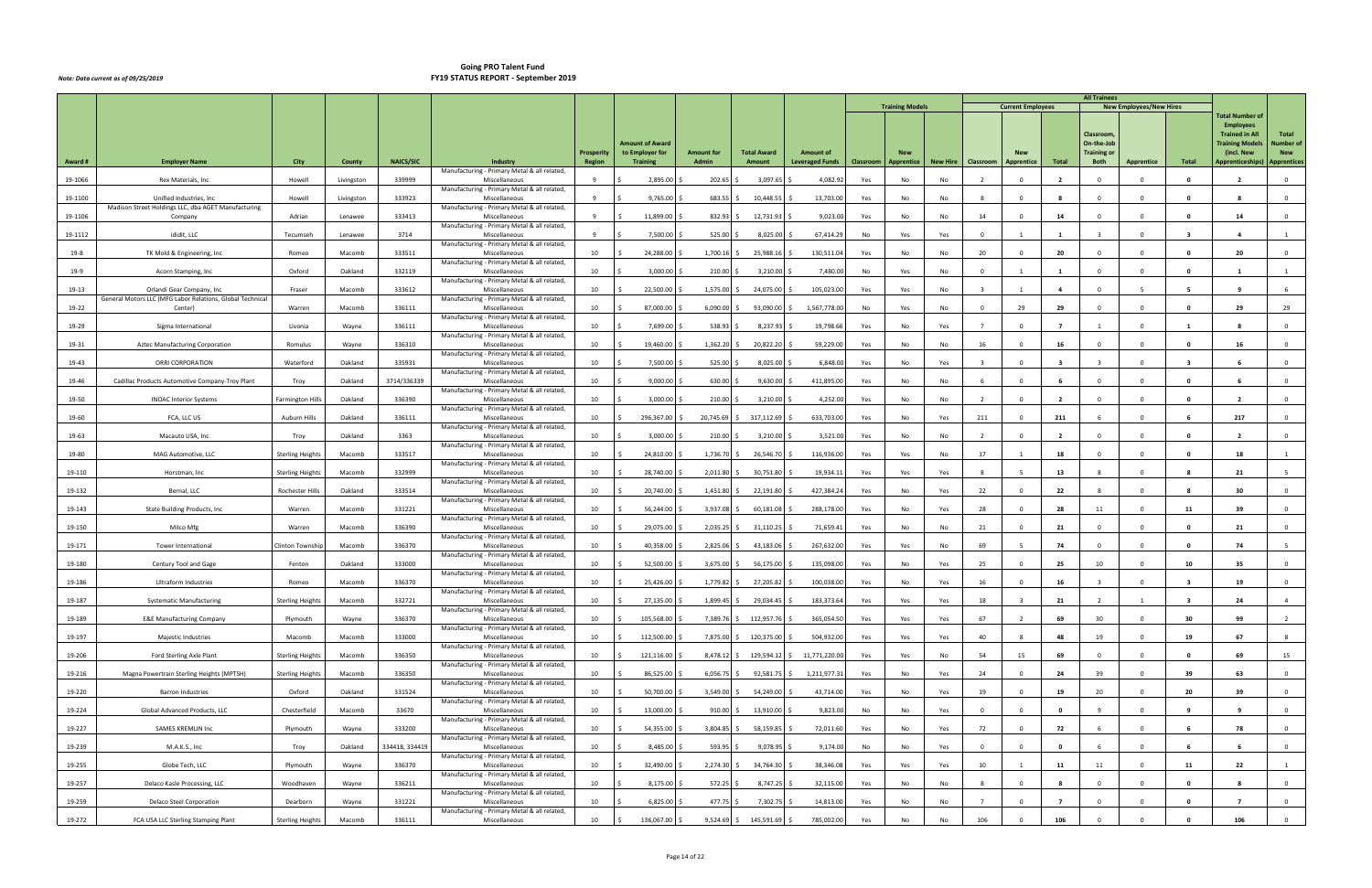|         |                                                                                        |                         |            |                  |                                                               |                   |                                           |                   |                        |                        |           | <b>Training Models</b> |          |                         | <b>Current Employees</b> |                | <b>All Trainees</b>              | <b>New Employees/New Hires</b> |                         |                                           |                         |
|---------|----------------------------------------------------------------------------------------|-------------------------|------------|------------------|---------------------------------------------------------------|-------------------|-------------------------------------------|-------------------|------------------------|------------------------|-----------|------------------------|----------|-------------------------|--------------------------|----------------|----------------------------------|--------------------------------|-------------------------|-------------------------------------------|-------------------------|
|         |                                                                                        |                         |            |                  |                                                               |                   |                                           |                   |                        |                        |           |                        |          |                         |                          |                |                                  |                                |                         | <b>Total Number of</b>                    |                         |
|         |                                                                                        |                         |            |                  |                                                               |                   |                                           |                   |                        |                        |           |                        |          |                         |                          |                | Classroom                        |                                |                         | <b>Employees</b><br><b>Trained in All</b> | Total                   |
|         |                                                                                        |                         |            |                  |                                                               | <b>Prosperity</b> | <b>Amount of Award</b><br>to Employer for | <b>Amount for</b> | <b>Total Award</b>     | <b>Amount of</b>       |           | <b>New</b>             |          |                         |                          |                | On-the-Job<br><b>Training or</b> |                                |                         | <b>Training Models</b><br>(incl. New      | Number of<br><b>New</b> |
| Award # | <b>Employer Name</b>                                                                   | City                    | County     | <b>NAICS/SIC</b> | Industry<br>Manufacturing - Primary Metal & all related,      | Region            | <b>Training</b>                           | Admin             | Amount                 | <b>Leveraged Funds</b> | Classroom | Apprentice             | New Hire | Classroom               | <b>Apprentice</b>        | Total          | <b>Both</b>                      | <b>Apprentice</b>              | Total                   | Apprenticeships)   Apprentices            |                         |
| 19-1066 | Rex Materials, Inc                                                                     | Howell                  | Livingston | 339999           | Miscellaneous                                                 |                   | 2,895.00                                  | 202.65            | 3,097.65               | 4,082.92               | Yes       | No                     | No       |                         | $\Omega$                 |                |                                  |                                |                         |                                           | $\mathbf{0}$            |
| 19-1100 | Unified Industries, Inc                                                                | Howell                  | Livingston | 333923           | Manufacturing - Primary Metal & all related<br>Miscellaneous  | -9                | 9,765.00                                  | 683.55            | 10,448.55              | 13,703.00              | Yes       | No                     | No       | -8                      | $\Omega$                 | - 8            | $\Omega$                         | $\Omega$                       | $\mathbf{0}$            |                                           | $\mathbf 0$             |
| 19-1106 | Madison Street Holdings LLC, dba AGET Manufacturing<br>Company                         | Adrian                  | Lenawee    | 333413           | Manufacturing - Primary Metal & all related,<br>Miscellaneous | -9                | 11,899.00                                 | 832.93            | 12,731.93              | 9,023.00               | Yes       | No                     | No       | 14                      | $\Omega$                 | 14             | $\Omega$                         | $\Omega$                       | $\mathbf{0}$            | 14                                        | $\mathbf 0$             |
| 19-1112 | ididit, LLC                                                                            | Tecumseh                | Lenawee    | 3714             | Manufacturing - Primary Metal & all related,<br>Miscellaneous | 9                 | 7,500.00                                  | 525.00            | 8,025.00               | 67,414.29              | No        | Yes                    | Yes      | $\Omega$                |                          | - 1            |                                  | $\Omega$                       |                         |                                           | 1                       |
| 19-8    | TK Mold & Engineering, Inc                                                             | Romeo                   | Macomb     | 333511           | Manufacturing - Primary Metal & all related,<br>Miscellaneous | 10                | 24,288.00                                 | $1,700.16$ \$     | 25,988.16              | 130,511.04             | Yes       | No                     | No       | 20                      | $\Omega$                 | 20             | $\Omega$                         | $\Omega$                       | - 0                     | 20                                        | $\mathbf 0$             |
| 19-9    | Acorn Stamping, Inc                                                                    | Oxford                  | Oakland    | 332119           | Manufacturing - Primary Metal & all related,<br>Miscellaneous | 10                | 3,000.00                                  | $210.00$ \$       | 3,210.00               | 7,480.00               | No        | Yes                    | No       | $\Omega$                | -1                       | $\mathbf{1}$   | $\Omega$                         | $\Omega$                       | $\mathbf{0}$            | -1                                        | 1                       |
|         |                                                                                        |                         |            |                  | Manufacturing - Primary Metal & all related,                  |                   |                                           |                   |                        |                        |           |                        |          |                         |                          |                |                                  |                                |                         |                                           |                         |
| 19-13   | Orlandi Gear Company, Inc<br>General Motors LLC (MFG Labor Relations, Global Technical | Fraser                  | Macomb     | 333612           | Miscellaneous<br>Manufacturing - Primary Metal & all related, | 10                | 22,500.00                                 | 1,575.00          | 24,075.00              | 105,023.00             | Yes       | Yes                    | No       |                         |                          | $\mathbf{A}$   |                                  | -5                             |                         |                                           |                         |
| 19-22   | Center)                                                                                | Warren                  | Macomb     | 336111           | Miscellaneous<br>Manufacturing - Primary Metal & all related, | 10                | 87,000.00                                 | 6,090.00          | 93,090.00              | 1,567,778.0            | No        | Yes                    | No       | $\Omega$                | 29                       | 29             |                                  | $\Omega$                       |                         | 29                                        | 29                      |
| 19-29   | Sigma International                                                                    | Livonia                 | Wayne      | 336111           | Miscellaneous<br>Manufacturing - Primary Metal & all related, | 10                | 7,699.00                                  | 538.93 \$         | 8,237.93               | 19,798.66              | Yes       | No                     | Yes      |                         | $\Omega$                 | $\overline{7}$ |                                  | $\Omega$                       | -1                      |                                           | $\overline{0}$          |
| 19-31   | Aztec Manufacturing Corporation                                                        | Romulus                 | Wayne      | 336310           | Miscellaneous<br>Manufacturing - Primary Metal & all related, | 10                | 19,460.00                                 | 1,362.20          | 20,822.20              | 59,229.00              | Yes       | No                     | No       | 16                      | $\Omega$                 | 16             | $\Omega$                         | $\Omega$                       | $\mathbf{0}$            | 16                                        | $\mathbf{0}$            |
| 19-43   | ORRI CORPORATION                                                                       | Waterford               | Oakland    | 335931           | Miscellaneous                                                 | 10                | 7,500.00                                  | 525.00            | 8,025.00               | 6,848.00               | Yes       | No                     | Yes      | $\overline{\mathbf{3}}$ | $\Omega$                 | $\mathbf{R}$   |                                  | $\Omega$                       | $\overline{\mathbf{3}}$ |                                           | $\mathbf 0$             |
| 19-46   | Cadillac Products Automotive Company-Troy Plant                                        | Troy                    | Oakland    | 3714/336339      | Manufacturing - Primary Metal & all related,<br>Miscellaneous | 10                | 9,000.00                                  | 630.00            | 9,630.00               | 411,895.00             | Yes       | No                     | No       | 6                       | $\Omega$                 |                | $\Omega$                         | $\Omega$                       | $\mathbf{0}$            |                                           | $\mathbf 0$             |
| 19-50   | <b>INOAC Interior Systems</b>                                                          | <b>Farmington Hills</b> | Oakland    | 336390           | Manufacturing - Primary Metal & all related,<br>Miscellaneous | 10                | 3,000.00                                  | $210.00$ \$       | 3,210.00               | 4,252.00               | Yes       | No                     | No       | $\overline{2}$          | $\Omega$                 | $\overline{2}$ | $\Omega$                         | $\Omega$                       | - 0                     | $\overline{\phantom{a}}$                  | $\mathbf{0}$            |
| 19-60   | FCA, LLC US                                                                            | Auburn Hills            | Oakland    | 336111           | Manufacturing - Primary Metal & all related,<br>Miscellaneous | 10                | 296,367.00                                | 20,745.69         | 317,112.69             | 633,703.00             | Yes       | No                     | Yes      | 211                     | $\mathbf{0}$             | 211            | -6                               | $\Omega$                       |                         | 217                                       | $\overline{0}$          |
| 19-63   | Macauto USA, Inc                                                                       | Troy                    | Oakland    | 3363             | Manufacturing - Primary Metal & all related,<br>Miscellaneous | 10                | 3,000.00                                  | $210.00$ \$       | 3,210.00               | 3,521.00               | Yes       | No                     | No       |                         | $\Omega$                 | $\overline{2}$ |                                  | $\Omega$                       |                         |                                           | $\mathbf 0$             |
| 19-80   | MAG Automotive, LLC                                                                    | <b>Sterling Heights</b> | Macomb     | 333517           | Manufacturing - Primary Metal & all related,<br>Miscellaneous | 10                | 24,810.00                                 | 1,736.70          | 26,546.70              | 116,936.00             | Yes       | Yes                    | No       | 17                      |                          | 18             |                                  | $\Omega$                       | 0                       | 18                                        |                         |
|         |                                                                                        |                         |            |                  | Manufacturing - Primary Metal & all related,                  |                   |                                           |                   |                        |                        |           |                        |          |                         |                          |                |                                  |                                |                         |                                           |                         |
| 19-110  | Horstman, Inc                                                                          | <b>Sterling Heights</b> | Macomb     | 332999           | Miscellaneous<br>Manufacturing - Primary Metal & all related, | 10                | 28,740.00                                 | 2,011.80          | 30,751.80              | 19,934.11              | Yes       | Yes                    | Yes      | $\mathbf{R}$            |                          | 13             |                                  | $\Omega$                       |                         | 21                                        | -5                      |
| 19-132  | Bernal, LLC                                                                            | Rochester Hills         | Oakland    | 333514           | Miscellaneous<br>Manufacturing - Primary Metal & all related, | 10                | 20,740.00                                 | 1,451.80          | 22,191.80              | 427,384.2              | Yes       | No                     | Yes      | 22                      | $\Omega$                 | 22             |                                  | $\Omega$                       | -8                      | 30                                        | $\mathbf 0$             |
| 19-143  | State Building Products, Inc                                                           | Warren                  | Macomb     | 331221           | Miscellaneous<br>Manufacturing - Primary Metal & all related, | 10                | 56,244.00                                 | 3,937.08          | 60,181.08              | 288,178.00             | Yes       | No                     | Yes      | 28                      | $\Omega$                 | 28             | 11                               | $\Omega$                       | 11                      | 39                                        | $\mathbf{0}$            |
| 19-150  | Milco Mfg                                                                              | Warren                  | Macomb     | 336390           | Miscellaneous<br>Manufacturing - Primary Metal & all related, | 10                | 29,075.00                                 | 2,035.25          | 31,110.25              | 71,659.41              | Yes       | No                     | No       | 21                      | $\Omega$                 | 21             | $\Omega$                         | $\Omega$                       | $\mathbf{0}$            | 21                                        | $\overline{0}$          |
| 19-171  | <b>Tower International</b>                                                             | Clinton Township        | Macomb     | 336370           | Miscellaneous<br>Manufacturing - Primary Metal & all related, | 10                | 40,358.00                                 | 2,825.06          | 43,183.06              | 267,632.00             | Yes       | Yes                    | No       | 69                      | -5                       | 74             | $^{\circ}$                       | $\Omega$                       | $\mathbf{0}$            | 74                                        | - 5                     |
| 19-180  | Century Tool and Gage                                                                  | Fenton                  | Oakland    | 333000           | Miscellaneous                                                 | 10                | 52,500.00                                 | 3,675.00          | 56,175.00              | 135,098.00             | Yes       | No                     | Yes      | 25                      | $\Omega$                 | 25             | 10                               | $\Omega$                       | 10                      | 35                                        | $\mathbf 0$             |
| 19-186  | Ultraform Industries                                                                   | Romeo                   | Macomb     | 336370           | Manufacturing - Primary Metal & all related,<br>Miscellaneous | 10                | 25,426.00                                 | 1,779.82 \$       | 27,205.82              | 100,038.00             | Yes       | No                     | Yes      | 16                      | $^{\circ}$               | 16             | - 3                              | $\Omega$                       | 3                       | 19                                        | $\mathbf{0}$            |
| 19-187  | <b>Systematic Manufacturing</b>                                                        | <b>Sterling Heights</b> | Macomb     | 332721           | Manufacturing - Primary Metal & all related,<br>Miscellaneous | 10                | 27,135.00                                 | 1,899.45 \$       | 29,034.45 \$           | 183,373.64             | Yes       | Yes                    | Yes      | 18                      |                          | 21             | $\overline{2}$                   |                                | - 3                     | 24                                        | $\overline{4}$          |
| 19-189  | <b>E&amp;E Manufacturing Company</b>                                                   | Plymouth                | Wayne      | 336370           | Manufacturing - Primary Metal & all related,<br>Miscellaneous | 10                | 105,568.00                                | 7,389.76 \$       | 112,957.76             | 365,054.50             | Yes       | Yes                    | Yes      | 67                      |                          | 69             | 30                               | $\Omega$                       | 30                      | 99                                        | $\overline{2}$          |
| 19-197  | Majestic Industries                                                                    | Macomb                  | Macomb     | 333000           | Manufacturing - Primary Metal & all related,<br>Miscellaneous | 10                | 112,500.00                                |                   | 7,875.00 \$ 120,375.00 | 504,932.00             | Yes       | Yes                    | Yes      | 40                      |                          | 48             | 19                               | $\Omega$                       | 19                      | 67                                        | 8                       |
| 19-206  | Ford Sterling Axle Plant                                                               | <b>Sterling Heights</b> | Macomb     | 336350           | Manufacturing - Primary Metal & all related,<br>Miscellaneous | 10                | 121,116.00                                | 8,478.12 \$       | 129,594.12             | 11,771,220.00          | Yes       | Yes                    | No       | 54                      | 15                       | 69             | $\Omega$                         | $\Omega$                       | $\mathbf{0}$            | 69                                        | 15                      |
|         |                                                                                        |                         | Macomb     | 336350           | Manufacturing - Primary Metal & all related,<br>Miscellaneous | 10                | 86,525.00                                 | $6,056.75$ \$     | 92,581.75              | 1,211,977.3            |           | No                     |          | 24                      | $\Omega$                 | 24             | 39                               | $\Omega$                       | 39                      | 63                                        | $\overline{0}$          |
| 19-216  | Magna Powertrain Sterling Heights (MPTSH)                                              | <b>Sterling Heights</b> |            |                  | Manufacturing - Primary Metal & all related,                  |                   |                                           |                   |                        |                        | Yes       |                        | Yes      |                         |                          |                |                                  |                                |                         |                                           |                         |
| 19-220  | Barron Industries                                                                      | Oxford                  | Oakland    | 331524           | Miscellaneous<br>Manufacturing - Primary Metal & all related, | 10                | 50,700.00                                 | 3,549.00 \$       | 54,249.00              | 43,714.00              | Yes       | No                     | Yes      | 19                      | $\Omega$                 | 19             | 20                               | $\Omega$                       | 20                      | 39                                        | $\overline{0}$          |
| 19-224  | Global Advanced Products, LLC                                                          | Chesterfield            | Macomb     | 33670            | Miscellaneous<br>Manufacturing - Primary Metal & all related, | 10                | 13,000.00                                 | $910.00$ \$       | 13,910.00              | 9,823.00               | No        | No                     | Yes      | $\overline{0}$          | $^{\circ}$               | $\mathbf{0}$   | - 9                              | $\Omega$                       | 9                       | 9                                         | $\overline{0}$          |
| 19-227  | SAMES KREMLIN Inc                                                                      | Plymouth                | Wayne      | 333200           | Miscellaneous<br>Manufacturing - Primary Metal & all related, | 10                | 54,355.00                                 | 3,804.85 \$       | 58,159.85              | 72,011.60              | Yes       | No                     | Yes      | 72                      | $\overline{0}$           | 72             | 6                                | $\overline{0}$                 |                         | 78                                        | $\overline{0}$          |
| 19-239  | M.A.K.S., Inc                                                                          | Troy                    | Oakland    | 334418, 334419   | Miscellaneous<br>Manufacturing - Primary Metal & all related, | 10                | 8,485.00                                  | 593.95            | 9,078.95               | 9,174.00               | No        | No                     | Yes      | $\mathbf 0$             | $\Omega$                 | $\mathbf{0}$   |                                  | $\Omega$                       |                         |                                           | $\overline{0}$          |
| 19-255  | Globe Tech, LLC                                                                        | Plymouth                | Wayne      | 336370           | Miscellaneous<br>Manufacturing - Primary Metal & all related, | 10                | 32,490.00                                 | $2,274.30$ \$     | 34,764.30              | 38,346.08              | Yes       | Yes                    | Yes      | 10                      |                          | 11             | 11                               | $\Omega$                       | 11                      | 22                                        | <sup>1</sup>            |
| 19-257  | Delaco Kasle Processing, LLC                                                           | Woodhaven               | Wayne      | 336211           | Miscellaneous                                                 | 10                | 8,175.00                                  | 572.25 \$         | 8,747.25               | 32,115.00              | Yes       | No                     | No       | 8                       | $\Omega$                 | 8              | $\mathbf 0$                      | $\mathbf{0}$                   | $\mathbf 0$             | 8                                         | $\overline{0}$          |
| 19-259  | <b>Delaco Steel Corporation</b>                                                        | Dearborn                | Wayne      | 331221           | Manufacturing - Primary Metal & all related,<br>Miscellaneous | 10                | 6,825.00                                  | 477.75 \$         | 7,302.75               | 14,813.00              | Yes       | No                     | No       |                         | $\Omega$                 | $\overline{7}$ | $\Omega$                         | $\Omega$                       | $\Omega$                | $\overline{7}$                            | $\overline{0}$          |
| 19-272  | FCA USA LLC Sterling Stamping Plant                                                    | <b>Sterling Heights</b> | Macomb     | 336111           | Manufacturing - Primary Metal & all related,<br>Miscellaneous | 10                | 136,067.00 \$<br>- S                      |                   | 9,524.69 \$ 145,591.69 | 785,002.00             | Yes       | No                     | No       | 106                     | $\Omega$                 | 106            |                                  | $\Omega$                       | - 0                     | 106                                       | $\overline{0}$          |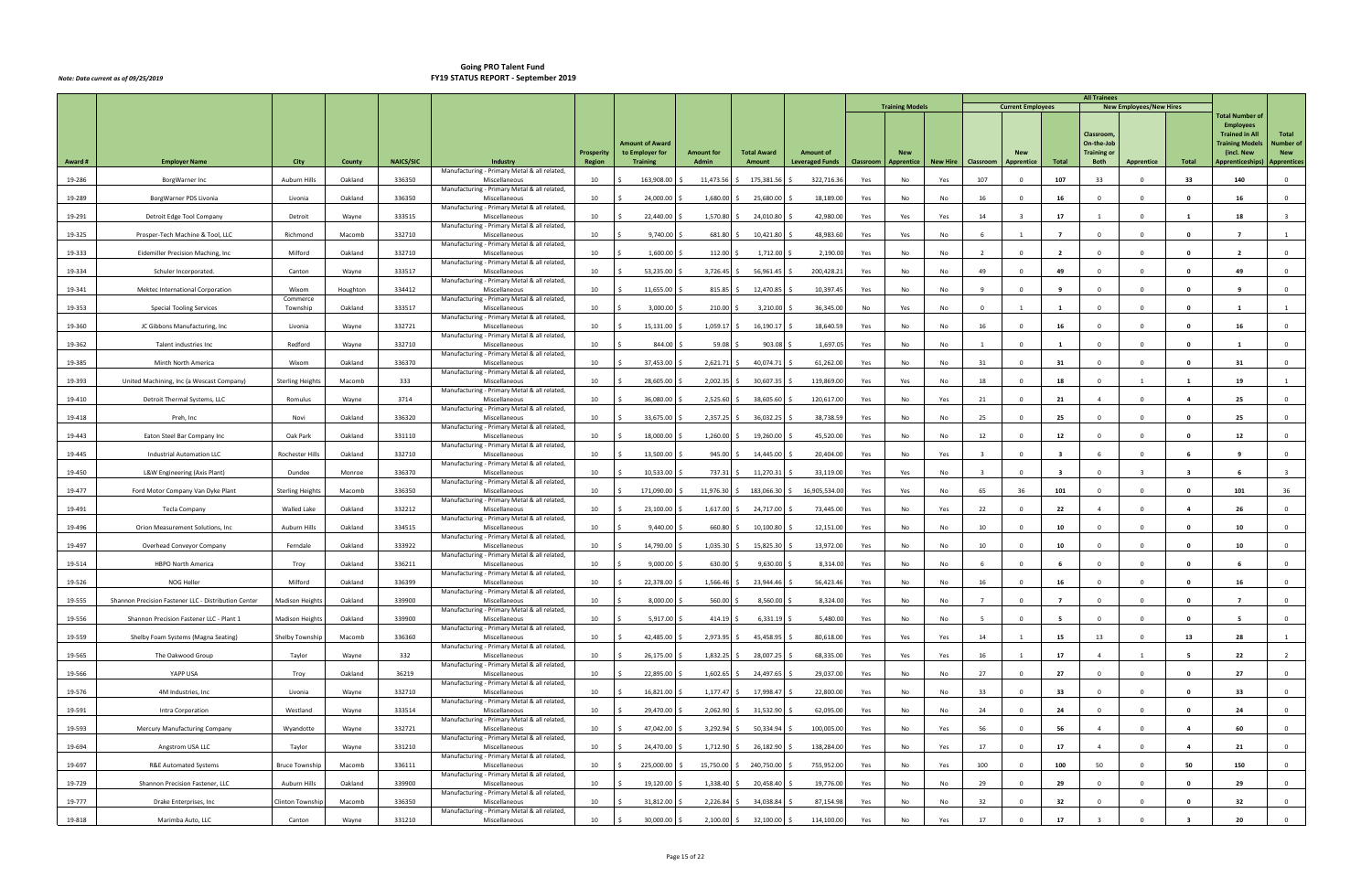|        |                                                      |                         |          |                  |                                                                 |                   |                                           |                   |                    |                        |           | <b>Training Models</b> |                 |                | <b>Current Employees</b> |                         | <b>All Trainees</b>              | <b>New Employees/New Hires</b> |                |                                           |                         |
|--------|------------------------------------------------------|-------------------------|----------|------------------|-----------------------------------------------------------------|-------------------|-------------------------------------------|-------------------|--------------------|------------------------|-----------|------------------------|-----------------|----------------|--------------------------|-------------------------|----------------------------------|--------------------------------|----------------|-------------------------------------------|-------------------------|
|        |                                                      |                         |          |                  |                                                                 |                   |                                           |                   |                    |                        |           |                        |                 |                |                          |                         |                                  |                                |                | <b>Total Number of</b>                    |                         |
|        |                                                      |                         |          |                  |                                                                 |                   |                                           |                   |                    |                        |           |                        |                 |                |                          |                         | Classroom                        |                                |                | <b>Employees</b><br><b>Trained in All</b> | Total                   |
|        |                                                      |                         |          |                  |                                                                 | <b>Prosperity</b> | <b>Amount of Award</b><br>to Employer for | <b>Amount for</b> | <b>Total Award</b> | <b>Amount of</b>       |           | <b>New</b>             |                 |                |                          |                         | On-the-Job<br><b>Training or</b> |                                |                | <b>Training Models</b><br>(incl. New      | Number of<br><b>New</b> |
| Award# | <b>Employer Name</b>                                 | City                    | County   | <b>NAICS/SIC</b> | <b>Industry</b><br>Manufacturing - Primary Metal & all related, | <b>Region</b>     | <b>Training</b>                           | Admin             | Amount             | <b>Leveraged Funds</b> | Classroom | <b>Apprentice</b>      | <b>New Hire</b> | Classroom      | <b>Apprentice</b>        | Total                   | <b>Both</b>                      | <b>Apprentice</b>              | Total          | Apprenticeships)                          | <b>Apprentices</b>      |
| 19-286 | BorgWarner Inc                                       | Auburn Hills            | Oakland  | 336350           | Miscellaneous                                                   | 10                | 163,908.00                                | 11,473.56         | 175,381.56         | 322,716.36             | Yes       | No                     | Yes             | 107            | $\Omega$                 | 107                     | 33                               | $\Omega$                       | 33             | 140                                       | $\Omega$                |
| 19-289 | BorgWarner PDS Livonia                               | Livonia                 | Oakland  | 336350           | Manufacturing - Primary Metal & all related,<br>Miscellaneous   | 10                | 24,000.00                                 | 1,680.00          | 25,680.00          | 18,189.00              | Yes       | No                     | No              | 16             | $\Omega$                 | 16                      | $\Omega$                         | $\Omega$                       | $\mathbf{0}$   | 16                                        | $\overline{0}$          |
| 19-291 | Detroit Edge Tool Company                            | Detroit                 | Wayne    | 333515           | Manufacturing - Primary Metal & all related,<br>Miscellaneous   | 10                | 22,440.00                                 | 1,570.80          | 24,010.80          | 42,980.00              | Yes       | Yes                    | Yes             | 14             |                          | 17                      |                                  | $\Omega$                       |                | 18                                        |                         |
| 19-325 | Prosper-Tech Machine & Tool, LLC                     | Richmond                | Macomb   | 332710           | Manufacturing - Primary Metal & all related,<br>Miscellaneous   | 10                | 9,740.00                                  | 681.80            | 10,421.80          | 48,983.60              | Yes       | Yes                    | No              |                |                          | $\overline{7}$          | $\Omega$                         | $\Omega$                       | $\Omega$       |                                           |                         |
| 19-333 | Eidemiller Precision Maching, Inc.                   | Milford                 | Oakland  | 332710           | Manufacturing - Primary Metal & all related,<br>Miscellaneous   | 10                | 1,600.00                                  | 112.00            | 1,712.00           | 2,190.00               | Yes       | No                     | No              | $\overline{2}$ | $\Omega$                 | $\overline{2}$          | $\Omega$                         | $\Omega$                       | $\mathbf{0}$   |                                           | $\overline{0}$          |
| 19-334 | Schuler Incorporated.                                | Canton                  | Wayne    | 333517           | Manufacturing - Primary Metal & all related,<br>Miscellaneous   | 10                | 53,235.00                                 | 3,726.45          | 56,961.45          | 200,428.21             | Yes       | No                     | No              | 49             | $\Omega$                 | 49                      | $\Omega$                         | $\mathbf{0}$                   | $\mathbf{o}$   | 49                                        | $\overline{0}$          |
|        |                                                      |                         |          |                  | Manufacturing - Primary Metal & all related,                    |                   |                                           |                   |                    |                        |           |                        |                 |                |                          | $\mathbf{q}$            |                                  | $\Omega$                       |                |                                           | $\Omega$                |
| 19-341 | Mektec International Corporation                     | Wixom<br>Commerce       | Houghton | 334412           | Miscellaneous<br>Manufacturing - Primary Metal & all related,   | 10                | 11,655.00                                 | 815.85            | 12,470.85          | 10,397.45              | Yes       | No                     | No              |                | $\Omega$                 |                         |                                  |                                | $\Omega$       |                                           |                         |
| 19-353 | <b>Special Tooling Services</b>                      | Township                | Oakland  | 333517           | Miscellaneous<br>Manufacturing - Primary Metal & all related,   | 10                | 3,000.00                                  | 210.00            | 3,210.00           | 36,345.00              | No        | Yes                    | No              | $\Omega$       |                          | $\blacksquare$          | $\Omega$                         | $\Omega$                       | - 0            |                                           |                         |
| 19-360 | JC Gibbons Manufacturing, Inc                        | Livonia                 | Wayne    | 332721           | Miscellaneous<br>Manufacturing - Primary Metal & all related,   | 10                | 15,131.00                                 | 1,059.17          | 16,190.17          | 18,640.59              | Yes       | No                     | No              | 16             | $\Omega$                 | 16                      | $\Omega$                         | $\Omega$                       | $\mathbf{0}$   | 16                                        | $\overline{0}$          |
| 19-362 | Talent industries Inc                                | Redford                 | Wayne    | 332710           | Miscellaneous<br>Manufacturing - Primary Metal & all related,   | 10                | 844.00                                    | 59.08             | 903.08             | 1,697.05               | Yes       | No                     | No              | $\overline{1}$ | $\Omega$                 | 1                       | $\Omega$                         | $\Omega$                       | $\mathbf{0}$   | 1                                         | $\overline{0}$          |
| 19-385 | Minth North America                                  | Wixom                   | Oakland  | 336370           | Miscellaneous<br>Manufacturing - Primary Metal & all related,   | 10                | 37,453.00                                 | 2,621.71          | 40,074.71          | 61,262.00              | Yes       | No                     | No              | 31             | $\Omega$                 | 31                      | $\Omega$                         | $\Omega$                       | $\Omega$       | 31                                        | $\Omega$                |
| 19-393 | United Machining, Inc (a Wescast Company)            | <b>Sterling Heights</b> | Macomb   | 333              | Miscellaneous                                                   | 10                | 28,605.00                                 | 2,002.35          | 30,607.35          | 119,869.00             | Yes       | Yes                    | No              | 18             | $\Omega$                 | 18                      | $\Omega$                         |                                | -1             | 19                                        |                         |
| 19-410 | Detroit Thermal Systems, LLC                         | Romulus                 | Wayne    | 3714             | Manufacturing - Primary Metal & all related,<br>Miscellaneous   | 10                | 36,080.00                                 | 2,525.60          | 38,605.60          | 120,617.00             | Yes       | No                     | Yes             | 21             | $\Omega$                 | 21                      | $\overline{4}$                   | $\mathbf{0}$                   | $\overline{a}$ | 25                                        | $\overline{0}$          |
| 19-418 | Preh, Inc                                            | Novi                    | Oakland  | 336320           | Manufacturing - Primary Metal & all related,<br>Miscellaneous   | 10                | 33,675.00                                 | 2,357.25          | 36,032.25          | 38,738.59              | Yes       | No                     | No              | 25             | $\overline{0}$           | 25                      | $\overline{0}$                   | $\overline{0}$                 | 0              | 25                                        | $\overline{0}$          |
| 19-443 | Eaton Steel Bar Company Inc                          | Oak Park                | Oakland  | 331110           | Manufacturing - Primary Metal & all related,<br>Miscellaneous   | 10                | 18,000.00                                 | 1,260.00          | 19,260.00          | 45,520.00              | Yes       | No                     | No              | 12             | $\Omega$                 | 12                      | $\Omega$                         | $\Omega$                       | 0              | 12                                        | $\overline{0}$          |
| 19-445 | <b>Industrial Automation LLC</b>                     | Rochester Hills         | Oakland  | 332710           | Manufacturing - Primary Metal & all related,<br>Miscellaneous   | 10                | 13,500.00                                 | 945.00            | 14,445.00          | 20,404.00              | Yes       | No                     | Yes             |                | $\Omega$                 | $\overline{\mathbf{3}}$ |                                  | $\Omega$                       | -6             |                                           | $\Omega$                |
| 19-450 | L&W Engineering (Axis Plant)                         | Dundee                  | Monroe   | 336370           | Manufacturing - Primary Metal & all related,<br>Miscellaneous   | 10                | 10,533.00                                 | 737.31 \$         | 11,270.31          | 33,119.00              | Yes       | Yes                    | No              | $\mathbf{R}$   | $\Omega$                 | $\overline{\mathbf{3}}$ | $\Omega$                         | $\mathbf{3}$                   | 3              |                                           |                         |
| 19-477 | Ford Motor Company Van Dyke Plant                    | <b>Sterling Heights</b> | Macomb   | 336350           | Manufacturing - Primary Metal & all related,<br>Miscellaneous   | 10                | 171,090.00                                | 11,976.30         | 183,066.30         | 16,905,534.00          | Yes       | Yes                    | No              | 65             | 36                       | 101                     | $\Omega$                         | $\Omega$                       | $\mathbf{0}$   | 101                                       | 36                      |
| 19-491 | <b>Tecla Company</b>                                 | Walled Lake             | Oakland  | 332212           | Manufacturing - Primary Metal & all related,<br>Miscellaneous   | 10                | 23,100.00                                 | 1,617.00          | 24,717.00          | 73,445.00              | Yes       | No                     | Yes             | 22             | $\Omega$                 | 22                      | $\overline{a}$                   | $\Omega$                       | $\overline{a}$ | 26                                        | $\overline{0}$          |
| 19-496 | Orion Measurement Solutions, Inc.                    | Auburn Hills            | Oakland  | 334515           | Manufacturing - Primary Metal & all related,<br>Miscellaneous   | 10                | 9,440.00                                  | 660.80            | 10,100.80          | 12,151.00              | Yes       | No                     | No              | 10             | $\Omega$                 | 10                      | $\Omega$                         | $\Omega$                       | $\mathbf 0$    | 10                                        | $\overline{0}$          |
| 19-497 |                                                      |                         |          |                  | Manufacturing - Primary Metal & all related,                    | 10                |                                           |                   |                    |                        |           |                        |                 |                | $\Omega$                 |                         |                                  | $^{\circ}$                     |                |                                           | $\overline{0}$          |
|        | Overhead Conveyor Company                            | Ferndale                | Oakland  | 333922           | Miscellaneous<br>Manufacturing - Primary Metal & all related,   |                   | 14,790.00                                 | 1,035.30          | 15,825.30          | 13,972.00              | Yes       | No                     | No              | 10             |                          | 10                      | $\mathbf{0}$                     |                                | $\mathbf 0$    | 10                                        |                         |
| 19-514 | <b>HBPO North America</b>                            | Troy                    | Oakland  | 336211           | Miscellaneous<br>Manufacturing - Primary Metal & all related,   | 10                | 9,000.00                                  | 630.00            | 9,630.00           | 8,314.00               | Yes       | No                     | No              |                | $\Omega$                 |                         | $\Omega$                         | $\Omega$                       | 0              |                                           | $\Omega$                |
| 19-526 | NOG Heller                                           | Milford                 | Oakland  | 336399           | Miscellaneous<br>Manufacturing - Primary Metal & all related,   | 10                | 22,378.00<br>S.                           | $1,566.46$ \$     | 23,944.46          | 56,423.46              | Yes       | No                     | No              | 16             | $\Omega$                 | 16                      | $\overline{0}$                   | $\mathbf{0}$                   | $\mathbf{o}$   | 16                                        | $\overline{0}$          |
| 19-555 | Shannon Precision Fastener LLC - Distribution Center | Madison Heights         | Oakland  | 339900           | Miscellaneous<br>Manufacturing - Primary Metal & all related,   | 10                | 8,000.00                                  | 560.00 \$         | 8,560.00 \$        | 8,324.00               | Yes       | No                     | No              |                | $\Omega$                 | $\overline{7}$          | $\Omega$                         | $\mathbf{0}$                   | $\mathbf 0$    | 7                                         | $\overline{0}$          |
| 19-556 | Shannon Precision Fastener LLC - Plant 1             | Madison Heights         | Oakland  | 339900           | Miscellaneous<br>Manufacturing - Primary Metal & all related,   | 10                | 5,917.00                                  | $414.19$ \$       | 6,331.19           | 5,480.00               | Yes       | No                     | No              | - 5            | $\Omega$                 | 5                       | $\Omega$                         | $\Omega$                       | $\mathbf{0}$   | -5                                        | $\overline{0}$          |
| 19-559 | Shelby Foam Systems (Magna Seating)                  | Shelby Township         | Macomb   | 336360           | Miscellaneous<br>Manufacturing - Primary Metal & all related,   | 10                | 42,485.00                                 | $2,973.95$ \$     | 45,458.95          | 80,618.00              | Yes       | Yes                    | Yes             | 14             |                          | 15                      | 13                               | $\Omega$                       | 13             | 28                                        |                         |
| 19-565 | The Oakwood Group                                    | Taylor                  | Wayne    | 332              | Miscellaneous                                                   | 10                | 26,175.00                                 | $1,832.25$ \$     | 28,007.25          | 68,335.00              | Yes       | Yes                    | Yes             | 16             |                          | 17                      | $\overline{4}$                   | $\overline{1}$                 | - 5            | 22                                        | $\overline{2}$          |
| 19-566 | YAPP USA                                             | Troy                    | Oakland  | 36219            | Manufacturing - Primary Metal & all related,<br>Miscellaneous   | 10                | 22,895.00                                 | 1,602.65          | 24,497.65          | 29,037.00              | Yes       | No                     | No              | 27             | $\Omega$                 | 27                      | $\overline{0}$                   | $\Omega$                       | $\mathbf{0}$   | 27                                        | $\mathbf 0$             |
| 19-576 | 4M Industries, Inc.                                  | Livonia                 | Wayne    | 332710           | Manufacturing - Primary Metal & all related,<br>Miscellaneous   | 10                | 16,821.00                                 | $1,177.47$ \$     | 17,998.47          | 22,800.00              | Yes       | No                     | No              | 33             | $\Omega$                 | 33                      | $\Omega$                         | $\Omega$                       | $\Omega$       | 33                                        | $\overline{0}$          |
| 19-591 | Intra Corporation                                    | Westland                | Wayne    | 333514           | Manufacturing - Primary Metal & all related,<br>Miscellaneous   | 10                | 29,470.00<br>S.                           | 2,062.90 \$       | 31,532.90          | 62,095.00              | Yes       | No                     | No              | 24             | $\overline{0}$           | 24                      | $\overline{\mathbf{0}}$          | $\overline{0}$                 | $\mathbf{0}$   | 24                                        | $\mathbf 0$             |
| 19-593 | Mercury Manufacturing Company                        | Wyandotte               | Wayne    | 332721           | Manufacturing - Primary Metal & all related,<br>Miscellaneous   | 10                | 47,042.00                                 | $3,292.94$ \$     | 50,334.94          | 100,005.00             | Yes       | No                     | Yes             | 56             | $\overline{0}$           | 56                      | $\overline{4}$                   | $^{\circ}$                     | $\overline{4}$ | 60                                        | $\mathbf{0}$            |
| 19-694 | Angstrom USA LLC                                     | Taylor                  | Wayne    | 331210           | Manufacturing - Primary Metal & all related,<br>Miscellaneous   | 10                | 24,470.00                                 | 1,712.90          | 26,182.90          | 138,284.00             | Yes       | No                     | Yes             | 17             | $\Omega$                 | 17                      | $\overline{4}$                   | $\mathbf{0}$                   | $\overline{a}$ | 21                                        | $\overline{0}$          |
| 19-697 | R&E Automated Systems                                | <b>Bruce Township</b>   | Macomb   | 336111           | Manufacturing - Primary Metal & all related,<br>Miscellaneous   | 10                | 225,000.00                                | 15,750.00 \$      | 240,750.00         | 755,952.00             | Yes       | No                     | Yes             | 100            | $\Omega$                 | 100                     | 50                               | $\Omega$                       | 50             | 150                                       | $\mathbf 0$             |
| 19-729 | Shannon Precision Fastener, LLC                      | Auburn Hills            | Oakland  | 339900           | Manufacturing - Primary Metal & all related,<br>Miscellaneous   | 10                | 19,120.00<br>Ŝ.                           | 1,338.40 \$       | 20,458.40          | 19,776.00              | Yes       | No                     | No              | 29             | $\overline{0}$           | 29                      | $\overline{0}$                   | $\overline{0}$                 | $\mathbf{0}$   | 29                                        | $\mathbf{0}$            |
| 19-777 | Drake Enterprises, Inc                               | Clinton Township        | Macomb   | 336350           | Manufacturing - Primary Metal & all related,<br>Miscellaneous   | 10                | 31,812.00                                 | $2,226.84$ \$     | 34,038.84          | 87,154.98              | Yes       | No                     | No              | 32             | $\Omega$                 | 32                      | $\Omega$                         | $\Omega$                       | $\mathbf{0}$   | 32                                        | $\mathbf 0$             |
|        |                                                      |                         |          |                  | Manufacturing - Primary Metal & all related,                    |                   |                                           |                   |                    |                        |           |                        |                 |                |                          |                         |                                  |                                |                |                                           |                         |
| 19-818 | Marimba Auto, LLC                                    | Canton                  | Wayne    | 331210           | Miscellaneous                                                   | 10                | 30,000.00<br>S.                           | $2,100.00$ \$     | 32,100.00 \$       | 114,100.00             | Yes       | No                     | Yes             | 17             | $\Omega$                 | 17                      |                                  | $\Omega$                       | - 3            | 20                                        | $\overline{0}$          |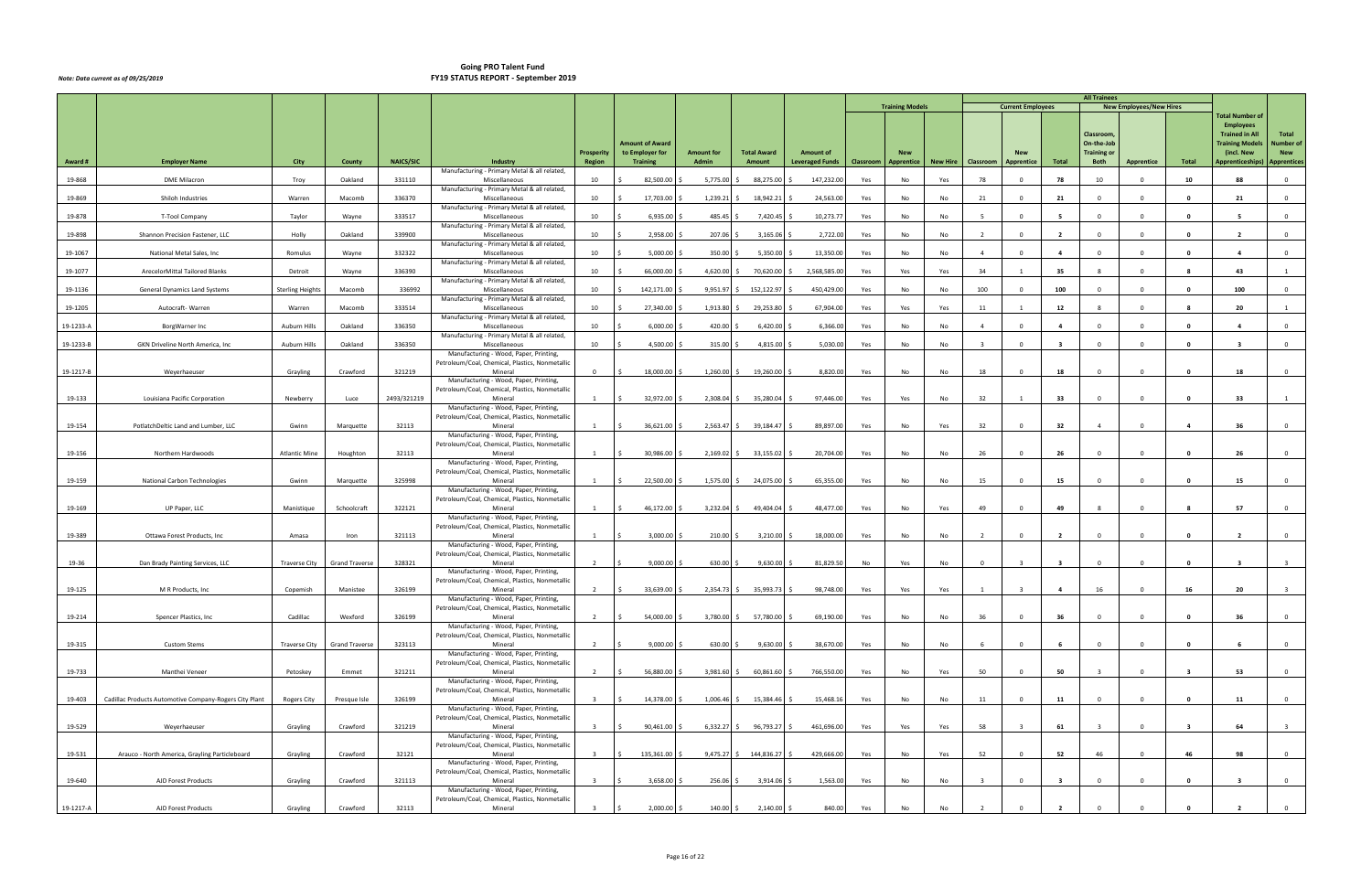|           |                                                        |                         |                       |                  |                                                                                           |                         |                                                              |                            |                              |                                            |           |                                 |                 |                         |                          |                         | <b>All Trainees</b>                                    |                                |                         |                                                                                                                     |                                  |
|-----------|--------------------------------------------------------|-------------------------|-----------------------|------------------|-------------------------------------------------------------------------------------------|-------------------------|--------------------------------------------------------------|----------------------------|------------------------------|--------------------------------------------|-----------|---------------------------------|-----------------|-------------------------|--------------------------|-------------------------|--------------------------------------------------------|--------------------------------|-------------------------|---------------------------------------------------------------------------------------------------------------------|----------------------------------|
|           |                                                        |                         |                       |                  |                                                                                           |                         |                                                              |                            |                              |                                            |           | <b>Training Models</b>          |                 |                         | <b>Current Employees</b> |                         |                                                        | <b>New Employees/New Hires</b> |                         | <b>Total Number of</b>                                                                                              |                                  |
| Award #   | <b>Employer Name</b>                                   | City                    | County                | <b>NAICS/SIC</b> | Industry                                                                                  | Prosperity<br>Region    | <b>Amount of Award</b><br>to Employer for<br><b>Training</b> | <b>Amount for</b><br>Admin | <b>Total Award</b><br>Amount | <b>Amount of</b><br><b>Leveraged Funds</b> | Classroom | <b>New</b><br><b>Apprentice</b> | <b>New Hire</b> | <b>Classroom</b>        | Apprentice               | Total                   | Classroom,<br>On-the-Job<br><b>Training or</b><br>Both | Apprentice                     | Total                   | <b>Employees</b><br><b>Trained in All</b><br><b>Training Models</b><br>(incl. New<br>Apprenticeships)   Apprentices | Total<br>Number of<br><b>New</b> |
| 19-868    | <b>DME Milacron</b>                                    | Troy                    | Oakland               | 331110           | Manufacturing - Primary Metal & all related,<br>Miscellaneous                             | 10                      | 82,500.00                                                    | $5,775.00$ \$              | 88,275.00                    | 147,232.00                                 | Yes       | No                              | Yes             | 78                      |                          | 78                      | 10                                                     | $\Omega$                       | 10                      | 88                                                                                                                  | $\overline{0}$                   |
|           |                                                        |                         |                       |                  | Manufacturing - Primary Metal & all related,                                              |                         |                                                              |                            |                              |                                            |           |                                 |                 |                         |                          |                         |                                                        |                                |                         |                                                                                                                     |                                  |
| 19-869    | Shiloh Industries                                      | Warren                  | Macomb                | 336370           | Miscellaneous<br>Manufacturing - Primary Metal & all related,                             | 10                      | 17,703.00                                                    | 1,239.21                   | 18,942.21                    | 24,563.00                                  | Yes       | No                              | No              | 21                      | $\Omega$                 | 21                      | $\Omega$                                               | $\Omega$                       | $\mathbf{0}$            | 21                                                                                                                  | $\overline{0}$                   |
| 19-878    | T-Tool Company                                         | Taylor                  | Wayne                 | 333517           | Miscellaneous<br>Manufacturing - Primary Metal & all related,                             | 10                      | 6,935.00                                                     | 485.45                     | 7,420.45                     | 10,273.77                                  | Yes       | No                              | No              | - 5                     | $\Omega$                 | - 5                     | $\Omega$                                               | $\Omega$                       | $\mathbf{0}$            |                                                                                                                     | $\overline{0}$                   |
| 19-898    | Shannon Precision Fastener, LLC                        | Holly                   | Oakland               | 339900           | Miscellaneous<br>Manufacturing - Primary Metal & all related,                             | 10                      | 2,958.00                                                     | 207.06                     | 3,165.06                     | 2,722.00                                   | Yes       | No                              | No              | $\overline{2}$          | $\Omega$                 | $\overline{2}$          | $\Omega$                                               | $\Omega$                       | $\Omega$                | $\overline{\mathbf{2}}$                                                                                             | $\overline{0}$                   |
| 19-1067   | National Metal Sales, Inc                              | Romulus                 | Wayne                 | 332322           | Miscellaneous                                                                             | 10                      | 5,000.00                                                     | 350.00                     | 5,350.00                     | 13,350.00                                  | Yes       | No                              | No              | $\overline{4}$          | $\Omega$                 | $\overline{a}$          | $\overline{\mathbf{0}}$                                | $\overline{\mathbf{0}}$        | $\mathbf{0}$            | $\overline{a}$                                                                                                      | $\overline{0}$                   |
| 19-1077   | ArecelorMittal Tailored Blanks                         | Detroit                 | Wayne                 | 336390           | Manufacturing - Primary Metal & all related,<br>Miscellaneous                             | 10                      | 66,000.00                                                    | 4,620.00                   | 70,620.00                    | 2,568,585.00                               | Yes       | Yes                             | Yes             | 34                      | 1                        | 35                      | - 8                                                    | $^{\circ}$                     | - 8                     | 43                                                                                                                  | 1                                |
| 19-1136   | <b>General Dynamics Land Systems</b>                   | <b>Sterling Heights</b> | Macomb                | 336992           | Manufacturing - Primary Metal & all related,<br>Miscellaneous                             | 10                      | 142,171.00                                                   | 9,951.97                   | 152,122.97                   | 450,429.00                                 | Yes       | No                              | No              | 100                     | $\Omega$                 | 100                     | $\Omega$                                               | $\mathbf{0}$                   | $\mathbf{o}$            | 100                                                                                                                 | $\Omega$                         |
|           |                                                        |                         |                       |                  | Manufacturing - Primary Metal & all related,                                              |                         |                                                              |                            |                              |                                            |           |                                 |                 |                         |                          | 12                      |                                                        | $\Omega$                       |                         |                                                                                                                     |                                  |
| 19-1205   | Autocraft-Warren                                       | Warren                  | Macomb                | 333514           | Miscellaneous<br>Manufacturing - Primary Metal & all related,                             | 10                      | 27,340.00                                                    | 1,913.80                   | 29,253.80                    | 67,904.00                                  | Yes       | Yes                             | Yes             | 11                      |                          |                         |                                                        |                                | - 8                     | 20                                                                                                                  |                                  |
| 19-1233-A | BorgWarner Inc                                         | Auburn Hills            | Oakland               | 336350           | Miscellaneous<br>Manufacturing - Primary Metal & all related,                             | 10                      | 6,000.00                                                     | 420.00 \$                  | 6,420.00                     | 6,366.00                                   | Yes       | No                              | No              | $\overline{4}$          | $\Omega$                 | $\overline{4}$          | $\Omega$                                               | $^{\circ}$                     | $\mathbf{0}$            | $\overline{a}$                                                                                                      | $\overline{0}$                   |
| 19-1233-B | GKN Driveline North America, Inc.                      | Auburn Hills            | Oakland               | 336350           | Miscellaneous<br>Manufacturing - Wood, Paper, Printing,                                   | 10                      | 4,500.00                                                     | 315.00                     | 4,815.00                     | 5,030.00                                   | Yes       | No                              | No              | $\overline{\mathbf{3}}$ | $\Omega$                 | $\overline{\mathbf{3}}$ | $\Omega$                                               | $\Omega$                       | $\mathbf{0}$            | $\mathbf{3}$                                                                                                        | $\overline{0}$                   |
|           |                                                        |                         |                       |                  | Petroleum/Coal, Chemical, Plastics, Nonmetallic                                           |                         |                                                              |                            |                              |                                            |           |                                 |                 |                         |                          |                         |                                                        |                                |                         |                                                                                                                     |                                  |
| 19-1217-B | Weyerhaeuser                                           | Grayling                | Crawford              | 321219           | Mineral<br>Manufacturing - Wood, Paper, Printing,                                         | $\mathbf{0}$            | 18,000.00                                                    | $1,260.00$ \$              | 19,260.00                    | 8,820.00                                   | Yes       | No                              | No              | 18                      | $\Omega$                 | 18                      | $\Omega$                                               | $\Omega$                       | $\mathbf{0}$            | 18                                                                                                                  | $\overline{0}$                   |
| 19-133    | Louisiana Pacific Corporation                          | Newberry                | Luce                  | 2493/321219      | Petroleum/Coal, Chemical, Plastics, Nonmetallic<br>Mineral                                | 1                       | 32,972.00 \$<br>\$                                           |                            | 2,308.04 \$ 35,280.04 \$     | 97,446.00                                  | Yes       | Yes                             | No              | 32                      |                          | 33                      | $\Omega$                                               | $\overline{\mathbf{0}}$        | 0                       | 33                                                                                                                  |                                  |
|           |                                                        |                         |                       |                  | Manufacturing - Wood, Paper, Printing,<br>Petroleum/Coal, Chemical, Plastics, Nonmetallic |                         |                                                              |                            |                              |                                            |           |                                 |                 |                         |                          |                         |                                                        |                                |                         |                                                                                                                     |                                  |
| 19-154    | PotlatchDeltic Land and Lumber, LLC                    | Gwinn                   | Marquette             | 32113            | Mineral                                                                                   | 1                       | 36,621.00<br>\$                                              |                            | 2,563.47 \$ 39,184.47 \$     | 89,897.00                                  | Yes       | No                              | Yes             | 32                      | $^{\circ}$               | 32                      | $\overline{4}$                                         | $\overline{0}$                 | -4                      | 36                                                                                                                  | $\overline{0}$                   |
|           |                                                        |                         |                       |                  | Manufacturing - Wood, Paper, Printing,<br>Petroleum/Coal, Chemical, Plastics, Nonmetallic |                         |                                                              |                            |                              |                                            |           |                                 |                 |                         |                          |                         |                                                        |                                |                         |                                                                                                                     |                                  |
| 19-156    | Northern Hardwoods                                     | <b>Atlantic Mine</b>    | Houghton              | 32113            | Mineral<br>Manufacturing - Wood, Paper, Printing,                                         | 1                       | 30,986.00<br>\$                                              | $2,169.02$ \$              | 33,155.02                    | 20,704.00                                  | Yes       | No                              | No              | 26                      | $\Omega$                 | 26                      | $\Omega$                                               | $\overline{0}$                 | $\mathbf{0}$            | 26                                                                                                                  | $\overline{0}$                   |
| 19-159    | National Carbon Technologies                           | Gwinn                   | Marquette             | 325998           | Petroleum/Coal, Chemical, Plastics, Nonmetallic<br>Mineral                                | 1                       | 22,500.00<br>Ŝ.                                              | $1,575.00$ \$              | 24,075.00                    | 65,355.00                                  | Yes       | No                              | No              | 15                      | $\Omega$                 | 15                      | $\Omega$                                               | $\overline{\mathbf{0}}$        | $\mathbf{0}$            | 15                                                                                                                  | $\overline{0}$                   |
|           |                                                        |                         |                       |                  | Manufacturing - Wood, Paper, Printing,                                                    |                         |                                                              |                            |                              |                                            |           |                                 |                 |                         |                          |                         |                                                        |                                |                         |                                                                                                                     |                                  |
| 19-169    | UP Paper, LLC                                          | Manistique              | Schoolcraft           | 322121           | Petroleum/Coal, Chemical, Plastics, Nonmetallic<br>Mineral                                | 1                       | 46,172.00<br>S.                                              | $3,232.04$ \$              | 49,404.04                    | 48,477.00                                  | Yes       | No                              | Yes             | 49                      | $^{\circ}$               | 49                      | - 8                                                    | $\overline{0}$                 | - 8                     | 57                                                                                                                  | $\overline{0}$                   |
|           |                                                        |                         |                       |                  | Manufacturing - Wood, Paper, Printing,<br>Petroleum/Coal, Chemical, Plastics, Nonmetallic |                         |                                                              |                            |                              |                                            |           |                                 |                 |                         |                          |                         |                                                        |                                |                         |                                                                                                                     |                                  |
| 19-389    | Ottawa Forest Products, Inc.                           | Amasa                   | Iron                  | 321113           | Mineral<br>Manufacturing - Wood, Paper, Printing,                                         | 1                       | 3,000.00                                                     | 210.00                     | 3,210.00                     | 18,000.00                                  | Yes       | No                              | No              | $\overline{2}$          | $\Omega$                 | $\overline{2}$          | $\mathbf{0}$                                           | $\overline{\mathbf{0}}$        | $\mathbf{0}$            | $\overline{2}$                                                                                                      | $\overline{0}$                   |
|           |                                                        |                         |                       |                  | Petroleum/Coal, Chemical, Plastics, Nonmetallic                                           |                         |                                                              |                            |                              |                                            |           |                                 |                 |                         |                          |                         |                                                        |                                |                         |                                                                                                                     |                                  |
| 19-36     | Dan Brady Painting Services, LLC                       | <b>Traverse City</b>    | <b>Grand Traverse</b> | 328321           | Mineral<br>Manufacturing - Wood, Paper, Printing,                                         |                         | 9,000.00                                                     | 630.00 \$                  | 9,630.00                     | 81,829.50                                  | No        | Yes                             | No              | $\Omega$                |                          |                         | $\Omega$                                               | $\Omega$                       | $\mathbf{0}$            |                                                                                                                     |                                  |
| 19-125    | M R Products, Inc                                      | Copemish                | Manistee              | 326199           | Petroleum/Coal, Chemical, Plastics, Nonmetallic<br>Mineral                                | $\overline{2}$          | 33,639.00                                                    | 2,354.73 \$                | 35,993.73 \$                 | 98,748.00                                  | Yes       | Yes                             | Yes             |                         |                          |                         | 16                                                     |                                | 16                      | 20                                                                                                                  |                                  |
|           |                                                        |                         |                       |                  | Manufacturing - Wood, Paper, Printing,<br>Petroleum/Coal, Chemical, Plastics, Nonmetallic |                         |                                                              |                            |                              |                                            |           |                                 |                 |                         |                          |                         |                                                        |                                |                         |                                                                                                                     |                                  |
| 19-214    | Spencer Plastics, Inc                                  | Cadillac                | Wexford               | 326199           | Mineral                                                                                   | 2                       | 54,000.00 \$<br>\$                                           |                            | 3,780.00 \$ 57,780.00 \$     | 69,190.00                                  | Yes       | No                              | No              | 36                      | $^{\circ}$               | 36                      | $\overline{0}$                                         | $\overline{\mathbf{0}}$        | $\mathbf{0}$            | 36                                                                                                                  | $\overline{0}$                   |
|           |                                                        |                         |                       |                  | Manufacturing - Wood, Paper, Printing,<br>Petroleum/Coal, Chemical, Plastics, Nonmetallic |                         |                                                              |                            |                              |                                            |           |                                 |                 |                         |                          |                         |                                                        |                                |                         |                                                                                                                     |                                  |
| 19-315    | <b>Custom Stems</b>                                    | <b>Traverse City</b>    | <b>Grand Traverse</b> | 323113           | Mineral<br>Manufacturing - Wood, Paper, Printing,                                         | 2                       | 9,000.00<br>$\mathsf{S}$                                     | 630.00 \$                  | $9,630.00$ \$                | 38,670.00                                  | Yes       | No                              | No              | 6                       | $\mathbf 0$              | 6                       | $\overline{\mathbf{0}}$                                | $\overline{0}$                 | $\mathbf{0}$            | - 6                                                                                                                 | $\overline{0}$                   |
|           | Manthei Veneer                                         |                         | Emmet                 |                  | Petroleum/Coal, Chemical, Plastics, Nonmetallic<br>Mineral                                | $\overline{2}$          | 56,880.00<br>\$                                              | $3,981.60$ \$              | 60,861.60 \$                 | 766,550.00                                 |           |                                 |                 | 50                      | $\Omega$                 | 50                      | $\overline{\mathbf{3}}$                                | $\Omega$                       | $\overline{\mathbf{3}}$ | 53                                                                                                                  | $\overline{0}$                   |
| 19-733    |                                                        | Petoskey                |                       | 321211           | Manufacturing - Wood, Paper, Printing,                                                    |                         |                                                              |                            |                              |                                            | Yes       | No                              | Yes             |                         |                          |                         |                                                        |                                |                         |                                                                                                                     |                                  |
| 19-403    | Cadillac Products Automotive Company-Rogers City Plant | <b>Rogers City</b>      | Presque Isle          | 326199           | Petroleum/Coal, Chemical, Plastics, Nonmetallic<br>Mineral                                | $\overline{\mathbf{3}}$ | 14,378.00<br>S.                                              |                            | $1,006.46$ \$ 15,384.46 \$   | 15,468.16                                  | Yes       | No                              | No              | 11                      | $^{\circ}$               | 11                      | $\overline{\mathbf{0}}$                                | $\overline{0}$                 | $\bullet$               | 11                                                                                                                  | $\overline{0}$                   |
|           |                                                        |                         |                       |                  | Manufacturing - Wood, Paper, Printing,<br>Petroleum/Coal, Chemical, Plastics, Nonmetallic |                         |                                                              |                            |                              |                                            |           |                                 |                 |                         |                          |                         |                                                        |                                |                         |                                                                                                                     |                                  |
| 19-529    | Weyerhaeuser                                           | Grayling                | Crawford              | 321219           | Mineral                                                                                   | $\mathbf{R}$            | 90,461.00                                                    |                            | $6,332.27$ \$ 96,793.27 \$   | 461,696.00                                 | Yes       | Yes                             | Yes             | 58                      |                          | 61                      | $\overline{\mathbf{3}}$                                | $\overline{0}$                 | $\overline{\mathbf{3}}$ | 64                                                                                                                  | $\overline{\mathbf{3}}$          |
|           |                                                        |                         |                       |                  | Manufacturing - Wood, Paper, Printing,<br>Petroleum/Coal, Chemical, Plastics, Nonmetallic |                         |                                                              |                            |                              |                                            |           |                                 |                 |                         |                          |                         |                                                        |                                |                         |                                                                                                                     |                                  |
| 19-531    | Arauco - North America, Grayling Particleboard         | Grayling                | Crawford              | 32121            | Mineral<br>Manufacturing - Wood, Paper, Printing,                                         | $\overline{\mathbf{3}}$ | 135,361.00<br>S.                                             |                            | 9,475.27 \$ 144,836.27 \$    | 429,666.00                                 | Yes       | No                              | Yes             | 52                      | $\overline{0}$           | 52                      | 46                                                     | $\overline{0}$                 | 46                      | 98                                                                                                                  | $\overline{0}$                   |
| 19-640    | AJD Forest Products                                    | Grayling                | Crawford              | 321113           | Petroleum/Coal, Chemical, Plastics, Nonmetallic<br>Mineral                                | $\overline{\mathbf{3}}$ | 3,658.00<br>$\zeta$                                          | 256.06 \$                  | 3,914.06 \$                  | 1,563.00                                   | Yes       | No                              | No              | $\overline{\mathbf{3}}$ | $\Omega$                 | $\overline{\mathbf{3}}$ | $\overline{0}$                                         | $\overline{0}$                 | $\mathbf 0$             | $\overline{\mathbf{3}}$                                                                                             | $\overline{0}$                   |
|           |                                                        |                         |                       |                  | Manufacturing - Wood, Paper, Printing,                                                    |                         |                                                              |                            |                              |                                            |           |                                 |                 |                         |                          |                         |                                                        |                                |                         |                                                                                                                     |                                  |
| 19-1217-A | AJD Forest Products                                    | Grayling                | Crawford              | 32113            | Petroleum/Coal, Chemical, Plastics, Nonmetallic<br>Mineral                                |                         | 2,000.00 \$                                                  | $140.00$ \$                | 2,140.00 \$                  | 840.00                                     | Yes       | No                              | No              |                         |                          |                         |                                                        |                                |                         |                                                                                                                     | $\overline{0}$                   |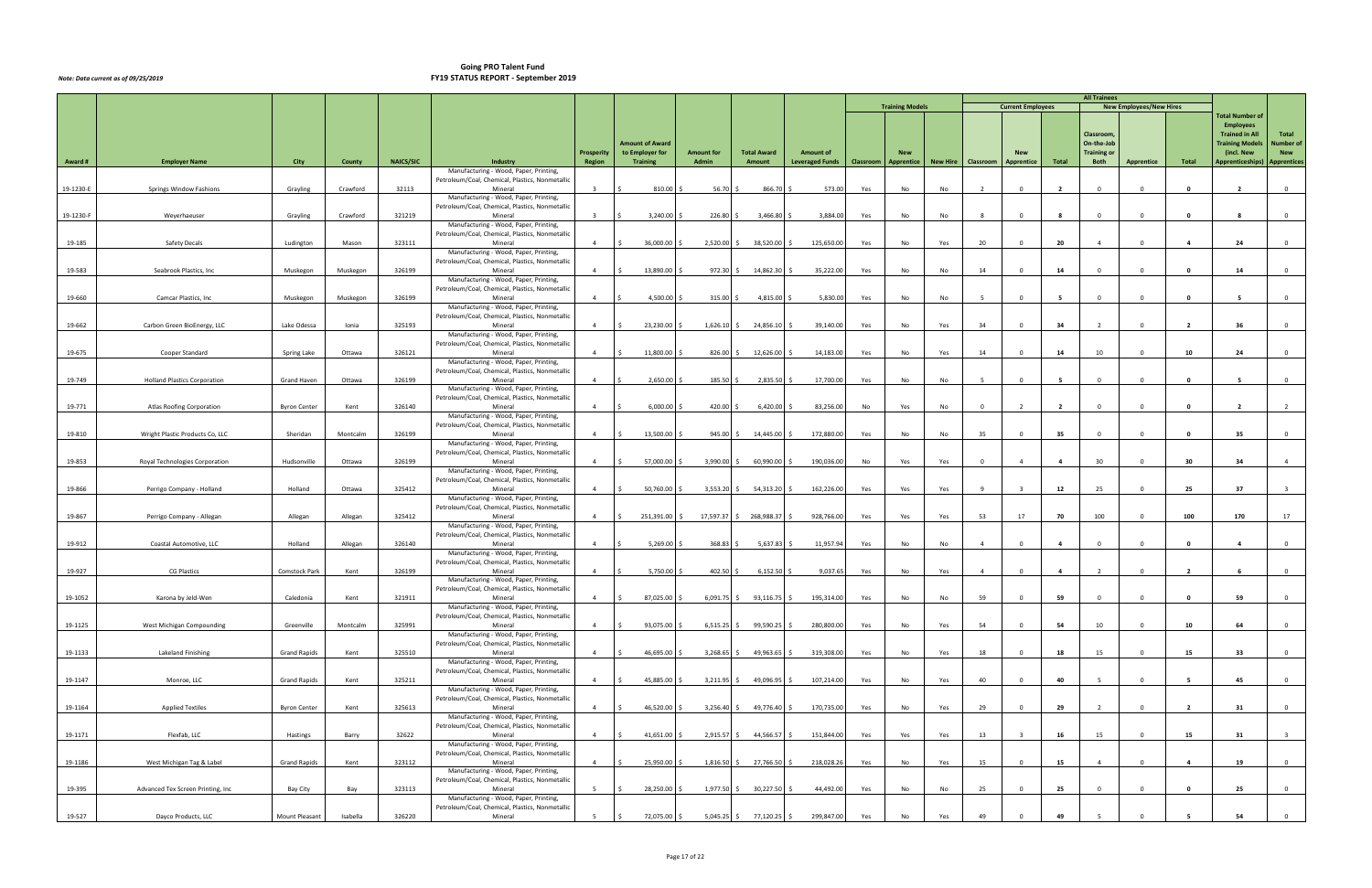|           |                                     |                     |          |                  |                                                                                           |                             |                                    |                            |                                |                                     |     |                                    |     |                      |                          |                | <b>All Trainees</b>        |                                |                |                                              |                         |
|-----------|-------------------------------------|---------------------|----------|------------------|-------------------------------------------------------------------------------------------|-----------------------------|------------------------------------|----------------------------|--------------------------------|-------------------------------------|-----|------------------------------------|-----|----------------------|--------------------------|----------------|----------------------------|--------------------------------|----------------|----------------------------------------------|-------------------------|
|           |                                     |                     |          |                  |                                                                                           |                             |                                    |                            |                                |                                     |     | <b>Training Models</b>             |     |                      | <b>Current Employees</b> |                |                            | <b>New Employees/New Hires</b> |                | <b>Total Number of</b>                       |                         |
|           |                                     |                     |          |                  |                                                                                           |                             |                                    |                            |                                |                                     |     |                                    |     |                      |                          |                | Classroom,                 |                                |                | <b>Employees</b><br><b>Trained in All</b>    | Total                   |
|           |                                     |                     |          |                  |                                                                                           |                             | <b>Amount of Award</b>             |                            |                                |                                     |     |                                    |     |                      |                          |                | On-the-Job                 |                                |                | <b>Training Models</b>                       | Number of               |
| Award #   | <b>Employer Name</b>                | City                | County   | <b>NAICS/SIC</b> | Industry                                                                                  | <b>Prosperity</b><br>Region | to Employer for<br><b>Training</b> | <b>Amount for</b><br>Admin | <b>Total Award</b><br>Amount   | Amount of<br><b>Leveraged Funds</b> |     | <b>New</b><br>Classroom Apprentice |     | New Hire   Classroom | <b>New</b><br>Apprentice | Total          | <b>Training or</b><br>Both | Apprentice                     | Total          | (incl. New<br>Apprenticeships)   Apprentices | <b>New</b>              |
|           |                                     |                     |          |                  | Manufacturing - Wood, Paper, Printing,<br>Petroleum/Coal, Chemical, Plastics, Nonmetallic |                             |                                    |                            |                                |                                     |     |                                    |     |                      |                          |                |                            |                                |                |                                              |                         |
| 19-1230-E | Springs Window Fashions             | Grayling            | Crawford | 32113            | Mineral                                                                                   | $\overline{\mathbf{3}}$     | 810.00                             | 56.70                      | 866.70                         | 573.00                              | Yes | No                                 | No  | $\overline{2}$       | $\mathbf{0}$             | $\overline{2}$ | $\overline{0}$             | $\overline{0}$                 | 0              | $\overline{2}$                               | $\overline{0}$          |
|           |                                     |                     |          |                  | Manufacturing - Wood, Paper, Printing,<br>Petroleum/Coal, Chemical, Plastics, Nonmetallic |                             |                                    |                            |                                |                                     |     |                                    |     |                      |                          |                |                            |                                |                |                                              |                         |
| 19-1230-F | Weyerhaeuser                        | Grayling            | Crawford | 321219           | Mineral                                                                                   | $\overline{\mathbf{3}}$     | 3,240.00                           | 226.80 \$                  | 3,466.80                       | 3,884.00                            | Yes | No                                 | No  | 8                    | $\Omega$                 |                | $\overline{0}$             | $\overline{0}$                 | $\mathbf{0}$   | -8                                           | $\overline{0}$          |
|           |                                     |                     |          |                  | Manufacturing - Wood, Paper, Printing,<br>Petroleum/Coal, Chemical, Plastics, Nonmetallic |                             |                                    |                            |                                |                                     |     |                                    |     |                      |                          |                |                            |                                |                |                                              |                         |
| 19-185    | Safety Decals                       | Ludington           | Mason    | 323111           | Mineral                                                                                   | $\overline{4}$              | 36,000.00                          | 2,520.00 \$                | 38,520.00                      | 125,650.00                          | Yes | No                                 | Yes | 20                   | $\Omega$                 | 20             | $\overline{4}$             | $\Omega$                       | $\overline{4}$ | 24                                           | $\overline{0}$          |
|           |                                     |                     |          |                  | Manufacturing - Wood, Paper, Printing,<br>Petroleum/Coal, Chemical, Plastics, Nonmetallic |                             |                                    |                            |                                |                                     |     |                                    |     |                      |                          |                |                            |                                |                |                                              |                         |
| 19-583    | Seabrook Plastics, Inc              | Muskegon            | Muskegon | 326199           | Mineral                                                                                   | $\overline{4}$              | 13,890.00                          |                            | 972.30 \$ 14,862.30            | 35,222.00                           | Yes | No                                 | No  | 14                   | $\Omega$                 | 14             | $\Omega$                   | $\Omega$                       | $\mathbf{0}$   | 14                                           | $\overline{0}$          |
|           |                                     |                     |          |                  | Manufacturing - Wood, Paper, Printing,<br>Petroleum/Coal, Chemical, Plastics, Nonmetallic |                             |                                    |                            |                                |                                     |     |                                    |     |                      |                          |                |                            |                                |                |                                              |                         |
| 19-660    | Camcar Plastics, Inc                | Muskegon            | Muskegon | 326199           | Mineral                                                                                   | $\overline{4}$              | 4,500.00                           | 315.00                     | 4,815.00                       | 5,830.00                            | Yes | No                                 | No  | - 5                  | $^{\circ}$               | - 5            | $\Omega$                   | $\mathbf{0}$                   | $\mathbf{o}$   | - 5                                          | $\overline{0}$          |
|           |                                     |                     |          |                  | Manufacturing - Wood, Paper, Printing,<br>Petroleum/Coal, Chemical, Plastics, Nonmetallic |                             |                                    |                            |                                |                                     |     |                                    |     |                      |                          |                |                            |                                |                |                                              |                         |
| 19-662    | Carbon Green BioEnergy, LLC         | Lake Odessa         | Ionia    | 325193           | Mineral                                                                                   | $\overline{4}$              | 23,230.00                          | 1,626.10                   | 24,856.10                      | 39,140.00                           | Yes | No                                 | Yes | 34                   | $^{\circ}$               | 34             | $\overline{2}$             | $^{\circ}$                     | $\overline{2}$ | 36                                           | $\overline{0}$          |
|           |                                     |                     |          |                  | Manufacturing - Wood, Paper, Printing,<br>Petroleum/Coal, Chemical, Plastics, Nonmetallic |                             |                                    |                            |                                |                                     |     |                                    |     |                      |                          |                |                            |                                |                |                                              |                         |
| 19-675    | Cooper Standard                     | Spring Lake         | Ottawa   | 326121           | Mineral                                                                                   | $\overline{4}$              | 11,800.00                          | 826.00                     | 12,626.00                      | 14,183.00                           | Yes | No                                 | Yes | 14                   | $\Omega$                 | 14             | 10                         | $\Omega$                       | 10             | 24                                           | $\overline{0}$          |
|           |                                     |                     |          |                  | Manufacturing - Wood, Paper, Printing,<br>Petroleum/Coal, Chemical, Plastics, Nonmetallic |                             |                                    |                            |                                |                                     |     |                                    |     |                      |                          |                |                            |                                |                |                                              |                         |
| 19-749    | <b>Holland Plastics Corporation</b> | Grand Haven         | Ottawa   | 326199           | Mineral                                                                                   | $\overline{4}$              | 2,650.00                           | 185.50                     | 2,835.50                       | 17,700.00                           | Yes | No                                 | No  |                      | $^{\circ}$               | - 5            | $\Omega$                   | $^{\circ}$                     | $\mathbf 0$    | - 5                                          | $\overline{0}$          |
|           |                                     |                     |          |                  | Manufacturing - Wood, Paper, Printing,<br>Petroleum/Coal, Chemical, Plastics, Nonmetallic |                             |                                    |                            |                                |                                     |     |                                    |     |                      |                          |                |                            |                                |                |                                              |                         |
| 19-771    | Atlas Roofing Corporation           | <b>Byron Center</b> | Kent     | 326140           | Mineral                                                                                   | $\overline{4}$              | 6,000.00                           | 420.00                     | 6,420.00                       | 83,256.00                           | No  | Yes                                | No  | $\Omega$             |                          | $\overline{2}$ | $\Omega$                   | $\Omega$                       | 0              | $\overline{\phantom{a}}$                     |                         |
|           |                                     |                     |          |                  | Manufacturing - Wood, Paper, Printing,                                                    |                             |                                    |                            |                                |                                     |     |                                    |     |                      |                          |                |                            |                                |                |                                              |                         |
| 19-810    | Wright Plastic Products Co, LLC     | Sheridan            | Montcalm | 326199           | Petroleum/Coal, Chemical, Plastics, Nonmetallic<br>Mineral                                | $\overline{4}$              | 13,500.00                          | 945.00                     | 14,445.00 \$                   | 172,880.00                          | Yes | No                                 | No  | 35                   | $\mathbf{0}$             | 35             | $\overline{0}$             | $\overline{0}$                 | $\mathbf{0}$   | 35                                           | $\mathbf 0$             |
|           |                                     |                     |          |                  | Manufacturing - Wood, Paper, Printing,                                                    |                             |                                    |                            |                                |                                     |     |                                    |     |                      |                          |                |                            |                                |                |                                              |                         |
| 19-853    | Royal Technologies Corporation      | Hudsonville         | Ottawa   | 326199           | Petroleum/Coal, Chemical, Plastics, Nonmetallic<br>Mineral                                | $\overline{4}$              | 57,000.00                          | 3,990.00                   | 60,990.00 \$                   | 190,036.00                          | No  | Yes                                | Yes | $\Omega$             |                          | $\overline{4}$ | 30                         | $\overline{0}$                 | 30             | 34                                           | $\overline{4}$          |
|           |                                     |                     |          |                  | Manufacturing - Wood, Paper, Printing,                                                    |                             |                                    |                            |                                |                                     |     |                                    |     |                      |                          |                |                            |                                |                |                                              |                         |
| 19-866    | Perrigo Company - Holland           | Holland             | Ottawa   | 325412           | Petroleum/Coal, Chemical, Plastics, Nonmetallic<br>Mineral                                | $\overline{4}$              | 50,760.00                          | 3,553.20                   | 54,313.20 \$                   | 162,226.00                          | Yes | Yes                                | Yes | $\mathbf{q}$         |                          | 12             | 25                         | $\Omega$                       | 25             | 37                                           |                         |
|           |                                     |                     |          |                  | Manufacturing - Wood, Paper, Printing,                                                    |                             |                                    |                            |                                |                                     |     |                                    |     |                      |                          |                |                            |                                |                |                                              |                         |
| 19-867    | Perrigo Company - Allegan           | Allegan             | Allegan  | 325412           | Petroleum/Coal, Chemical, Plastics, Nonmetallic<br>Mineral                                | $\overline{4}$              | 251,391.00                         |                            | 17,597.37 \$ 268,988.37 \$     | 928,766.00                          | Yes | Yes                                | Yes | 53                   | 17                       | 70             | 100                        | $\Omega$                       | 100            | 170                                          | 17                      |
|           |                                     |                     |          |                  | Manufacturing - Wood, Paper, Printing,                                                    |                             |                                    |                            |                                |                                     |     |                                    |     |                      |                          |                |                            |                                |                |                                              |                         |
| 19-912    | Coastal Automotive, LLC             | Holland             | Allegan  | 326140           | Petroleum/Coal, Chemical, Plastics, Nonmetallic<br>Mineral                                | $\overline{4}$              | 5,269.00                           | 368.83 \$                  | 5,637.83                       | 11,957.94                           | Yes | No                                 | No  | $\overline{4}$       | $\Omega$                 | $\overline{4}$ | $\Omega$                   | $\Omega$                       | $\Omega$       | 4                                            | $\Omega$                |
|           |                                     |                     |          |                  | Manufacturing - Wood, Paper, Printing,                                                    |                             |                                    |                            |                                |                                     |     |                                    |     |                      |                          |                |                            |                                |                |                                              |                         |
| 19-927    | <b>CG Plastics</b>                  | Comstock Park       | Kent     | 326199           | Petroleum/Coal, Chemical, Plastics, Nonmetallic<br>Mineral                                | $\overline{4}$              | 5,750.00                           | 402.50                     | 6,152.50                       | 9,037.65                            | Yes | No                                 | Yes | $\overline{4}$       | $^{\circ}$               | $\overline{4}$ | $\overline{2}$             | $\Omega$                       | - 2            |                                              | $\overline{0}$          |
|           |                                     |                     |          |                  | Manufacturing - Wood, Paper, Printing,                                                    |                             |                                    |                            |                                |                                     |     |                                    |     |                      |                          |                |                            |                                |                |                                              |                         |
| 19-1052   | Karona by Jeld-Wen                  | Caledonia           | Kent     | 321911           | Petroleum/Coal, Chemical, Plastics, Nonmetallic<br>Mineral                                | $\overline{4}$              | $\vert$ \$<br>87,025.00 \$         |                            | $6,091.75$ \$ 93,116.75 \$     | 195,314.00                          | Yes | No                                 | No  | 59                   | $\mathbf{0}$             | 59             | $^{\circ}$                 | $^{\circ}$                     | $\mathbf 0$    | 59                                           |                         |
|           |                                     |                     |          |                  | Manufacturing - Wood, Paper, Printing,<br>Petroleum/Coal, Chemical, Plastics, Nonmetallic |                             |                                    |                            |                                |                                     |     |                                    |     |                      |                          |                |                            |                                |                |                                              |                         |
| 19-1125   | West Michigan Compounding           | Greenville          | Montcalm | 325991           | Mineral                                                                                   | $\overline{4}$              | 93,075.00                          | $6,515.25$ \$              | 99,590.25 \$                   | 280,800.00                          | Yes | No                                 | Yes | 54                   | $\Omega$                 | 54             | 10                         | $^{\circ}$                     | 10             | 64                                           | $\overline{0}$          |
|           |                                     |                     |          |                  | Manufacturing - Wood, Paper, Printing,<br>Petroleum/Coal, Chemical, Plastics, Nonmetallic |                             |                                    |                            |                                |                                     |     |                                    |     |                      |                          |                |                            |                                |                |                                              |                         |
| 19-1133   | Lakeland Finishing                  | <b>Grand Rapids</b> | Kent     | 325510           | Mineral                                                                                   | $\overline{4}$              | 46,695.00                          |                            | $3,268.65$ \$ 49,963.65 \$     | 319,308.00                          | Yes | No                                 | Yes | 18                   | $\mathbf{0}$             | 18             | 15                         | $\mathbf{0}$                   | 15             | 33                                           | $\overline{0}$          |
|           |                                     |                     |          |                  | Manufacturing - Wood, Paper, Printing,<br>Petroleum/Coal, Chemical, Plastics, Nonmetallic |                             |                                    |                            |                                |                                     |     |                                    |     |                      |                          |                |                            |                                |                |                                              |                         |
| 19-1147   | Monroe, LLC                         | <b>Grand Rapids</b> | Kent     | 325211           | Mineral                                                                                   | $\overline{4}$              | 45,885.00<br>S.                    |                            | $3,211.95$ \$ 49,096.95 \$     | 107,214.00                          | Yes | No                                 | Yes | 40                   | $\mathbf{0}$             | 40             | 5 <sup>5</sup>             | $\overline{0}$                 | - 5            | 45                                           | $\overline{0}$          |
|           |                                     |                     |          |                  | Manufacturing - Wood, Paper, Printing,<br>Petroleum/Coal, Chemical, Plastics, Nonmetallic |                             |                                    |                            |                                |                                     |     |                                    |     |                      |                          |                |                            |                                |                |                                              |                         |
| 19-1164   | <b>Applied Textiles</b>             | <b>Byron Center</b> | Kent     | 325613           | Mineral                                                                                   | $\overline{4}$              | 46,520.00                          | $3,256.40$ \$              | 49,776.40 \$                   | 170,735.00                          | Yes | No                                 | Yes | 29                   | $\mathbf{0}$             | 29             | $\overline{2}$             | $\Omega$                       | $\overline{2}$ | 31                                           | $\overline{0}$          |
|           |                                     |                     |          |                  | Manufacturing - Wood, Paper, Printing,<br>Petroleum/Coal, Chemical, Plastics, Nonmetallic |                             |                                    |                            |                                |                                     |     |                                    |     |                      |                          |                |                            |                                |                |                                              |                         |
| 19-1171   | Flexfab, LLC                        | Hastings            | Barry    | 32622            | Mineral                                                                                   | $\overline{4}$              | 41,651.00                          | 2,915.57 \$                | 44,566.57<br>- Ś               | 151,844.00                          | Yes | Yes                                | Yes | 13                   |                          | 16             | 15                         | $\Omega$                       | 15             | 31                                           | $\overline{\mathbf{3}}$ |
|           |                                     |                     |          |                  | Manufacturing - Wood, Paper, Printing,<br>Petroleum/Coal, Chemical, Plastics, Nonmetallic |                             |                                    |                            |                                |                                     |     |                                    |     |                      |                          |                |                            |                                |                |                                              |                         |
| 19-1186   | West Michigan Tag & Label           | <b>Grand Rapids</b> | Kent     | 323112           | Mineral                                                                                   | $\overline{4}$              | 25,950.00                          |                            | $1,816.50 \div 27,766.50 \div$ | 218,028.26                          | Yes | No                                 | Yes | 15                   | $\mathbf{0}$             | 15             | $\overline{4}$             | $^{\circ}$                     | $\overline{4}$ | 19                                           | $\overline{0}$          |
|           |                                     |                     |          |                  | Manufacturing - Wood, Paper, Printing,<br>Petroleum/Coal, Chemical, Plastics, Nonmetallic |                             |                                    |                            |                                |                                     |     |                                    |     |                      |                          |                |                            |                                |                |                                              |                         |
| 19-395    | Advanced Tex Screen Printing, Inc   | Bay City            | Bay      | 323113           | Mineral                                                                                   | 5                           | 28,250.00                          | 1,977.50 \$                | 30,227.50                      | 44,492.00                           | Yes | No                                 | No  | 25                   | $^{\circ}$               | 25             | $\Omega$                   | $^{\circ}$                     | $\mathbf{0}$   | 25                                           | $\overline{0}$          |
|           |                                     |                     |          |                  | Manufacturing - Wood, Paper, Printing,<br>Petroleum/Coal, Chemical, Plastics, Nonmetallic |                             |                                    |                            |                                |                                     |     |                                    |     |                      |                          |                |                            |                                |                |                                              |                         |
| 19-527    | Dayco Products, LLC                 | Mount Pleasant      | Isabella | 326220           | Mineral                                                                                   | 5 <sup>5</sup>              | 72,075.00 \$                       |                            | $5,045.25$ \$ 77,120.25 \$     | 299,847.00                          | Yes | No                                 | Yes | 49                   | $\Omega$                 | 49             |                            | $\Omega$                       |                | 54                                           | $\overline{0}$          |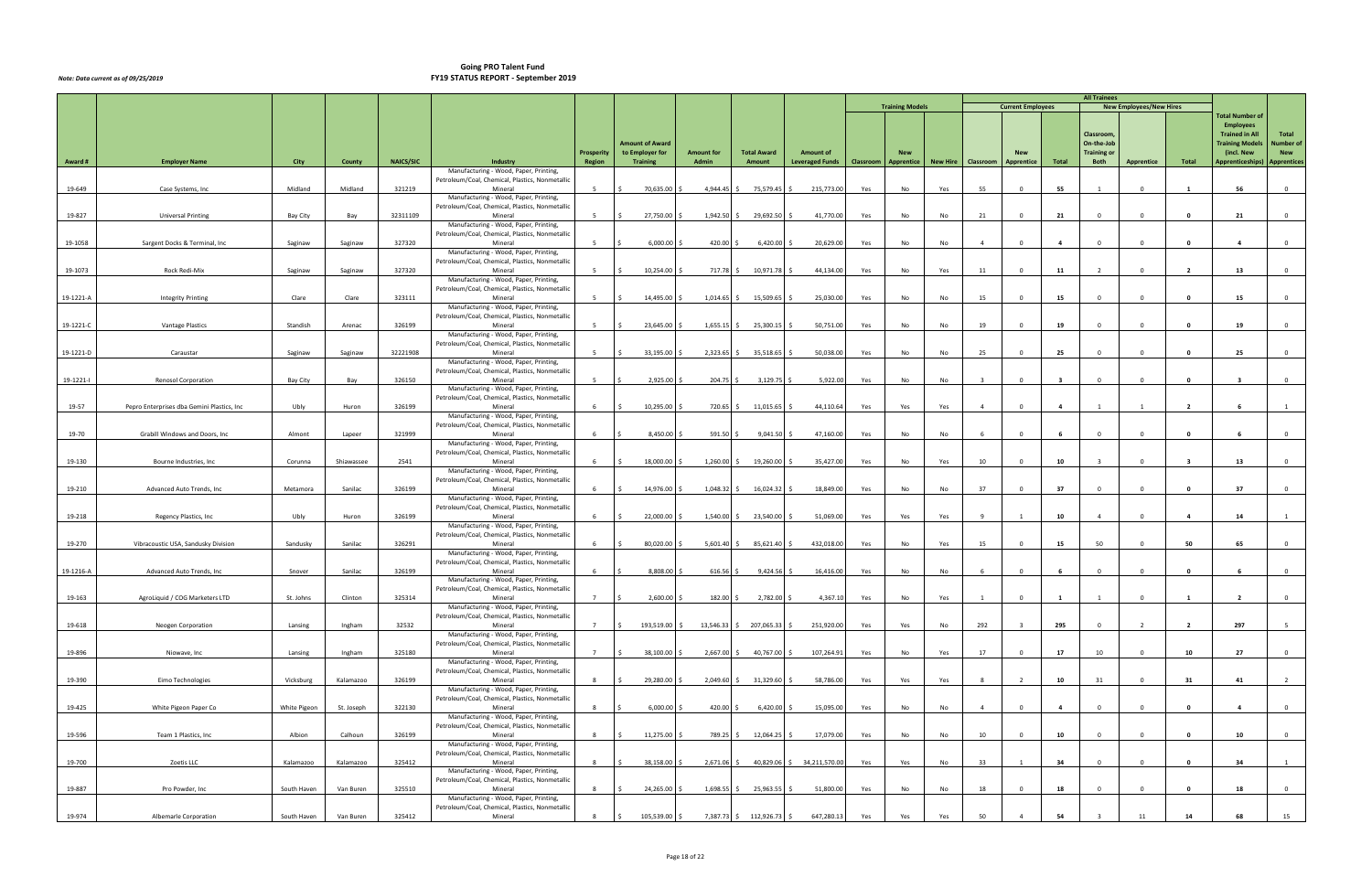|           |                                            |              |            |                  |                                                                                           |                      |                                    |                            |                                |                                                 |     | <b>Training Models</b>          |     |                         |                          |                         | <b>All Trainees</b>              | <b>New Employees/New Hires</b> |                         |                                              |                |
|-----------|--------------------------------------------|--------------|------------|------------------|-------------------------------------------------------------------------------------------|----------------------|------------------------------------|----------------------------|--------------------------------|-------------------------------------------------|-----|---------------------------------|-----|-------------------------|--------------------------|-------------------------|----------------------------------|--------------------------------|-------------------------|----------------------------------------------|----------------|
|           |                                            |              |            |                  |                                                                                           |                      |                                    |                            |                                |                                                 |     |                                 |     |                         | <b>Current Employees</b> |                         |                                  |                                |                         | <b>Total Number of</b>                       |                |
|           |                                            |              |            |                  |                                                                                           |                      |                                    |                            |                                |                                                 |     |                                 |     |                         |                          |                         | Classroom,                       |                                |                         | <b>Employees</b><br><b>Trained in All</b>    | Total          |
|           |                                            |              |            |                  |                                                                                           |                      | <b>Amount of Award</b>             |                            | <b>Total Award</b>             |                                                 |     |                                 |     |                         | <b>New</b>               |                         | On-the-Job<br><b>Training or</b> |                                |                         | <b>Training Models</b>                       | Number of      |
| Award #   | <b>Employer Name</b>                       | City         | County     | <b>NAICS/SIC</b> | Industry                                                                                  | Prosperity<br>Region | to Employer for<br><b>Training</b> | <b>Amount for</b><br>Admin | Amount                         | <b>Amount of</b><br>Leveraged Funds   Classroom |     | <b>New</b><br><b>Apprentice</b> |     | New Hire   Classroom    | Apprentice               | Total                   | Both                             | Apprentice                     | Total                   | (incl. New<br>Apprenticeships)   Apprentices | <b>New</b>     |
|           |                                            |              |            |                  | Manufacturing - Wood, Paper, Printing,<br>Petroleum/Coal, Chemical, Plastics, Nonmetallic |                      |                                    |                            |                                |                                                 |     |                                 |     |                         |                          |                         |                                  |                                |                         |                                              |                |
| 19-649    | Case Systems, Inc                          | Midland      | Midland    | 321219           | Mineral                                                                                   | 5 <sup>5</sup>       | 70,635.00                          |                            | 4,944.45 \$ 75,579.45          | 215,773.00<br>S.                                | Yes | No                              | Yes | 55                      | $\mathbf 0$              | 55                      | $\overline{1}$                   | $\mathbf 0$                    | -1                      | 56                                           | $\overline{0}$ |
|           |                                            |              |            |                  | Manufacturing - Wood, Paper, Printing,<br>Petroleum/Coal, Chemical, Plastics, Nonmetallic |                      |                                    |                            |                                |                                                 |     |                                 |     |                         |                          |                         |                                  |                                |                         |                                              |                |
| 19-827    | <b>Universal Printing</b>                  | Bay City     | Bay        | 32311109         | Mineral                                                                                   | 5                    | 27,750.00                          | $1,942.50$ \$              | 29,692.50                      | 41,770.00<br>-S                                 | Yes | No                              | No  | 21                      | $\Omega$                 | 21                      | $\mathbf 0$                      | $\Omega$                       | $\mathbf{0}$            | 21                                           | $\overline{0}$ |
|           |                                            |              |            |                  | Manufacturing - Wood, Paper, Printing,<br>Petroleum/Coal, Chemical, Plastics, Nonmetallic |                      |                                    |                            |                                |                                                 |     |                                 |     |                         |                          |                         |                                  |                                |                         |                                              |                |
| 19-1058   | Sargent Docks & Terminal, Inc              | Saginaw      | Saginaw    | 327320           | Mineral                                                                                   | 5 <sup>1</sup>       | 6,000.00                           | 420.00                     | 6,420.00                       | 20,629.00                                       | Yes | No                              | No  | $\overline{4}$          | $\Omega$                 | $\overline{4}$          | $\Omega$                         | $\Omega$                       | $\mathbf{0}$            | $\overline{a}$                               | $\overline{0}$ |
|           |                                            |              |            |                  | Manufacturing - Wood, Paper, Printing,<br>Petroleum/Coal, Chemical, Plastics, Nonmetallic |                      |                                    |                            |                                |                                                 |     |                                 |     |                         |                          |                         |                                  |                                |                         |                                              |                |
| 19-1073   | Rock Redi-Mix                              | Saginaw      | Saginaw    | 327320           | Mineral                                                                                   | 5 <sup>5</sup>       | 10,254.00                          | 717.78 \$                  | 10,971.78                      | 44,134.00                                       | Yes | No                              | Yes | 11                      | $\Omega$                 | 11                      | $\overline{2}$                   | $\Omega$                       | - 2                     | 13                                           | $\overline{0}$ |
|           |                                            |              |            |                  | Manufacturing - Wood, Paper, Printing,<br>Petroleum/Coal, Chemical, Plastics, Nonmetallic |                      |                                    |                            |                                |                                                 |     |                                 |     |                         |                          |                         |                                  |                                |                         |                                              |                |
| 19-1221-A | <b>Integrity Printing</b>                  | Clare        | Clare      | 323111           | Mineral                                                                                   | 5 <sup>5</sup>       | 14,495.00 \$                       | $1,014.65$ \$              | 15,509.65                      | 25,030.00                                       | Yes | No                              | No  | 15                      | $\mathbf 0$              | 15                      | $\Omega$                         | $\mathbf{0}$                   | 0                       | 15                                           | $\overline{0}$ |
|           |                                            |              |            |                  | Manufacturing - Wood, Paper, Printing,<br>Petroleum/Coal, Chemical, Plastics, Nonmetallic |                      |                                    |                            |                                |                                                 |     |                                 |     |                         |                          |                         |                                  |                                |                         |                                              |                |
| 19-1221-C | Vantage Plastics                           | Standish     | Arenac     | 326199           | Mineral                                                                                   | 5 <sup>5</sup>       | 23,645.00                          |                            | $1,655.15$ \$ 25,300.15        | 50,751.00                                       | Yes | No                              | No  | 19                      | $\mathbf 0$              | 19                      | $\Omega$                         | $\mathbf 0$                    | $\mathbf{0}$            | 19                                           | $\overline{0}$ |
|           |                                            |              |            |                  | Manufacturing - Wood, Paper, Printing,<br>Petroleum/Coal, Chemical, Plastics, Nonmetallic |                      |                                    |                            |                                |                                                 |     |                                 |     |                         |                          |                         |                                  |                                |                         |                                              |                |
| 19-1221-D | Caraustar                                  | Saginaw      | Saginaw    | 32221908         | Mineral                                                                                   | 5 <sup>5</sup>       | 33,195.00 \$                       | $2,323.65$ \$              | 35,518.65                      | 50,038.00                                       | Yes | No                              | No  | 25                      | $\Omega$                 | 25                      | $\Omega$                         | $\Omega$                       | $\mathbf{0}$            | 25                                           | $\overline{0}$ |
|           |                                            |              |            |                  | Manufacturing - Wood, Paper, Printing,<br>Petroleum/Coal, Chemical, Plastics, Nonmetallic |                      |                                    |                            |                                |                                                 |     |                                 |     |                         |                          |                         |                                  |                                |                         |                                              |                |
| 19-1221-1 | <b>Renosol Corporation</b>                 | Bay City     | Bay        | 326150           | Mineral<br>Manufacturing - Wood, Paper, Printing,                                         | 5 <sup>5</sup>       | 2,925.00                           | 204.75 \$                  | 3,129.75                       | 5,922.00                                        | Yes | No                              | No  | $\overline{\mathbf{3}}$ | $\Omega$                 | $\overline{\mathbf{3}}$ | $\Omega$                         | $\mathbf 0$                    | $\mathbf{0}$            | $\overline{\mathbf{3}}$                      | $\overline{0}$ |
|           |                                            |              |            |                  | Petroleum/Coal, Chemical, Plastics, Nonmetallic                                           |                      |                                    |                            |                                |                                                 |     |                                 |     |                         |                          |                         |                                  |                                |                         |                                              |                |
| 19-57     | Pepro Enterprises dba Gemini Plastics, Inc | Ubly         | Huron      | 326199           | Mineral<br>Manufacturing - Wood, Paper, Printing,                                         | 6                    | 10,295.00                          | 720.65                     | 11,015.65                      | 44,110.64                                       | Yes | Yes                             | Yes | $\overline{a}$          | $\Omega$                 | $\overline{4}$          |                                  |                                | $\overline{2}$          |                                              |                |
|           |                                            |              |            |                  | Petroleum/Coal, Chemical, Plastics, Nonmetallic                                           |                      |                                    |                            |                                |                                                 |     |                                 |     |                         |                          |                         |                                  |                                |                         |                                              |                |
| 19-70     | Grabill Windows and Doors, Inc.            | Almont       | Lapeer     | 321999           | Mineral<br>Manufacturing - Wood, Paper, Printing,                                         | 6                    | 8,450.00                           | 591.50 \$                  | $9,041.50$ \$                  | 47,160.00                                       | Yes | No                              | No  | - 6                     | $\Omega$                 |                         |                                  | $\Omega$                       | $\mathbf{0}$            |                                              | $\overline{0}$ |
|           |                                            |              |            |                  | Petroleum/Coal, Chemical, Plastics, Nonmetallic                                           |                      |                                    |                            |                                |                                                 |     |                                 |     |                         |                          |                         |                                  |                                |                         |                                              |                |
| 19-130    | Bourne Industries, Inc                     | Corunna      | Shiawassee | 2541             | Mineral<br>Manufacturing - Wood, Paper, Printing,                                         | 6                    | 18,000.00 \$                       | $1,260.00$ \$              | 19,260.00 \$                   | 35,427.00                                       | Yes | No                              | Yes | 10                      | $\mathbf{0}$             | 10                      | $\overline{\mathbf{3}}$          | $\Omega$                       | $\overline{\mathbf{3}}$ | 13                                           | $\overline{0}$ |
|           |                                            |              |            |                  | Petroleum/Coal, Chemical, Plastics, Nonmetallic                                           |                      |                                    |                            |                                |                                                 |     |                                 |     |                         |                          |                         |                                  |                                |                         |                                              |                |
| 19-210    | Advanced Auto Trends, Inc.                 | Metamora     | Sanilac    | 326199           | Mineral<br>Manufacturing - Wood, Paper, Printing,                                         | 6                    | 14,976.00 \$                       | $1,048.32 \quad$ \$        | 16,024.32 \$                   | 18,849.00                                       | Yes | No                              | No  | 37                      | $\Omega$                 | 37                      | $\Omega$                         | $\Omega$                       | $\mathbf{0}$            | 37                                           | $\overline{0}$ |
|           |                                            |              |            |                  | Petroleum/Coal, Chemical, Plastics, Nonmetallic                                           |                      |                                    |                            |                                |                                                 |     |                                 |     |                         |                          |                         |                                  |                                |                         |                                              |                |
| 19-218    | Regency Plastics, Inc.                     | Ubly         | Huron      | 326199           | Mineral<br>Manufacturing - Wood, Paper, Printing,                                         | 6                    | 22,000.00                          | 1,540.00 \$                | 23,540.00 \$                   | 51,069.00                                       | Yes | Yes                             | Yes | $\alpha$                |                          | 10                      | $\overline{4}$                   | $\Omega$                       | -4                      | 14                                           |                |
|           |                                            |              |            |                  | Petroleum/Coal, Chemical, Plastics, Nonmetallic                                           |                      |                                    |                            |                                |                                                 |     |                                 |     |                         |                          |                         |                                  |                                |                         |                                              |                |
| 19-270    | Vibracoustic USA, Sandusky Division        | Sandusky     | Sanilac    | 326291           | Mineral<br>Manufacturing - Wood, Paper, Printing,                                         | -6                   | 80,020.00                          | $5,601.40$ \$              | 85,621.40 \$                   | 432,018.00                                      | Yes | No                              | Yes | 15                      | $\Omega$                 | 15                      | 50                               | $\Omega$                       | 50                      | 65                                           |                |
| 19-1216-A | Advanced Auto Trends, Inc                  | Snover       | Sanilac    | 326199           | Petroleum/Coal, Chemical, Plastics, Nonmetallic<br>Mineral                                | 6                    | 8,808.00                           | $616.56$ \$                | 9,424.56                       | 16,416.00                                       |     |                                 | No  |                         | $\Omega$                 |                         | $\Omega$                         | $\Omega$                       | $\Omega$                |                                              | $\overline{0}$ |
|           |                                            |              |            |                  | Manufacturing - Wood, Paper, Printing,                                                    |                      |                                    |                            |                                |                                                 | Yes | No                              |     |                         |                          |                         |                                  |                                |                         |                                              |                |
|           | AgroLiquid / COG Marketers LTD             |              | Clinton    |                  | Petroleum/Coal, Chemical, Plastics, Nonmetallic<br>Mineral                                | 7                    | I\$                                |                            |                                |                                                 |     |                                 |     |                         | $\Omega$                 | $\mathbf{1}$            |                                  | $\Omega$                       | 1                       | $\overline{2}$                               | $\Omega$       |
| 19-163    |                                            | St. Johns    |            | 325314           | Manufacturing - Wood, Paper, Printing,                                                    |                      | $2,600.00$ \$                      | 182.00 \$                  | 2,782.00 \$                    | 4,367.10                                        | Yes | No                              | Yes |                         |                          |                         |                                  |                                |                         |                                              |                |
| 19-618    | Neogen Corporation                         | Lansing      | Ingham     | 32532            | Petroleum/Coal, Chemical, Plastics, Nonmetallic<br>Mineral                                | $7\overline{ }$      | 193,519.00                         |                            | 13,546.33 \$ 207,065.33 \$     | 251,920.00                                      | Yes | Yes                             | No  | 292                     |                          | 295                     | $^{\circ}$                       | $\overline{2}$                 | $\overline{\mathbf{2}}$ | 297                                          | 5 <sup>5</sup> |
|           |                                            |              |            |                  | Manufacturing - Wood, Paper, Printing,                                                    |                      |                                    |                            |                                |                                                 |     |                                 |     |                         |                          |                         |                                  |                                |                         |                                              |                |
| 19-896    | Niowave, Inc                               | Lansing      | Ingham     | 325180           | Petroleum/Coal, Chemical, Plastics, Nonmetallic<br>Mineral                                | $7\overline{ }$      | 38,100.00 \$                       |                            | 2,667.00 \$ 40,767.00 \$       | 107,264.91                                      | Yes | No                              | Yes | 17                      | $\mathbf 0$              | 17                      | 10                               | $\mathbf 0$                    | 10                      | 27                                           | $\overline{0}$ |
|           |                                            |              |            |                  | Manufacturing - Wood, Paper, Printing,                                                    |                      |                                    |                            |                                |                                                 |     |                                 |     |                         |                          |                         |                                  |                                |                         |                                              |                |
| 19-390    | Eimo Technologies                          | Vicksburg    | Kalamazoo  | 326199           | Petroleum/Coal, Chemical, Plastics, Nonmetallic<br>Mineral                                | 8                    | 29,280.00                          |                            | $2,049.60 \div 31,329.60 \div$ | 58,786.00                                       | Yes | Yes                             | Yes | 8                       | $\overline{2}$           | 10                      | 31                               | $\overline{0}$                 | 31                      | 41                                           | $\overline{2}$ |
|           |                                            |              |            |                  | Manufacturing - Wood, Paper, Printing,                                                    |                      |                                    |                            |                                |                                                 |     |                                 |     |                         |                          |                         |                                  |                                |                         |                                              |                |
| 19-425    | White Pigeon Paper Co                      | White Pigeon | St. Joseph | 322130           | Petroleum/Coal, Chemical, Plastics, Nonmetallic<br>Mineral                                | 8                    | 6,000.00                           | 420.00 \$                  | $6,420.00$ \$                  | 15,095.00                                       | Yes | No                              | No  | $\overline{4}$          | $\mathbf{0}$             | $\overline{4}$          | $\Omega$                         | $\Omega$                       | $\mathbf{0}$            | $\overline{4}$                               | $\overline{0}$ |
|           |                                            |              |            |                  | Manufacturing - Wood, Paper, Printing,                                                    |                      |                                    |                            |                                |                                                 |     |                                 |     |                         |                          |                         |                                  |                                |                         |                                              |                |
| 19-596    | Team 1 Plastics, Inc                       | Albion       | Calhoun    | 326199           | Petroleum/Coal, Chemical, Plastics, Nonmetallic<br>Mineral                                | 8                    | 11,275.00 \$                       |                            | 789.25 \$12,064.25 \$          | 17,079.00                                       | Yes | No                              | No  | 10                      | $\mathbf{0}$             | 10                      | $\Omega$                         | $\Omega$                       | $\mathbf{0}$            | 10                                           | $\overline{0}$ |
|           |                                            |              |            |                  | Manufacturing - Wood, Paper, Printing,                                                    |                      |                                    |                            |                                |                                                 |     |                                 |     |                         |                          |                         |                                  |                                |                         |                                              |                |
| 19-700    | Zoetis LLC                                 | Kalamazoo    | Kalamazoo  | 325412           | Petroleum/Coal, Chemical, Plastics, Nonmetallic<br>Mineral                                | 8                    | 38,158.00                          | $2,671.06$ \$              |                                | 40,829.06 \$ 34,211,570.00                      | Yes | Yes                             | No  | 33                      |                          | 34                      | $\Omega$                         | $\mathbf 0$                    | $\mathbf{0}$            | 34                                           | 1              |
|           |                                            |              |            |                  | Manufacturing - Wood, Paper, Printing,<br>Petroleum/Coal, Chemical, Plastics, Nonmetallic |                      |                                    |                            |                                |                                                 |     |                                 |     |                         |                          |                         |                                  |                                |                         |                                              |                |
| 19-887    | Pro Powder, Inc                            | South Haven  | Van Buren  | 325510           | Mineral                                                                                   | 8                    | 24,265.00                          |                            | 1,698.55 \$ 25,963.55          | 51,800.00<br>S.                                 | Yes | No                              | No  | 18                      | $^{\circ}$               | 18                      | $\Omega$                         | $\mathbf 0$                    | $\mathbf{0}$            | 18                                           | $\overline{0}$ |
|           |                                            |              |            |                  | Manufacturing - Wood, Paper, Printing,<br>Petroleum/Coal, Chemical, Plastics, Nonmetallic |                      |                                    |                            |                                |                                                 |     |                                 |     |                         |                          |                         |                                  |                                |                         |                                              |                |
| 19-974    | Albemarle Corporation                      | South Haven  | Van Buren  | 325412           | Mineral                                                                                   | 8                    | 105,539.00 \$                      |                            | 7,387.73 \$ 112,926.73 \$      | 647,280.13                                      | Yes | Yes                             | Yes | 50                      |                          | 54                      |                                  | 11                             | 14                      | 68                                           | 15             |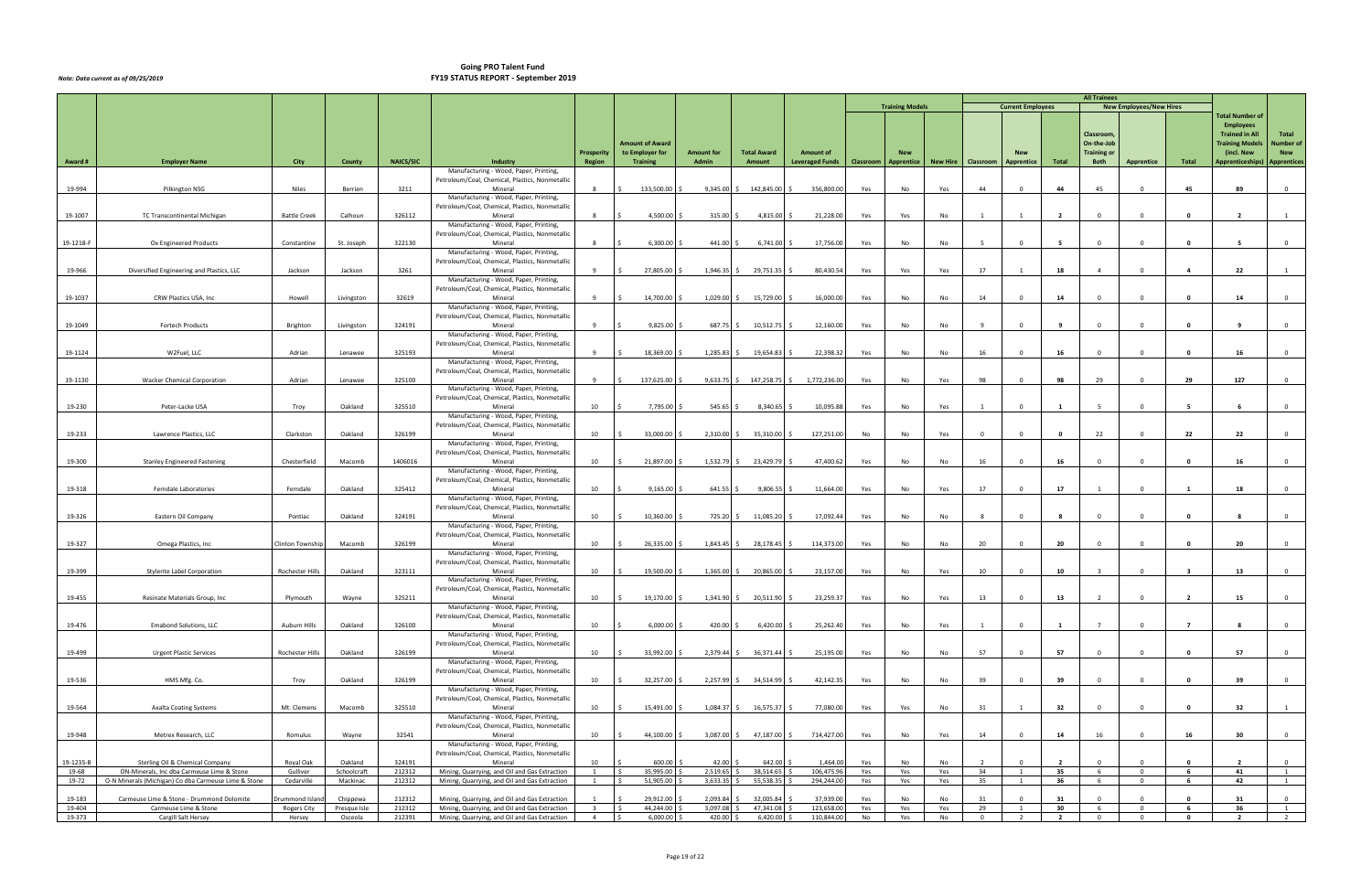|                  |                                                                                                    |                        |                         |                  |                                                                                                |                                           |                              |                       |                                 |                                          |            |                        |            |                      |                          |                      | <b>All Trainees</b>      |                                  |                         |                                                 |                     |
|------------------|----------------------------------------------------------------------------------------------------|------------------------|-------------------------|------------------|------------------------------------------------------------------------------------------------|-------------------------------------------|------------------------------|-----------------------|---------------------------------|------------------------------------------|------------|------------------------|------------|----------------------|--------------------------|----------------------|--------------------------|----------------------------------|-------------------------|-------------------------------------------------|---------------------|
|                  |                                                                                                    |                        |                         |                  |                                                                                                |                                           |                              |                       |                                 |                                          |            | <b>Training Models</b> |            |                      | <b>Current Employees</b> |                      |                          | <b>New Employees/New Hires</b>   |                         | Total Number of                                 |                     |
|                  |                                                                                                    |                        |                         |                  |                                                                                                |                                           |                              |                       |                                 |                                          |            |                        |            |                      |                          |                      |                          |                                  |                         | <b>Employees</b>                                |                     |
|                  |                                                                                                    |                        |                         |                  |                                                                                                |                                           | <b>Amount of Award</b>       |                       |                                 |                                          |            |                        |            |                      |                          |                      | Classroom,<br>On-the-Job |                                  |                         | <b>Trained in All</b><br><b>Training Models</b> | Total<br>Number of  |
|                  |                                                                                                    |                        |                         |                  |                                                                                                | <b>Prosperity</b>                         | to Employer for              | <b>Amount for</b>     | <b>Total Award</b>              | <b>Amount of</b>                         |            | <b>New</b>             |            |                      | <b>New</b>               |                      | <b>Training or</b>       |                                  |                         | (incl. New                                      | <b>New</b>          |
| Award #          | <b>Employer Name</b>                                                                               | City                   | County                  | <b>NAICS/SIC</b> | Industry<br>Manufacturing - Wood, Paper, Printing,                                             | Region                                    | <b>Training</b>              | Admin                 | Amount                          | Leveraged Funds   Classroom   Apprentice |            |                        |            | New Hire   Classroom | Apprentice               | Total                | Both                     | Apprentice                       | Total                   | Apprenticeships)   Apprentices                  |                     |
|                  |                                                                                                    |                        |                         |                  | Petroleum/Coal, Chemical, Plastics, Nonmetallic                                                |                                           |                              |                       |                                 |                                          |            |                        |            |                      |                          |                      |                          |                                  |                         |                                                 |                     |
| 19-994           | Pilkington NSG                                                                                     | Niles                  | Berrien                 | 3211             | Mineral<br>Manufacturing - Wood, Paper, Printing,                                              | 8                                         | 133,500.00                   |                       | $9,345.00 \div 142,845.00 \div$ | 356,800.00                               | Yes        | No                     | Yes        | 44                   | $\Omega$                 | 44                   | 45                       | $\mathbf{0}$                     | 45                      | 89                                              | $\overline{0}$      |
|                  |                                                                                                    |                        |                         |                  | Petroleum/Coal, Chemical, Plastics, Nonmetallic                                                |                                           |                              |                       |                                 |                                          |            |                        |            |                      |                          |                      |                          |                                  |                         |                                                 |                     |
| 19-1007          | TC Transcontinental Michigan                                                                       | <b>Battle Creek</b>    | Calhoun                 | 326112           | Mineral<br>Manufacturing - Wood, Paper, Printing,                                              | 8                                         | 4,500.00                     | 315.00%               | $4,815.00$ \$                   | 21,228.00                                | Yes        | Yes                    | No         |                      |                          | $\overline{2}$       | $^{\circ}$               | $\overline{0}$                   | $\mathbf{0}$            | $\overline{2}$                                  |                     |
|                  |                                                                                                    |                        |                         |                  | Petroleum/Coal, Chemical, Plastics, Nonmetallic                                                |                                           |                              |                       |                                 |                                          |            |                        |            |                      |                          |                      |                          |                                  |                         |                                                 |                     |
| 19-1218-F        | Ox Engineered Products                                                                             | Constantine            | St. Joseph              | 322130           | Mineral                                                                                        | 8                                         | 6,300.00                     | 441.00 \$             | $6,741.00$ \$                   | 17,756.00                                | Yes        | No                     | No         | $5^{\circ}$          | $\Omega$                 | - 5                  | $\mathbf 0$              | $\Omega$                         | $\mathbf{0}$            | - 5                                             | $\mathbf 0$         |
|                  |                                                                                                    |                        |                         |                  | Manufacturing - Wood, Paper, Printing,<br>Petroleum/Coal, Chemical, Plastics, Nonmetallic      |                                           |                              |                       |                                 |                                          |            |                        |            |                      |                          |                      |                          |                                  |                         |                                                 |                     |
| 19-966           | Diversified Engineering and Plastics, LLC                                                          | Jackson                | Jackson                 | 3261             | Mineral                                                                                        | 9                                         | 27,805.00                    |                       | 1,946.35 \$ 29,751.35           | 80,430.54                                | Yes        | Yes                    | Yes        | 17                   |                          | 18                   | $\overline{4}$           | $\Omega$                         | $\overline{\mathbf{4}}$ | 22                                              |                     |
|                  |                                                                                                    |                        |                         |                  | Manufacturing - Wood, Paper, Printing,<br>Petroleum/Coal, Chemical, Plastics, Nonmetallic      |                                           |                              |                       |                                 |                                          |            |                        |            |                      |                          |                      |                          |                                  |                         |                                                 |                     |
| 19-1037          | CRW Plastics USA, Inc                                                                              | Howell                 | Livingston              | 32619            | Mineral                                                                                        | 9                                         | 14,700.00                    | $1,029.00$ \$         | 15,729.00                       | 16,000.00                                | Yes        | No                     | No         | 14                   | $\Omega$                 | 14                   | $\Omega$                 | $\Omega$                         | $\mathbf{0}$            | 14                                              | $\overline{0}$      |
|                  |                                                                                                    |                        |                         |                  | Manufacturing - Wood, Paper, Printing,<br>Petroleum/Coal, Chemical, Plastics, Nonmetallic      |                                           |                              |                       |                                 |                                          |            |                        |            |                      |                          |                      |                          |                                  |                         |                                                 |                     |
| 19-1049          | Fortech Products                                                                                   | Brighton               | Livingston              | 324191           | Mineral                                                                                        | 9                                         | 9,825.00                     | 687.75 \$             | 10,512.75                       | 12,160.00                                | Yes        | No                     | No         |                      | $\mathbf 0$              | 9                    | $\Omega$                 | $\mathbf{0}$                     | 0                       |                                                 | $\overline{0}$      |
|                  |                                                                                                    |                        |                         |                  | Manufacturing - Wood, Paper, Printing,<br>Petroleum/Coal, Chemical, Plastics, Nonmetallic      |                                           |                              |                       |                                 |                                          |            |                        |            |                      |                          |                      |                          |                                  |                         |                                                 |                     |
| 19-1124          | W2Fuel, LLC                                                                                        | Adrian                 | Lenawee                 | 325193           | Mineral                                                                                        | 9                                         | 18,369.00                    | 1,285.83              | 19,654.83                       | 22,398.32                                | Yes        | No                     | No         | 16                   | $^{\circ}$               | 16                   | $\Omega$                 | $^{\circ}$                       | $\mathbf{0}$            | 16                                              | $\overline{0}$      |
|                  |                                                                                                    |                        |                         |                  | Manufacturing - Wood, Paper, Printing,                                                         |                                           |                              |                       |                                 |                                          |            |                        |            |                      |                          |                      |                          |                                  |                         |                                                 |                     |
| 19-1130          | <b>Wacker Chemical Corporation</b>                                                                 | Adrian                 | Lenawee                 | 325100           | Petroleum/Coal, Chemical, Plastics, Nonmetallic<br>Mineral                                     | 9                                         | 137,625.00                   |                       | $9,633.75$ \$ 147,258.75 \$     | 1,772,236.00                             | Yes        | No                     | Yes        | 98                   | $\Omega$                 | 98                   | 29                       | $\Omega$                         | 29                      | 127                                             | $\overline{0}$      |
|                  |                                                                                                    |                        |                         |                  | Manufacturing - Wood, Paper, Printing,                                                         |                                           |                              |                       |                                 |                                          |            |                        |            |                      |                          |                      |                          |                                  |                         |                                                 |                     |
| 19-230           | Peter-Lacke USA                                                                                    | Troy                   | Oakland                 | 325510           | Petroleum/Coal, Chemical, Plastics, Nonmetallic<br>Mineral                                     | 10                                        | 7,795.00                     | 545.65                | 8,340.65                        | 10,095.88                                | Yes        | No                     | Yes        |                      | $\Omega$                 |                      |                          | $\Omega$                         | -5                      |                                                 | $\overline{0}$      |
|                  |                                                                                                    |                        |                         |                  | Manufacturing - Wood, Paper, Printing,                                                         |                                           |                              |                       |                                 |                                          |            |                        |            |                      |                          |                      |                          |                                  |                         |                                                 |                     |
| 19-233           | Lawrence Plastics, LLC                                                                             | Clarkston              | Oakland                 | 326199           | Petroleum/Coal, Chemical, Plastics, Nonmetallic<br>Mineral                                     | 10                                        | 33,000.00                    | 2,310.00              | 35,310.00                       | 127,251.00                               | No         | No                     | Yes        | $\Omega$             | $\Omega$                 | $\mathbf{0}$         | 22                       | $\Omega$                         | 22                      | 22                                              | $\overline{0}$      |
|                  |                                                                                                    |                        |                         |                  | Manufacturing - Wood, Paper, Printing,                                                         |                                           |                              |                       |                                 |                                          |            |                        |            |                      |                          |                      |                          |                                  |                         |                                                 |                     |
| 19-300           | <b>Stanley Engineered Fastening</b>                                                                | Chesterfield           | Macomb                  | 1406016          | Petroleum/Coal, Chemical, Plastics, Nonmetallic<br>Mineral                                     | 10                                        | 21,897.00 \$                 |                       | 1,532.79 \$ 23,429.79           | 47,400.62<br>-S                          | Yes        | No                     | No         | 16                   | $\mathbf 0$              | 16                   | $\Omega$                 | $\Omega$                         | $\mathbf{0}$            | 16                                              | $\overline{0}$      |
|                  |                                                                                                    |                        |                         |                  | Manufacturing - Wood, Paper, Printing,                                                         |                                           |                              |                       |                                 |                                          |            |                        |            |                      |                          |                      |                          |                                  |                         |                                                 |                     |
|                  |                                                                                                    |                        |                         |                  | Petroleum/Coal, Chemical, Plastics, Nonmetallic                                                |                                           |                              |                       |                                 |                                          |            |                        |            |                      |                          |                      |                          | $\Omega$                         |                         |                                                 |                     |
| 19-318           | Ferndale Laboratories                                                                              | Ferndale               | Oakland                 | 325412           | Mineral<br>Manufacturing - Wood, Paper, Printing,                                              | 10                                        | 9,165.00                     | $641.55$ \$           | 9,806.55                        | 11,664.00<br>-S                          | Yes        | No                     | Yes        | 17                   | $\Omega$                 | 17                   |                          |                                  |                         | 18                                              | $\overline{0}$      |
|                  |                                                                                                    |                        |                         |                  | Petroleum/Coal, Chemical, Plastics, Nonmetallic                                                |                                           |                              |                       |                                 |                                          |            |                        |            |                      |                          |                      |                          |                                  |                         |                                                 |                     |
| 19-326           | Eastern Oil Company                                                                                | Pontiac                | Oakland                 | 324191           | Mineral<br>Manufacturing - Wood, Paper, Printing,                                              | 10                                        | 10,360.00 \$                 |                       | 725.20 \$ 11,085.20 \$          | 17,092.44                                | Yes        | No                     | No         | $\mathbf{R}$         | $\Omega$                 |                      |                          | $\Omega$                         | - 0                     |                                                 | $\Omega$            |
|                  |                                                                                                    |                        |                         |                  | Petroleum/Coal, Chemical, Plastics, Nonmetallic                                                |                                           |                              |                       |                                 |                                          |            |                        |            |                      |                          |                      |                          |                                  |                         |                                                 |                     |
| 19-327           | Omega Plastics, Inc.                                                                               | Clinton Township       | Macomb                  | 326199           | Mineral<br>Manufacturing - Wood, Paper, Printing,                                              | 10                                        | 26,335.00                    |                       | $1,843.45$ \$ 28,178.45 \$      | 114,373.00                               | Yes        | No                     | No         | 20                   | $\Omega$                 | 20                   |                          | $\Omega$                         | - 0                     | 20                                              |                     |
|                  |                                                                                                    |                        |                         |                  | Petroleum/Coal, Chemical, Plastics, Nonmetallic                                                |                                           |                              |                       |                                 |                                          |            |                        |            |                      |                          |                      |                          |                                  |                         |                                                 |                     |
| 19-399           | Stylerite Label Corporation                                                                        | Rochester Hills        | Oakland                 | 323111           | Mineral<br>Manufacturing - Wood, Paper, Printing,                                              | 10                                        | 19,500.00                    |                       | $1,365.00 \div 20,865.00 \div$  | 23,157.00                                | Yes        | No                     | Yes        | 10                   | $\Omega$                 | 10                   |                          | $\Omega$                         |                         | 13                                              | $\overline{0}$      |
|                  |                                                                                                    |                        |                         |                  | Petroleum/Coal, Chemical, Plastics, Nonmetallic                                                |                                           |                              |                       |                                 |                                          |            |                        |            |                      |                          |                      |                          |                                  |                         |                                                 |                     |
| 19-455           | Resinate Materials Group, Inc.                                                                     | Plymouth               | Wayne                   | 325211           | Mineral<br>Manufacturing - Wood, Paper, Printing,                                              | 10                                        | IS.<br>19,170.00 \$          |                       | 1,341.90 \$ 20,511.90 \$        | 23,259.37                                | Yes        | No                     | Yes        | 13                   | $\mathbf{O}$             | 13                   | 2                        | $^{\circ}$                       | $\overline{2}$          | 15                                              |                     |
|                  |                                                                                                    |                        |                         |                  | Petroleum/Coal, Chemical, Plastics, Nonmetallic                                                |                                           |                              |                       |                                 |                                          |            |                        |            |                      |                          |                      |                          |                                  |                         |                                                 |                     |
| 19-476           | <b>Emabond Solutions, LLC</b>                                                                      | Auburn Hills           | Oakland                 | 326100           | Mineral<br>Manufacturing - Wood, Paper, Printing,                                              | 10                                        | 6,000.00                     | $420.00$ \$           | $6,420.00$ \$                   | 25,262.40                                | Yes        | No                     | Yes        |                      | $\Omega$                 | 1                    | $\overline{7}$           | $\Omega$                         | $\overline{7}$          | -8                                              | $\overline{0}$      |
|                  |                                                                                                    |                        |                         |                  | Petroleum/Coal, Chemical, Plastics, Nonmetallic                                                |                                           |                              |                       |                                 |                                          |            |                        |            |                      |                          |                      |                          |                                  |                         |                                                 |                     |
| 19-499           | <b>Urgent Plastic Services</b>                                                                     | Rochester Hills        | Oakland                 | 326199           | Mineral                                                                                        | 10                                        | 33,992.00                    |                       | 2,379.44 \$ 36,371.44 \$        | 25,195.00                                | Yes        | No                     | No         | 57                   | $\Omega$                 | 57                   | $\Omega$                 | $\Omega$                         | $\mathbf{0}$            | 57                                              | $\overline{0}$      |
|                  |                                                                                                    |                        |                         |                  | Manufacturing - Wood, Paper, Printing,<br>Petroleum/Coal, Chemical, Plastics, Nonmetallic      |                                           |                              |                       |                                 |                                          |            |                        |            |                      |                          |                      |                          |                                  |                         |                                                 |                     |
| 19-536           | HMS Mfg. Co.                                                                                       | Troy                   | Oakland                 | 326199           | Mineral                                                                                        | 10                                        | 32,257.00 \$                 |                       | $2,257.99$ \$ 34,514.99 \$      | 42,142.35                                | Yes        | No                     | No         | 39                   | $\mathbf 0$              | 39                   | $^{\circ}$               | $\mathbf 0$                      | 0                       | 39                                              | $\overline{0}$      |
|                  |                                                                                                    |                        |                         |                  | Manufacturing - Wood, Paper, Printing,<br>Petroleum/Coal, Chemical, Plastics, Nonmetallic      |                                           |                              |                       |                                 |                                          |            |                        |            |                      |                          |                      |                          |                                  |                         |                                                 |                     |
| 19-564           | <b>Axalta Coating Systems</b>                                                                      | Mt. Clemens            | Macomb                  | 325510           | Mineral                                                                                        | 10                                        | 15,491.00                    |                       | $1,084.37$ \$ $16,575.37$ \$    | 77,080.00                                | Yes        | Yes                    | No         | 31                   |                          | 32                   | $\overline{0}$           | $\mathbf 0$                      | $\mathbf{0}$            | 32                                              |                     |
|                  |                                                                                                    |                        |                         |                  | Manufacturing - Wood, Paper, Printing,<br>Petroleum/Coal, Chemical, Plastics, Nonmetallic      |                                           |                              |                       |                                 |                                          |            |                        |            |                      |                          |                      |                          |                                  |                         |                                                 |                     |
| 19-948           | Metrex Research, LLC                                                                               | Romulus                | Wayne                   | 32541            | Mineral                                                                                        | 10                                        | 44,100.00                    |                       | $3,087.00$ \$ 47,187.00 \$      | 714,427.00                               | Yes        | No                     | Yes        | 14                   | $\Omega$                 | 14                   | 16                       | $\Omega$                         | 16                      | 30                                              | $\mathbf 0$         |
|                  |                                                                                                    |                        |                         |                  | Manufacturing - Wood, Paper, Printing,<br>Petroleum/Coal, Chemical, Plastics, Nonmetallic      |                                           |                              |                       |                                 |                                          |            |                        |            |                      |                          |                      |                          |                                  |                         |                                                 |                     |
| 19-1235-B        | Sterling Oil & Chemical Company                                                                    | Royal Oak              | Oakland                 | 324191           | Mineral                                                                                        | 10                                        | 600.00                       | 42.00                 | 642.00                          | 1,464.00                                 | Yes        | No                     | No         | $\overline{2}$       | $\Omega$                 | $\overline{2}$       | $\Omega$                 | $\Omega$                         | $\Omega$                | $\overline{2}$                                  | $\overline{0}$      |
| 19-68<br>19-72   | ON-Minerals, Inc dba Carmeuse Lime & Stone<br>O-N Minerals (Michigan) Co dba Carmeuse Lime & Stone | Gulliver<br>Cedarville | Schoolcraft<br>Mackinac | 212312<br>212312 | Mining, Quarrying, and Oil and Gas Extraction<br>Mining, Quarrying, and Oil and Gas Extraction | 1<br>1                                    | 35,995.00<br>51,905.00       | 2,519.65<br>3,633.35  | 38,514.65<br>55,538.35          | 106,475.96<br>294,244.00                 | Yes<br>Yes | Yes<br>Yes             | Yes<br>Yes | 34<br>35             | 1<br>$\overline{1}$      | 35<br>36             | 6<br>6                   | $\overline{0}$<br>$\overline{0}$ | 6<br>6                  | 41<br>42                                        | 1<br>1              |
|                  |                                                                                                    |                        |                         |                  |                                                                                                |                                           |                              |                       |                                 |                                          |            |                        |            |                      |                          |                      |                          |                                  |                         |                                                 |                     |
| 19-183           | Carmeuse Lime & Stone - Drummond Dolomite                                                          | Drummond Islan         | Chippewa                | 212312           | Mining, Quarrying, and Oil and Gas Extraction                                                  |                                           | 29,912.00                    | 2,093.84              | 32,005.84<br>47,341.08          | 37,939.00                                | Yes        | No                     | No         | 31                   |                          | 31                   |                          | $\mathbf 0$                      | $\Omega$                | 31                                              | $\overline{0}$      |
| 19-404<br>19-373 | Carmeuse Lime & Stone<br>Cargill Salt Hersey                                                       | Rogers City<br>Hersey  | Presque Isle<br>Osceola | 212312<br>212391 | Mining, Quarrying, and Oil and Gas Extraction<br>Mining, Quarrying, and Oil and Gas Extraction | $\overline{\mathbf{3}}$<br>$\overline{4}$ | 44,244.00<br>6,000.00<br>I\$ | 3,097.08<br>420.00 \$ | $6,420.00$ \$                   | 123,658.00<br>110,844.00                 | Yes<br>No  | Yes<br>Yes             | Yes<br>No  | 29<br>$\overline{0}$ | 1<br>$\overline{2}$      | 30<br>$\overline{2}$ | 6<br>$\overline{0}$      | $\mathbf{0}$                     | - 6<br>$\mathbf 0$      | 36<br>$\overline{2}$                            | 1<br>$\overline{2}$ |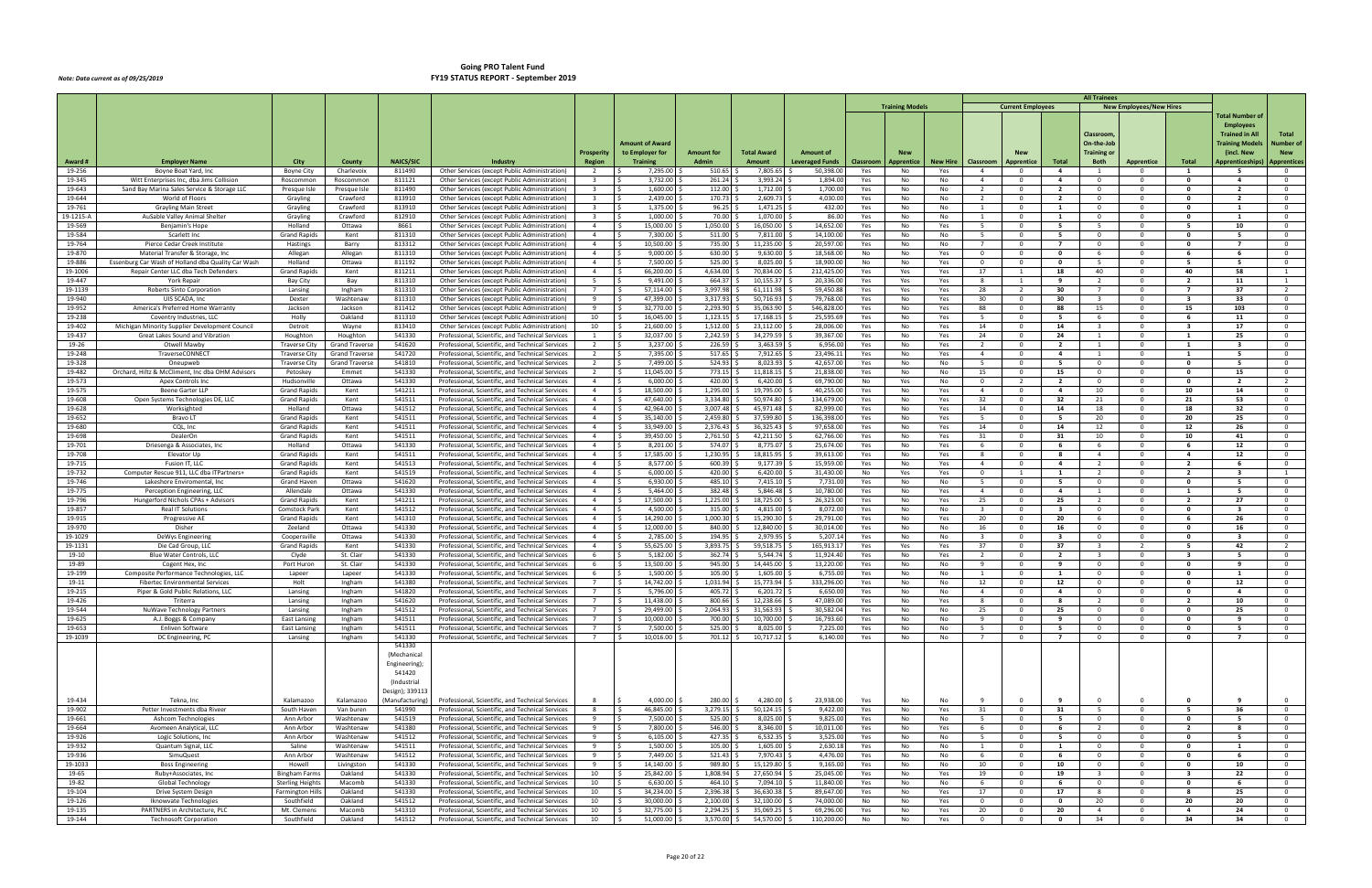|                   |                                                    |                                     |                        |                     |                                                                                                      |                                  |                             |                                   |                              |                                    |                  |                        |                        |                             |                                                     |                | <b>All Trainees</b>                       |                                |                               |                         |                                    |
|-------------------|----------------------------------------------------|-------------------------------------|------------------------|---------------------|------------------------------------------------------------------------------------------------------|----------------------------------|-----------------------------|-----------------------------------|------------------------------|------------------------------------|------------------|------------------------|------------------------|-----------------------------|-----------------------------------------------------|----------------|-------------------------------------------|--------------------------------|-------------------------------|-------------------------|------------------------------------|
|                   |                                                    |                                     |                        |                     |                                                                                                      |                                  |                             |                                   |                              |                                    |                  | <b>Training Models</b> |                        |                             | <b>Current Employees</b>                            |                |                                           | <b>New Employees/New Hires</b> |                               |                         |                                    |
|                   |                                                    |                                     |                        |                     |                                                                                                      |                                  |                             |                                   |                              |                                    |                  |                        |                        |                             |                                                     |                |                                           |                                |                               | Total Number of         |                                    |
|                   |                                                    |                                     |                        |                     |                                                                                                      |                                  |                             |                                   |                              |                                    |                  |                        |                        |                             |                                                     |                |                                           |                                |                               | <b>Employees</b>        |                                    |
|                   |                                                    |                                     |                        |                     |                                                                                                      |                                  |                             |                                   |                              |                                    |                  |                        |                        |                             |                                                     |                | Classroom                                 |                                |                               | <b>Trained in All</b>   | Total                              |
|                   |                                                    |                                     |                        |                     |                                                                                                      |                                  | Amount of Award             |                                   |                              |                                    |                  |                        |                        |                             |                                                     |                | On-the-Job                                |                                |                               | Fraining Model:         | Number of                          |
|                   |                                                    |                                     |                        |                     | Industry                                                                                             | Prosperity                       | to Employer for             | <b>Amount for</b><br><b>Admin</b> | <b>Total Award</b><br>Amount | Amount of                          |                  |                        |                        |                             |                                                     | Total          | Training or<br><b>Both</b>                |                                |                               | (incl. New              | <b>New</b>                         |
| Award #<br>19-256 | Employer Name<br>Boyne Boat Yard, Inc.             | City<br><b>Boyne City</b>           | County<br>Charlevoix   | NAICS/SIC<br>811490 | Other Services (except Public Administration)                                                        | <b>Region</b><br>2               | <b>Training</b><br>7,295.00 | 510.65                            | 7,805.65                     | <b>Leveraged Funds</b><br>50,398.0 | Classroom<br>Yes | Apprentice<br>No       | <b>New Hire</b><br>Yes | Classroom<br>$\overline{4}$ | Apprentice<br>- 0                                   | -4             | - 1                                       | <b>Apprentice</b><br>- 0       | Total<br>$\mathbf{1}$         | <b>Apprenticeships)</b> | <b>Apprentices</b><br>$\mathbf{0}$ |
| 19-345            | Witt Enterprises Inc, dba Jims Collision           | Roscommon                           | Roscommon              | 811121              | Other Services (except Public Administration)                                                        | $\overline{\mathbf{3}}$          | 3.732.00                    | 261.24                            | 3,993.24                     | 1,894.00                           | Yes              | No                     | No                     | $\overline{4}$              | $\Omega$                                            | $\overline{4}$ | $\overline{0}$                            | $\mathbf{0}$                   | $\mathbf{0}$                  | $\overline{a}$          | $\overline{0}$                     |
| 19-643            | Sand Bay Marina Sales Service & Storage LLC        | Presque Isle                        | Presque Isle           | 811490              | Other Services (except Public Administration)                                                        | $\overline{3}$                   | 1,600.00                    | 112.00                            | 1,712.00                     | 1,700.00                           | Yes              | No                     | No                     | 2                           | $\Omega$                                            | $\overline{2}$ | $\overline{0}$                            | $^{\circ}$                     | $\mathbf{0}$                  | $\overline{2}$          | $\Omega$                           |
| 19-644            | World of Floors                                    | Grayling                            | Crawford               | 813910              | Other Services (except Public Administration)                                                        | $\overline{\mathbf{3}}$          | 2,439.00                    | 170.73                            | 2,609.73                     | 4,030.00                           | Yes              | No                     | No                     | 2                           | $\overline{\mathbf{0}}$                             | $\overline{2}$ | $\overline{0}$                            | $^{\circ}$                     | $\Omega$                      | - 2                     | $\overline{0}$                     |
| 19-761            | <b>Grayling Main Street</b>                        | Grayling                            | Crawford               | 813910              | Other Services (except Public Administration)                                                        | $\overline{\mathbf{3}}$          | 1,375.00                    | 96.25                             | 1,471.25                     | 432.00                             | Yes              | No                     | No                     | 1                           | $\overline{\mathbf{0}}$                             | 1              | $\overline{0}$                            | $^{\circ}$                     | $\mathbf{0}$                  | $\overline{\mathbf{1}}$ | $\overline{0}$                     |
| 19-1215-A         | AuSable Valley Animal Shelte                       | Grayling                            | Crawford               | 812910              | Other Services (except Public Administration)                                                        | $\overline{\mathbf{3}}$          | 1,000.00                    | 70.00                             | 1,070.00                     | 86.00                              | Yes              | No                     | No                     | 1                           | $\Omega$                                            | $\mathbf{1}$   | $\overline{0}$                            | $\Omega$                       | $\mathbf{0}$                  | -1                      | $\overline{0}$                     |
| 19-569            | Benjamin's Hope                                    | Holland                             | Ottawa                 | 8661                | Other Services (except Public Administration)                                                        | $\overline{4}$                   | 15,000.00                   | 1,050.00                          | 16,050.00                    | 14,652.00                          | Yes              | No                     | Yes                    | 5                           | $\Omega$                                            | - 5            | 5                                         | $\Omega$                       | - 5                           | 10                      | $\overline{0}$                     |
| 19-584            | Scarlett Inc                                       | <b>Grand Rapids</b>                 | Kent                   | 811310              | Other Services (except Public Administration)                                                        | $\overline{4}$                   | 7,300.00                    | 511.00                            | 7,811.00                     | 14,100.00                          | Yes              | No                     | No                     | 5                           | $\mathbf 0$                                         | - 5            | $\overline{0}$                            | $^{\circ}$                     | $\mathbf 0$                   |                         | $\mathbf{0}$                       |
| 19-764            | Pierce Cedar Creek Institute                       | Hastings                            | Barry                  | 813312              | Other Services (except Public Administration)                                                        | $\overline{4}$                   | 10,500.00                   | 735.00                            | 11,235.00                    | 20,597.00                          | Yes              | No                     | No                     | $\overline{7}$              | $\Omega$                                            | $\overline{7}$ | $\overline{0}$                            | $\Omega$                       | $\mathbf{0}$                  | $\overline{7}$          | $\overline{0}$                     |
| 19-870            | Material Transfer & Storage, Inc.                  | Allegan                             | Allegan                | 811310              | Other Services (except Public Administration)                                                        | $\overline{4}$                   | 9,000.00                    | 630.00                            | 9,630.00                     | 18,568.00                          | No               | No                     | Yes                    | $\overline{\mathbf{0}}$     | $\mathbf 0$                                         | $\mathbf 0$    | - 6                                       | $^{\circ}$                     | -6                            | - 6                     | $\overline{0}$                     |
| 19-886            | Essenburg Car Wash of Holland dba Quality Car Wash | Holland                             | Ottawa                 | 811192              | Other Services (except Public Administration)                                                        | $\overline{4}$                   | 7,500.00                    | 525.00                            | 8,025.00                     | 18,900.00                          | No               | No                     | Yes                    | $\overline{0}$              | $\Omega$                                            | $\mathbf{o}$   | 5                                         | $^{\circ}$                     | - 5                           | - 5                     | $\overline{0}$                     |
| 19-1006           | Repair Center LLC dba Tech Defenders               | <b>Grand Rapids</b>                 | Kent                   | 811211              | Other Services (except Public Administration)                                                        | $\overline{4}$                   | 66,200.00                   | 4,634.00                          | 70,834.00                    | 212,425.0                          | Yes              | Yes                    | Yes                    | 17                          | -1                                                  | 18             | 40                                        | $^{\circ}$                     | 40                            | 58                      |                                    |
| 19-447            | York Repair                                        | Bay City                            | Bay                    | 811310              | Other Services (except Public Administration)                                                        | 5<br>$\overline{7}$              | 9,491.00                    | 664.37                            | 10,155.37                    | 20,336.00                          | Yes              | Yes                    | Yes                    | - 8                         | - 1                                                 | -9             | $\overline{2}$<br>$\overline{7}$          | $\mathbf{0}$                   | - 2<br>$\overline{7}$         | 11                      | $\mathbf{1}$                       |
| 19-1139<br>19-940 | Roberts Sinto Corporation<br>UIS SCADA, Inc.       | Lansing<br>Dexter                   | Ingham<br>Washtenaw    | 811310<br>811310    | Other Services (except Public Administration)<br>Other Services (except Public Administration        | 9                                | 57,114.00<br>47,399.00      | 3,997.98<br>3,317.93              | 61,111.98<br>50,716.93       | 59,450.88<br>79,768.0              | Yes<br>Yes       | Yes<br>No              | Yes<br>Yes             | 28<br>30                    | $\overline{\phantom{a}}$<br>$\overline{\mathbf{0}}$ | 30<br>30       | $\overline{\mathbf{3}}$                   | $\Omega$<br>$^{\circ}$         | -3                            | 37<br>33                | 2<br>$\overline{0}$                |
| 19-952            | America's Preferred Home Warranty                  | Jackson                             | Jackson                | 811412              | Other Services (except Public Administration)                                                        | 9                                | 32,770.00                   | 2,293.90                          | 35,063.90                    | 546,828.00                         | Yes              | No                     | Yes                    | 88                          | $\Omega$                                            | 88             | 15                                        | $\overline{0}$                 | 15                            | 103                     | $\overline{0}$                     |
| 19-238            | Coventry Industries, LLC                           | Holly                               | Oakland                | 811310              | Other Services (except Public Administration)                                                        | 10                               | 16,045.00                   | 1,123.15                          | 17,168.15                    | 25,595.69                          | Yes              | No                     | Yes                    | 5                           | $\mathbf 0$                                         | - 5            | - 6                                       | $\mathbf{0}$                   | - 6                           | 11                      | $\overline{0}$                     |
| 19-402            | Michigan Minority Supplier Development Council     | Detroit                             | Wayne                  | 813410              | Other Services (except Public Administration)                                                        | 10                               | 21,600.00                   | 1,512.00                          | 23,112.00                    | 28,006.00                          | Yes              | No                     | Yes                    | 14                          | $\Omega$                                            | 14             | $\overline{\mathbf{3}}$                   | $\Omega$                       | $\overline{\mathbf{3}}$       | 17                      | $\overline{0}$                     |
| 19-437            | Great Lakes Sound and Vibration                    | Houghton                            | Houghton               | 541330              | Professional, Scientific, and Technical Services                                                     | $\mathbf{1}$                     | 32,037.00                   | 2,242.59                          | 34,279.59                    | 39,367.00                          | Yes              | No                     | Yes                    | 24                          | $\Omega$                                            | 24             | 1                                         | $\Omega$                       |                               | 25                      | $\Omega$                           |
| 19-26             | Otwell Mawby                                       | <b>Traverse City</b>                | <b>Grand Traverse</b>  | 541620              | Professional, Scientific, and Technical Services                                                     | 2                                | 3,237.00                    | 226.59                            | 3,463.59                     | 6,956.00                           | Yes              | No                     | Yes                    | $\overline{2}$              | $\overline{\mathbf{0}}$                             | $\overline{2}$ | $\mathbf{1}$                              | $\mathbf 0$                    | $\mathbf{1}$                  | $\overline{\mathbf{3}}$ | $\overline{0}$                     |
| 19-248            | TraverseCONNECT                                    | <b>Traverse City</b>                | <b>Grand Traverse</b>  | 541720              | Professional, Scientific, and Technical Services                                                     | 2                                | 7,395.00                    | 517.65                            | 7,912.65                     | 23,496.11                          | Yes              | No                     | Yes                    | $\overline{4}$              | $\Omega$                                            | $\overline{4}$ | <sup>1</sup>                              | $\Omega$                       | -1                            | - 5                     | $\overline{0}$                     |
| 19-328            | Oneupweb                                           | Traverse City                       | <b>Grand Traverse</b>  | 541810              | Professional, Scientific, and Technical Services                                                     | $\overline{2}$                   | 7,499.00                    | 524.93                            | 8,023.93                     | 42,657.00                          | Yes              | No                     | No                     | 5                           | $\Omega$                                            | 5              | $\overline{0}$                            | $^{\circ}$                     | $\mathbf{0}$                  | - 5                     | $\overline{0}$                     |
| 19-482            | Orchard, Hiltz & McCliment, Inc dba OHM Advisors   | Petoskey                            | Emmet                  | 541330              | Professional, Scientific, and Technical Services                                                     | $\overline{2}$                   | 11,045.00                   | 773.15                            | 11,818.15                    | 21,838.00                          | Yes              | No                     | No                     | 15                          | $\Omega$                                            | 15             | $\overline{0}$                            | $\overline{0}$                 | $\mathbf{0}$                  | 15                      | $\overline{0}$                     |
| 19-573            | Apex Controls Inc                                  | Hudsonville                         | Ottawa                 | 541330              | Professional, Scientific, and Technical Services                                                     | $\overline{4}$                   | 6,000.00                    | 420.00                            | 6,420.00                     | 69,790.00                          | No               | Yes                    | No                     | $\overline{\mathbf{0}}$     | -2                                                  | 2              | $\overline{0}$                            | $\mathbf{0}$                   | 0                             | -2                      | $\overline{2}$                     |
| 19-575            | Beene Garter LLP                                   | <b>Grand Rapids</b>                 | Kent                   | 541211              | Professional, Scientific, and Technical Services                                                     | $\overline{4}$                   | 18,500.00                   | 1,295.00                          | 19,795.00                    | 40,255.00                          | Yes              | No                     | Yes                    | $\overline{4}$              | $\Omega$                                            | $\overline{4}$ | 10                                        | $\Omega$                       | 10                            | 14                      | $\overline{0}$                     |
| 19-608            | Open Systems Technologies DE, LLC                  | <b>Grand Rapids</b>                 | Kent                   | 541511              | Professional, Scientific, and Technical Services                                                     | $\overline{4}$                   | 47,640.00                   | 3,334.80                          | 50,974.80                    | 134,679.0                          | Yes              | No                     | Yes                    | 32                          | $\overline{\mathbf{0}}$                             | 32             | 21                                        | $^{\circ}$                     | 21                            | 53                      | $\overline{0}$                     |
| 19-628<br>19-652  | Worksighted<br>Bravo LT                            | Holland<br><b>Grand Rapids</b>      | Ottawa<br>Kent         | 541512<br>541511    | Professional, Scientific, and Technical Services<br>Professional, Scientific, and Technical Services | $\overline{4}$<br>$\overline{4}$ | 42,964.00<br>35,140.00      | 3,007.48<br>2,459.80              | 45,971.48<br>37,599.80       | 82,999.00<br>136,398.00            | Yes              | No<br>No               | Yes<br>Yes             | 14<br>- 5                   | $\Omega$<br>$\Omega$                                | 14<br>- 5      | 18<br>20                                  | $\overline{0}$<br>$\mathbf{0}$ | 18<br>20                      | 32<br>25                | $\overline{0}$<br>$\Omega$         |
| 19-680            | CQL, Inc                                           | <b>Grand Rapids</b>                 | Kent                   | 541511              | Professional, Scientific, and Technical Services                                                     | $\overline{4}$                   | 33,949.00                   | 2,376.43                          | 36,325.43                    | 97,658.00                          | Yes<br>Yes       | No                     | Yes                    | 14                          | $\Omega$                                            | 14             | 12                                        | $^{\circ}$                     | 12                            | 26                      | $\overline{0}$                     |
| 19-698            | DealerOn                                           | <b>Grand Rapids</b>                 | Kent                   | 541511              | Professional, Scientific, and Technical Services                                                     | $\overline{4}$                   | 39,450.00                   | 2,761.50                          | 42,211.50                    | 62,766.00                          | Yes              | No                     | Yes                    | 31                          | $\Omega$                                            | 31             | 10                                        | $\Omega$                       | 10                            | 41                      | $\overline{0}$                     |
| 19-701            | Driesenga & Associates, Inc.                       | Holland                             | Ottawa                 | 541330              | Professional, Scientific, and Technical Services                                                     | $\overline{4}$                   | 8,201.00                    | 574.07                            | 8,775.07                     | 25,674.00                          | Yes              | No                     | Yes                    | 6                           | $\Omega$                                            | - 6            | 6                                         | $\Omega$                       | - 6                           | 12                      | $\overline{0}$                     |
| 19-708            | Elevator Up                                        | <b>Grand Rapids</b>                 | Kent                   | 541511              | Professional, Scientific, and Technical Services                                                     | $\overline{4}$                   | 17,585.00                   | 1,230.95                          | 18,815.95                    | 39,613.00                          | Yes              | No                     | Yes                    | 8                           | $\Omega$                                            | -8             | $\overline{4}$                            | $\Omega$                       | $\overline{a}$                | 12                      | $\Omega$                           |
| 19-715            | Fusion IT, LLC                                     | <b>Grand Rapids</b>                 | Kent                   | 541513              | Professional, Scientific, and Technical Services                                                     | $\overline{4}$                   | 8,577.00                    | 600.39                            | 9,177.39                     | 15,959.00                          | Yes              | No                     | Yes                    | $\overline{4}$              | $\mathbf 0$                                         | $\overline{a}$ | $\overline{2}$                            | $^{\circ}$                     | $\overline{\mathbf{2}}$       |                         | $\overline{0}$                     |
| 19-732            | Computer Rescue 911, LLC dba ITPartners+           | <b>Grand Rapids</b>                 | Kent                   | 541519              | Professional, Scientific, and Technical Services                                                     | $\overline{4}$                   | 6,000.00                    | 420.00                            | 6,420.00                     | 31,430.00                          | No               | Yes                    | Yes                    | $\overline{0}$              | -1                                                  | 1              | $\overline{2}$                            | $\overline{0}$                 | $\overline{2}$                | $\overline{\mathbf{3}}$ | $\overline{1}$                     |
| 19-746            | Lakeshore Enviromental, Inc                        | Grand Haven                         | Ottawa                 | 541620              | Professional, Scientific, and Technical Services                                                     | $\overline{4}$                   | 6,930.00                    | 485.10                            | 7,415.10                     | 7,731.0                            | Yes              | No                     | No                     | 5                           | $\mathbf 0$                                         | - 5            | $\overline{0}$                            | $\mathbf{0}$                   | $\mathbf 0$                   | - 5                     | $\overline{0}$                     |
| 19-775            | Perception Engineering, LLC                        | Allendale                           | Ottawa                 | 541330              | Professional, Scientific, and Technical Services                                                     | $\overline{4}$                   | 5,464.00                    | 382.48                            | 5,846.48                     | 10,780.00                          | Yes              | No                     | Yes                    | $\overline{4}$              | $\Omega$                                            | $\overline{a}$ | $\mathbf{1}$                              | $\Omega$                       | -1                            |                         | $\Omega$                           |
| 19-796            | Hungerford Nichols CPAs + Advisor                  | <b>Grand Rapids</b>                 | Kent                   | 541211              | Professional, Scientific, and Technical Services                                                     | $\overline{4}$                   | 17,500.00                   | 1,225.00                          | 18,725.00                    | 26,323.00                          | Yes              | No                     | Yes                    | 25                          | $\Omega$                                            | 25             | $\overline{2}$                            | $\mathbf{0}$                   | $\overline{2}$                | 27                      | $\overline{0}$                     |
| 19-857            | Real IT Solutions                                  | Comstock Park                       | Kent                   | 541512              | Professional, Scientific, and Technical Services                                                     | $\overline{4}$                   | 4,500.00                    | 315.00                            | 4,815.00                     | 8,072.00                           | Yes              | No                     | No                     | $\overline{\mathbf{3}}$     | $\overline{\mathbf{0}}$                             | $\mathbf{3}$   | $\overline{\mathbf{0}}$                   | $\mathbf 0$                    | $\mathbf{0}$                  | $\overline{\mathbf{3}}$ | $\overline{0}$                     |
| 19-915<br>19-970  | Progressive AE<br>Disher                           | <b>Grand Rapids</b>                 | Kent<br>Ottawa         | 541310<br>541330    | Professional, Scientific, and Technical Services                                                     | $\overline{4}$<br>$\overline{4}$ | 14,290.00<br>12,000.00      | 1,000.30<br>840.00                | 15,290.30<br>12,840.00       | 29,791.00<br>30,014.00             | Yes              | No                     | Yes                    | 20<br>16                    | $\Omega$<br>$\overline{\mathbf{0}}$                 | 20<br>16       | - 6<br>$\overline{\mathbf{0}}$            | $\Omega$<br>$^{\circ}$         | -6<br>0                       | 26<br>16                | $\Omega$<br>$\overline{0}$         |
| 19-1029           | DeWys Engineering                                  | Zeeland<br>Coopersville             | Ottawa                 | 541330              | Professional, Scientific, and Technical Services<br>Professional, Scientific, and Technical Services | $\overline{4}$                   | 2,785.00                    | 194.95                            | 2,979.95                     | 5,207.14                           | Yes<br>Yes       | No<br>No               | No<br>No               | $\overline{\mathbf{3}}$     | $\Omega$                                            | $\mathbf{3}$   | $\overline{0}$                            | $\overline{0}$                 | $\mathbf{0}$                  | $\overline{\mathbf{3}}$ | $\Omega$                           |
| 19-1131           | Die Cad Group, LLC                                 | <b>Grand Rapids</b>                 | Kent                   | 541330              | Professional, Scientific, and Technical Services                                                     | $\overline{4}$                   | 55,625.00                   | 3,893.75                          | 59,518.75                    | 165,913.1                          | Yes              | Yes                    | Yes                    | 37                          | $\mathbf 0$                                         | 37             | $\overline{\mathbf{3}}$                   | 2                              | - 5                           | 42                      | $\overline{2}$                     |
| 19-10             | <b>Blue Water Controls, LLC</b>                    | Clyde                               | St. Clair              | 541330              | Professional, Scientific, and Technical Services                                                     | 6                                | 5,182.00                    | 362.74                            | 5,544.74                     | 11,924.40                          | Yes              | No                     | Yes                    | $\overline{2}$              | $\Omega$                                            | $\overline{2}$ | $\overline{\mathbf{3}}$                   | $\Omega$                       | $\overline{\mathbf{3}}$       | - 5                     | $\overline{0}$                     |
| 19-89             | Cogent Hex, Inc                                    | Port Huron                          | St. Clair              | 541330              | Professional, Scientific, and Technical Services                                                     | 6                                | 13,500.00                   | 945.00                            | 14,445.00                    | 13,220.0                           | Yes              | No                     | No                     | 9                           | - 0                                                 | -9             | $\mathbf 0$                               | $\Omega$                       | 0                             |                         | $\Omega$                           |
| 19-199            | Composite Performance Technologies, LLC            | Lapeer                              | Lapeer                 | 541330              | Professional, Scientific, and Technical Services                                                     | 6                                | 1,500.00                    | 105.00                            | 1,605.00                     | 6,755.00                           | Yes              | No                     | No                     | 1                           | $\Omega$                                            | $\mathbf{1}$   | $\overline{\mathbf{0}}$                   | $^{\circ}$                     | $\mathbf{0}$                  | - 1                     | $\Omega$                           |
| 19-11             | <b>Fibertec Environmental Services</b>             | Holt                                | Ingham                 | 541380              | Professional, Scientific, and Technical Services                                                     |                                  | 14,742.00                   | 1,031.94                          | 15,773.94                    | 333,296.00                         | Yes              | No                     | No                     | 12                          | $\Omega$                                            | 12             | $\overline{0}$                            | $\Omega$                       | $\Omega$                      | 12                      | $\Omega$                           |
| 19-215            | Piper & Gold Public Relations, LLC                 | Lansing                             | Ingham                 | 541820              | Professional, Scientific, and Technical Services                                                     |                                  | 5,796.00                    | 405.72                            | 6,201.72                     | 6,650.00                           | Yes              | No.                    | No                     |                             | $\Omega$                                            |                | $\mathbf{0}$                              | $\Omega$                       | 0                             |                         |                                    |
| 19-426            | Triterra                                           | Lansing                             | Ingham                 | 541620              | Professional, Scientific, and Technical Services                                                     | $\overline{7}$                   | 11,438.00<br>$\zeta$        | 800.66                            | 12,238.66                    | 47,089.00                          | Yes              | No                     | Yes                    | 8                           | $\Omega$                                            | 8              | $\overline{2}$                            | $\Omega$                       | $\overline{2}$                | 10                      | $\Omega$                           |
| 19-544            | NuWave Technology Partners                         | Lansing                             | Ingham                 | 541512              | Professional, Scientific, and Technical Services                                                     | $7\overline{ }$                  | 29,499.00<br>- S            | $2,064.93$ \$                     | 31,563.93                    | 30,582.04                          | Yes              | No                     | No                     | 25                          | $\overline{\mathbf{0}}$                             | 25             | $\overline{0}$                            | $\mathbf 0$                    | $\mathbf 0$                   | 25                      | $\overline{0}$                     |
| 19-625<br>19-653  | A.J. Boggs & Company<br>Enliven Software           | East Lansing<br><b>East Lansing</b> | Ingham<br>Ingham       | 541511<br>541511    | Professional, Scientific, and Technical Services<br>Professional, Scientific, and Technical Services | $\overline{7}$                   | 10,000.00<br>7,500.00       | 700.00<br>525.00                  | 10,700.00<br>8,025.00        | 16,793.60<br>7,225.00              | Yes<br>Yes       | No<br>No               | No<br>No               | 9<br>5                      | $\Omega$<br>$\overline{\mathbf{0}}$                 | 9<br>5         | $\overline{0}$<br>$\overline{0}$          | $\overline{0}$<br>$\mathbf 0$  | $\mathbf{0}$<br>$\mathbf 0$   | -9<br>5                 | $\overline{0}$<br>$\overline{0}$   |
| 19-1039           | DC Engineering, PC                                 | Lansing                             | Ingham                 | 541330              | Professional, Scientific, and Technical Services                                                     | 7                                | 10,016.00<br>ΙŚ             | 701.12 \$                         | 10,717.12                    | 6,140.00                           | Yes              | No                     | No                     | $\overline{7}$              | $\overline{0}$                                      | $\overline{7}$ | $\overline{0}$                            | $\overline{0}$                 | $\mathbf{o}$                  | $\overline{7}$          | $\overline{0}$                     |
|                   |                                                    |                                     |                        | 541330              |                                                                                                      |                                  |                             |                                   |                              |                                    |                  |                        |                        |                             |                                                     |                |                                           |                                |                               |                         |                                    |
|                   |                                                    |                                     |                        | (Mechanical         |                                                                                                      |                                  |                             |                                   |                              |                                    |                  |                        |                        |                             |                                                     |                |                                           |                                |                               |                         |                                    |
|                   |                                                    |                                     |                        | Engineering);       |                                                                                                      |                                  |                             |                                   |                              |                                    |                  |                        |                        |                             |                                                     |                |                                           |                                |                               |                         |                                    |
|                   |                                                    |                                     |                        | 541420              |                                                                                                      |                                  |                             |                                   |                              |                                    |                  |                        |                        |                             |                                                     |                |                                           |                                |                               |                         |                                    |
|                   |                                                    |                                     |                        | (Industrial         |                                                                                                      |                                  |                             |                                   |                              |                                    |                  |                        |                        |                             |                                                     |                |                                           |                                |                               |                         |                                    |
|                   |                                                    |                                     |                        | Design); 339113     |                                                                                                      |                                  |                             |                                   |                              |                                    |                  |                        |                        |                             |                                                     |                |                                           |                                |                               |                         |                                    |
| 19-434            | Tekna, Inc                                         | Kalamazoo                           | Kalamazoo              | (Manufacturing)     | Professional, Scientific, and Technical Services                                                     | 8                                | $4,000.00$ \$               | 280.00 \$                         | 4,280.00                     | 23,938.00                          | Yes              | No                     | No                     | - 9                         | - 0                                                 | -9             | $\overline{0}$                            | $\Omega$                       | 0                             | -9                      | $\overline{0}$                     |
| 19-902            | Petter Investments dba Riveer                      | South Haven                         | Van buren              | 541990              | Professional, Scientific, and Technical Services                                                     | 8                                | 46,845.00 \$<br>- Ś         | $3,279.15$ \$                     | $50,124.15$ \$               | 9,422.00                           | Yes              | No                     | Yes                    | 31                          | $\overline{\mathbf{0}}$                             | 31             | $5^{\circ}$                               | $\mathbf 0$                    | - 5                           | 36                      | $\overline{0}$                     |
| 19-661            | Ashcom Technologies                                | Ann Arbor                           | Washtenaw              | 541519              | Professional, Scientific, and Technical Services                                                     | 9                                | 7,500.00 \$<br>I S          | $525.00$ \$                       | 8,025.00 \$                  | 9,825.00                           | Yes              | No                     | No                     | 5                           | $\mathbf 0$                                         | 5              | $\overline{0}$                            | $\mathbf 0$                    | $\mathbf 0$                   | 5                       | $\overline{0}$                     |
| 19-664<br>19-926  | Avomeen Analytical, LLC                            | Ann Arbor                           | Washtenaw<br>Washtenaw | 541380<br>541512    | Professional, Scientific, and Technical Services                                                     | 9<br>9                           | 7,800.00<br>6,105.00        | 546.00<br>427.35 \$               | 8,346.00<br>6,532.35         | 10,011.00                          | Yes              | No                     | Yes                    | 6                           | $\overline{0}$<br>$\overline{\mathbf{0}}$           | 6              | $\overline{2}$                            | $\overline{0}$<br>$\mathbf{0}$ | $\overline{2}$<br>$\mathbf 0$ | 8                       | $\overline{0}$<br>$\overline{0}$   |
| 19-932            | Logic Solutions, Inc<br>Quantum Signal, LLC        | Ann Arbor<br>Saline                 | Washtenaw              | 541511              | Professional, Scientific, and Technical Services<br>Professional, Scientific, and Technical Services | 9                                | 1,500.00                    | $105.00$ \$                       | 1,605.00                     | 3,525.00<br>2,630.18               | Yes<br>Yes       | No<br>No               | No<br>No               | 5<br>1                      | $\Omega$                                            | 5<br>1         | $\overline{\mathbf{0}}$<br>$\overline{0}$ | $\mathbf{0}$                   | $\mathbf{o}$                  | 5<br>$\mathbf{1}$       | $\overline{0}$                     |
| 19-936            | SimuQuest                                          | Ann Arbor                           | Washtenaw              | 541512              | Professional, Scientific, and Technical Services                                                     | 9                                | 7,449.00                    | 521.43                            | 7,970.43                     | 4,476.00                           | Yes              | No                     | No                     | 6                           | $\overline{\mathbf{0}}$                             | 6              | $\overline{0}$                            | $\mathbf 0$                    | $\mathbf 0$                   | - 6                     | $\overline{0}$                     |
| 19-1033           | <b>Boss Engineering</b>                            | Howell                              | Livingston             | 541330              | Professional, Scientific, and Technical Services                                                     | 9                                | 14,140.00                   | 989.80                            | 15,129.80                    | 9,165.00                           | Yes              | No                     | No                     | 10                          | $\overline{0}$                                      | 10             | $\overline{0}$                            | $\overline{0}$                 | $\mathbf{0}$                  | 10                      | $\overline{0}$                     |
| 19-65             | Ruby+Associates, Inc                               | <b>Bingham Farms</b>                | Oakland                | 541330              | Professional, Scientific, and Technical Services                                                     | 10                               | 25,842.00                   | 1,808.94                          | 27,650.94                    | 25,045.00                          | Yes              | No                     | Yes                    | 19                          | $\Omega$                                            | 19             | $\overline{\mathbf{3}}$                   | $\mathbf{0}$                   | $\overline{\mathbf{3}}$       | 22                      | $\overline{0}$                     |
| 19-82             | <b>Global Technology</b>                           | <b>Sterling Heights</b>             | Macomb                 | 541330              | Professional, Scientific, and Technical Services                                                     | 10                               | 6,630.00                    | 464.10                            | 7,094.10                     | 11,840.00                          | Yes              | No                     | No                     | 6                           | $\overline{0}$                                      | 6              | $\overline{0}$                            | $\mathbf 0$                    | $\mathbf 0$                   | - 6                     | $\overline{0}$                     |
| 19-104            | Drive System Design                                | <b>Farmington Hills</b>             | Oakland                | 541330              | Professional, Scientific, and Technical Services                                                     | 10                               | 34,234.00                   | 2,396.38                          | 36,630.38                    | 89,647.00                          | Yes              | No                     | Yes                    | 17                          | $\overline{\mathbf{0}}$                             | 17             | 8                                         | $\mathbf 0$                    | 8                             | 25                      | $\overline{0}$                     |
| 19-126            | Iknowvate Technologies                             | Southfield                          | Oakland                | 541512              | Professional, Scientific, and Technical Services                                                     | 10                               | 30,000.00<br>-S             | 2,100.00                          | 32,100.00                    | 74,000.00                          | No               | No                     | Yes                    | $\overline{0}$              | $\overline{0}$                                      | $\mathbf{0}$   | 20                                        | $\mathbf{0}$                   | 20                            | 20                      | $\overline{0}$                     |
| 19-135            | PARTNERS in Architecture, PLC                      | Mt. Clemens                         | Macomb                 | 541310              | Professional, Scientific, and Technical Services                                                     | 10                               | 32,775.00                   | 2,294.25                          | 35,069.25                    | 69,296.00                          | Yes              | No                     | Yes                    | 20                          | $\Omega$                                            | 20             | $\overline{4}$                            | $\overline{0}$                 | $\overline{a}$                | 24                      | $\overline{0}$                     |
| 19-144            | <b>Technosoft Corporation</b>                      | Southfield                          | Oakland                | 541512              | Professional, Scientific, and Technical Services                                                     | 10                               | 51,000.00                   | 3,570.00                          | 54,570.00                    | 110,200.00                         | No               | No                     | Yes                    | $\overline{0}$              | $\overline{\mathbf{0}}$                             | $\mathbf{0}$   | 34                                        | $\mathbf{0}$                   | 34                            | 34                      | $\overline{0}$                     |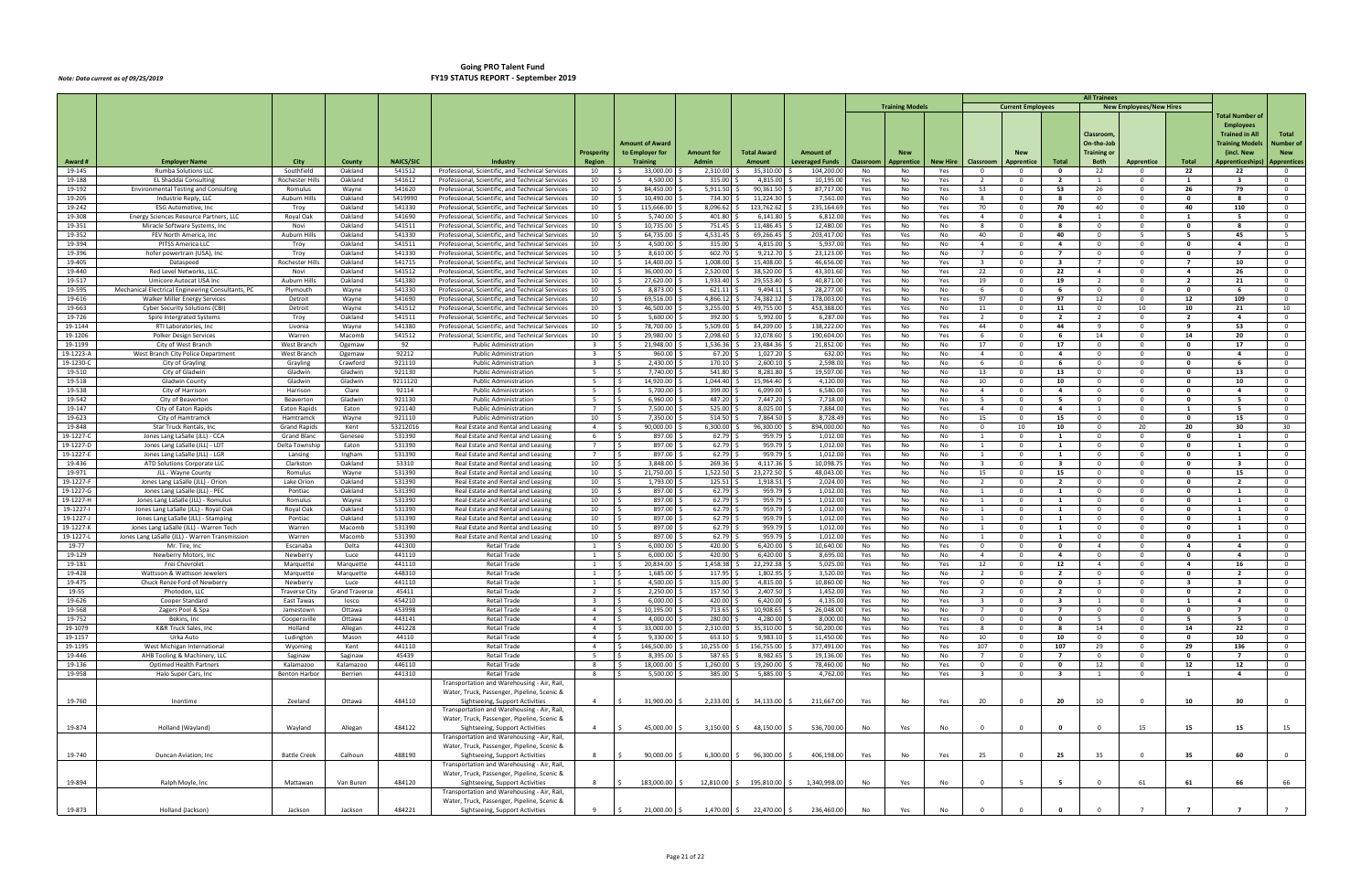|                        |                                                                                          |                               |                        |                   |                                                                                                      |                                           |                                    |                            |                              |                                     |            |                        |                 |                                            |                                     |                                           | <b>All Trainees</b>                       |                                |                                |                                         |                                                    |
|------------------------|------------------------------------------------------------------------------------------|-------------------------------|------------------------|-------------------|------------------------------------------------------------------------------------------------------|-------------------------------------------|------------------------------------|----------------------------|------------------------------|-------------------------------------|------------|------------------------|-----------------|--------------------------------------------|-------------------------------------|-------------------------------------------|-------------------------------------------|--------------------------------|--------------------------------|-----------------------------------------|----------------------------------------------------|
|                        |                                                                                          |                               |                        |                   |                                                                                                      |                                           |                                    |                            |                              |                                     |            | <b>Training Models</b> |                 |                                            | <b>Current Employees</b>            |                                           |                                           | <b>New Employees/New Hires</b> |                                | <b>Total Number of</b>                  |                                                    |
|                        |                                                                                          |                               |                        |                   |                                                                                                      |                                           |                                    |                            |                              |                                     |            |                        |                 |                                            |                                     |                                           | Classroom                                 |                                |                                | <b>Employees</b><br>Trained in Al       | Total                                              |
|                        |                                                                                          |                               |                        |                   |                                                                                                      |                                           | Amount of Award                    |                            |                              |                                     |            |                        |                 |                                            |                                     |                                           | On-the-Job                                |                                |                                | <b>Training Models</b>                  | Number of                                          |
| Award#                 | Employer Name                                                                            | City                          | County                 | <b>NAICS/SIC</b>  | Industry                                                                                             | <b>Prosperity</b><br><b>Region</b>        | to Employer for<br><b>Training</b> | <b>Amount for</b><br>Admin | <b>Total Award</b><br>Amount | Amount of<br><b>Leveraged Funds</b> | Classroom  | Apprentice             | <b>New Hire</b> | Classroom                                  | Apprentice                          | Total                                     | Training or<br><b>Both</b>                | <b>Apprentice</b>              | Total                          | (incl. New<br>\pprenticeships           | <b>New</b><br><b>Apprentices</b>                   |
| 19-145                 | Rumba Solutions LLC                                                                      | Southfield                    | Oakland                | 541512            | Professional, Scientific, and Technical Services                                                     | 10                                        | 33,000.00                          | 2,310.00                   | 35,310.00                    | 104,200.0                           | No         | No                     | Yes             | $\overline{0}$                             | $\Omega$                            | $\mathbf{0}$                              | 22                                        | $\Omega$                       | 22                             | 22                                      | $\overline{0}$                                     |
| 19-188                 | EL Shaddai Consulting                                                                    | <b>Rochester Hills</b>        | Oakland                | 541612            | Professional, Scientific, and Technical Services                                                     | 10                                        | 4,500.00                           | 315.00                     | 4,815.00                     | 10,195.0                            | Yes        | No                     | Yes             | $\overline{2}$                             | $\overline{\mathbf{0}}$             | $\overline{2}$                            | $\overline{1}$                            | $\Omega$                       | -1                             | - 3                                     | $\overline{0}$                                     |
| 19-192<br>19-205       | <b>Environmental Testing and Consulting</b><br>Industrie Reply, LLC                      | Romulus<br>Auburn Hills       | Wayne<br>Oakland       | 541620<br>5419990 | Professional, Scientific, and Technical Services<br>Professional, Scientific, and Technical Services | 10<br>10                                  | 84.450.00<br>10,490.00             | 5,911.50<br>734.30         | 90,361.50<br>11,224.30       | 87,717.00<br>7,561.0                | Yes<br>Yes | No<br>No               | Yes<br>No       | 53<br>8                                    | $\Omega$<br>$\overline{0}$          | 53<br>-8                                  | 26<br>$\mathbf{0}$                        | $\Omega$<br>$\overline{0}$     | 26<br>$\mathbf 0$              | 79                                      | $\overline{0}$<br>$\overline{0}$                   |
| 19-242                 | <b>ESG Automotive, Inc.</b>                                                              | Troy                          | Oakland                | 541330            | Professional, Scientific, and Technical Services                                                     | 10                                        | 115,666.00<br>∫ <                  | 8,096.62                   | 123,762.62                   | 235,164.69                          | Yes        | No                     | Yes             | 70                                         | $\Omega$                            | 70                                        | 40                                        | $\Omega$                       | 40                             | 110                                     | $\overline{0}$                                     |
| 19-308                 | Energy Sciences Resource Partners, LLC                                                   | Royal Oak                     | Oakland                | 541690            | Professional, Scientific, and Technical Services                                                     | 10                                        | 5,740.00                           | 401.80                     | 6,141.80                     | 6,812.0                             | Yes        | No                     | Yes             | $\overline{4}$                             | - 0                                 | 4                                         | -1                                        | $^{\circ}$                     | -1                             | - 5                                     | $\overline{0}$                                     |
| 19-351                 | Miracle Software Systems, Inc<br>FEV North America, Inc                                  | Novi                          | Oakland<br>Oakland     | 541511            | Professional, Scientific, and Technical Services                                                     | 10                                        | 10,735.00                          | 751.45                     | 11,486.45                    | 12,480.0                            | Yes        | No                     | No              | -8<br>40                                   | $\Omega$<br>$\Omega$                | -8<br>40                                  | $\mathbf{0}$<br>$\overline{0}$            | $\Omega$<br>-5                 | 0<br>- 5                       | 45                                      | $\overline{0}$<br>$-5$                             |
| 19-352<br>19-394       | PITSS America LLC                                                                        | Auburn Hills<br>Troy          | Oakland                | 541330<br>541511  | Professional, Scientific, and Technical Services<br>Professional, Scientific, and Technical Services | 10<br>10                                  | 64,735.00<br>4,500.00              | 4,531.45<br>315.00         | 69,266.45<br>4,815.00        | 203,417.0<br>5,937.0                | Yes<br>Yes | Yes<br>No              | No<br>No        | $\overline{4}$                             | $\Omega$                            | $\overline{a}$                            | $\overline{\mathbf{0}}$                   | $\Omega$                       | $\Omega$                       | 4                                       | $\overline{0}$                                     |
| 19-396                 | hofer powertrain (USA), Inc                                                              | Troy                          | Oakland                | 541330            | Professional, Scientific, and Technical Services                                                     | 10                                        | 8,610.00                           | 602.70                     | 9,212.70                     | 23,123.00                           | Yes        | No                     | No              | $\overline{7}$                             | $\Omega$                            | $\overline{7}$                            | $\Omega$                                  | $\Omega$                       | $\Omega$                       |                                         | $\overline{0}$                                     |
| 19-405                 | Dataspeed                                                                                | Rochester Hill                | Oakland                | 541715            | Professional, Scientific, and Technical Services                                                     | 10                                        | 14,400.00                          | 1,008.00                   | 15,408.00                    | 46,656.0                            | Yes        | No                     | Yes             | $\overline{\mathbf{3}}$                    | - 0                                 | - 3                                       | $\overline{7}$                            | $^{\circ}$                     | - 7                            | 10                                      | $\overline{0}$                                     |
| 19-440<br>19-517       | Red Level Networks, LLC.<br>Umicore Autocat USA Inc                                      | Novi<br>Auburn Hills          | Oakland<br>Oakland     | 541512<br>541380  | Professional, Scientific, and Technical Services<br>Professional, Scientific, and Technical Services | 10<br>10                                  | 36,000.00<br>27,620.00             | 2,520.00<br>1,933.40       | 38,520.00<br>29,553.40       | 43,301.6<br>40,871.0                | Yes<br>Yes | No<br>No               | Yes<br>Yes      | 22<br>19                                   | $\Omega$<br>- 0                     | 22<br>19                                  | $\overline{4}$<br>$\overline{2}$          | $\Omega$<br>$^{\circ}$         | $\overline{\mathbf{4}}$<br>- 2 | 26<br>21                                | $\overline{0}$<br>$\overline{0}$                   |
| 19-595                 | Mechanical Electrical Engineering Consultants, PC                                        | Plymouth                      | Wayne                  | 541330            | Professional, Scientific, and Technical Services                                                     | 10                                        | 8.873.00                           | 621.11                     | 9,494.11                     | 28,277.00                           | Yes        | No                     | No              | 6                                          | $\Omega$                            | - 6                                       | $\overline{0}$                            | $\Omega$                       | $\mathbf{0}$                   |                                         | $\overline{0}$                                     |
| 19-616                 | Walker Miller Energy Services                                                            | Detroit                       | Wayne                  | 541690            | Professional, Scientific, and Technical Services                                                     | 10                                        | 69,516.00                          | 4,866.1                    | 74,382.12                    | 178,003.0                           | Yes        | No                     | Yes             | 97                                         | $\Omega$                            | 97                                        | 12                                        | $\Omega$                       | 12                             | 109                                     | $\overline{0}$                                     |
| 19-663<br>19-726       | <b>Cyber Security Solutions (CBI)</b>                                                    | Detroit                       | Wayne<br>Oakland       | 541512<br>541511  | Professional, Scientific, and Technical Services                                                     | 10<br>10                                  | 46,500.00<br>5,600.00              | 3,255.00<br>392.00         | 49,755.00<br>5,992.00        | 453,388.0<br>6,287.0                | Yes        | Yes                    | No              | 11<br>$\overline{2}$                       | - 0<br>$\Omega$                     | 11<br>$\overline{2}$                      | $\overline{\mathbf{0}}$<br>$\overline{2}$ | 10<br>$\Omega$                 | 10<br>$\overline{2}$           | 21<br>4                                 | 10<br>$\overline{0}$                               |
| 19-1144                | Spire Intergrated Systems<br>RTI Laboratories, Inc                                       | Troy<br>Livonia               | Wayne                  | 541380            | Professional, Scientific, and Technical Services<br>Professional, Scientific, and Technical Services | 10                                        | 78,700.00                          | 5,509.00                   | 84,209.00                    | 138,222.0                           | Yes<br>Yes | No<br>No               | Yes<br>Yes      | 44                                         | $\Omega$                            | 44                                        | - 9                                       | $\Omega$                       | - 9                            | 53                                      | $\overline{0}$                                     |
| 19-1206                | Polker Design Services                                                                   | Warren                        | Macomb                 | 541512            | Professional, Scientific, and Technical Services                                                     | 10                                        | 29,980.00<br>$\prec$               | 2.098.60                   | 32,078.60                    | 190,604.0                           | Yes        | No                     | Yes             | 6                                          | $\Omega$                            | 6                                         | 14                                        | $\Omega$                       | 14                             | 20                                      | $\overline{0}$                                     |
| 19-1199                | City of West Branch                                                                      | West Branch                   | Ogemaw                 | 92                | <b>Public Administration</b>                                                                         | $\overline{\mathbf{3}}$                   | 21,948.00<br>- S                   | 1,536.36                   | 23,484.36                    | 21,852.00                           | Yes        | No                     | No              | 17                                         | - 0                                 | 17                                        | $\overline{0}$                            | $^{\circ}$                     | $\mathbf{0}$                   | 17                                      | $\overline{0}$                                     |
| 19-1223-A<br>19-1230-0 | West Branch City Police Department<br>City of Grayling                                   | West Branch<br>Grayling       | Ogemaw<br>Crawford     | 92212<br>921110   | <b>Public Administration</b><br><b>Public Administration</b>                                         | 3                                         | 960.00<br>2,430.00                 | 67.20<br>170.10            | 1,027.20<br>2,600.10         | 632.0<br>2,598.0                    | Yes<br>Yes | No<br>No               | No<br>No        | $\overline{4}$<br>- 6                      | $\Omega$<br>- 0                     | 4<br>- 6                                  | $\Omega$<br>$\mathbf{0}$                  | $\Omega$<br>$\Omega$           | $\Omega$<br>$\mathbf 0$        | $\mathbf{a}$                            | $\overline{0}$<br>$\overline{0}$                   |
| 19-510                 | City of Gladwin                                                                          | Gladwin                       | Gladwin                | 921130            | <b>Public Administration</b>                                                                         | 5                                         | 7.740.00                           | 541.80                     | 8,281.80                     | 19,507.00                           | Yes        | No                     | No              | 13                                         | $\Omega$                            | 13                                        | $\overline{0}$                            | $\overline{0}$                 | $\mathbf{o}$                   | 13                                      | $\overline{0}$                                     |
| 19-518                 | Gladwin County                                                                           | Gladwin                       | Gladwin                | 9211120           | <b>Public Administration</b>                                                                         | -5                                        | 14,920.00                          | 1,044.40                   | 15,964.40                    | 4,120.0                             | Yes        | No                     | No              | 10                                         | - 0                                 | 10                                        | $\mathbf{0}$                              | $\Omega$                       | $\Omega$                       | 10                                      | $\overline{\mathbf{0}}$                            |
| 19-538                 | City of Harrison                                                                         | Harrison                      | Clare                  | 92114             | <b>Public Administration</b>                                                                         | -5                                        | 5,700.00                           | 399.00                     | 6,099.00                     | 6,580.0                             | Yes        | No                     | No              | $\overline{4}$                             | - 0                                 | 4                                         | $\mathbf{0}$                              | $\Omega$                       | $\mathbf{0}$                   | -4                                      | $\overline{\mathbf{0}}$                            |
| 19-542<br>19-147       | City of Beavertor<br>City of Eaton Rapids                                                | Beaverton<br>Eaton Rapids     | Gladwin<br>Eaton       | 921130<br>921140  | <b>Public Administration</b><br><b>Public Administration</b>                                         | - 5<br>$\overline{7}$                     | 6,960.00<br>7,500.00               | 487.20<br>525.00           | 7,447.20<br>8,025.00         | 7,718.0<br>7,884.0                  | Yes<br>Yes | No<br>No               | No<br>Yes       | 5<br>$\overline{4}$                        | $\Omega$<br>$\Omega$                | 5<br>$\overline{4}$                       | $\overline{0}$<br>$\overline{1}$          | $\mathbf 0$<br>$\Omega$        | $\mathbf{0}$<br>-1             | - 5<br>- 5                              | $\overline{0}$<br>$\overline{\mathbf{0}}$          |
| 19-623                 | City of Hamtramck                                                                        | Hamtramck                     | Wayne                  | 921110            | <b>Public Administration</b>                                                                         | 10                                        | 7,350.00                           | 514.50                     | 7,864.50                     | 8,728.49                            | Yes        | No                     | No              | 15                                         | $\Omega$                            | 15                                        | $\overline{0}$                            | $\Omega$                       | $\mathbf{0}$                   | 15                                      | $\overline{\mathbf{0}}$                            |
| 19-848                 | Star Truck Rentals, Inc.                                                                 | Grand Rapids                  | Kent                   | 53212016          | Real Estate and Rental and Leasing                                                                   | $\overline{4}$                            | 90,000.00                          | 6,300.00                   | 96,300.00                    | 894,000.0                           | No         | Yes                    | No              | $\overline{0}$                             | 10                                  | 10                                        | $\mathbf{0}$                              | 20                             | 20                             | 30                                      | 30                                                 |
| 19-1227-0<br>19-1227-D | Jones Lang LaSalle (JLL) - CCA<br>Jones Lang LaSalle (JLL) - LDT                         | Grand Blanc<br>Delta Township | Genesee<br>Eaton       | 531390<br>531390  | Real Estate and Rental and Leasing<br>Real Estate and Rental and Leasing                             | - 6<br>$\overline{7}$                     | 897.00<br>897.00                   | 62.79<br>62.79             | 959.79<br>959.79             | 1,012.0<br>1,012.0                  | Yes<br>Yes | No<br>No               | No<br>No        | $\overline{1}$<br>1                        | $\Omega$<br>$\Omega$                | 1<br>1                                    | $\overline{0}$<br>$\mathbf{0}$            | $\Omega$<br>$^{\circ}$         | $\mathbf{0}$<br>$\mathbf{0}$   | <sup>1</sup><br>$\mathbf{1}$            | $\overline{\mathbf{0}}$<br>$\overline{\mathbf{0}}$ |
| 19-1227-E              | Jones Lang LaSalle (JLL) - LGR                                                           | Lansing                       | Ingham                 | 531390            | Real Estate and Rental and Leasing                                                                   | $\overline{7}$                            | 897.00<br>- Ś                      | 62.79                      | 959.79                       | 1,012.0                             | Yes        | No                     | No              | 1                                          | $\overline{\mathbf{0}}$             | $\mathbf{1}$                              | $\overline{0}$                            | $\Omega$                       | 0                              | 1                                       | $\overline{\mathbf{0}}$                            |
| 19-436                 | ATD Solutions Corporate LL                                                               | Clarkston                     | Oakland                | 53310             | Real Estate and Rental and Leasing                                                                   | 10                                        | 3,848.00                           | 269.36                     | 4,117.36                     | 10,098.7                            | Yes        | No                     | No              | $\overline{\mathbf{3}}$                    | $\Omega$                            | $\overline{\mathbf{3}}$                   | $\Omega$                                  | $\Omega$                       | $\Omega$                       | -3                                      | $\overline{0}$                                     |
| 19-971                 | JLL - Wayne County                                                                       | Romulus                       | Wayne                  | 531390            | Real Estate and Rental and Leasing                                                                   | 10                                        | 21,750.00                          | 1,522.50                   | 23,272.50                    | 48,043.00                           | Yes        | No                     | No              | 15                                         | - 0                                 | 15                                        | $\overline{0}$                            | $^{\circ}$                     | 0                              | 15                                      | $\overline{\mathbf{0}}$                            |
| 19-1227-F<br>19-1227-G | Jones Lang LaSalle (JLL) - Orion<br>Jones Lang LaSalle (JLL) - PEC                       | Lake Orion<br>Pontiac         | Oakland<br>Oakland     | 531390<br>531390  | Real Estate and Rental and Leasing<br>Real Estate and Rental and Leasing                             | 10<br>10                                  | 1,793.00<br>897.00                 | 125.51<br>62.79            | 1,918.51<br>959.79           | 2,024.00<br>1,012.0                 | Yes<br>Yes | No<br>No               | No<br>No        | $\overline{2}$<br>- 1                      | $\Omega$<br>- 0                     | $\overline{2}$<br>1                       | $\overline{0}$<br>$\mathbf{0}$            | $\Omega$<br>$\overline{0}$     | $\Omega$<br>$\mathbf{0}$       | $\overline{\phantom{a}}$                | $\overline{0}$<br>$\overline{0}$                   |
| 19-1227-H              | Jones Lang LaSalle (JLL) - Romulus                                                       | Romulus                       | Wayne                  | 531390            | Real Estate and Rental and Leasing                                                                   | 10                                        | 897.00                             | 62.79                      | 959.79                       | 1,012.0                             | Yes        | No                     | No              | 1                                          | $\Omega$                            | $\mathbf{1}$                              | $\overline{0}$                            | $\Omega$                       | $\mathbf{0}$                   | <sup>1</sup>                            | $\overline{0}$                                     |
| 19-1227-               | Jones Lang LaSalle (JLL) - Royal Oak                                                     | Royal Oak                     | Oakland                | 531390            | Real Estate and Rental and Leasing                                                                   | 10                                        | 897.00                             | 62.79                      | 959.79                       | 1,012.0                             | Yes        | No                     | No              | - 1                                        | - 0                                 | 1                                         | $\mathbf{0}$                              | $^{\circ}$                     | 0                              | -1                                      | $\overline{\mathbf{0}}$                            |
| 19-1227-J<br>19-1227-K | Jones Lang LaSalle (JLL) - Stamping                                                      | Pontiac                       | Oakland                | 531390<br>531390  | Real Estate and Rental and Leasing                                                                   | 10<br>10                                  | 897.00<br>897.00                   | 62.79<br>62.79             | 959.79<br>959.79             | 1,012.00<br>1,012.0                 | Yes        | No                     | No              | $\overline{1}$<br>$\overline{1}$           | $\Omega$<br>$\Omega$                | $\mathbf{1}$<br>$\mathbf{1}$              | $\overline{0}$<br>$\overline{0}$          | $\Omega$<br>$\Omega$           | $\mathbf{o}$<br>$\mathbf{0}$   | $\mathbf{1}$<br>$\overline{\mathbf{1}}$ | $\overline{0}$<br>$\overline{0}$                   |
| 19-1227-1              | Jones Lang LaSalle (JLL) - Warren Tech<br>Jones Lang LaSalle (JLL) - Warren Transmission | Warren<br>Warren              | Macomb<br>Macomb       | 531390            | Real Estate and Rental and Leasing<br>Real Estate and Rental and Leasing                             | 10                                        | 897.00 \$<br>l S                   | 62.79                      | 959.79                       | 1,012.0                             | Yes<br>Yes | No<br>No               | No<br>No        | 1                                          | $\overline{\phantom{0}}$            | $\mathbf{1}$                              | $\overline{0}$                            | $\Omega$                       | 0                              | $\mathbf{1}$                            | $\overline{\mathbf{0}}$                            |
| 19-77                  | Mr. Tire, Inc                                                                            | Escanaba                      | Delta                  | 441300            | <b>Retail Trade</b>                                                                                  | -1                                        | 6,000.00                           | 420.00                     | 6,420.00                     | 10,640.00                           | No         | No                     | Yes             | $\overline{\mathbf{0}}$                    | - 0                                 | $\mathbf{o}$                              | $\overline{4}$                            | $\Omega$                       | $\overline{a}$                 | $\mathbf{A}$                            | $\overline{\mathbf{0}}$                            |
| 19-129                 | Newberry Motors, Inc.                                                                    | Newberry                      | Luce                   | 441110            | <b>Retail Trade</b>                                                                                  | 1                                         | 6,000.00                           | 420.00                     | 6,420.00                     | 8,695.0                             | Yes        | No                     | No              | $\overline{4}$                             | - 0                                 | 4                                         | $\overline{0}$                            | $\Omega$                       | 0                              | 4                                       | $\overline{\mathbf{0}}$                            |
| 19-181<br>19-428       | Frei Chevrolet<br>Wattsson & Wattsson Jewelers                                           | Marquette<br>Marquette        | Marquette<br>Marquette | 441110<br>448310  | <b>Retail Trade</b><br>Retail Trade                                                                  | $\overline{1}$<br>1                       | 20,834.00<br>1,685.00              | 1,458.38<br>117.95         | 22,292.38<br>1,802.95        | 5,025.0<br>3,520.0                  | Yes<br>Yes | No<br>No               | Yes<br>No       | 12<br>$\overline{2}$                       | $\Omega$<br>- 0                     | 12<br>$\mathbf{2}$                        | $\overline{4}$<br>$\mathbf{0}$            | $\Omega$<br>$^{\circ}$         | $\overline{a}$<br>$\mathbf{0}$ | 16<br>- 2                               | $\overline{0}$<br>$\overline{0}$                   |
| 19-475                 | Chuck Renze Ford of Newberry                                                             | Newberry                      | Luce                   | 441110            | Retail Trade                                                                                         | 1                                         | 4,500.00                           | 315.00                     | 4,815.00                     | 10.860.00                           | No         | No                     | Yes             | $\Omega$                                   | $\Omega$                            | $\mathbf{0}$                              | $\mathbf{3}$                              | $\Omega$                       | -3                             |                                         | $\overline{0}$                                     |
| 19-55                  | Photodon, LLC                                                                            | <b>Traverse City</b>          | <b>Grand Traverse</b>  | 45411             | Retail Trade                                                                                         | $\overline{z}$                            | 2,250.00                           | 157.50                     | 2,407.50                     | 1,452.0                             | Yes        | No                     | No              |                                            | $\Omega$                            |                                           | $\Omega$                                  | $\cap$                         | . റ                            |                                         | $\mathbf{0}$                                       |
| 19-626<br>19-568       | Cooper Standard<br>Zagers Pool & Spa                                                     | East Tawas                    | losco<br>Ottawa        | 454210<br>453998  | <b>Retail Trade</b><br>Retail Trade                                                                  | $\overline{\mathbf{3}}$<br>$\overline{4}$ | 6,000.00<br>ΙŚ<br>10,195.00<br>l s | 420.00<br>713.65           | 6,420.00<br>10,908.65        | 4,135.00<br>26,048.00               | Yes<br>Yes | No<br>No               | Yes<br>No       | $\overline{\mathbf{3}}$<br>$7\overline{ }$ | $\overline{0}$<br>$\mathbf 0$       | $\overline{\mathbf{3}}$<br>$\overline{7}$ | $\mathbf{1}$<br>$\overline{0}$            | $\overline{0}$<br>$\mathbf{0}$ | $\mathbf{1}$<br>$\mathbf 0$    | $\overline{4}$<br>$\overline{7}$        | $\overline{0}$<br>$\overline{0}$                   |
| 19-752                 | Bekins, Inc                                                                              | Jamestown<br>Coopersville     | Ottawa                 | 443141            | <b>Retail Trade</b>                                                                                  | $\overline{4}$                            | 4,000.00 \$<br>l s                 | 280.00 \$                  | 4,280.00                     | 8,000.0                             | No         | No                     | Yes             | $\overline{0}$                             | $\overline{0}$                      | $\mathbf{0}$                              | 5 <sup>5</sup>                            | $\overline{0}$                 | 5                              | 5                                       | $\overline{0}$                                     |
| 19-1079                | K&R Truck Sales, Inc                                                                     | Holland                       | Allegan                | 441228            | Retail Trade                                                                                         | $\overline{4}$                            | 33,000.00<br>l \$                  | 2,310.00                   | 35,310.00                    | 50,200.0                            | Yes        | No                     | Yes             | 8                                          | $\overline{\mathbf{0}}$             | 8                                         | 14                                        | $\overline{0}$                 | 14                             | 22                                      | $\overline{0}$                                     |
| 19-1157                | Urka Auto                                                                                | Ludington                     | Mason                  | 44110             | <b>Retail Trade</b>                                                                                  | $\overline{4}$                            | 9,330.00<br>IS.                    | 653.10                     | 9,983.10                     | 11,450.00                           | Yes        | No                     | No              | 10                                         | $\overline{0}$                      | 10                                        | $\overline{0}$                            | $\mathbf{0}$                   | $\mathbf 0$                    | 10                                      | $\overline{0}$                                     |
| 19-1195<br>19-446      | West Michigan International<br>AHB Tooling & Machinery, LLC                              | Wyoming<br>Saginaw            | Kent<br>Saginaw        | 441110<br>45439   | <b>Retail Trade</b><br><b>Retail Trade</b>                                                           | $\overline{4}$<br>5 <sup>5</sup>          | 146,500.00<br>l \$<br>8,395.00     | 10,255.00<br>587.65        | 156,755.00<br>8,982.65       | 377,491.00<br>19,136.0              | Yes<br>Yes | No<br>No               | Yes<br>No       | 107<br>$7\overline{ }$                     | $\Omega$<br>$\overline{\mathbf{0}}$ | 107<br>$\overline{7}$                     | 29<br>$\overline{0}$                      | $\Omega$<br>$\mathbf{0}$       | 29<br>$\mathbf 0$              | 136<br>$\overline{7}$                   | $\overline{0}$<br>$\overline{0}$                   |
| 19-136                 | <b>Optimed Health Partners</b>                                                           | Kalamazoo                     | Kalamazoo              | 446110            | Retail Trade                                                                                         | 8                                         | 18,000.00<br>ΙŚ                    | 1,260.00                   | 19,260.00                    | 78,460.00                           | No         | No                     | Yes             | $\overline{0}$                             | $\overline{\mathbf{0}}$             | $\mathbf{0}$                              | 12                                        | $\mathbf{0}$                   | 12                             | 12                                      | $\overline{0}$                                     |
| 19-958                 | Halo Super Cars, Inc                                                                     | Benton Harbor                 | Berrien                | 441310            | Retail Trade                                                                                         | 8                                         | 5,500.00                           | 385.00 \$                  | 5,885.00                     | 4,762.0                             | Yes        | No                     | Yes             | $\overline{\mathbf{3}}$                    | $\mathbf{0}$                        | $\overline{\mathbf{3}}$                   | 1                                         | $\overline{0}$                 | 1                              | $\overline{a}$                          | $\overline{0}$                                     |
|                        |                                                                                          |                               |                        |                   | Transportation and Warehousing - Air, Rail,<br>Water, Truck, Passenger, Pipeline, Scenic &           |                                           |                                    |                            |                              |                                     |            |                        |                 |                                            |                                     |                                           |                                           |                                |                                |                                         |                                                    |
| 19-760                 | Inontime                                                                                 | Zeeland                       | Ottawa                 | 484110            | Sightseeing, Support Activities                                                                      | $\overline{4}$                            | 5<br>31,900.00 \$                  |                            | 2,233.00 \$ 34,133.00        | 211,667.00                          | Yes        | No                     | Yes             | 20                                         | $\Omega$                            | 20                                        | 10                                        | $\Omega$                       | 10                             | 30                                      | $\overline{0}$                                     |
|                        |                                                                                          |                               |                        |                   | Transportation and Warehousing - Air, Rail,                                                          |                                           |                                    |                            |                              |                                     |            |                        |                 |                                            |                                     |                                           |                                           |                                |                                |                                         |                                                    |
|                        |                                                                                          |                               |                        |                   | Water, Truck, Passenger, Pipeline, Scenic &                                                          |                                           |                                    |                            |                              |                                     |            |                        |                 |                                            | $\Omega$                            |                                           | $\Omega$                                  |                                |                                |                                         |                                                    |
| 19-874                 | Holland (Wayland)                                                                        | Wayland                       | Allegan                | 484122            | Sightseeing, Support Activities<br>Transportation and Warehousing - Air, Rail,                       | $\overline{4}$                            | S.<br>45,000.00 \$                 |                            | $3,150.00 \div 48,150.00$    | 536,700.00                          | No         | Yes                    | No              | $\overline{0}$                             |                                     | $\mathbf{o}$                              |                                           | 15                             | 15                             | 15                                      | 15                                                 |
|                        |                                                                                          |                               |                        |                   | Water, Truck, Passenger, Pipeline, Scenic &                                                          |                                           |                                    |                            |                              |                                     |            |                        |                 |                                            |                                     |                                           |                                           |                                |                                |                                         |                                                    |
| 19-740                 | Duncan Aviation, Inc                                                                     | <b>Battle Creek</b>           | Calhoun                | 488190            | Sightseeing, Support Activities                                                                      | 8                                         | 90,000.00 \$<br>$\leq$             | $6,300.00$ \$              | 96,300.00                    | 406,198.00                          | Yes        | No                     | Yes             | 25                                         | $\Omega$                            | 25                                        | 35                                        | $\Omega$                       | 35                             | 60                                      | $\overline{0}$                                     |
|                        |                                                                                          |                               |                        |                   | Transportation and Warehousing - Air, Rail,<br>Water, Truck, Passenger, Pipeline, Scenic &           |                                           |                                    |                            |                              |                                     |            |                        |                 |                                            |                                     |                                           |                                           |                                |                                |                                         |                                                    |
| 19-894                 | Ralph Moyle, Inc                                                                         | Mattawan                      | Van Buren              | 484120            | Sightseeing, Support Activities                                                                      | 8                                         | 183,000.00                         |                            | 12,810.00 \$ 195,810.00      | 1,340,998.00                        | No         | Yes                    | No              | $\overline{\mathbf{0}}$                    | -5                                  | 5                                         | $\Omega$                                  | 61                             | 61                             | 66                                      | 66                                                 |
|                        |                                                                                          |                               |                        |                   | Transportation and Warehousing - Air, Rail,                                                          |                                           |                                    |                            |                              |                                     |            |                        |                 |                                            |                                     |                                           |                                           |                                |                                |                                         |                                                    |
|                        |                                                                                          |                               |                        | 484221            | Water, Truck, Passenger, Pipeline, Scenic &                                                          | 9                                         | l \$                               |                            |                              |                                     |            |                        |                 | $\overline{\mathbf{0}}$                    |                                     | $\mathbf{0}$                              |                                           |                                | - 7                            | $\overline{7}$                          |                                                    |
| 19-873                 | Holland (Jackson)                                                                        | Jackson                       | Jackson                |                   | Sightseeing, Support Activities                                                                      |                                           | 21,000.00 \$                       |                            | 1,470.00 \$ 22,470.00        | 236,460.00<br>S.                    | No         | Yes                    | No              |                                            |                                     |                                           |                                           |                                |                                |                                         | 7                                                  |